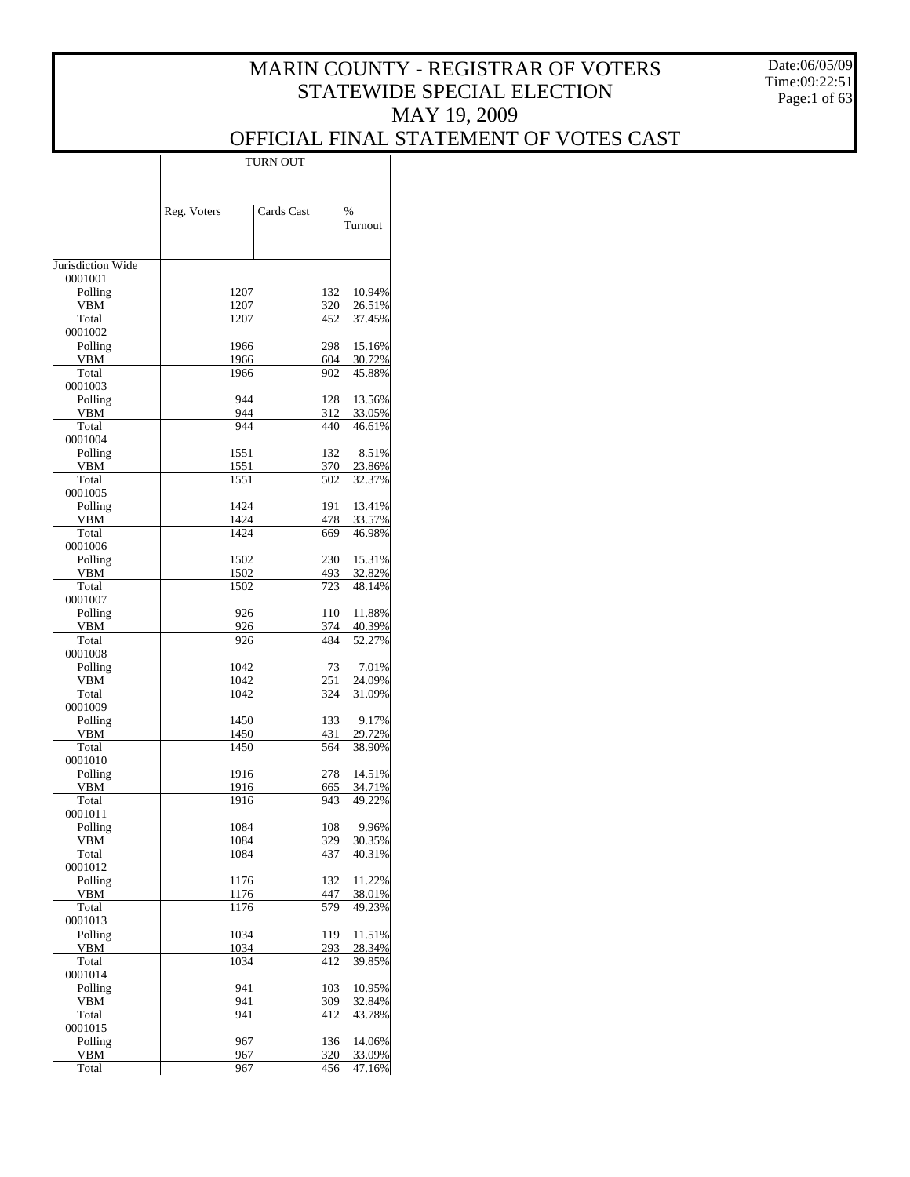Date:06/05/09 Time:09:22:51 Page:1 of 63

## OFFICIAL FINAL STATEMENT OF VOTES CAST

|                     | Reg. Voters  | Cards Cast |            | %                |
|---------------------|--------------|------------|------------|------------------|
|                     |              |            |            | Turnout          |
| Jurisdiction Wide   |              |            |            |                  |
| 0001001             |              |            |            |                  |
| Polling             | 1207         |            | 132        | 10.94%           |
| <b>VBM</b><br>Total | 1207<br>1207 |            | 320        | 26.51%<br>37.45% |
| 0001002             |              |            | 452        |                  |
| Polling             | 1966         |            | 298        | 15.16%           |
| <b>VBM</b>          | 1966         |            | 604        | 30.72%           |
| Total               | 1966         |            | 902        | 45.88%           |
| 0001003             |              |            |            |                  |
| Polling<br>VBM      | 944<br>944   |            | 128<br>312 | 13.56%<br>33.05% |
| Total               | 944          |            | 440        | 46.61%           |
| 0001004             |              |            |            |                  |
| Polling             | 1551         |            | 132        | 8.51%            |
| VBM                 | 1551         |            | 370        | 23.86%           |
| Total<br>0001005    | 1551         |            | 502        | 32.37%           |
| Polling             | 1424         |            | 191        | 13.41%           |
| VBM                 | 1424         |            | 478        | 33.57%           |
| Total               | 1424         |            | 669        | 46.98%           |
| 0001006             |              |            |            |                  |
| Polling             | 1502         |            | 230        | 15.31%           |
| <b>VBM</b><br>Total | 1502<br>1502 |            | 493<br>723 | 32.82%<br>48.14% |
| 0001007             |              |            |            |                  |
| Polling             | 926          |            | 110        | 11.88%           |
| VBM                 | 926          |            | 374        | 40.39%           |
| Total               | 926          |            | 484        | 52.27%           |
| 0001008             |              |            |            |                  |
| Polling             | 1042         |            | 73         | 7.01%            |
| VBM<br>Total        | 1042<br>1042 |            | 251<br>324 | 24.09%<br>31.09% |
| 0001009             |              |            |            |                  |
| Polling             | 1450         |            | 133        | 9.17%            |
| VBM                 | 1450         |            | 431        | 29.72%           |
| Total               | 1450         |            | 564        | 38.90%           |
| 0001010<br>Polling  | 1916         |            | 278        | 14.51%           |
| VBM                 | 1916         |            | 665        | 34.71%           |
| Total               | 1916         |            | 943        | 49.22%           |
| 0001011             |              |            |            |                  |
| Polling             | 1084         |            | 108        | 9.96%            |
| VBM                 | 1084         |            | 329        | 30.35%           |
| Total<br>0001012    | 1084         |            | 437        | 40.31%           |
| Polling             | 1176         |            | 132        | 11.22%           |
| <b>VBM</b>          | 1176         |            | 447        | 38.01%           |
| Total               | 1176         |            | 579        | 49.23%           |
| 0001013             |              |            |            |                  |
| Polling             | 1034         |            | 119        | 11.51%           |
| <b>VBM</b><br>Total | 1034<br>1034 |            | 293<br>412 | 28.34%<br>39.85% |
| 0001014             |              |            |            |                  |
| Polling             | 941          |            | 103        | 10.95%           |
| <b>VBM</b>          | 941          |            | 309        | 32.84%           |
| Total               | 941          |            | 412        | 43.78%           |
| 0001015             |              |            |            |                  |
| Polling             | 967          |            | 136        | 14.06%           |
| <b>VBM</b><br>Total | 967<br>967   |            | 320<br>456 | 33.09%<br>47.16% |
|                     |              |            |            |                  |

TURN OUT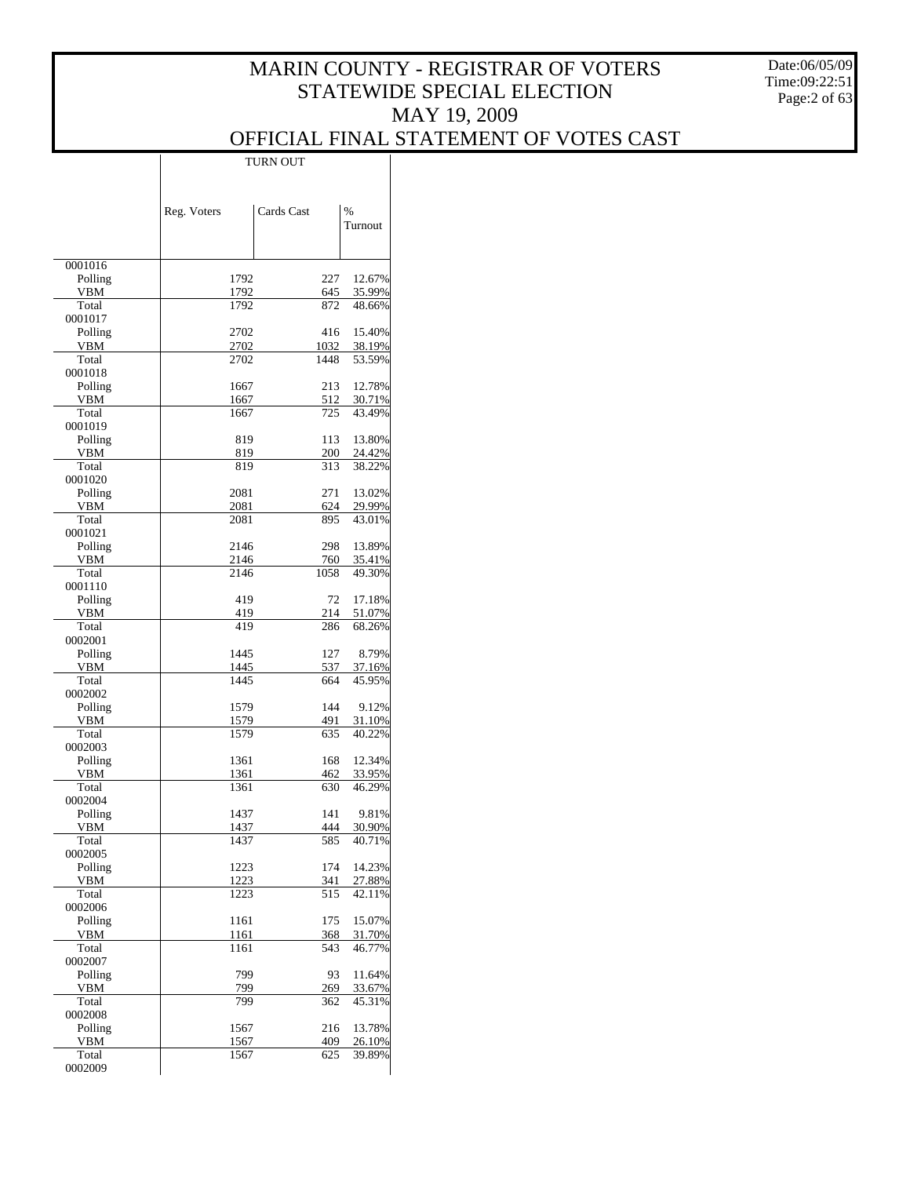Date:06/05/09 Time:09:22:51 Page:2 of 63

|                    | <b>TURN OUT</b> |             |                  |  |
|--------------------|-----------------|-------------|------------------|--|
|                    |                 |             |                  |  |
|                    |                 |             |                  |  |
|                    | Reg. Voters     | Cards Cast  | $\frac{0}{6}$    |  |
|                    |                 |             | Turnout          |  |
|                    |                 |             |                  |  |
|                    |                 |             |                  |  |
| 0001016<br>Polling | 1792            | 227         | 12.67%           |  |
| <b>VBM</b>         | 1792            | 645         | 35.99%           |  |
| Total              | 1792            | 872         | 48.66%           |  |
| 0001017            |                 |             |                  |  |
| Polling<br>VBM     | 2702<br>2702    | 416<br>1032 | 15.40%<br>38.19% |  |
| Total              | 2702            | 1448        | 53.59%           |  |
| 0001018            |                 |             |                  |  |
| Polling            | 1667            | 213         | 12.78%           |  |
| VBM<br>Total       | 1667<br>1667    | 512<br>725  | 30.71%<br>43.49% |  |
| 0001019            |                 |             |                  |  |
| Polling            | 819             | 113         | 13.80%           |  |
| VBM                | 819             | 200         | 24.42%           |  |
| Total              | 819             | 313         | 38.22%           |  |
| 0001020<br>Polling | 2081            | 271         | 13.02%           |  |
| VBM                | 2081            | 624         | 29.99%           |  |
| Total              | 2081            | 895         | 43.01%           |  |
| 0001021            |                 |             |                  |  |
| Polling<br>VBM     | 2146<br>2146    | 298<br>760  | 13.89%<br>35.41% |  |
| Total              | 2146            | 1058        | 49.30%           |  |
| 0001110            |                 |             |                  |  |
| Polling            | 419             | 72          | 17.18%           |  |
| VBM                | 419             | 214         | 51.07%           |  |
| Total<br>0002001   | 419             | 286         | 68.26%           |  |
| Polling            | 1445            | 127         | 8.79%            |  |
| VBM                | 1445            | 537         | 37.16%           |  |
| Total              | 1445            | 664         | 45.95%           |  |
| 0002002<br>Polling | 1579            | 144         | 9.12%            |  |
| VBM                | 1579            | 491         | 31.10%           |  |
| Total              | 1579            | 635         | 40.22%           |  |
| 0002003            |                 |             |                  |  |
| Polling<br>VBM     | 1361<br>1361    | 168<br>462  | 12.34%<br>33.95% |  |
| Total              | 1361            | 630         | 46.29%           |  |
| 0002004            |                 |             |                  |  |
| Polling            | 1437            | 141         | 9.81%            |  |
| VBM                | 1437            | 444         | 30.90%           |  |
| Total<br>0002005   | 1437            | 585         | 40.71%           |  |
| Polling            | 1223            | 174         | 14.23%           |  |
| VBM                | 1223            | 341         | 27.88%           |  |
| Total              | 1223            | 515         | 42.11%           |  |
| 0002006<br>Polling | 1161            | 175         | 15.07%           |  |
| VBM                | 1161            | 368         | 31.70%           |  |
| Total              | 1161            | 543         | 46.77%           |  |
| 0002007            |                 |             |                  |  |
| Polling            | 799             | 93          | 11.64%           |  |
| VBM<br>Total       | 799<br>799      | 269<br>362  | 33.67%<br>45.31% |  |
| 0002008            |                 |             |                  |  |
| Polling            | 1567            | 216         | 13.78%           |  |
| VBM                | 1567            | 409         | 26.10%           |  |
| Total<br>0002009   | 1567            | 625         | 39.89%           |  |
|                    |                 |             |                  |  |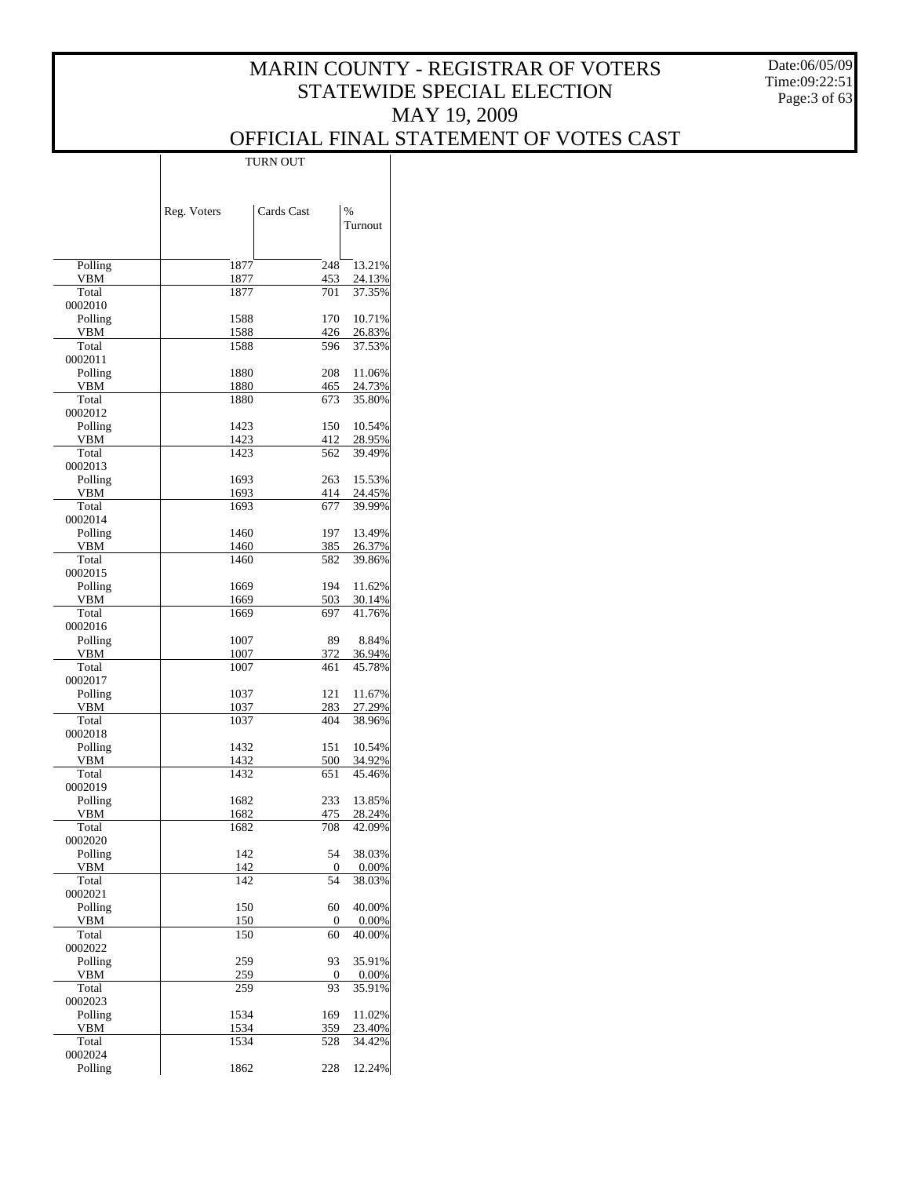Date:06/05/09 Time:09:22:51 Page:3 of 63

#### OFFICIAL FINAL STATEMENT OF VOTES CAST TURN OUT

|                       | Reg. Voters  | Cards Cast | %<br>Turnout     |
|-----------------------|--------------|------------|------------------|
|                       |              |            |                  |
| Polling<br><b>VBM</b> | 1877<br>1877 | 248<br>453 | 13.21%<br>24.13% |
| Total                 | 1877         | 701        | 37.35%           |
| 0002010               |              |            |                  |
| Polling               | 1588         | 170        | 10.71%           |
| <b>VBM</b><br>Total   | 1588<br>1588 | 426<br>596 | 26.83%<br>37.53% |
| 0002011               |              |            |                  |
| Polling               | 1880         | 208        | 11.06%           |
| <b>VBM</b><br>Total   | 1880<br>1880 | 465<br>673 | 24.73%<br>35.80% |
| 0002012               |              |            |                  |
| Polling               | 1423         | 150        | 10.54%           |
| <b>VBM</b>            | 1423         | 412        | 28.95%           |
| Total<br>0002013      | 1423         | 562        | 39.49%           |
| Polling               | 1693         | 263        | 15.53%           |
| <b>VBM</b>            | 1693         | 414        | 24.45%           |
| Total                 | 1693         | 677        | 39.99%           |
| 0002014<br>Polling    | 1460         | 197        | 13.49%           |
| <b>VBM</b>            | 1460         | 385        | 26.37%           |
| Total                 | 1460         | 582        | 39.86%           |
| 0002015               |              |            |                  |
| Polling<br><b>VBM</b> | 1669<br>1669 | 194<br>503 | 11.62%<br>30.14% |
| Total                 | 1669         | 697        | 41.76%           |
| 0002016               |              |            |                  |
| Polling               | 1007         | 89         | 8.84%            |
| <b>VBM</b><br>Total   | 1007<br>1007 | 372<br>461 | 36.94%<br>45.78% |
| 0002017               |              |            |                  |
| Polling               | 1037         | 121        | 11.67%           |
| <b>VBM</b>            | 1037         | 283        | 27.29%           |
| Total<br>0002018      | 1037         | 404        | 38.96%           |
| Polling               | 1432         | 151        | 10.54%           |
| <b>VBM</b>            | 1432         | 500        | 34.92%           |
| Total<br>0002019      | 1432         | 651        | 45.46%           |
| Polling               | 1682         | 233        | 13.85%           |
| VBM                   | 1682         | 475        | 28.24%           |
| Total                 | 1682         | 708        | 42.09%           |
| <b>0002020</b>        |              | 54         |                  |
| Polling<br><b>VBM</b> | 142<br>142   | 0          | 38.03%<br>0.00%  |
| Total                 | 142          | 54         | 38.03%           |
| 0002021               |              |            |                  |
| Polling<br><b>VBM</b> | 150<br>150   | 60         | 40.00%           |
| Total                 | 150          | 0<br>60    | 0.00%<br>40.00%  |
| 0002022               |              |            |                  |
| Polling               | 259          | 93         | 35.91%           |
| VBM<br>Total          | 259<br>259   | 0<br>93    | 0.00%<br>35.91%  |
| 0002023               |              |            |                  |
| Polling               | 1534         | 169        | 11.02%           |
| VBM                   | 1534         | 359        | 23.40%           |
| Total<br>0002024      | 1534         | 528        | 34.42%           |
| Polling               | 1862         | 228        | 12.24%           |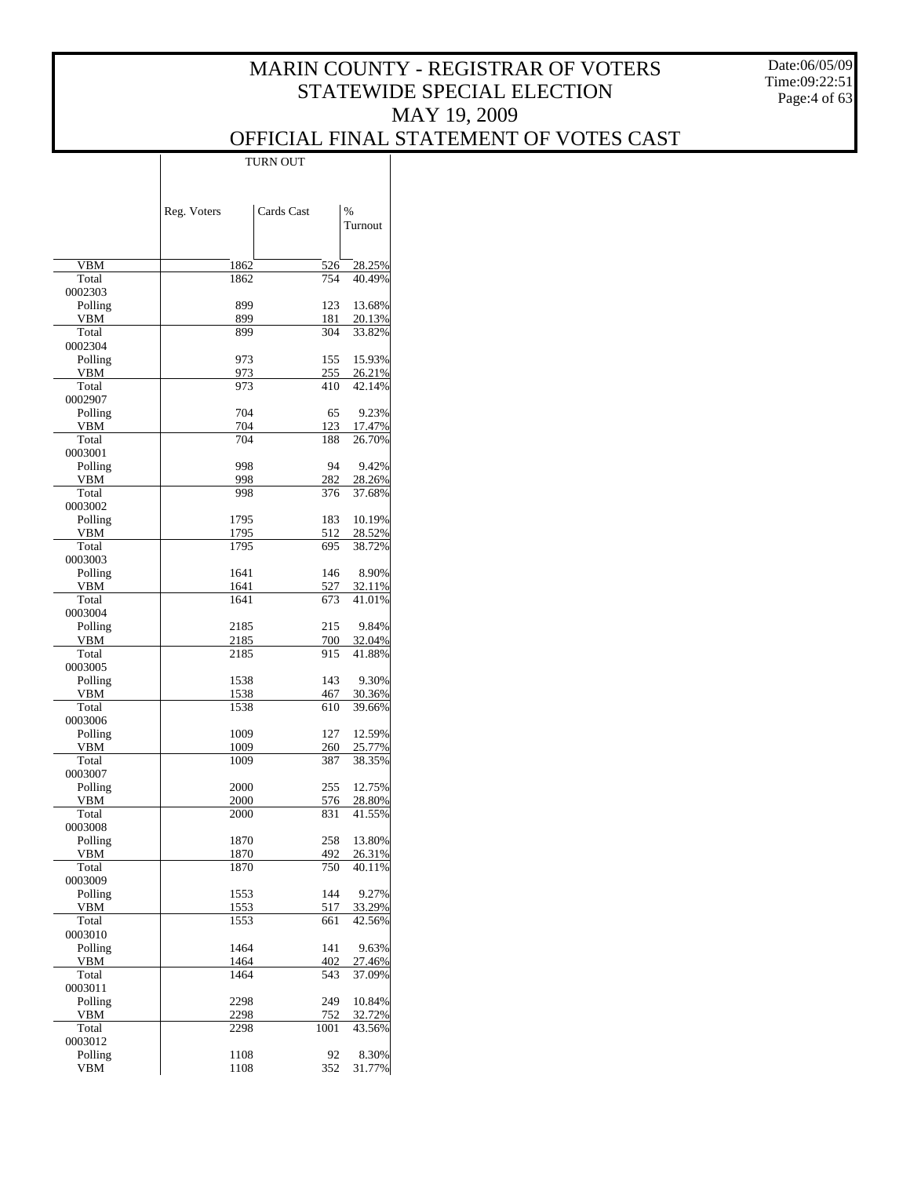Date:06/05/09 Time:09:22:51 Page:4 of 63

|                    | Reg. Voters  | Cards Cast | $\frac{0}{0}$<br>Turnout |
|--------------------|--------------|------------|--------------------------|
|                    |              |            |                          |
| VBM                | 1862         | 526        | 28.25%                   |
| Total              | 1862         | 754        | 40.49%                   |
| 0002303            |              |            |                          |
| Polling            | 899          | 123        | 13.68%                   |
| VBM                | 899          | 181        | 20.13%                   |
| Total<br>0002304   | 899          | 304        | 33.82%                   |
| Polling            | 973          | 155        | 15.93%                   |
| VBM                | 973          | 255        | 26.21%                   |
| Total              | 973          | 410        | 42.14%                   |
| 0002907            |              |            |                          |
| Polling            | 704          | 65         | 9.23%                    |
| VBM                | 704          | 123        | 17.47%                   |
| Total<br>0003001   | 704          | 188        | 26.70%                   |
| Polling            | 998          | 94         | 9.42%                    |
| VBM                | 998          | 282        | 28.26%                   |
| Total              | 998          | 376        | 37.68%                   |
| 0003002            |              |            |                          |
| Polling            | 1795         | 183        | 10.19%                   |
| VBM                | 1795         | 512        | 28.52%                   |
| Total              | 1795         | 695        | 38.72%                   |
| 0003003            |              |            |                          |
| Polling            | 1641         | 146        | 8.90%                    |
| VBM                | 1641         | 527        | 32.11%                   |
| Total              | 1641         | 673        | 41.01%                   |
| 0003004            |              | 215        | 9.84%                    |
| Polling<br>VBM     | 2185<br>2185 | 700        | 32.04%                   |
| Total              | 2185         | 915        | 41.88%                   |
| 0003005            |              |            |                          |
| Polling            | 1538         | 143        | 9.30%                    |
| VBM                | 1538         | 467        | 30.36%                   |
| Total              | 1538         | 610        | 39.66%                   |
| 0003006            |              |            |                          |
| Polling            | 1009         | 127        | 12.59%                   |
| VBM                | 1009         | 260        | 25.77%                   |
| Total              | 1009         | 387        | 38.35%                   |
| 0003007            | 2000         | 255        | 12.75%                   |
| Polling<br>VBM     | 2000         | 576        | 28.80%                   |
| Total              | 2000         | 831        | 41.55%                   |
| 0003008            |              |            |                          |
| Polling            | 1870         | 258        | 13.80%                   |
| <b>VBM</b>         | 1870         | 492        | 26.31%                   |
| Total              | 1870         | 750        | 40.11%                   |
| 0003009            |              |            |                          |
| Polling            | 1553         | 144        | 9.27%                    |
| VBM                | 1553         | 517        | 33.29%                   |
| Total              | 1553         | 661        | 42.56%                   |
| 0003010<br>Polling | 1464         | 141        | 9.63%                    |
| VBM                | 1464         | 402        | 27.46%                   |
| Total              | 1464         | 543        | 37.09%                   |
| 0003011            |              |            |                          |
| Polling            | 2298         | 249        | 10.84%                   |
| VBM                | 2298         | 752        | 32.72%                   |
| Total              | 2298         | 1001       | 43.56%                   |
| 0003012            |              |            |                          |
| Polling            | 1108         | 92         | 8.30%                    |
| <b>VBM</b>         | 1108         | 352        | 31.77%                   |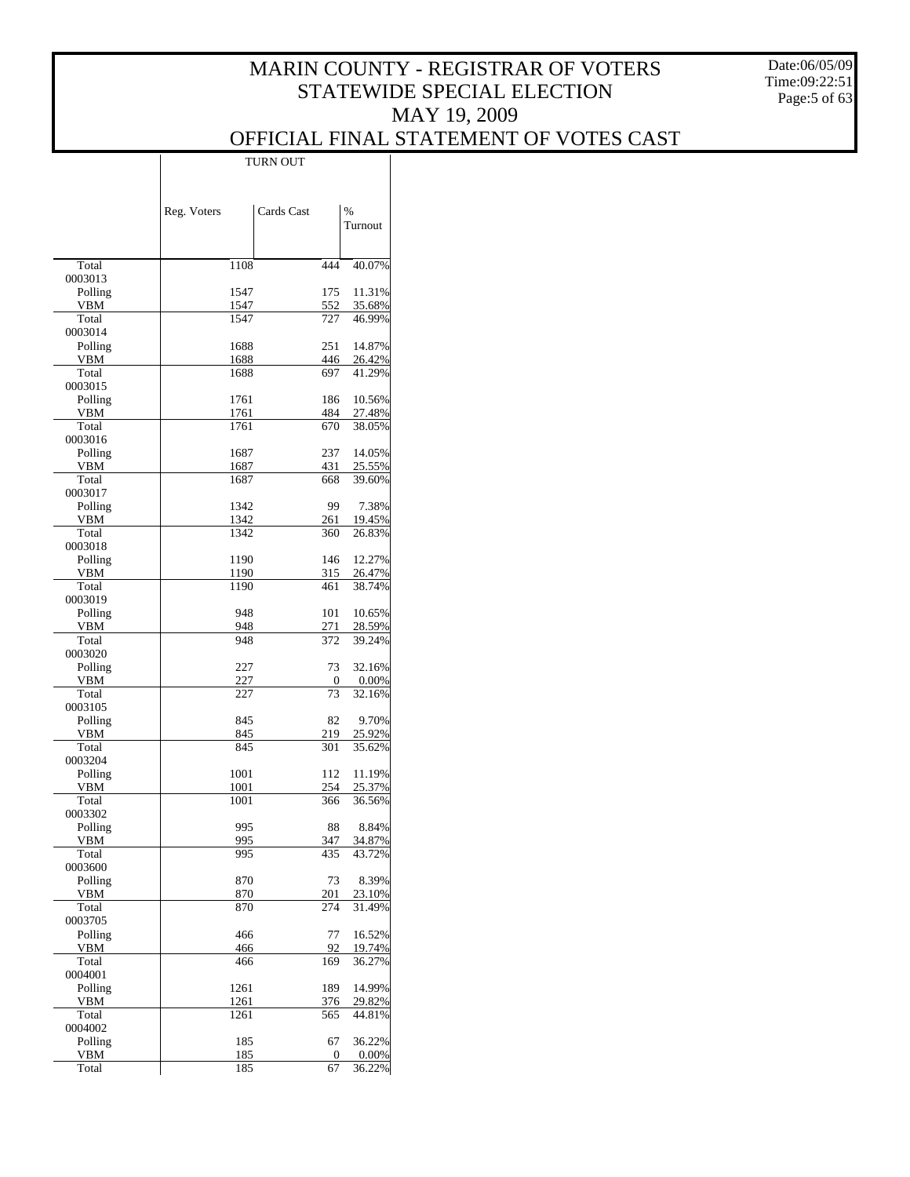Date:06/05/09 Time:09:22:51 Page:5 of 63

## OFFICIAL FINAL STATEMENT OF VOTES CAST

|                    |             | TURN OUT   |     |                 |  |
|--------------------|-------------|------------|-----|-----------------|--|
|                    |             |            |     |                 |  |
|                    | Reg. Voters | Cards Cast |     | $\%$<br>Turnout |  |
|                    |             |            |     |                 |  |
| Total              |             | 1108       | 444 | 40.07%          |  |
| 0003013<br>Polling |             | 1547       | 175 | 11.31%          |  |
| VBM                |             | 1547       | 552 | 35.68%          |  |
| Total              |             | 1547       | 727 | 46.99%          |  |
| 0003014<br>Polling |             | 1688       | 251 | 14.87%          |  |
| VBM                |             | 1688       | 446 | 26.42%          |  |
| Total              |             | 1688       | 697 | 41.29%          |  |
| 0003015<br>Polling | 1761        |            | 186 | 10.56%          |  |
| VBM                | 1761        |            | 484 | 27.48%          |  |
| Total<br>0003016   | 1761        |            | 670 | 38.05%          |  |
| Polling            |             | 1687       | 237 | 14.05%          |  |
| VBM                |             | 1687       | 431 | 25.55%          |  |
| Total              |             | 1687       | 668 | 39.60%          |  |
| 0003017<br>Polling |             | 1342       | 99  | 7.38%           |  |
| <b>VBM</b>         |             | 1342       | 261 | 19.45%          |  |
| Total              |             | 1342       | 360 | 26.83%          |  |
| 0003018<br>Polling |             | 1190       | 146 | 12.27%          |  |
| VBM                |             | 1190       | 315 | 26.47%          |  |
| Total              |             | 1190       | 461 | 38.74%          |  |
| 0003019<br>Polling |             | 948        | 101 | 10.65%          |  |
| VBM                |             | 948        | 271 | 28.59%          |  |
| Total              |             | 948        | 372 | 39.24%          |  |
| 0003020<br>Polling |             | 227        | 73  | 32.16%          |  |
| VBM                |             | 227        | 0   | 0.00%           |  |
| Total              |             | 227        | 73  | 32.16%          |  |
| 0003105<br>Polling |             | 845        | 82  | 9.70%           |  |
| VBM                |             | 845        | 219 | 25.92%          |  |
| Total              |             | 845        | 301 | 35.62%          |  |
| 0003204<br>Polling | 1001        |            | 112 | 11.19%          |  |
| VBM                | 1001        |            | 254 | 25.37%          |  |
| Total<br>0003302   |             | 1001       | 366 | 36.56%          |  |
| Polling            |             | 995        | 88  | 8.84%           |  |
| <b>VBM</b>         |             | 995        | 347 | 34.87%          |  |
| Total<br>0003600   |             | 995        | 435 | 43.72%          |  |
| Polling            |             | 870        | 73  | 8.39%           |  |
| VBM                |             | 870        | 201 | 23.10%          |  |
| Total<br>0003705   |             | 870        | 274 | 31.49%          |  |
| Polling            |             | 466        | 77  | 16.52%          |  |
| VBM                |             | 466        | 92  | 19.74%          |  |
| Total              |             | 466        | 169 | 36.27%          |  |
| 0004001<br>Polling | 1261        |            | 189 | 14.99%          |  |
| VBM                | 1261        |            | 376 | 29.82%          |  |
| Total              |             | 1261       | 565 | 44.81%          |  |
| 0004002<br>Polling |             | 185        | 67  | 36.22%          |  |
| <b>VBM</b>         |             | <u>185</u> | 0   | 0.00%           |  |
| Total              |             | 185        | 67  | 36.22%          |  |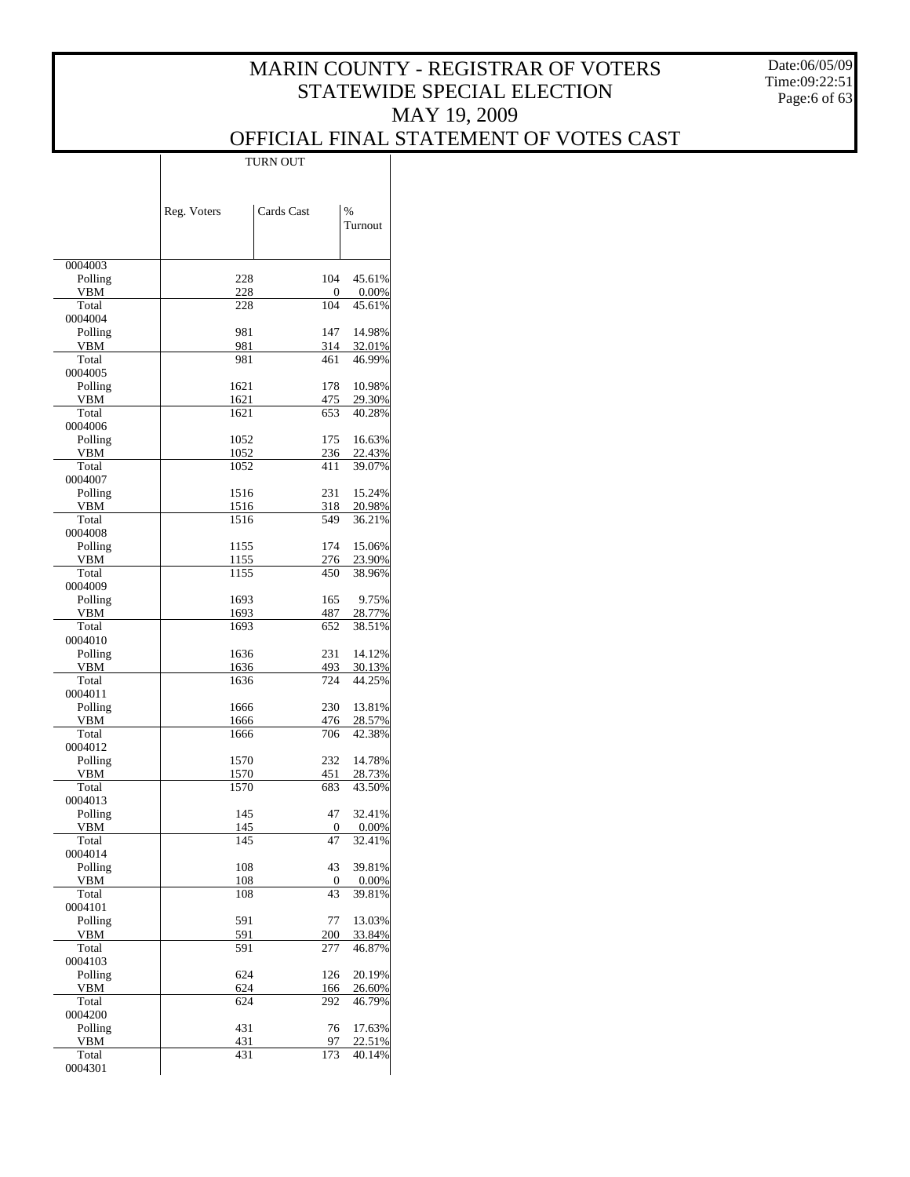Date:06/05/09 Time:09:22:51 Page:6 of 63

## OFFICIAL FINAL STATEMENT OF VOTES CAST

|                       | Reg. Voters  | Cards Cast | %<br>Turnout     |
|-----------------------|--------------|------------|------------------|
|                       |              |            |                  |
| 0004003               |              |            |                  |
| Polling<br><b>VBM</b> | 228<br>228   | 104<br>0   | 45.61%<br>0.00%  |
| Total                 | 228          | 104        | 45.61%           |
| 0004004               |              |            |                  |
| Polling<br>VBM        | 981<br>981   | 147<br>314 | 14.98%<br>32.01% |
| Total                 | 981          | 461        | 46.99%           |
| 0004005               |              |            |                  |
| Polling<br>VBM        | 1621<br>1621 | 178<br>475 | 10.98%<br>29.30% |
| Total                 | 1621         | 653        | 40.28%           |
| 0004006               |              |            |                  |
| Polling<br>VBM        | 1052<br>1052 | 175<br>236 | 16.63%<br>22.43% |
| Total                 | 1052         | 411        | 39.07%           |
| 0004007               |              |            |                  |
| Polling<br>VBM        | 1516<br>1516 | 231<br>318 | 15.24%<br>20.98% |
| Total                 | 1516         | 549        | 36.21%           |
| 0004008               |              |            |                  |
| Polling               | 1155         | 174        | 15.06%           |
| VBM<br>Total          | 1155<br>1155 | 276<br>450 | 23.90%<br>38.96% |
| 0004009               |              |            |                  |
| Polling               | 1693         | 165        | 9.75%            |
| VBM<br>Total          | 1693<br>1693 | 487<br>652 | 28.77%<br>38.51% |
| 0004010               |              |            |                  |
| Polling               | 1636         | 231        | 14.12%           |
| VBM<br>Total          | 1636<br>1636 | 493<br>724 | 30.13%<br>44.25% |
| 0004011               |              |            |                  |
| Polling               | 1666         | 230        | 13.81%           |
| VBM<br>Total          | 1666<br>1666 | 476<br>706 | 28.57%<br>42.38% |
| 0004012               |              |            |                  |
| Polling               | 1570         | 232        | 14.78%           |
| VBM<br>Total          | 1570<br>1570 | 451<br>683 | 28.73%<br>43.50% |
| 0004013               |              |            |                  |
| Polling               | 145          | 47         | 32.41%           |
| VBM<br>Total          | 145<br>145   | 0<br>47    | 0.00%<br>32.41%  |
| 0004014               |              |            |                  |
| Polling               | 108          | 43         | 39.81%           |
| VBM                   | 108          | 0          | 0.00%            |
| Total<br>0004101      | 108          | 43         | 39.81%           |
| Polling               | 591          | 77         | 13.03%           |
| VBM                   | 591          | 200        | 33.84%           |
| Total<br>0004103      | 591          | 277        | 46.87%           |
| Polling               | 624          | 126        | 20.19%           |
| VBM                   | 624          | 166        | 26.60%           |
| Total<br>0004200      | 624          | 292        | 46.79%           |
| Polling               | 431          | 76         | 17.63%           |
| VBM                   | 431          | 97         | 22.51%           |
| Total<br>0004301      | 431          | 173        | 40.14%           |
|                       |              |            |                  |

TURN OUT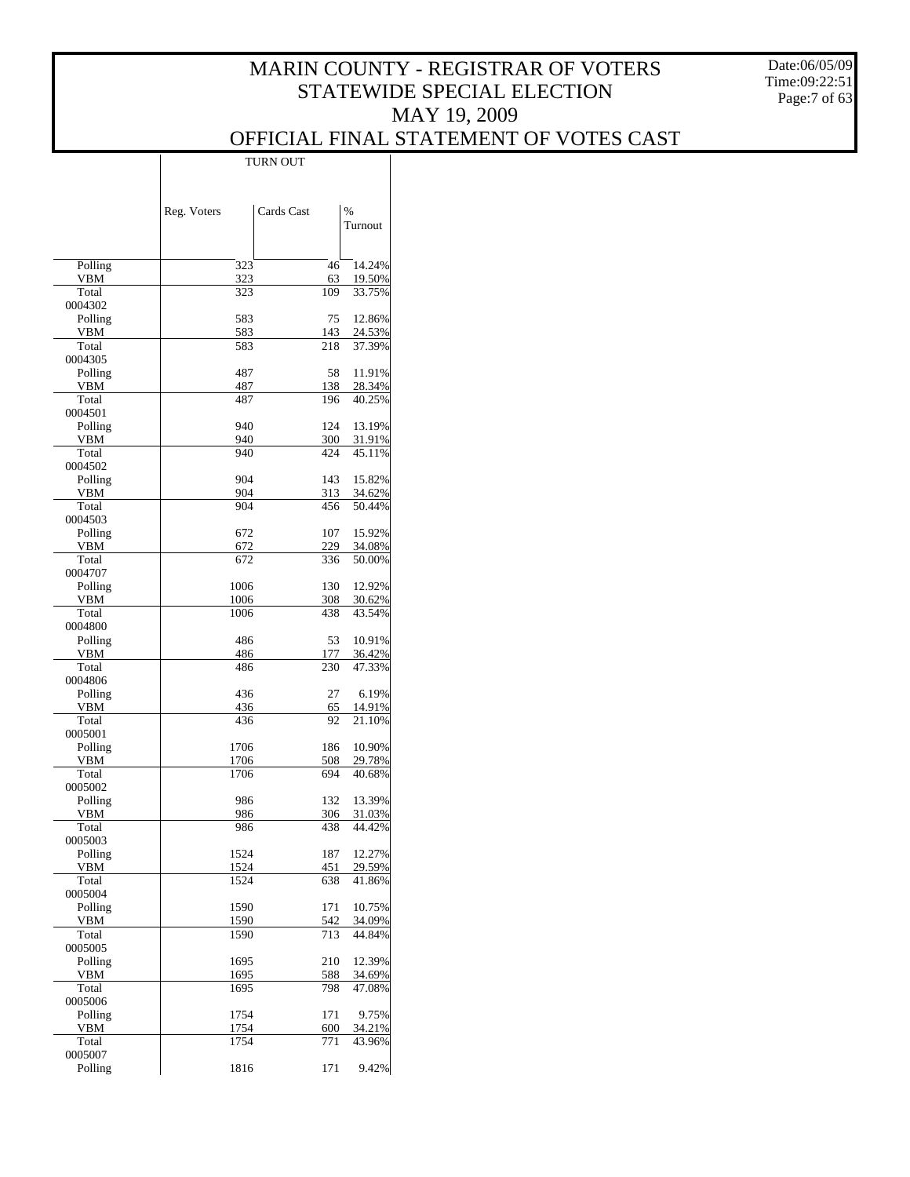Date:06/05/09 Time:09:22:51 Page:7 of 63

|                       | LUKIN OUT    |            |                          |  |
|-----------------------|--------------|------------|--------------------------|--|
|                       | Reg. Voters  | Cards Cast | $\frac{0}{6}$<br>Turnout |  |
| Polling               | 323          | 46         | 14.24%                   |  |
| VBM                   | 323          | 63         | 19.50%                   |  |
| Total                 | 323          | 109        | 33.75%                   |  |
| 0004302<br>Polling    | 583          | 75         | 12.86%                   |  |
| VBM                   | 583          | 143        | 24.53%                   |  |
| Total                 | 583          | 218        | 37.39%                   |  |
| 0004305               |              |            |                          |  |
| Polling<br>VBM        | 487<br>487   | 58<br>138  | 11.91%<br>28.34%         |  |
| Total                 | 487          | 196        | 40.25%                   |  |
| 0004501               |              |            |                          |  |
| Polling<br>VBM        | 940<br>940   | 124<br>300 | 13.19%<br>31.91%         |  |
| Total                 | 940          | 424        | 45.11%                   |  |
| 0004502               |              |            |                          |  |
| Polling               | 904          | 143        | 15.82%                   |  |
| <b>VBM</b><br>Total   | 904<br>904   | 313<br>456 | 34.62%<br>50.44%         |  |
| 0004503               |              |            |                          |  |
| Polling               | 672          | 107        | 15.92%                   |  |
| VBM                   | 672          | 229        | 34.08%                   |  |
| Total<br>0004707      | 672          | 336        | 50.00%                   |  |
| Polling               | 1006         | 130        | 12.92%                   |  |
| VBM                   | 1006         | 308        | 30.62%                   |  |
| Total                 | 1006         | 438        | 43.54%                   |  |
| 0004800<br>Polling    | 486          | 53         | 10.91%                   |  |
| VBM                   | 486          | 177        | 36.42%                   |  |
| Total                 | 486          | 230        | 47.33%                   |  |
| 0004806               | 436          | 27         | 6.19%                    |  |
| Polling<br>VBM        | 436          | 65         | 14.91%                   |  |
| Total                 | 436          | 92         | 21.10%                   |  |
| 0005001               |              |            |                          |  |
| Polling<br><b>VBM</b> | 1706<br>1706 | 186<br>508 | 10.90%<br>29.78%         |  |
| Total                 | 1706         | 694        | 40.68%                   |  |
| 0005002               |              |            |                          |  |
| Polling               | 986          | 132        | 13.39%                   |  |
| VBM<br>Total          | 986<br>986   | 306<br>438 | 31.03%<br>44.42%         |  |
| 0005003               |              |            |                          |  |
| Polling               | 1524         | 187        | 12.27%                   |  |
| VBM                   | 1524         | 451        | 29.59%                   |  |
| Total<br>0005004      | 1524         | 638        | 41.86%                   |  |
| Polling               | 1590         | 171        | 10.75%                   |  |
| VBM                   | 1590         | 542        | 34.09%                   |  |
| Total<br>0005005      | 1590         | 713        | 44.84%                   |  |
| Polling               | 1695         | 210        | 12.39%                   |  |
| <b>VBM</b>            | 1695         | 588        | 34.69%                   |  |
| Total                 | 1695         | 798        | 47.08%                   |  |
| 0005006<br>Polling    | 1754         | 171        | 9.75%                    |  |
| VBM                   | 1754         | 600        | 34.21%                   |  |
| Total                 | 1754         | 771        | 43.96%                   |  |
| 0005007               |              |            |                          |  |
| Polling               | 1816         | 171        | 9.42%                    |  |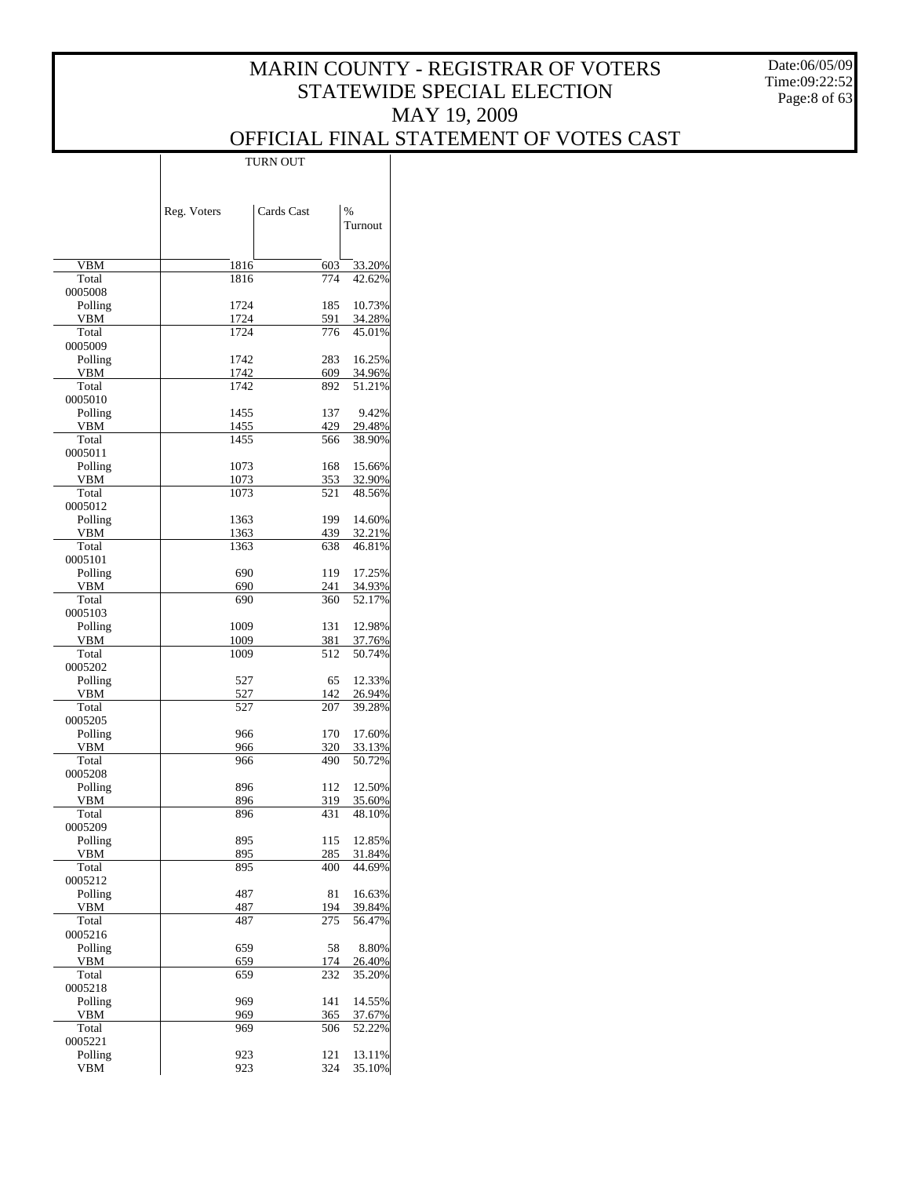Date:06/05/09 Time:09:22:52 Page:8 of 63

|                    | Reg. Voters  | Cards Cast | $\frac{0}{0}$    |
|--------------------|--------------|------------|------------------|
|                    |              |            | Turnout          |
|                    |              |            |                  |
| VBM                | 1816         | 603        | 33.20%           |
| Total              | 1816         | 774        | 42.62%           |
| 0005008<br>Polling | 1724         | 185        | 10.73%           |
| VBM                | 1724         | 591        | 34.28%           |
| Total              | 1724         | 776        | 45.01%           |
| 0005009<br>Polling | 1742         | 283        | 16.25%           |
| VBM                | 1742         | 609        | 34.96%           |
| Total              | 1742         | 892        | 51.21%           |
| 0005010            |              |            |                  |
| Polling<br>VBM     | 1455<br>1455 | 137<br>429 | 9.42%<br>29.48%  |
| Total              | 1455         | 566        | 38.90%           |
| 0005011            |              |            |                  |
| Polling            | 1073         | 168        | 15.66%           |
| VBM                | 1073         | 353        | 32.90%           |
| Total<br>0005012   | 1073         | 521        | 48.56%           |
| Polling            | 1363         | 199        | 14.60%           |
| VBM                | 1363         | 439        | 32.21%           |
| Total              | 1363         | 638        | 46.81%           |
| 0005101            |              |            |                  |
| Polling            | 690          | 119        | 17.25%           |
| VBM<br>Total       | 690<br>690   | 241<br>360 | 34.93%<br>52.17% |
| 0005103            |              |            |                  |
| Polling            | 1009         | 131        | 12.98%           |
| VBM                | 1009         | 381        | 37.76%           |
| Total              | 1009         | 512        | 50.74%           |
| 0005202<br>Polling | 527          | 65         | 12.33%           |
| VBM                | 527          | 142        | 26.94%           |
| Total              | 527          | 207        | 39.28%           |
| 0005205            |              |            |                  |
| Polling            | 966          | 170        | 17.60%           |
| VBM<br>Total       | 966<br>966   | 320<br>490 | 33.13%<br>50.72% |
| 0005208            |              |            |                  |
| Polling            | 896          | 112        | 12.50%           |
| VBM                | 896          | 319        | 35.60%           |
| Total              | 896          | 431        | 48.10%           |
| 0005209<br>Polling | 895          | 115        | 12.85%           |
| <b>VBM</b>         | 895          | 285        | 31.84%           |
| Total              | 895          | 400        | 44.69%           |
| 0005212            |              |            |                  |
| Polling            | 487          | 81         | 16.63%           |
| VBM<br>Total       | 487<br>487   | 194<br>275 | 39.84%<br>56.47% |
| 0005216            |              |            |                  |
| Polling            | 659          | 58         | 8.80%            |
| VBM                | 659          | 174        | 26.40%           |
| Total              | 659          | 232        | 35.20%           |
| 0005218<br>Polling | 969          | 141        | 14.55%           |
| VBM                | 969          | 365        | 37.67%           |
| Total              | 969          | 506        | 52.22%           |
| 0005221            |              |            |                  |
| Polling            | 923          | 121        | 13.11%           |
| <b>VBM</b>         | 923          | 324        | 35.10%           |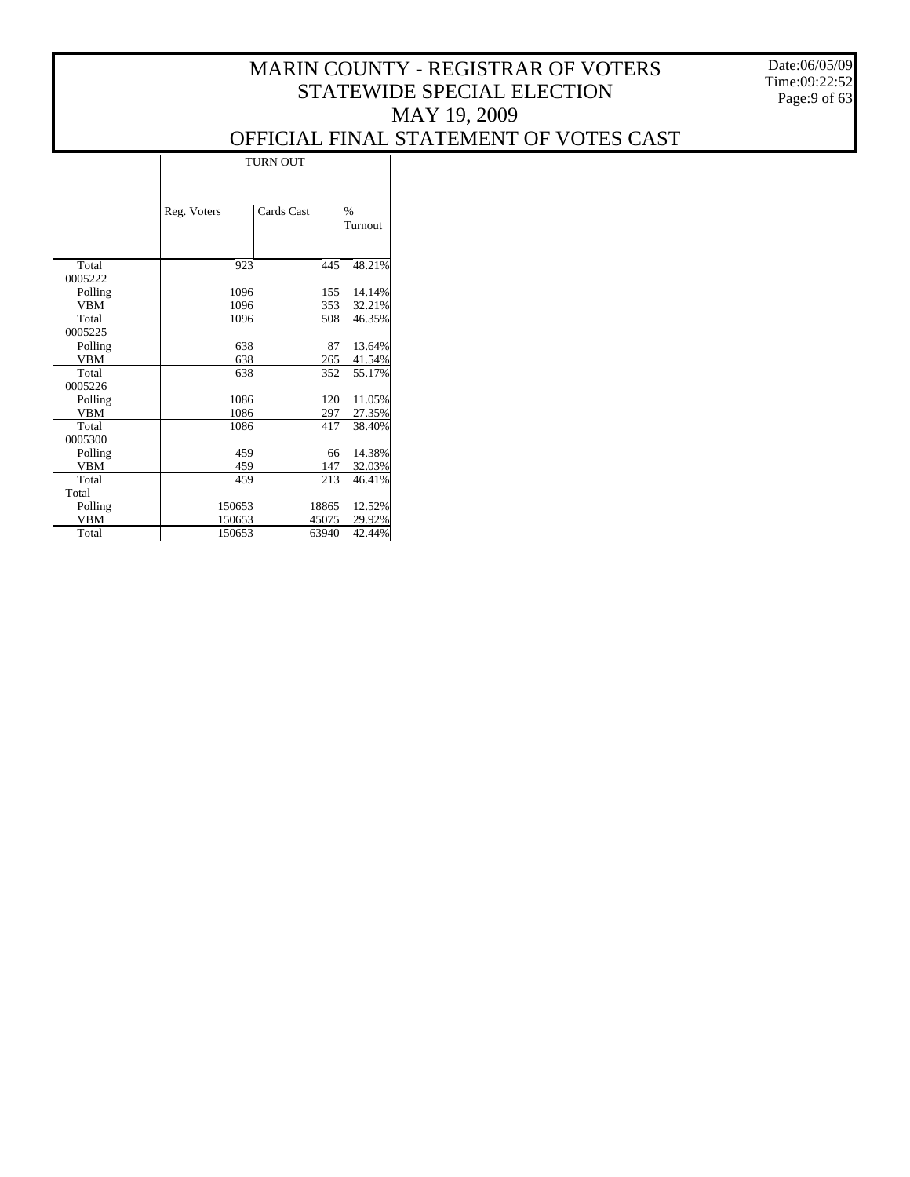Date:06/05/09 Time:09:22:52 Page:9 of 63

|            |             | <b>TURN OUT</b> |       |         |  |  |
|------------|-------------|-----------------|-------|---------|--|--|
|            | Reg. Voters | Cards Cast      |       | $\%$    |  |  |
|            |             |                 |       | Turnout |  |  |
|            |             |                 |       |         |  |  |
|            |             |                 |       |         |  |  |
| Total      | 923         |                 | 445   | 48.21%  |  |  |
| 0005222    |             |                 |       |         |  |  |
| Polling    | 1096        |                 | 155   | 14.14%  |  |  |
| VBM        | 1096        |                 | 353   | 32.21%  |  |  |
| Total      | 1096        |                 | 508   | 46.35%  |  |  |
| 0005225    |             |                 |       |         |  |  |
| Polling    | 638         |                 | 87    | 13.64%  |  |  |
| <b>VBM</b> | 638         |                 | 265   | 41.54%  |  |  |
| Total      | 638         |                 | 352   | 55.17%  |  |  |
| 0005226    |             |                 |       |         |  |  |
| Polling    | 1086        |                 | 120   | 11.05%  |  |  |
| <b>VBM</b> | 1086        |                 | 297   | 27.35%  |  |  |
| Total      | 1086        |                 | 417   | 38.40%  |  |  |
| 0005300    |             |                 |       |         |  |  |
| Polling    | 459         |                 | 66    | 14.38%  |  |  |
| <b>VBM</b> | 459         |                 | 147   | 32.03%  |  |  |
| Total      | 459         |                 | 213   | 46.41%  |  |  |
| Total      |             |                 |       |         |  |  |
| Polling    | 150653      |                 | 18865 | 12.52%  |  |  |
| <b>VBM</b> | 150653      |                 | 45075 | 29.92%  |  |  |
| Total      | 150653      |                 | 63940 | 42.44%  |  |  |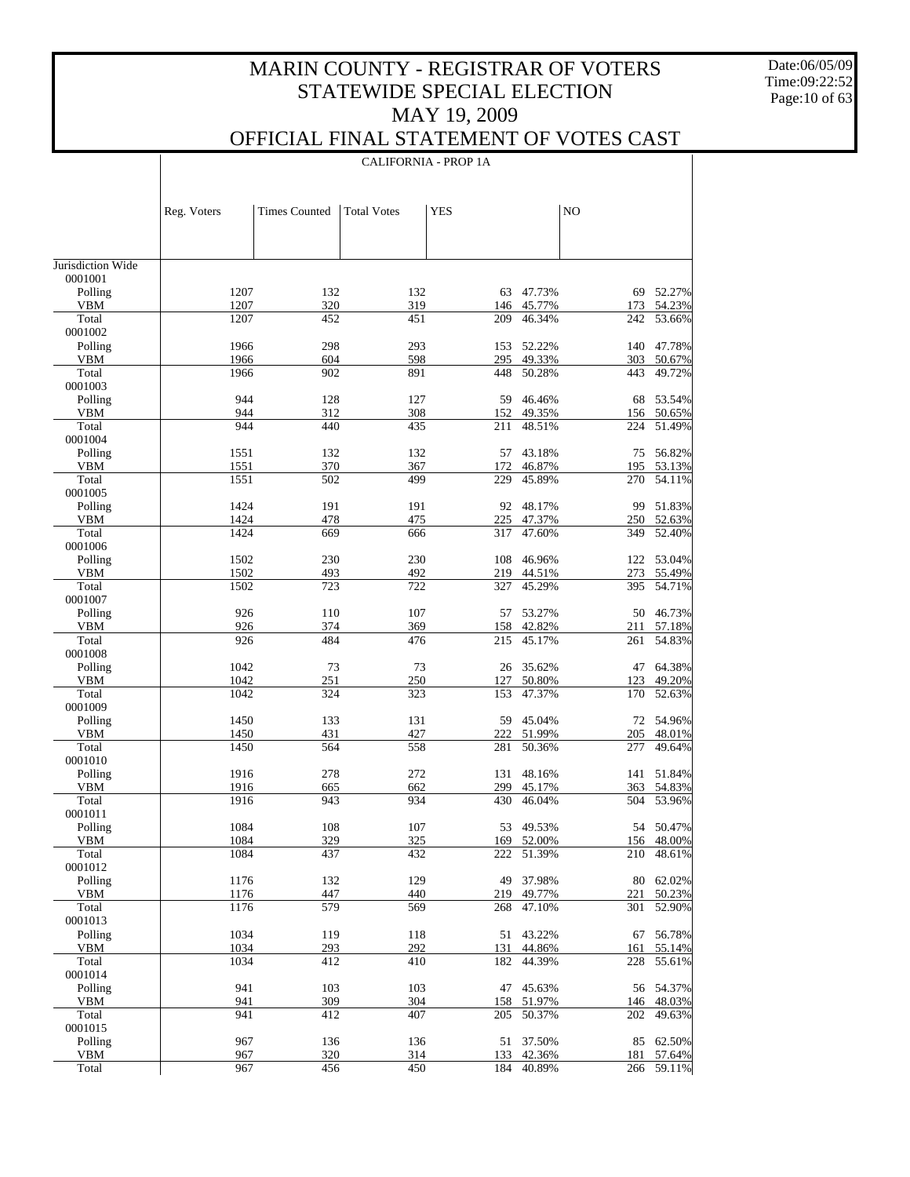Date:06/05/09 Time:09:22:52 Page:10 of 63

 $\mathbf{I}$ 

### OFFICIAL FINAL STATEMENT OF VOTES CAST

|                       |              | <b>CALIFORNIA - PROP 1A</b> |                    |            |                  |                |                     |
|-----------------------|--------------|-----------------------------|--------------------|------------|------------------|----------------|---------------------|
|                       |              |                             |                    |            |                  |                |                     |
|                       |              |                             |                    |            |                  |                |                     |
|                       | Reg. Voters  | <b>Times Counted</b>        | <b>Total Votes</b> | <b>YES</b> |                  | N <sub>O</sub> |                     |
|                       |              |                             |                    |            |                  |                |                     |
|                       |              |                             |                    |            |                  |                |                     |
| Jurisdiction Wide     |              |                             |                    |            |                  |                |                     |
| 0001001               |              |                             |                    |            |                  |                |                     |
| Polling<br><b>VBM</b> | 1207<br>1207 | 132<br>320                  | 132<br>319         | 63<br>146  | 47.73%<br>45.77% | 69<br>173      | 52.27%<br>54.23%    |
| Total                 | 1207         | 452                         | 451                | 209        | 46.34%           | 242            | 53.66%              |
| 0001002               |              |                             |                    |            |                  |                |                     |
| Polling               | 1966         | 298                         | 293                | 153        | 52.22%           | 140            | 47.78%              |
| <b>VBM</b><br>Total   | 1966<br>1966 | 604<br>902                  | 598<br>891         | 295<br>448 | 49.33%<br>50.28% | 303<br>443     | 50.67%<br>49.72%    |
| 0001003               |              |                             |                    |            |                  |                |                     |
| Polling               | 944          | 128                         | 127                | 59         | 46.46%           | 68             | 53.54%              |
| <b>VBM</b>            | 944          | 312                         | 308                | 152        | 49.35%           | 156            | 50.65%              |
| Total<br>0001004      | 944          | 440                         | 435                | 211        | 48.51%           | 224            | 51.49%              |
| Polling               | 1551         | 132                         | 132                | 57         | 43.18%           | 75             | 56.82%              |
| <b>VBM</b>            | 1551         | 370                         | 367                | 172        | 46.87%           | 195            | 53.13%              |
| Total                 | 1551         | 502                         | 499                | 229        | 45.89%           | 270            | 54.11%              |
| 0001005<br>Polling    | 1424         | 191                         | 191                | 92         | 48.17%           | 99             | 51.83%              |
| <b>VBM</b>            | 1424         | 478                         | 475                | 225        | 47.37%           | 250            | 52.63%              |
| Total                 | 1424         | 669                         | 666                | 317        | 47.60%           | 349            | 52.40%              |
| 0001006               |              |                             |                    |            |                  |                |                     |
| Polling<br><b>VBM</b> | 1502<br>1502 | 230<br>493                  | 230<br>492         | 108<br>219 | 46.96%<br>44.51% | 122<br>273     | 53.04%<br>55.49%    |
| Total                 | 1502         | 723                         | 722                | 327        | 45.29%           | 395            | 54.71%              |
| 0001007               |              |                             |                    |            |                  |                |                     |
| Polling               | 926          | 110                         | 107                | 57         | 53.27%           | 50             | 46.73%              |
| <b>VBM</b><br>Total   | 926<br>926   | 374<br>484                  | 369<br>476         | 158<br>215 | 42.82%<br>45.17% | 211<br>261     | 57.18%<br>54.83%    |
| 0001008               |              |                             |                    |            |                  |                |                     |
| Polling               | 1042         | 73                          | 73                 | 26         | 35.62%           | 47             | 64.38%              |
| <b>VBM</b>            | 1042         | 251                         | 250                | 127        | 50.80%           | 123            | 49.20%              |
| Total<br>0001009      | 1042         | 324                         | 323                | 153        | 47.37%           | 170            | 52.63%              |
| Polling               | 1450         | 133                         | 131                | 59         | 45.04%           | 72             | 54.96%              |
| <b>VBM</b>            | 1450         | 431                         | 427                | 222        | 51.99%           | 205            | 48.01%              |
| Total                 | 1450         | 564                         | 558                | 281        | 50.36%           | 277            | 49.64%              |
| 0001010<br>Polling    | 1916         | 278                         | 272                | 131        | 48.16%           | 141            | 51.84%              |
| VBM                   | 1916         | 665                         | 662                | 299        | 45.17%           | 363            | 54.83%              |
| Total                 | 1916         | 943                         | 934                | 430        | 46.04%           | 504            | 53.96%              |
| 0001011               |              |                             |                    |            |                  |                |                     |
| Polling<br><b>VBM</b> | 1084<br>1084 | 108<br>329                  | 107<br>325         | 53<br>169  | 49.53%<br>52.00% | 156            | 54 50.47%<br>48.00% |
| Total                 | 1084         | 437                         | 432                | 222        | 51.39%           | 210            | 48.61%              |
| 0001012               |              |                             |                    |            |                  |                |                     |
| Polling               | 1176         | 132                         | 129                | 49         | 37.98%           | 80             | 62.02%              |
| VBM<br>Total          | 1176<br>1176 | 447<br>579                  | 440<br>569         | 219        | 49.77%<br>47.10% | 221<br>301     | 50.23%<br>52.90%    |
| 0001013               |              |                             |                    | 268        |                  |                |                     |
| Polling               | 1034         | 119                         | 118                | 51         | 43.22%           | 67             | 56.78%              |
| VBM                   | 1034         | 293                         | 292                | 131        | 44.86%           | 161            | 55.14%              |
| Total<br>0001014      | 1034         | 412                         | 410                | 182        | 44.39%           | 228            | 55.61%              |
| Polling               | 941          | 103                         | 103                | 47         | 45.63%           | 56             | 54.37%              |
| VBM                   | 941          | 309                         | 304                | 158        | 51.97%           | 146            | 48.03%              |
| Total                 | 941          | 412                         | 407                | 205        | 50.37%           | 202            | 49.63%              |
| 0001015<br>Polling    | 967          | 136                         | 136                | 51         | 37.50%           | 85             | 62.50%              |
| <b>VBM</b>            | 967          | 320                         | 314                | 133        | 42.36%           | 181            | 57.64%              |
| Total                 | 967          | 456                         | 450                | 184        | 40.89%           | 266            | 59.11%              |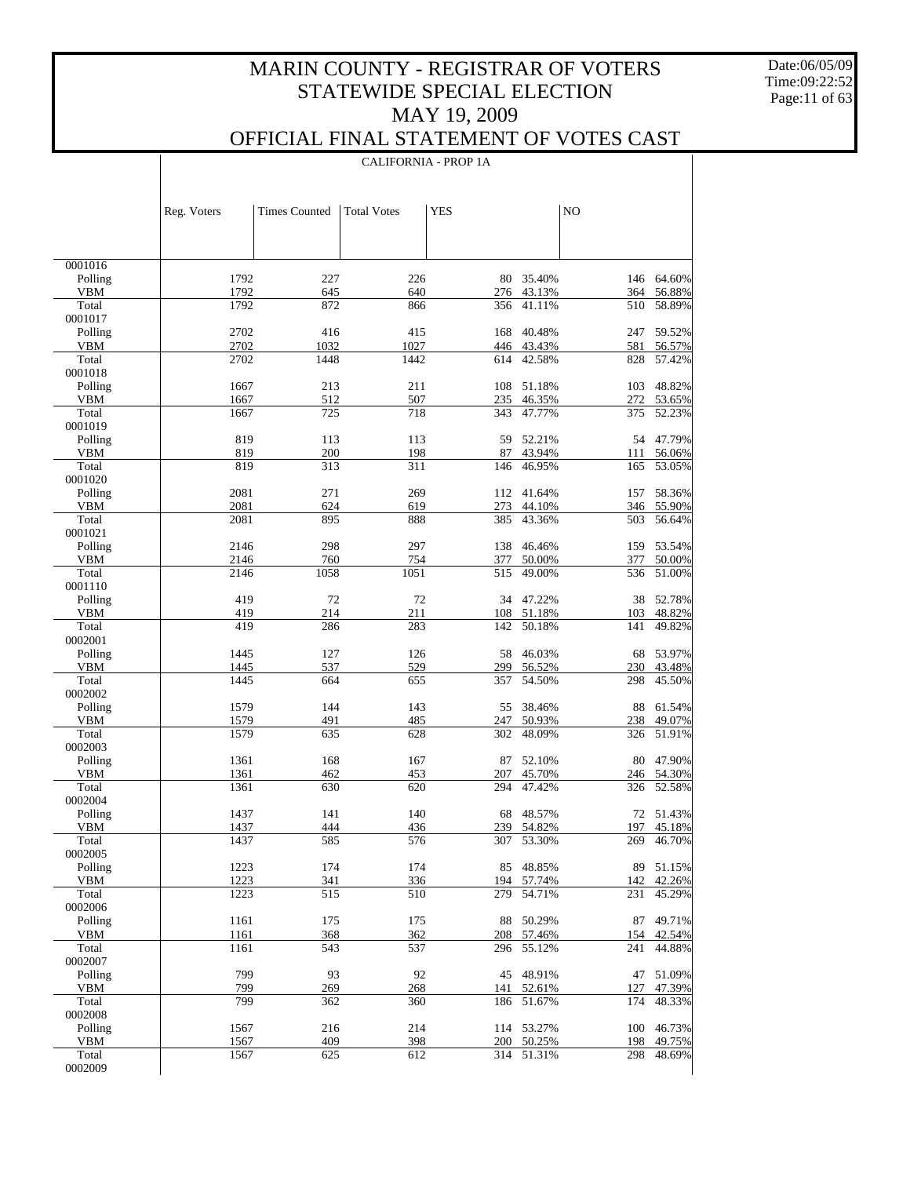Date:06/05/09 Time:09:22:52 Page:11 of 63

 $\mathbf{I}$ 

### OFFICIAL FINAL STATEMENT OF VOTES CAST

|                    | <b>CALIFORNIA - PROP 1A</b> |                      |                    |            |                         |            |                      |
|--------------------|-----------------------------|----------------------|--------------------|------------|-------------------------|------------|----------------------|
|                    |                             |                      |                    |            |                         |            |                      |
|                    |                             |                      |                    |            |                         |            |                      |
|                    | Reg. Voters                 | <b>Times Counted</b> | <b>Total Votes</b> | <b>YES</b> |                         | NO         |                      |
|                    |                             |                      |                    |            |                         |            |                      |
|                    |                             |                      |                    |            |                         |            |                      |
| 0001016            |                             |                      |                    |            |                         |            |                      |
| Polling            | 1792                        | 227                  | 226                |            | 80 35.40%               |            | 146 64.60%           |
| VBM<br>Total       | 1792<br>1792                | 645<br>872           | 640<br>866         | 356        | 276 43.13%<br>41.11%    | 364<br>510 | 56.88%<br>58.89%     |
| 0001017            |                             |                      |                    |            |                         |            |                      |
| Polling            | 2702                        | 416                  | 415                | 168        | 40.48%                  | 247        | 59.52%               |
| VBM                | 2702                        | 1032                 | 1027               | 446        | 43.43%                  | 581        | 56.57%               |
| Total<br>0001018   | 2702                        | 1448                 | 1442               | 614        | 42.58%                  | 828        | 57.42%               |
| Polling            | 1667                        | 213                  | 211                | 108        | 51.18%                  | 103        | 48.82%               |
| VBM                | 1667                        | 512                  | 507                | 235        | 46.35%                  | 272        | 53.65%               |
| Total              | 1667                        | 725                  | 718                | 343        | 47.77%                  | 375        | 52.23%               |
| 0001019<br>Polling | 819                         | 113                  | 113                | 59         | 52.21%                  |            | 54 47.79%            |
| VBM                | 819                         | 200                  | 198                | 87         | 43.94%                  | 111        | 56.06%               |
| Total              | 819                         | 313                  | 311                | 146        | 46.95%                  | 165        | 53.05%               |
| 0001020<br>Polling |                             |                      |                    |            |                         |            |                      |
| VBM                | 2081<br>2081                | 271<br>624           | 269<br>619         | 112<br>273 | 41.64%<br>44.10%        | 157        | 58.36%<br>346 55.90% |
| Total              | 2081                        | 895                  | 888                | 385        | 43.36%                  | 503        | 56.64%               |
| 0001021            |                             |                      |                    |            |                         |            |                      |
| Polling            | 2146                        | 298                  | 297<br>754         | 138        | 46.46%<br>50.00%        |            | 159 53.54%           |
| VBM<br>Total       | 2146<br>2146                | 760<br>1058          | 1051               | 377<br>515 | 49.00%                  | 377<br>536 | 50.00%<br>51.00%     |
| 0001110            |                             |                      |                    |            |                         |            |                      |
| Polling            | 419                         | 72                   | 72                 |            | 34 47.22%               |            | 38 52.78%            |
| VBM<br>Total       | 419<br>419                  | 214<br>286           | 211<br>283         | 108<br>142 | 51.18%<br>50.18%        | 103<br>141 | 48.82%<br>49.82%     |
| 0002001            |                             |                      |                    |            |                         |            |                      |
| Polling            | 1445                        | 127                  | 126                | 58         | 46.03%                  | 68         | 53.97%               |
| VBM                | 1445                        | 537                  | 529                | 299        | 56.52%                  | 230        | 43.48%               |
| Total<br>0002002   | 1445                        | 664                  | 655                | 357        | 54.50%                  | 298        | 45.50%               |
| Polling            | 1579                        | 144                  | 143                | 55         | 38.46%                  | 88         | 61.54%               |
| VBM                | 1579                        | 491                  | 485                | 247        | 50.93%                  | 238        | 49.07%               |
| Total              | 1579                        | 635                  | 628                | 302        | 48.09%                  | 326        | 51.91%               |
| 0002003<br>Polling | 1361                        | 168                  | 167                | 87         | 52.10%                  | 80         | 47.90%               |
| VBM                | 1361                        | 462                  | 453                | 207        | 45.70%                  |            | 246 54.30%           |
| Total              | 1361                        | 630                  | 620                | 294        | 47.42%                  | 326        | 52.58%               |
| 0002004            |                             |                      |                    |            |                         |            |                      |
| Polling<br>VBM     | 1437<br>1437                | 141<br>444           | 140<br>436         |            | 68 48.57%<br>239 54.82% | 197        | 72 51.43%<br>45.18%  |
| Total              | 1437                        | 585                  | 576                | 307        | 53.30%                  | 269        | 46.70%               |
| 0002005            |                             |                      |                    |            |                         |            |                      |
| Polling            | 1223                        | 174                  | 174                | 85         | 48.85%                  | 89         | 51.15%               |
| VBM<br>Total       | 1223<br>1223                | 341<br>515           | 336<br>510         | 194<br>279 | 57.74%<br>54.71%        | 142<br>231 | 42.26%<br>45.29%     |
| 0002006            |                             |                      |                    |            |                         |            |                      |
| Polling            | 1161                        | 175                  | 175                | 88         | 50.29%                  | 87         | 49.71%               |
| <b>VBM</b>         | 1161                        | 368                  | 362                | 208        | 57.46%                  | 154        | 42.54%               |
| Total<br>0002007   | 1161                        | 543                  | 537                | 296        | 55.12%                  | 241        | 44.88%               |
| Polling            | 799                         | 93                   | 92                 | 45         | 48.91%                  | 47         | 51.09%               |
| <b>VBM</b>         | 799                         | 269                  | 268                | 141        | 52.61%                  | 127        | 47.39%               |
| Total<br>0002008   | 799                         | 362                  | 360                | 186        | 51.67%                  | 174        | 48.33%               |
| Polling            | 1567                        | 216                  | 214                |            | 114 53.27%              | 100        | 46.73%               |
| VBM                | 1567                        | 409                  | 398                |            | 200 50.25%              | 198        | 49.75%               |
| Total              | 1567                        | 625                  | 612                |            | 314 51.31%              | 298        | 48.69%               |
| 0002009            |                             |                      |                    |            |                         |            |                      |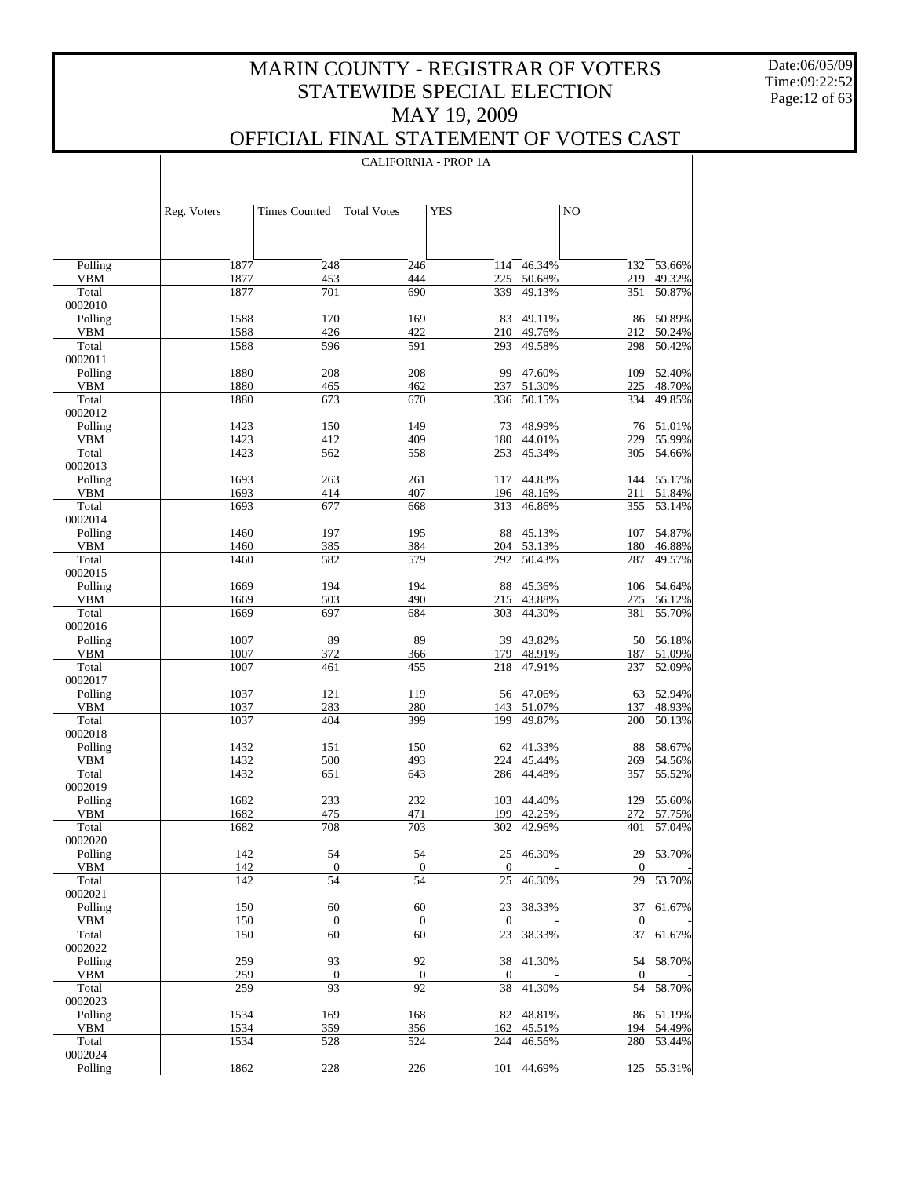Date:06/05/09 Time:09:22:52 Page:12 of 63

### OFFICIAL FINAL STATEMENT OF VOTES CAST

|                       | Reg. Voters  | <b>Times Counted</b>   | <b>Total Votes</b>     | <b>YES</b>             |                  | NO                 |                  |
|-----------------------|--------------|------------------------|------------------------|------------------------|------------------|--------------------|------------------|
|                       |              |                        |                        |                        |                  |                    |                  |
| Polling               | 1877         | 248                    | 246                    | 114                    | 46.34%           | 132                | 53.66%           |
| VBM                   | 1877         | 453                    | 444                    | 225                    | 50.68%           | 219                | 49.32%           |
| Total<br>0002010      | 1877         | 701                    | 690                    | 339                    | 49.13%           | 351                | 50.87%           |
| Polling               | 1588         | 170                    | 169                    | 83                     | 49.11%           | 86                 | 50.89%           |
| VBM                   | 1588         | 426                    | 422                    | 210                    | 49.76%           | 212                | 50.24%           |
| Total                 | 1588         | 596                    | 591                    | 293                    | 49.58%           | 298                | 50.42%           |
| 0002011               |              |                        |                        |                        |                  |                    |                  |
| Polling               | 1880         | 208                    | 208                    | 99                     | 47.60%           | 109                | 52.40%           |
| VBM<br>Total          | 1880<br>1880 | 465<br>673             | 462<br>670             | 237<br>336             | 51.30%<br>50.15% | 225<br>334         | 48.70%<br>49.85% |
| 0002012               |              |                        |                        |                        |                  |                    |                  |
| Polling               | 1423         | 150                    | 149                    | 73                     | 48.99%           | 76                 | 51.01%           |
| VBM                   | 1423         | 412                    | 409                    | 180                    | 44.01%           | 229                | 55.99%           |
| Total                 | 1423         | 562                    | 558                    | 253                    | 45.34%           | 305                | 54.66%           |
| 0002013               |              |                        |                        |                        |                  |                    |                  |
| Polling               | 1693         | 263                    | 261                    | 117                    | 44.83%           | 144                | 55.17%           |
| VBM                   | 1693         | 414                    | 407                    | 196                    | 48.16%<br>46.86% | 211                | 51.84%           |
| Total<br>0002014      | 1693         | 677                    | 668                    | 313                    |                  | 355                | 53.14%           |
| Polling               | 1460         | 197                    | 195                    | 88                     | 45.13%           | 107                | 54.87%           |
| VBM                   | 1460         | 385                    | 384                    | 204                    | 53.13%           | 180                | 46.88%           |
| Total                 | 1460         | 582                    | 579                    | 292                    | 50.43%           | 287                | 49.57%           |
| 0002015               |              |                        |                        |                        |                  |                    |                  |
| Polling               | 1669         | 194                    | 194                    | 88                     | 45.36%           | 106                | 54.64%           |
| VBM                   | 1669         | 503                    | 490                    | 215                    | 43.88%           | 275                | 56.12%           |
| Total                 | 1669         | 697                    | 684                    | 303                    | 44.30%           | 381                | 55.70%           |
| 0002016<br>Polling    | 1007         | 89                     | 89                     | 39                     | 43.82%           | 50                 | 56.18%           |
| VBM                   | 1007         | 372                    | 366                    | 179                    | 48.91%           | 187                | 51.09%           |
| Total                 | 1007         | 461                    | 455                    | 218                    | 47.91%           | 237                | 52.09%           |
| 0002017               |              |                        |                        |                        |                  |                    |                  |
| Polling               | 1037         | 121                    | 119                    | 56                     | 47.06%           | 63                 | 52.94%           |
| <b>VBM</b>            | 1037         | 283                    | 280                    | 143                    | 51.07%           | 137                | 48.93%           |
| Total                 | 1037         | 404                    | 399                    | 199                    | 49.87%           | 200                | 50.13%           |
| 0002018               |              |                        |                        |                        |                  |                    |                  |
| Polling<br>VBM        | 1432<br>1432 | 151<br>500             | 150<br>493             | 62<br>224              | 41.33%<br>45.44% | 88<br>269          | 58.67%<br>54.56% |
| Total                 | 1432         | 651                    | 643                    | 286                    | 44.48%           | 357                | 55.52%           |
| 0002019               |              |                        |                        |                        |                  |                    |                  |
| Polling               | 1682         | 233                    | 232                    | 103                    | 44.40%           | 129                | 55.60%           |
| <b>VBM</b>            | 1682         | 475                    | 471                    | 199                    | 42.25%           | 272                | 57.75%           |
| Total                 | 1682         | 708                    | 703                    | 302                    | 42.96%           | 401                | 57.04%           |
| 0002020               |              |                        |                        |                        |                  |                    |                  |
| Polling<br><b>VBM</b> | 142<br>142   | 54                     | 54                     |                        | 25 46.30%        |                    | 29 53.70%        |
| Total                 | 142          | $\boldsymbol{0}$<br>54 | $\boldsymbol{0}$<br>54 | $\mathbf{0}$<br>25     | 46.30%           | $\mathbf{0}$<br>29 | 53.70%           |
| 0002021               |              |                        |                        |                        |                  |                    |                  |
| Polling               | 150          | 60                     | 60                     | 23                     | 38.33%           |                    | 37 61.67%        |
| VBM                   | 150          | $\boldsymbol{0}$       | $\boldsymbol{0}$       | $\boldsymbol{0}$       |                  | $\mathbf{0}$       |                  |
| Total                 | 150          | 60                     | 60                     | 23                     | 38.33%           | 37                 | 61.67%           |
| 0002022               |              |                        |                        |                        |                  |                    |                  |
| Polling               | 259          | 93                     | 92                     |                        | 38 41.30%        | 54                 | 58.70%           |
| VBM<br>Total          | 259<br>259   | $\boldsymbol{0}$<br>93 | $\boldsymbol{0}$<br>92 | $\boldsymbol{0}$<br>38 | 41.30%           | $\mathbf{0}$<br>54 | 58.70%           |
| 0002023               |              |                        |                        |                        |                  |                    |                  |
| Polling               | 1534         | 169                    | 168                    | 82                     | 48.81%           |                    | 86 51.19%        |
| VBM                   | 1534         | 359                    | 356                    | 162                    | 45.51%           | 194                | 54.49%           |
| Total                 | 1534         | 528                    | 524                    | 244                    | 46.56%           | 280                | 53.44%           |
| 0002024               |              |                        |                        |                        |                  |                    |                  |
| Polling               | 1862         | 228                    | 226                    |                        | 101 44.69%       |                    | 125 55.31%       |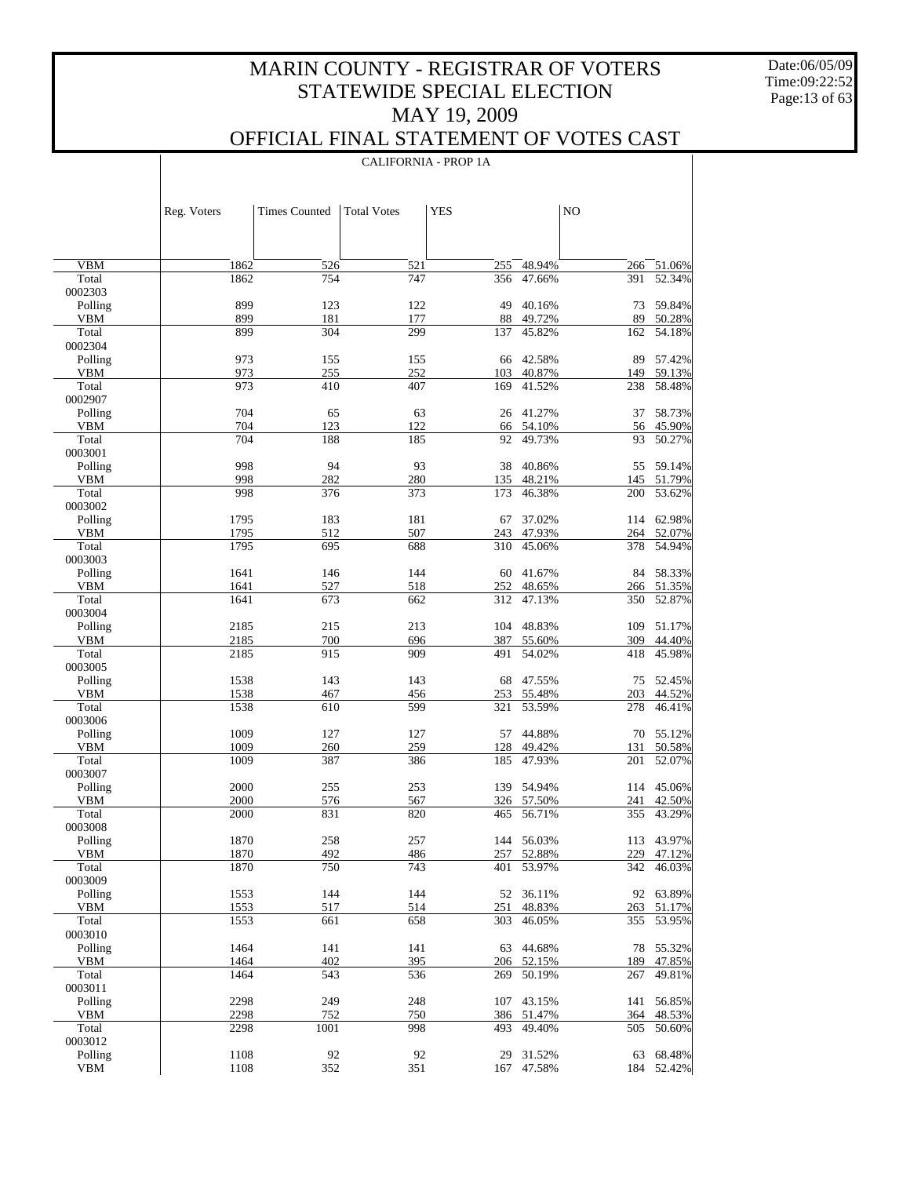Date:06/05/09 Time:09:22:52 Page:13 of 63

 $\overline{\phantom{a}}$ 

### OFFICIAL FINAL STATEMENT OF VOTES CAST

|                       | Reg. Voters  | <b>Times Counted</b> | <b>Total Votes</b> | <b>YES</b> |                          | NO         |                          |
|-----------------------|--------------|----------------------|--------------------|------------|--------------------------|------------|--------------------------|
|                       |              |                      |                    |            |                          |            |                          |
| <b>VBM</b>            | 1862         | 526                  | 521                | 255        | 48.94%                   |            | 266 51.06%               |
| Total                 | 1862         | 754                  | 747                | 356        | 47.66%                   | 391        | 52.34%                   |
| 0002303               |              |                      |                    |            |                          |            |                          |
| Polling               | 899          | 123                  | 122                | 49         | 40.16%                   | 73         | 59.84%                   |
| <b>VBM</b>            | 899          | 181                  | 177                | 88         | 49.72%                   | 89         | 50.28%                   |
| Total                 | 899          | 304                  | 299                | 137        | 45.82%                   | 162        | 54.18%                   |
| 0002304<br>Polling    | 973          | 155                  | 155                | 66         | 42.58%                   | 89         | 57.42%                   |
| <b>VBM</b>            | 973          | 255                  | 252                | 103        | 40.87%                   |            | 149 59.13%               |
| Total                 | 973          | 410                  | 407                | 169        | 41.52%                   | 238        | 58.48%                   |
| 0002907               |              |                      |                    |            |                          |            |                          |
| Polling               | 704          | 65                   | 63                 | 26         | 41.27%                   | 37         | 58.73%                   |
| <b>VBM</b>            | 704          | 123                  | 122                |            | 66 54.10%                |            | 56 45.90%                |
| Total<br>0003001      | 704          | 188                  | 185                | 92         | 49.73%                   | 93         | 50.27%                   |
| Polling               | 998          | 94                   | 93                 | 38         | 40.86%                   | 55         | 59.14%                   |
| <b>VBM</b>            | 998          | 282                  | 280                | 135        | 48.21%                   |            | 145 51.79%               |
| Total                 | 998          | 376                  | 373                | 173        | 46.38%                   | 200        | 53.62%                   |
| 0003002               |              |                      |                    |            |                          |            |                          |
| Polling               | 1795         | 183                  | 181                | 67         | 37.02%                   |            | 114 62.98%               |
| <b>VBM</b>            | 1795         | 512                  | 507                | 243        | 47.93%                   | 264        | 52.07%                   |
| Total<br>0003003      | 1795         | 695                  | 688                | 310        | 45.06%                   | 378        | 54.94%                   |
| Polling               | 1641         | 146                  | 144                | 60         | 41.67%                   |            | 84 58.33%                |
| <b>VBM</b>            | 1641         | 527                  | 518                | 252        | 48.65%                   |            | 266 51.35%               |
| Total                 | 1641         | 673                  | 662                | 312        | 47.13%                   | 350        | 52.87%                   |
| 0003004               |              |                      |                    |            |                          |            |                          |
| Polling               | 2185         | 215                  | 213                | 104        | 48.83%                   | 109        | 51.17%                   |
| <b>VBM</b>            | 2185         | 700                  | 696                | 387        | 55.60%                   | 309        | 44.40%                   |
| Total<br>0003005      | 2185         | 915                  | 909                | 491        | 54.02%                   | 418        | 45.98%                   |
| Polling               | 1538         | 143                  | 143                | 68         | 47.55%                   | 75         | 52.45%                   |
| <b>VBM</b>            | 1538         | 467                  | 456                | 253        | 55.48%                   | 203        | 44.52%                   |
| Total                 | 1538         | 610                  | 599                | 321        | 53.59%                   | 278        | 46.41%                   |
| 0003006               |              |                      |                    |            |                          |            |                          |
| Polling               | 1009         | 127                  | 127                | 57         | 44.88%                   | 70         | 55.12%                   |
| <b>VBM</b><br>Total   | 1009<br>1009 | 260<br>387           | 259<br>386         | 128<br>185 | 49.42%<br>47.93%         | 131<br>201 | 50.58%<br>52.07%         |
| 0003007               |              |                      |                    |            |                          |            |                          |
| Polling               | 2000         | 255                  | 253                | 139        | 54.94%                   |            | 114 45.06%               |
| <b>VBM</b>            | 2000         | 576                  | 567                |            | 326 57.50%               | 241        | 42.50%                   |
| Total                 | 2000         | 831                  | 820                | 465        | 56.71%                   | 355        | 43.29%                   |
| 0003008               |              |                      |                    |            |                          |            |                          |
| Polling<br>VBM        | 1870         | 258<br>492           | 257                |            | 144 56.03%<br>257 52.88% |            | 113 43.97%<br>229 47.12% |
| Total                 | 1870<br>1870 | 750                  | 486<br>743         | 401        | 53.97%                   | 342        | 46.03%                   |
| 0003009               |              |                      |                    |            |                          |            |                          |
| Polling               | 1553         | 144                  | 144                | 52         | 36.11%                   |            | 92 63.89%                |
| <b>VBM</b>            | 1553         | 517                  | 514                | 251        | 48.83%                   |            | 263 51.17%               |
| Total                 | 1553         | 661                  | 658                | 303        | 46.05%                   | 355        | 53.95%                   |
| 0003010               |              |                      |                    |            |                          |            |                          |
| Polling<br><b>VBM</b> | 1464<br>1464 | 141<br>402           | 141<br>395         | 63         | 44.68%<br>206 52.15%     | 78<br>189  | 55.32%<br>47.85%         |
| Total                 | 1464         | 543                  | 536                | 269        | 50.19%                   | 267        | 49.81%                   |
| 0003011               |              |                      |                    |            |                          |            |                          |
| Polling               | 2298         | 249                  | 248                | 107        | 43.15%                   | 141        | 56.85%                   |
| <b>VBM</b>            | 2298         | 752                  | 750                | 386        | 51.47%                   | 364        | 48.53%                   |
| Total                 | 2298         | 1001                 | 998                | 493        | 49.40%                   | 505        | 50.60%                   |
| 0003012<br>Polling    | 1108         | 92                   | 92                 | 29         | 31.52%                   |            | 68.48%                   |
| <b>VBM</b>            | 1108         | 352                  | 351                | 167        | 47.58%                   | 63<br>184  | 52.42%                   |
|                       |              |                      |                    |            |                          |            |                          |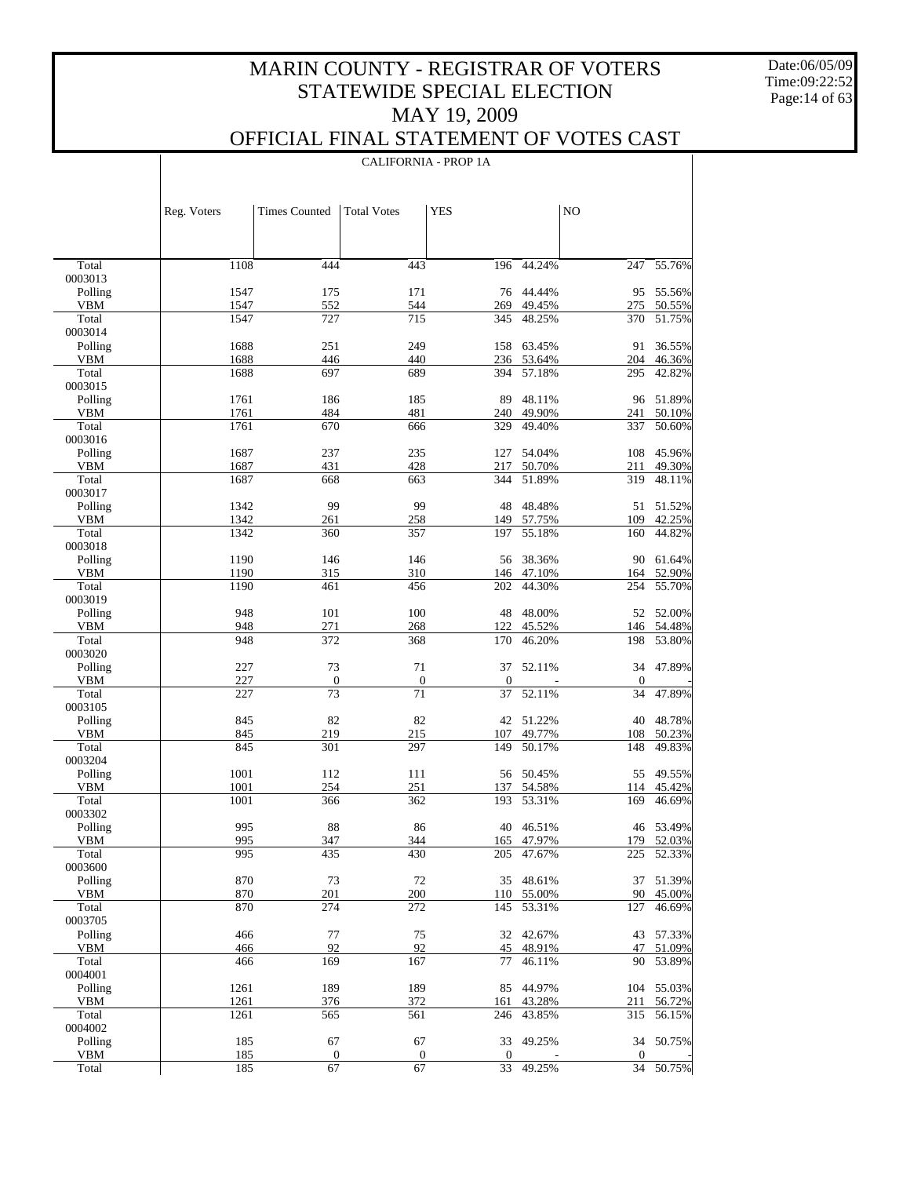Date:06/05/09 Time:09:22:52 Page:14 of 63

### OFFICIAL FINAL STATEMENT OF VOTES CAST

|                       | Reg. Voters  | <b>Times Counted</b>   | <b>Total Votes</b>     | <b>YES</b>         |                         | NO             |                         |
|-----------------------|--------------|------------------------|------------------------|--------------------|-------------------------|----------------|-------------------------|
|                       |              |                        |                        |                    |                         |                |                         |
| Total                 | 1108         | 444                    | 443                    | 196                | 44.24%                  | 247            | 55.76%                  |
| 0003013               |              |                        |                        |                    |                         |                |                         |
| Polling               | 1547<br>1547 | 175                    | 171<br>544             | 269                | 76 44.44%<br>49.45%     | 95             | 55.56%                  |
| VBM<br>Total          | 1547         | 552<br>727             | 715                    | 345                | 48.25%                  | 275<br>370     | 50.55%<br>51.75%        |
| 0003014               |              |                        |                        |                    |                         |                |                         |
| Polling               | 1688         | 251                    | 249                    | 158                | 63.45%                  | 91             | 36.55%                  |
| VBM                   | 1688         | 446                    | 440                    | 236                | 53.64%                  | 204            | 46.36%                  |
| Total                 | 1688         | 697                    | 689                    | 394                | 57.18%                  | 295            | 42.82%                  |
| 0003015<br>Polling    | 1761         | 186                    | 185                    | 89                 | 48.11%                  | 96             | 51.89%                  |
| VBM                   | 1761         | 484                    | 481                    | 240                | 49.90%                  | 241            | 50.10%                  |
| Total                 | 1761         | 670                    | 666                    | 329                | 49.40%                  | 337            | 50.60%                  |
| 0003016               |              |                        |                        |                    |                         |                |                         |
| Polling               | 1687         | 237                    | 235                    | 127                | 54.04%                  | 108            | 45.96%                  |
| VBM                   | 1687         | 431                    | 428                    | 217                | 50.70%                  | 211            | 49.30%                  |
| Total                 | 1687         | 668                    | 663                    | 344                | 51.89%                  | 319            | 48.11%                  |
| 0003017<br>Polling    | 1342         | 99                     | 99                     | 48                 | 48.48%                  |                | 51 51.52%               |
| VBM                   | 1342         | 261                    | 258                    | 149                | 57.75%                  | 109            | 42.25%                  |
| Total                 | 1342         | 360                    | 357                    | 197                | 55.18%                  | 160            | 44.82%                  |
| 0003018               |              |                        |                        |                    |                         |                |                         |
| Polling               | 1190         | 146                    | 146                    | 56                 | 38.36%                  | 90             | 61.64%                  |
| VBM                   | 1190         | 315                    | 310                    | 146                | 47.10%                  | 164            | 52.90%                  |
| Total                 | 1190         | 461                    | 456                    | 202                | 44.30%                  | 254            | 55.70%                  |
| 0003019               |              |                        |                        |                    |                         |                |                         |
| Polling<br>VBM        | 948<br>948   | 101<br>271             | 100<br>268             | 48<br>122          | 48.00%<br>45.52%        | 52<br>146      | 52.00%<br>54.48%        |
| Total                 | 948          | 372                    | 368                    | 170                | 46.20%                  | 198            | 53.80%                  |
| 0003020               |              |                        |                        |                    |                         |                |                         |
| Polling               | 227          | 73                     | 71                     | 37                 | 52.11%                  | 34             | 47.89%                  |
| VBM                   | 227          | $\mathbf{0}$           | $\boldsymbol{0}$       | $\boldsymbol{0}$   |                         | $\mathbf{0}$   |                         |
| Total                 | 227          | 73                     | 71                     | 37                 | 52.11%                  | 34             | 47.89%                  |
| 0003105               |              |                        |                        |                    |                         |                |                         |
| Polling<br><b>VBM</b> | 845<br>845   | 82<br>219              | 82<br>215              | 107                | 42 51.22%<br>49.77%     | 40<br>108      | 48.78%<br>50.23%        |
| Total                 | 845          | 301                    | 297                    | 149                | 50.17%                  | 148            | 49.83%                  |
| 0003204               |              |                        |                        |                    |                         |                |                         |
| Polling               | 1001         | 112                    | 111                    |                    | 56 50.45%               | 55             | 49.55%                  |
| <b>VBM</b>            | 1001         | 254                    | 251                    | 137                | 54.58%                  | 114            | 45.42%                  |
| Total                 | 1001         | 366                    | 362                    | 193                | 53.31%                  | 169            | 46.69%                  |
| 0003302               |              |                        |                        |                    |                         |                |                         |
| Polling<br><b>VBM</b> | 995<br>995   | 88<br>347              | 86<br>344              |                    | 40 46.51%<br>165 47.97% |                | 46 53.49%<br>179 52.03% |
| Total                 | 995          | 435                    | 430                    | 205                | 47.67%                  | 225            | 52.33%                  |
| 0003600               |              |                        |                        |                    |                         |                |                         |
| Polling               | 870          | 73                     | 72                     | 35                 | 48.61%                  | 37             | 51.39%                  |
| <b>VBM</b>            | 870          | 201                    | 200                    | 110                | 55.00%                  | 90             | 45.00%                  |
| Total                 | 870          | 274                    | 272                    | 145                | 53.31%                  | 127            | 46.69%                  |
| 0003705               |              |                        |                        |                    |                         |                |                         |
| Polling               | 466          | 77                     | 75                     | 32                 | 42.67%                  | 43             | 57.33%                  |
| <b>VBM</b><br>Total   | 466<br>466   | 92<br>169              | 92<br>167              | 45<br>77           | 48.91%<br>46.11%        | 47<br>90       | 51.09%<br>53.89%        |
| 0004001               |              |                        |                        |                    |                         |                |                         |
| Polling               | 1261         | 189                    | 189                    | 85                 | 44.97%                  | 104            | 55.03%                  |
| <b>VBM</b>            | 1261         | 376                    | 372                    | 161                | 43.28%                  | 211            | 56.72%                  |
| Total                 | 1261         | 565                    | 561                    | 246                | 43.85%                  | 315            | 56.15%                  |
| 0004002               |              |                        |                        |                    |                         |                |                         |
| Polling               | 185          | 67                     | 67                     | 33                 | 49.25%                  | 34             | 50.75%                  |
| <b>VBM</b><br>Total   | 185<br>185   | $\boldsymbol{0}$<br>67 | $\boldsymbol{0}$<br>67 | $\mathbf{0}$<br>33 | 49.25%                  | $\theta$<br>34 | 50.75%                  |
|                       |              |                        |                        |                    |                         |                |                         |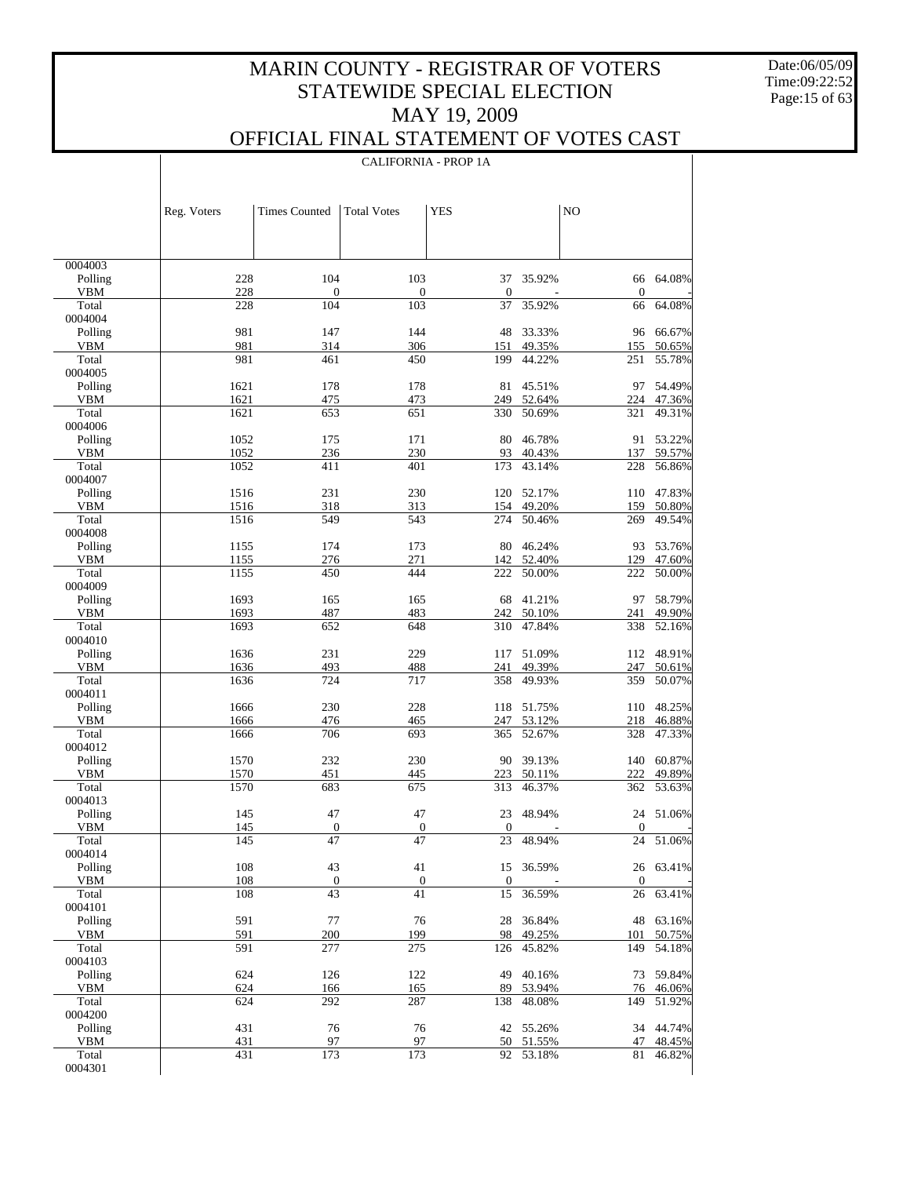Date:06/05/09 Time:09:22:52 Page:15 of 63

 $\mathbf{I}$ 

### OFFICIAL FINAL STATEMENT OF VOTES CAST

|                       |              | <b>CALIFORNIA - PROP 1A</b>       |                                   |                      |                  |                    |                  |  |
|-----------------------|--------------|-----------------------------------|-----------------------------------|----------------------|------------------|--------------------|------------------|--|
|                       |              |                                   |                                   |                      |                  |                    |                  |  |
|                       |              |                                   |                                   |                      |                  |                    |                  |  |
|                       | Reg. Voters  | <b>Times Counted</b>              | <b>Total Votes</b>                | <b>YES</b>           |                  | N <sub>O</sub>     |                  |  |
|                       |              |                                   |                                   |                      |                  |                    |                  |  |
|                       |              |                                   |                                   |                      |                  |                    |                  |  |
| 0004003               |              |                                   |                                   |                      |                  |                    |                  |  |
| Polling               | 228          | 104                               | 103                               | 37                   | 35.92%           | 66                 | 64.08%           |  |
| <b>VBM</b>            | 228          | 0                                 | $\overline{0}$                    | $\mathbf{0}$         |                  | $\mathbf{0}$       |                  |  |
| Total<br>0004004      | 228          | 104                               | 103                               | 37                   | 35.92%           | 66                 | 64.08%           |  |
| Polling               | 981          | 147                               | 144                               | 48                   | 33.33%           | 96                 | 66.67%           |  |
| <b>VBM</b>            | 981          | 314                               | 306                               | 151                  | 49.35%           | 155                | 50.65%           |  |
| Total                 | 981          | 461                               | 450                               | 199                  | 44.22%           | 251                | 55.78%           |  |
| 0004005<br>Polling    | 1621         | 178                               | 178                               | 81                   | 45.51%           | 97                 | 54.49%           |  |
| <b>VBM</b>            | 1621         | 475                               | 473                               | 249                  | 52.64%           | 224                | 47.36%           |  |
| Total                 | 1621         | 653                               | 651                               | 330                  | 50.69%           | 321                | 49.31%           |  |
| 0004006               |              |                                   |                                   |                      |                  |                    |                  |  |
| Polling               | 1052         | 175                               | 171                               | 80                   | 46.78%           | 91                 | 53.22%           |  |
| <b>VBM</b><br>Total   | 1052<br>1052 | 236<br>411                        | 230<br>401                        | 93<br>173            | 40.43%<br>43.14% | 137<br>228         | 59.57%<br>56.86% |  |
| 0004007               |              |                                   |                                   |                      |                  |                    |                  |  |
| Polling               | 1516         | 231                               | 230                               | 120                  | 52.17%           | 110                | 47.83%           |  |
| <b>VBM</b>            | 1516         | 318                               | 313                               | 154                  | 49.20%           | 159                | 50.80%           |  |
| Total<br>0004008      | 1516         | 549                               | 543                               | 274                  | 50.46%           | 269                | 49.54%           |  |
| Polling               | 1155         | 174                               | 173                               | 80                   | 46.24%           | 93                 | 53.76%           |  |
| <b>VBM</b>            | 1155         | 276                               | 271                               | 142                  | 52.40%           | 129                | 47.60%           |  |
| Total                 | 1155         | 450                               | 444                               | 222                  | 50.00%           | 222                | 50.00%           |  |
| 0004009               |              |                                   |                                   |                      |                  |                    |                  |  |
| Polling<br><b>VBM</b> | 1693<br>1693 | 165<br>487                        | 165<br>483                        | 68<br>242            | 41.21%<br>50.10% | 97<br>241          | 58.79%<br>49.90% |  |
| Total                 | 1693         | 652                               | 648                               | 310                  | 47.84%           | 338                | 52.16%           |  |
| 0004010               |              |                                   |                                   |                      |                  |                    |                  |  |
| Polling               | 1636         | 231                               | 229                               | 117                  | 51.09%           |                    | 112 48.91%       |  |
| <b>VBM</b><br>Total   | 1636         | 493<br>724                        | 488                               | 241                  | 49.39%           | 247                | 50.61%           |  |
| 0004011               | 1636         |                                   | 717                               | 358                  | 49.93%           | 359                | 50.07%           |  |
| Polling               | 1666         | 230                               | 228                               | 118                  | 51.75%           | 110                | 48.25%           |  |
| VBM                   | 1666         | 476                               | 465                               | 247                  | 53.12%           | 218                | 46.88%           |  |
| Total                 | 1666         | 706                               | 693                               | 365                  | 52.67%           | 328                | 47.33%           |  |
| 0004012<br>Polling    | 1570         | 232                               | 230                               | 90                   | 39.13%           | 140                | 60.87%           |  |
| <b>VBM</b>            | 1570         | 451                               | 445                               | 223                  | 50.11%           | 222                | 49.89%           |  |
| Total                 | 1570         | 683                               | 675                               | 313                  | 46.37%           | 362                | 53.63%           |  |
| 0004013               |              |                                   |                                   |                      |                  |                    |                  |  |
| Polling               | 145          | 47                                | 47                                | 23                   | 48.94%           |                    | 24 51.06%        |  |
| <b>VBM</b><br>Total   | 145<br>145   | $\overline{0}$<br>$\overline{47}$ | $\overline{0}$<br>$\overline{47}$ | $\overline{0}$<br>23 | 48.94%           | $\mathbf{0}$<br>24 | 51.06%           |  |
| 0004014               |              |                                   |                                   |                      |                  |                    |                  |  |
| Polling               | 108          | 43                                | 41                                | 15                   | 36.59%           |                    | 26 63.41%        |  |
| <b>VBM</b>            | 108          | $\overline{0}$                    | $\boldsymbol{0}$                  | $\boldsymbol{0}$     |                  | $\boldsymbol{0}$   |                  |  |
| Total<br>0004101      | 108          | 43                                | 41                                | 15                   | 36.59%           | 26                 | 63.41%           |  |
| Polling               | 591          | 77                                | 76                                | 28                   | 36.84%           | 48                 | 63.16%           |  |
| VBM                   | 591          | 200                               | 199                               | 98                   | 49.25%           | 101                | 50.75%           |  |
| Total                 | 591          | 277                               | 275                               | 126                  | 45.82%           | 149                | 54.18%           |  |
| 0004103               |              |                                   |                                   |                      |                  |                    |                  |  |
| Polling<br>VBM        | 624<br>624   | 126<br>166                        | 122<br>165                        | 49<br>89             | 40.16%<br>53.94% | 73<br>76           | 59.84%<br>46.06% |  |
| Total                 | 624          | 292                               | 287                               | 138                  | 48.08%           | 149                | 51.92%           |  |
| 0004200               |              |                                   |                                   |                      |                  |                    |                  |  |
| Polling               | 431          | 76                                | 76                                |                      | 42 55.26%        |                    | 34 44.74%        |  |
| <b>VBM</b><br>Total   | 431<br>431   | 97<br>173                         | 97<br>173                         | 50<br>92             | 51.55%<br>53.18% | 47<br>81           | 48.45%<br>46.82% |  |
| 0004301               |              |                                   |                                   |                      |                  |                    |                  |  |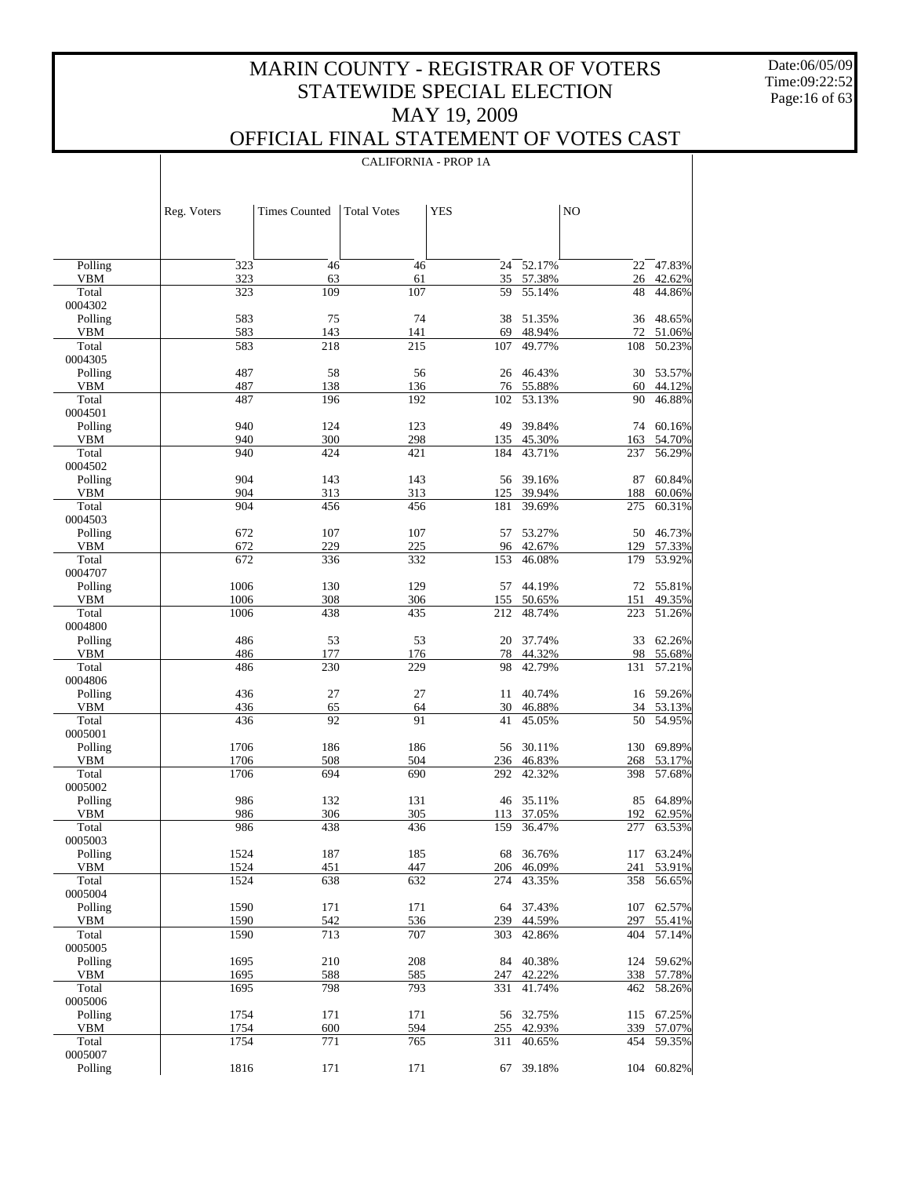CALIFORNIA - PROP 1A

 $\overline{1}$ 

Date:06/05/09 Time:09:22:52 Page:16 of 63

 $\overline{\phantom{a}}$ 

|                       | Reg. Voters  | <b>Times Counted</b> | <b>Total Votes</b> | <b>YES</b> |                  | N <sub>O</sub> |                  |
|-----------------------|--------------|----------------------|--------------------|------------|------------------|----------------|------------------|
|                       |              |                      |                    |            |                  |                |                  |
| Polling               | 323          | 46                   | 46                 | 24         | 52.17%           | 22             | 47.83%           |
| <b>VBM</b>            | 323          | 63                   | 61                 | 35         | 57.38%           | 26             | 42.62%           |
| Total<br>0004302      | 323          | 109                  | 107                | 59         | 55.14%           | 48             | 44.86%           |
| Polling               | 583          | 75                   | 74                 | 38         | 51.35%           | 36             | 48.65%           |
| <b>VBM</b>            | 583          | 143                  | 141                | 69         | 48.94%           | 72             | 51.06%           |
| Total                 | 583          | 218                  | 215                | 107        | 49.77%           | 108            | 50.23%           |
| 0004305               |              |                      |                    |            |                  |                |                  |
| Polling               | 487          | 58                   | 56                 | 26         | 46.43%           | 30             | 53.57%           |
| <b>VBM</b><br>Total   | 487<br>487   | 138<br>196           | 136<br>192         | 76<br>102  | 55.88%<br>53.13% | 60<br>90       | 44.12%<br>46.88% |
| 0004501               |              |                      |                    |            |                  |                |                  |
| Polling               | 940          | 124                  | 123                | 49         | 39.84%           | 74             | 60.16%           |
| <b>VBM</b>            | 940          | 300                  | 298                | 135        | 45.30%           | 163            | 54.70%           |
| Total                 | 940          | 424                  | 421                | 184        | 43.71%           | 237            | 56.29%           |
| 0004502               |              |                      |                    |            |                  |                |                  |
| Polling<br><b>VBM</b> | 904<br>904   | 143<br>313           | 143<br>313         | 56<br>125  | 39.16%<br>39.94% | 87<br>188      | 60.84%<br>60.06% |
| Total                 | 904          | 456                  | 456                | 181        | 39.69%           | 275            | 60.31%           |
| 0004503               |              |                      |                    |            |                  |                |                  |
| Polling               | 672          | 107                  | 107                | 57         | 53.27%           | 50             | 46.73%           |
| <b>VBM</b>            | 672          | 229                  | 225                | 96         | 42.67%           | 129            | 57.33%           |
| Total                 | 672          | 336                  | 332                | 153        | 46.08%           | 179            | 53.92%           |
| 0004707               |              |                      |                    |            |                  |                |                  |
| Polling<br><b>VBM</b> | 1006<br>1006 | 130<br>308           | 129<br>306         | 57<br>155  | 44.19%<br>50.65% | 72<br>151      | 55.81%<br>49.35% |
| Total                 | 1006         | 438                  | 435                | 212        | 48.74%           | 223            | 51.26%           |
| 0004800               |              |                      |                    |            |                  |                |                  |
| Polling               | 486          | 53                   | 53                 | 20         | 37.74%           | 33             | 62.26%           |
| ${\bf VBM}$           | 486          | 177                  | 176                | 78         | 44.32%           | 98             | 55.68%           |
| Total                 | 486          | 230                  | 229                | 98         | 42.79%           | 131            | 57.21%           |
| 0004806<br>Polling    | 436          | 27                   | 27                 | 11         | 40.74%           | 16             | 59.26%           |
| ${\bf VBM}$           | 436          | 65                   | 64                 | 30         | 46.88%           | 34             | 53.13%           |
| Total                 | 436          | 92                   | 91                 | 41         | 45.05%           | 50             | 54.95%           |
| 0005001               |              |                      |                    |            |                  |                |                  |
| Polling               | 1706         | 186                  | 186                | 56         | 30.11%           | 130            | 69.89%           |
| <b>VBM</b>            | 1706         | 508                  | 504                | 236        | 46.83%           | 268            | 53.17%           |
| Total<br>0005002      | 1706         | 694                  | 690                | 292        | 42.32%           | 398            | 57.68%           |
| Polling               | 986          | 132                  | 131                | 46         | 35.11%           | 85             | 64.89%           |
| <b>VBM</b>            | 986          | 306                  | 305                | 113        | 37.05%           | 192            | 62.95%           |
| Total                 | 986          | 438                  | 436                | 159        | 36.47%           | 277            | 63.53%           |
| 0005003               |              |                      |                    |            |                  |                |                  |
| Polling               | 1524         | 187                  | 185                | 68         | 36.76%           | 117            | 63.24%           |
| <b>VBM</b><br>Total   | 1524<br>1524 | 451<br>638           | 447<br>632         | 206<br>274 | 46.09%<br>43.35% | 241<br>358     | 53.91%           |
| 0005004               |              |                      |                    |            |                  |                | 56.65%           |
| Polling               | 1590         | 171                  | 171                | 64         | 37.43%           | 107            | 62.57%           |
| VBM                   | 1590         | 542                  | 536                | 239        | 44.59%           | 297            | 55.41%           |
| Total                 | 1590         | 713                  | 707                | 303        | 42.86%           | 404            | 57.14%           |
| 0005005               |              |                      |                    |            |                  |                |                  |
| Polling               | 1695         | 210                  | 208                | 84         | 40.38%           | 124            | 59.62%           |
| VBM<br>Total          | 1695<br>1695 | 588<br>798           | 585<br>793         | 247<br>331 | 42.22%<br>41.74% | 338<br>462     | 57.78%<br>58.26% |
| 0005006               |              |                      |                    |            |                  |                |                  |
| Polling               | 1754         | 171                  | 171                | 56         | 32.75%           | 115            | 67.25%           |
| VBM                   | 1754         | 600                  | 594                | 255        | 42.93%           | 339            | 57.07%           |
| Total                 | 1754         | 771                  | 765                | 311        | 40.65%           | 454            | 59.35%           |
| 0005007               |              |                      |                    |            |                  |                |                  |
| Polling               | 1816         | 171                  | 171                | 67         | 39.18%           | 104            | 60.82%           |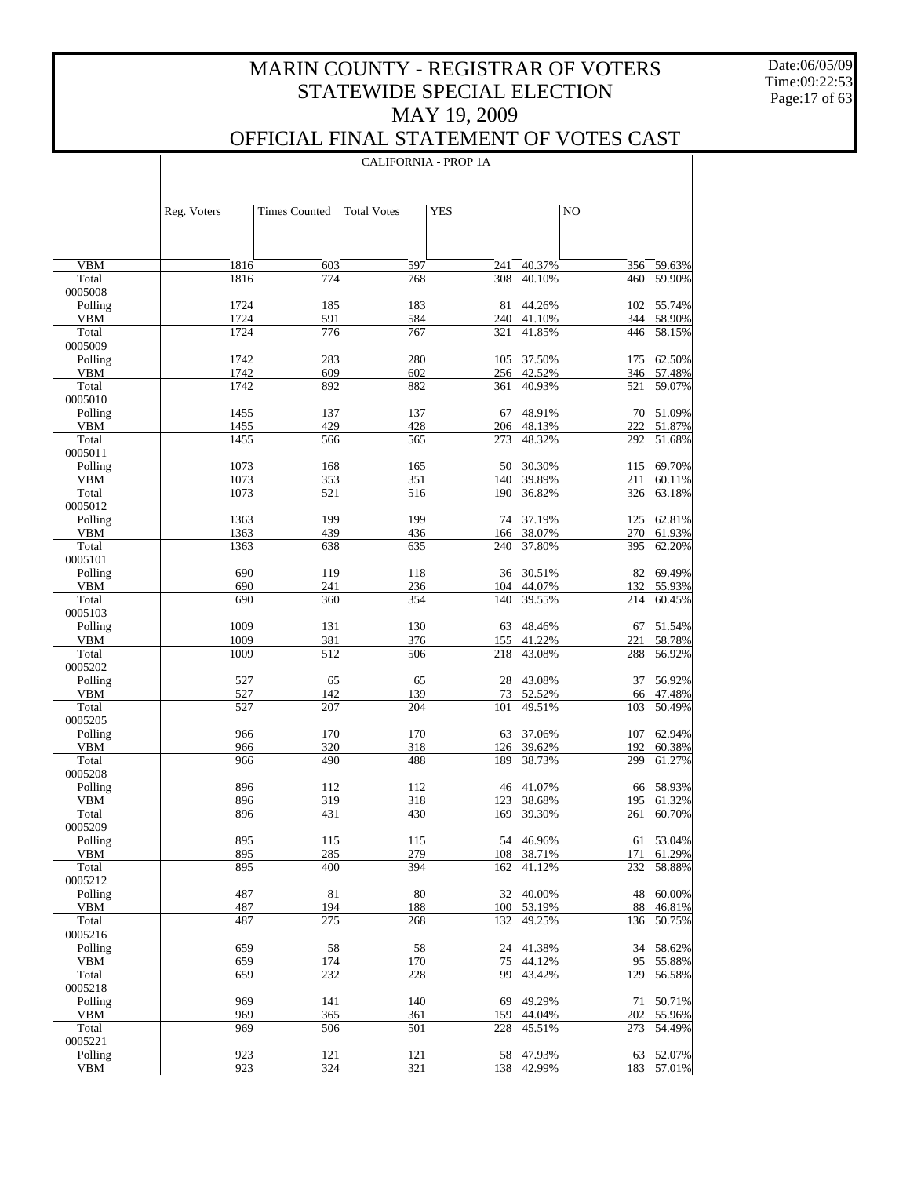Date:06/05/09 Time:09:22:53 Page:17 of 63

 $\overline{\phantom{a}}$ 

### OFFICIAL FINAL STATEMENT OF VOTES CAST

|                       | Reg. Voters  | <b>Times Counted</b> | <b>Total Votes</b> | <b>YES</b> |                      | NO        |                          |
|-----------------------|--------------|----------------------|--------------------|------------|----------------------|-----------|--------------------------|
|                       |              |                      |                    |            |                      |           |                          |
|                       |              |                      |                    |            |                      |           |                          |
| <b>VBM</b>            | 1816         | 603                  | 597                | 241        | 40.37%               | 356       | 59.63%                   |
| Total                 | 1816         | 774                  | 768                | 308        | 40.10%               | 460       | 59.90%                   |
| 0005008               |              |                      |                    |            |                      |           |                          |
| Polling<br><b>VBM</b> | 1724<br>1724 | 185<br>591           | 183<br>584         | 81         | 44.26%               |           | 102 55.74%<br>344 58.90% |
| Total                 | 1724         | 776                  | 767                | 321        | 240 41.10%<br>41.85% |           | 446 58.15%               |
| 0005009               |              |                      |                    |            |                      |           |                          |
| Polling               | 1742         | 283                  | 280                | 105        | 37.50%               |           | 175 62.50%               |
| <b>VBM</b>            | 1742         | 609                  | 602                |            | 256 42.52%           |           | 346 57.48%               |
| Total                 | 1742         | 892                  | 882                | 361        | 40.93%               | 521       | 59.07%                   |
| 0005010<br>Polling    | 1455         | 137                  | 137                | 67         | 48.91%               |           | 70 51.09%                |
| <b>VBM</b>            | 1455         | 429                  | 428                | 206        | 48.13%               |           | 222 51.87%               |
| Total                 | 1455         | 566                  | 565                | 273        | 48.32%               | 292       | 51.68%                   |
| 0005011               |              |                      |                    |            |                      |           |                          |
| Polling               | 1073         | 168                  | 165                | 50         | 30.30%               |           | 115 69.70%               |
| <b>VBM</b>            | 1073         | 353                  | 351                | 140        | 39.89%               | 211       | 60.11%                   |
| Total<br>0005012      | 1073         | 521                  | 516                | 190        | 36.82%               | 326       | 63.18%                   |
| Polling               | 1363         | 199                  | 199                | 74         | 37.19%               |           | 125 62.81%               |
| <b>VBM</b>            | 1363         | 439                  | 436                | 166        | 38.07%               | 270       | 61.93%                   |
| Total                 | 1363         | 638                  | 635                | 240        | 37.80%               | 395       | 62.20%                   |
| 0005101               |              |                      |                    |            |                      |           |                          |
| Polling               | 690          | 119                  | 118                | 36         | 30.51%               |           | 82 69.49%                |
| <b>VBM</b>            | 690          | 241                  | 236                | 104        | 44.07%               | 132       | 55.93%                   |
| Total<br>0005103      | 690          | 360                  | 354                | 140        | 39.55%               | 214       | 60.45%                   |
| Polling               | 1009         | 131                  | 130                | 63         | 48.46%               | 67        | 51.54%                   |
| <b>VBM</b>            | 1009         | 381                  | 376                | 155        | 41.22%               | 221       | 58.78%                   |
| Total                 | 1009         | 512                  | 506                | 218        | 43.08%               | 288       | 56.92%                   |
| 0005202               |              |                      |                    |            |                      |           |                          |
| Polling               | 527          | 65                   | 65                 | 28         | 43.08%               | 37        | 56.92%                   |
| <b>VBM</b><br>Total   | 527<br>527   | 142<br>207           | 139<br>204         | 73<br>101  | 52.52%<br>49.51%     | 66<br>103 | 47.48%<br>50.49%         |
| 0005205               |              |                      |                    |            |                      |           |                          |
| Polling               | 966          | 170                  | 170                | 63         | 37.06%               | 107       | 62.94%                   |
| <b>VBM</b>            | 966          | 320                  | 318                | 126        | 39.62%               | 192       | 60.38%                   |
| Total                 | 966          | 490                  | 488                | 189        | 38.73%               | 299       | 61.27%                   |
| 0005208               | 896          | 112                  | 112                |            | 46 41.07%            |           | 66 58.93%                |
| Polling<br><b>VBM</b> | 896          | 319                  | 318                | 123        | 38.68%               | 195       | 61.32%                   |
| Total                 | 896          | 431                  | 430                | 169        | 39.30%               | 261       | 60.70%                   |
| 0005209               |              |                      |                    |            |                      |           |                          |
| Polling               | 895          | 115                  | 115                |            | 54 46.96%            |           | 61 53.04%                |
| VBM                   | 895          | 285                  | 279                |            | 108 38.71%           |           | 171 61.29%               |
| Total<br>0005212      | 895          | 400                  | 394                |            | 162 41.12%           |           | 232 58.88%               |
| Polling               | 487          | 81                   | 80                 |            | 32 40.00%            | 48        | 60.00%                   |
| VBM                   | 487          | 194                  | 188                | 100        | 53.19%               | 88        | 46.81%                   |
| Total                 | 487          | 275                  | 268                | 132        | 49.25%               |           | 136 50.75%               |
| 0005216               |              |                      |                    |            |                      |           |                          |
| Polling               | 659          | 58                   | 58                 | 24         | 41.38%               | 34        | 58.62%                   |
| VBM<br>Total          | 659<br>659   | 174<br>232           | 170<br>228         | 75<br>99   | 44.12%<br>43.42%     | 95<br>129 | 55.88%<br>56.58%         |
| 0005218               |              |                      |                    |            |                      |           |                          |
| Polling               | 969          | 141                  | 140                | 69         | 49.29%               | 71        | 50.71%                   |
| VBM                   | 969          | 365                  | 361                | 159        | 44.04%               | 202       | 55.96%                   |
| Total                 | 969          | 506                  | 501                | 228        | 45.51%               |           | 273 54.49%               |
| 0005221               |              |                      |                    |            |                      |           |                          |
| Polling               | 923          | 121                  | 121                | 58         | 47.93%               | 63        | 52.07%                   |
| <b>VBM</b>            | 923          | 324                  | 321                | 138        | 42.99%               |           | 183 57.01%               |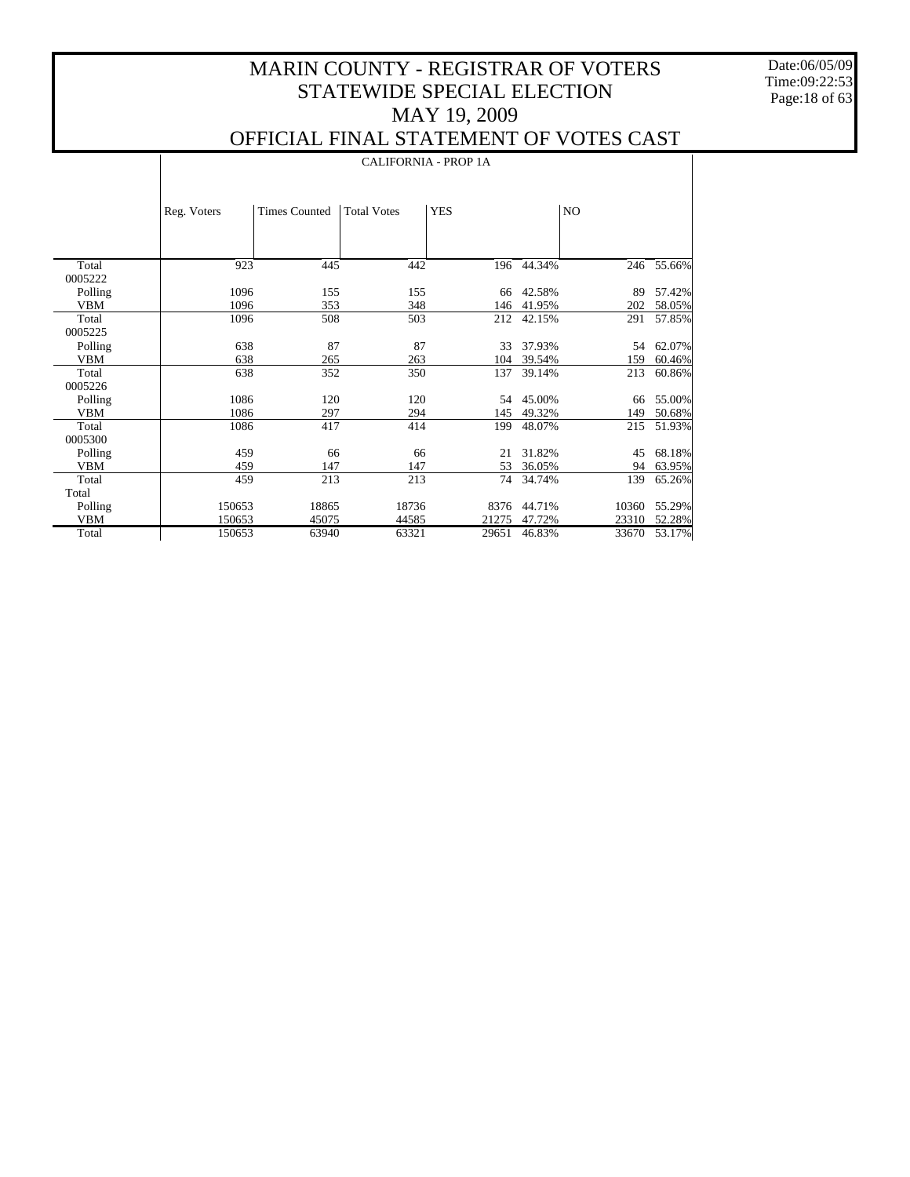Date:06/05/09 Time:09:22:53 Page:18 of 63

 $\perp$ 

|                       |             | <b>CALIFORNIA - PROP 1A</b> |                    |            |            |       |        |  |  |  |
|-----------------------|-------------|-----------------------------|--------------------|------------|------------|-------|--------|--|--|--|
|                       | Reg. Voters | <b>Times Counted</b>        | <b>Total Votes</b> | <b>YES</b> |            | NO.   |        |  |  |  |
|                       |             |                             |                    |            |            |       |        |  |  |  |
| Total                 | 923         | 445                         | 442                |            | 196 44.34% | 246   | 55.66% |  |  |  |
| 0005222               |             |                             |                    |            |            |       |        |  |  |  |
| Polling               | 1096        | 155                         | 155                | 66         | 42.58%     | 89    | 57.42% |  |  |  |
| <b>VBM</b>            | 1096        | 353                         | 348                | 146        | 41.95%     | 202   | 58.05% |  |  |  |
| Total                 | 1096        | 508                         | 503                | 212        | 42.15%     | 291   | 57.85% |  |  |  |
| 0005225               |             |                             |                    |            |            |       |        |  |  |  |
| Polling               | 638         | 87                          | 87                 | 33         | 37.93%     | 54    | 62.07% |  |  |  |
| <b>VBM</b>            | 638         | 265                         | 263                | 104        | 39.54%     | 159   | 60.46% |  |  |  |
| Total                 | 638         | 352                         | 350                | 137        | 39.14%     | 213   | 60.86% |  |  |  |
| 0005226               | 1086        | 120                         | 120                | 54         | 45.00%     | 66    | 55.00% |  |  |  |
| Polling<br><b>VBM</b> | 1086        | 297                         | 294                | 145        | 49.32%     | 149   | 50.68% |  |  |  |
| Total                 | 1086        | 417                         | 414                | 199        | 48.07%     | 215   | 51.93% |  |  |  |
| 0005300               |             |                             |                    |            |            |       |        |  |  |  |
| Polling               | 459         | 66                          | 66                 | 21         | 31.82%     | 45    | 68.18% |  |  |  |
| <b>VBM</b>            | 459         | 147                         | 147                | 53         | 36.05%     | 94    | 63.95% |  |  |  |
| Total                 | 459         | 213                         | 213                | 74         | 34.74%     | 139   | 65.26% |  |  |  |
| Total                 |             |                             |                    |            |            |       |        |  |  |  |
| Polling               | 150653      | 18865                       | 18736              | 8376       | 44.71%     | 10360 | 55.29% |  |  |  |
| <b>VBM</b>            | 150653      | 45075                       | 44585              | 21275      | 47.72%     | 23310 | 52.28% |  |  |  |
| Total                 | 150653      | 63940                       | 63321              | 29651      | 46.83%     | 33670 | 53.17% |  |  |  |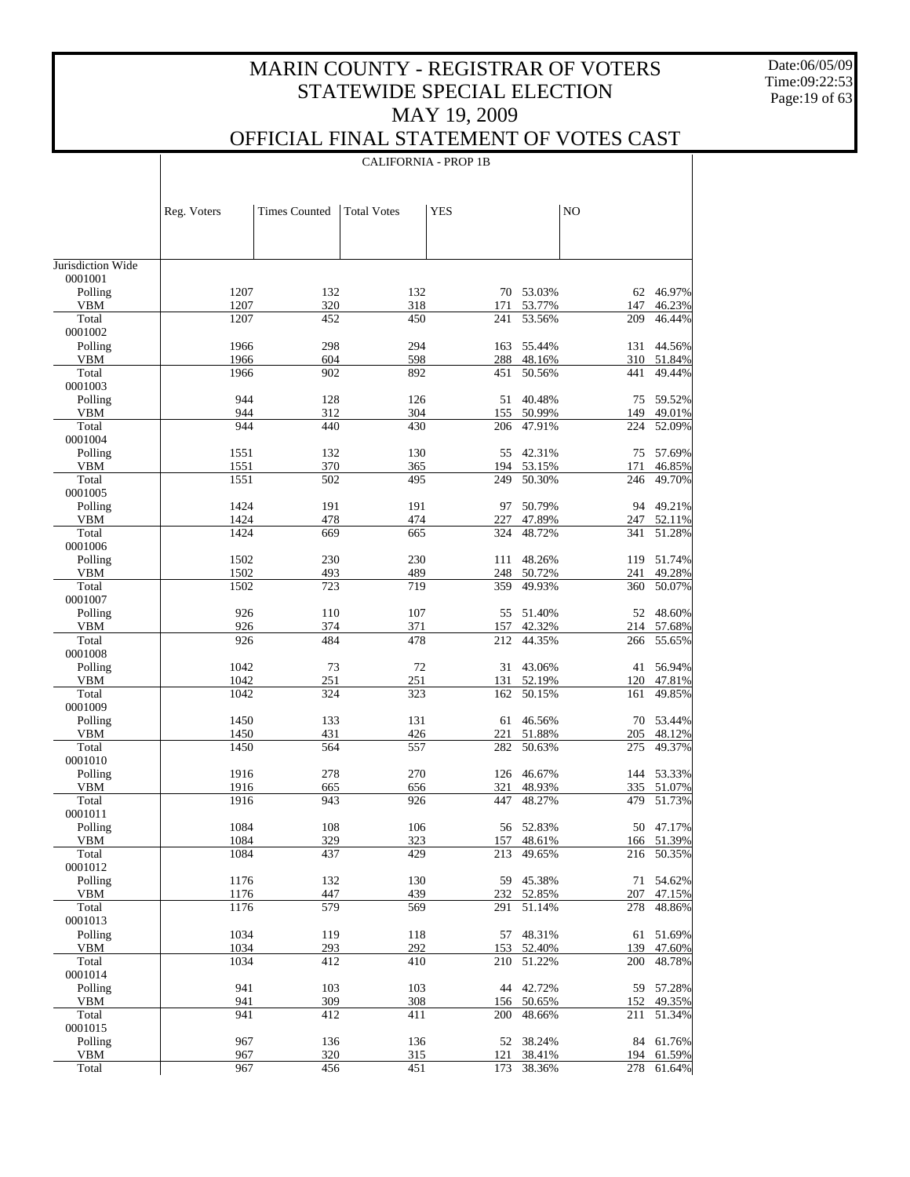Date:06/05/09 Time:09:22:53 Page:19 of 63

 $\mathbf{I}$ 

### OFFICIAL FINAL STATEMENT OF VOTES CAST

|                              |              | <b>CALIFORNIA - PROP 1B</b> |                    |            |                  |                |                  |  |  |
|------------------------------|--------------|-----------------------------|--------------------|------------|------------------|----------------|------------------|--|--|
|                              |              |                             |                    |            |                  |                |                  |  |  |
|                              |              |                             |                    |            |                  |                |                  |  |  |
|                              | Reg. Voters  | <b>Times Counted</b>        | <b>Total Votes</b> | <b>YES</b> |                  | N <sub>O</sub> |                  |  |  |
|                              |              |                             |                    |            |                  |                |                  |  |  |
|                              |              |                             |                    |            |                  |                |                  |  |  |
| Jurisdiction Wide<br>0001001 |              |                             |                    |            |                  |                |                  |  |  |
| Polling                      | 1207         | 132                         | 132                |            | 70 53.03%        |                | 62 46.97%        |  |  |
| <b>VBM</b>                   | 1207         | 320                         | 318                | 171        | 53.77%           | 147            | 46.23%           |  |  |
| Total<br>0001002             | 1207         | 452                         | 450                | 241        | 53.56%           | 209            | 46.44%           |  |  |
| Polling                      | 1966         | 298                         | 294                | 163        | 55.44%           | 131            | 44.56%           |  |  |
| VBM                          | 1966         | 604                         | 598                | 288        | 48.16%           | 310            | 51.84%           |  |  |
| Total<br>0001003             | 1966         | 902                         | 892                | 451        | 50.56%           | 441            | 49.44%           |  |  |
| Polling                      | 944          | 128                         | 126                | 51         | 40.48%           | 75             | 59.52%           |  |  |
| VBM                          | 944          | 312                         | 304                | 155        | 50.99%           | 149            | 49.01%           |  |  |
| Total<br>0001004             | 944          | 440                         | 430                | 206        | 47.91%           | 224            | 52.09%           |  |  |
| Polling                      | 1551         | 132                         | 130                | 55         | 42.31%           | 75             | 57.69%           |  |  |
| <b>VBM</b>                   | 1551         | 370                         | 365                | 194        | 53.15%           | 171            | 46.85%           |  |  |
| Total                        | 1551         | 502                         | 495                | 249        | 50.30%           | 246            | 49.70%           |  |  |
| 0001005<br>Polling           | 1424         | 191                         | 191                | 97         | 50.79%           | 94             | 49.21%           |  |  |
| <b>VBM</b>                   | 1424         | 478                         | 474                | 227        | 47.89%           | 247            | 52.11%           |  |  |
| Total                        | 1424         | 669                         | 665                | 324        | 48.72%           | 341            | 51.28%           |  |  |
| 0001006                      |              |                             |                    |            |                  |                |                  |  |  |
| Polling<br><b>VBM</b>        | 1502<br>1502 | 230<br>493                  | 230<br>489         | 111<br>248 | 48.26%<br>50.72% | 119<br>241     | 51.74%<br>49.28% |  |  |
| Total                        | 1502         | 723                         | 719                | 359        | 49.93%           | 360            | 50.07%           |  |  |
| 0001007                      |              |                             |                    |            |                  |                |                  |  |  |
| Polling<br><b>VBM</b>        | 926<br>926   | 110<br>374                  | 107<br>371         | 55         | 51.40%<br>42.32% | 52             | 48.60%<br>57.68% |  |  |
| Total                        | 926          | 484                         | 478                | 157<br>212 | 44.35%           | 214<br>266     | 55.65%           |  |  |
| 0001008                      |              |                             |                    |            |                  |                |                  |  |  |
| Polling                      | 1042         | 73                          | 72                 | 31         | 43.06%           | 41             | 56.94%           |  |  |
| <b>VBM</b><br>Total          | 1042<br>1042 | 251<br>324                  | 251<br>323         | 131<br>162 | 52.19%<br>50.15% | 120<br>161     | 47.81%<br>49.85% |  |  |
| 0001009                      |              |                             |                    |            |                  |                |                  |  |  |
| Polling                      | 1450         | 133                         | 131                | 61         | 46.56%           | 70             | 53.44%           |  |  |
| <b>VBM</b>                   | 1450         | 431                         | 426                | 221        | 51.88%           | 205            | 48.12%           |  |  |
| Total<br>0001010             | 1450         | 564                         | 557                | 282        | 50.63%           | 275            | 49.37%           |  |  |
| Polling                      | 1916         | 278                         | 270                | 126        | 46.67%           | 144            | 53.33%           |  |  |
| VBM                          | 1916         | 665                         | 656                | 321        | 48.93%           | 335            | 51.07%           |  |  |
| Total                        | 1916         | 943                         | 926                | 447        | 48.27%           | 479            | 51.73%           |  |  |
| 0001011<br>Polling           | 1084         | 108                         | 106                |            | 56 52.83%        |                | 50 47.17%        |  |  |
| <b>VBM</b>                   | 1084         | 329                         | 323                | 157        | 48.61%           | 166            | 51.39%           |  |  |
| Total                        | 1084         | 437                         | 429                | 213        | 49.65%           | 216            | 50.35%           |  |  |
| 0001012                      |              |                             |                    |            |                  |                |                  |  |  |
| Polling                      | 1176         | 132                         | 130                | 59         | 45.38%           | 71             | 54.62%<br>47.15% |  |  |
| VBM<br>Total                 | 1176<br>1176 | 447<br>579                  | 439<br>569         | 232<br>291 | 52.85%<br>51.14% | 207<br>278     | 48.86%           |  |  |
| 0001013                      |              |                             |                    |            |                  |                |                  |  |  |
| Polling                      | 1034         | 119                         | 118                | 57         | 48.31%           | 61             | 51.69%           |  |  |
| VBM                          | 1034         | 293                         | 292                | 153        | 52.40%           | 139            | 47.60%           |  |  |
| Total<br>0001014             | 1034         | 412                         | 410                | 210        | 51.22%           | 200            | 48.78%           |  |  |
| Polling                      | 941          | 103                         | 103                | 44         | 42.72%           | 59             | 57.28%           |  |  |
| VBM                          | 941          | 309                         | 308                | 156        | 50.65%           | 152            | 49.35%           |  |  |
| Total                        | 941          | 412                         | 411                | 200        | 48.66%           | 211            | 51.34%           |  |  |
| 0001015<br>Polling           | 967          | 136                         | 136                | 52         | 38.24%           | 84             | 61.76%           |  |  |
| VBM                          | 967          | 320                         | 315                | 121        | 38.41%           | 194            | 61.59%           |  |  |
| Total                        | 967          | 456                         | 451                | 173        | 38.36%           | 278            | 61.64%           |  |  |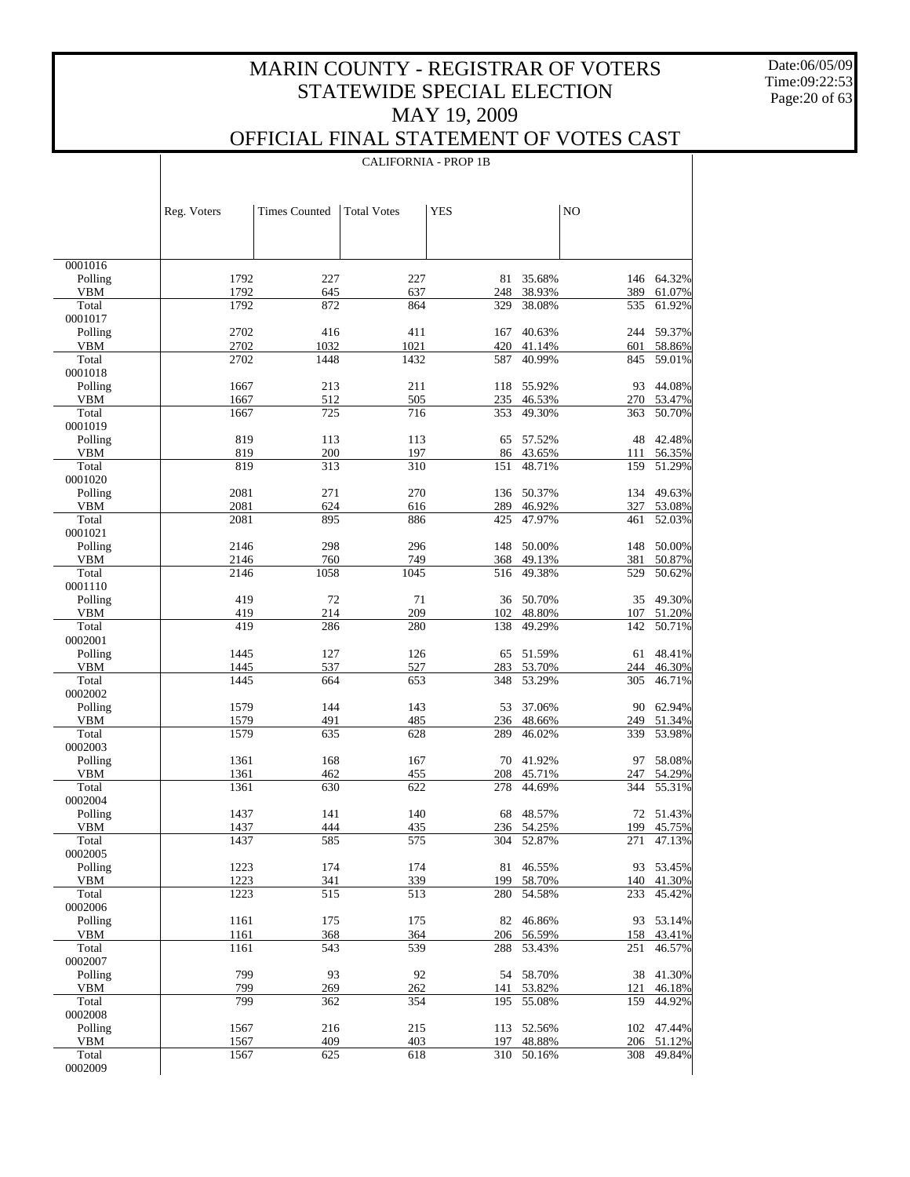Date:06/05/09 Time:09:22:53 Page:20 of 63

 $\mathbf{I}$ 

### OFFICIAL FINAL STATEMENT OF VOTES CAST

|                    |              | <b>CALIFORNIA - PROP 1B</b> |                    |            |                     |            |                     |  |
|--------------------|--------------|-----------------------------|--------------------|------------|---------------------|------------|---------------------|--|
|                    |              |                             |                    |            |                     |            |                     |  |
|                    | Reg. Voters  | <b>Times Counted</b>        | <b>Total Votes</b> | <b>YES</b> |                     | NO         |                     |  |
|                    |              |                             |                    |            |                     |            |                     |  |
| 0001016            |              |                             |                    |            |                     |            |                     |  |
| Polling            | 1792<br>1792 | 227                         | 227                | 81         | 35.68%              |            | 146 64.32%          |  |
| VBM<br>Total       | 1792         | 645<br>872                  | 637<br>864         | 248<br>329 | 38.93%<br>38.08%    | 389<br>535 | 61.07%<br>61.92%    |  |
| 0001017            |              |                             |                    |            |                     |            |                     |  |
| Polling            | 2702         | 416                         | 411                | 167        | 40.63%              |            | 244 59.37%          |  |
| VBM                | 2702         | 1032                        | 1021               | 420        | 41.14%              | 601        | 58.86%              |  |
| Total<br>0001018   | 2702         | 1448                        | 1432               | 587        | 40.99%              | 845        | 59.01%              |  |
| Polling            | 1667         | 213                         | 211                | 118        | 55.92%              | 93         | 44.08%              |  |
| VBM                | 1667         | 512                         | 505                | 235        | 46.53%              |            | 270 53.47%          |  |
| Total              | 1667         | 725                         | 716                | 353        | 49.30%              | 363        | 50.70%              |  |
| 0001019            |              |                             |                    |            |                     |            |                     |  |
| Polling<br>VBM     | 819<br>819   | 113<br>200                  | 113<br>197         | 65<br>86   | 57.52%<br>43.65%    | 48<br>111  | 42.48%<br>56.35%    |  |
| Total              | 819          | 313                         | 310                | 151        | 48.71%              | 159        | 51.29%              |  |
| 0001020            |              |                             |                    |            |                     |            |                     |  |
| Polling            | 2081         | 271                         | 270                | 136        | 50.37%              | 134        | 49.63%              |  |
| VBM<br>Total       | 2081         | 624                         | 616                | 289        | 46.92%              | 327        | 53.08%<br>52.03%    |  |
| 0001021            | 2081         | 895                         | 886                | 425        | 47.97%              | 461        |                     |  |
| Polling            | 2146         | 298                         | 296                | 148        | 50.00%              |            | 148 50.00%          |  |
| VBM                | 2146         | 760                         | 749                | 368        | 49.13%              | 381        | 50.87%              |  |
| Total              | 2146         | 1058                        | 1045               | 516        | 49.38%              | 529        | 50.62%              |  |
| 0001110            |              |                             |                    |            |                     |            |                     |  |
| Polling<br>VBM     | 419<br>419   | 72<br>214                   | 71<br>209          | 102        | 36 50.70%<br>48.80% | 35<br>107  | 49.30%<br>51.20%    |  |
| Total              | 419          | 286                         | 280                | 138        | 49.29%              | 142        | 50.71%              |  |
| 0002001            |              |                             |                    |            |                     |            |                     |  |
| Polling            | 1445         | 127                         | 126                | 65         | 51.59%              | 61         | 48.41%              |  |
| VBM                | 1445         | 537                         | 527                | 283        | 53.70%              | 244        | 46.30%              |  |
| Total<br>0002002   | 1445         | 664                         | 653                | 348        | 53.29%              | 305        | 46.71%              |  |
| Polling            | 1579         | 144                         | 143                | 53         | 37.06%              | 90         | 62.94%              |  |
| VBM                | 1579         | 491                         | 485                | 236        | 48.66%              | 249        | 51.34%              |  |
| Total              | 1579         | 635                         | 628                | 289        | 46.02%              | 339        | 53.98%              |  |
| 0002003            |              |                             |                    |            | 41.92%              |            |                     |  |
| Polling<br>VBM     | 1361<br>1361 | 168<br>462                  | 167<br>455         | 70<br>208  | 45.71%              | 97<br>247  | 58.08%<br>54.29%    |  |
| Total              | 1361         | 630                         | 622                | 278        | 44.69%              | 344        | 55.31%              |  |
| 0002004            |              |                             |                    |            |                     |            |                     |  |
| Polling            | 1437         | 141                         | 140                |            | 68 48.57%           |            | 72 51.43%           |  |
| VBM                | 1437         | 444                         | 435                |            | 236 54.25%          |            | 199 45.75%          |  |
| Total<br>0002005   | 1437         | 585                         | 575                | 304        | 52.87%              | 271        | 47.13%              |  |
| Polling            | 1223         | 174                         | 174                | 81         | 46.55%              |            | 93 53.45%           |  |
| VBM                | 1223         | 341                         | 339                | 199        | 58.70%              | 140        | 41.30%              |  |
| Total              | 1223         | 515                         | 513                | 280        | 54.58%              | 233        | 45.42%              |  |
| 0002006            |              |                             |                    |            |                     |            |                     |  |
| Polling<br>VBM     | 1161<br>1161 | 175<br>368                  | 175<br>364         | 82<br>206  | 46.86%<br>56.59%    | 158        | 93 53.14%<br>43.41% |  |
| Total              | 1161         | 543                         | 539                | 288        | 53.43%              | 251        | 46.57%              |  |
| 0002007            |              |                             |                    |            |                     |            |                     |  |
| Polling            | 799          | 93                          | 92                 |            | 54 58.70%           | 38         | 41.30%              |  |
| VBM                | 799          | 269                         | 262                | 141        | 53.82%              | 121        | 46.18%              |  |
| Total              | 799          | 362                         | 354                | 195        | 55.08%              | 159        | 44.92%              |  |
| 0002008<br>Polling | 1567         | 216                         | 215                | 113        | 52.56%              |            | 102 47.44%          |  |
| VBM                | 1567         | 409                         | 403                | 197        | 48.88%              | 206        | 51.12%              |  |
| Total              | 1567         | 625                         | 618                | 310        | 50.16%              | 308        | 49.84%              |  |
| 0002009            |              |                             |                    |            |                     |            |                     |  |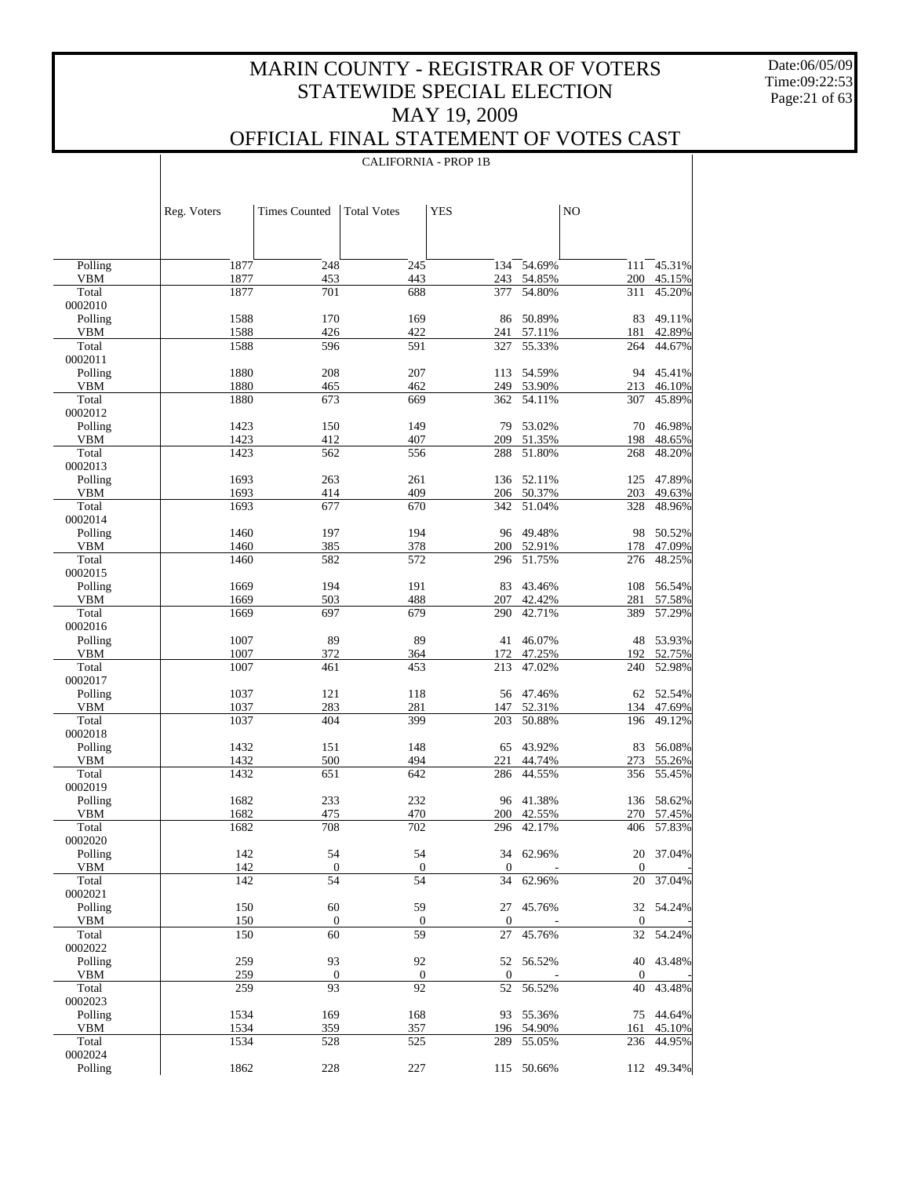CALIFORNIA - PROP 1B

Date:06/05/09 Time:09:22:53 Page:21 of 63

 $\overline{\phantom{a}}$ 

|                       | Reg. Voters  | <b>Times Counted</b> | <b>Total Votes</b> | <b>YES</b>       |                  | NO               |                  |
|-----------------------|--------------|----------------------|--------------------|------------------|------------------|------------------|------------------|
|                       |              |                      |                    |                  |                  |                  |                  |
| Polling               | 1877         | 248                  | 245                | 134              | 54.69%           | 111              | 45.31%           |
| <b>VBM</b>            | 1877         | 453                  | 443                | 243              | 54.85%           | 200              | 45.15%           |
| Total<br>0002010      | 1877         | 701                  | 688                | 377              | 54.80%           | 311              | 45.20%           |
| Polling               | 1588         | 170                  | 169                | 86               | 50.89%           | 83               | 49.11%           |
| <b>VBM</b>            | 1588         | 426                  | 422                | 241              | 57.11%           | 181              | 42.89%           |
| Total                 | 1588         | 596                  | 591                | 327              | 55.33%           | 264              | 44.67%           |
| 0002011               |              |                      |                    |                  |                  |                  |                  |
| Polling               | 1880         | 208                  | 207                | 113              | 54.59%           | 94               | 45.41%           |
| <b>VBM</b>            | 1880         | 465                  | 462                | 249              | 53.90%           | 213              | 46.10%           |
| Total<br>0002012      | 1880         | 673                  | 669                | 362              | 54.11%           | 307              | 45.89%           |
| Polling               | 1423         | 150                  | 149                | 79               | 53.02%           | 70               | 46.98%           |
| <b>VBM</b>            | 1423         | 412                  | 407                | 209              | 51.35%           | 198              | 48.65%           |
| Total                 | 1423         | 562                  | 556                | 288              | 51.80%           | 268              | 48.20%           |
| 0002013               |              |                      |                    |                  |                  |                  |                  |
| Polling               | 1693         | 263                  | 261                | 136              | 52.11%           | 125              | 47.89%           |
| <b>VBM</b>            | 1693         | 414                  | 409                | 206              | 50.37%           | 203              | 49.63%           |
| Total                 | 1693         | 677                  | 670                | 342              | 51.04%           | 328              | 48.96%           |
| 0002014               |              |                      |                    |                  |                  |                  |                  |
| Polling<br><b>VBM</b> | 1460<br>1460 | 197<br>385           | 194<br>378         | 96<br>200        | 49.48%<br>52.91% | 98<br>178        | 50.52%<br>47.09% |
| Total                 | 1460         | 582                  | 572                | 296              | 51.75%           | 276              | 48.25%           |
| 0002015               |              |                      |                    |                  |                  |                  |                  |
| Polling               | 1669         | 194                  | 191                | 83               | 43.46%           | 108              | 56.54%           |
| <b>VBM</b>            | 1669         | 503                  | 488                | 207              | 42.42%           | 281              | 57.58%           |
| Total                 | 1669         | 697                  | 679                | 290              | 42.71%           | 389              | 57.29%           |
| 0002016               |              |                      |                    |                  |                  |                  |                  |
| Polling               | 1007         | 89                   | 89                 | 41               | 46.07%           | 48               | 53.93%           |
| <b>VBM</b>            | 1007         | 372                  | 364                | 172              | 47.25%           | 192              | 52.75%           |
| Total<br>0002017      | 1007         | 461                  | 453                | $\overline{213}$ | 47.02%           | 240              | 52.98%           |
| Polling               | 1037         | 121                  | 118                | 56               | 47.46%           | 62               | 52.54%           |
| <b>VBM</b>            | 1037         | 283                  | 281                | 147              | 52.31%           | 134              | 47.69%           |
| Total                 | 1037         | 404                  | 399                | 203              | 50.88%           | 196              | 49.12%           |
| 0002018               |              |                      |                    |                  |                  |                  |                  |
| Polling               | 1432         | 151                  | 148                | 65               | 43.92%           | 83               | 56.08%           |
| <b>VBM</b>            | 1432         | 500                  | 494                | 221              | 44.74%           | 273              | 55.26%           |
| Total                 | 1432         | 651                  | 642                | 286              | 44.55%           | 356              | 55.45%           |
| 0002019               |              |                      |                    |                  |                  |                  |                  |
| Polling<br><b>VBM</b> | 1682<br>1682 | 233<br>475           | 232<br>470         | 96<br>200        | 41.38%<br>42.55% | 136<br>270       | 58.62%           |
| Total                 | 1682         | 708                  | 702                | 296              | 42.17%           | 406              | 57.45%<br>57.83% |
| 0002020               |              |                      |                    |                  |                  |                  |                  |
| Polling               | 142          | 54                   | 54                 |                  | 34 62.96%        |                  | 20 37.04%        |
| <b>VBM</b>            | 142          | $\boldsymbol{0}$     | $\boldsymbol{0}$   | $\boldsymbol{0}$ |                  | $\boldsymbol{0}$ |                  |
| Total                 | 142          | 54                   | 54                 | 34               | 62.96%           | 20               | 37.04%           |
| 0002021               |              |                      |                    |                  |                  |                  |                  |
| Polling               | 150          | 60                   | 59                 | 27               | 45.76%           |                  | 32 54.24%        |
| <b>VBM</b>            | 150          | $\boldsymbol{0}$     | $\boldsymbol{0}$   | $\mathbf{0}$     |                  | $\boldsymbol{0}$ |                  |
| Total<br>0002022      | 150          | 60                   | 59                 | 27               | 45.76%           | 32               | 54.24%           |
| Polling               | 259          | 93                   | 92                 |                  | 52 56.52%        |                  | 40 43.48%        |
| <b>VBM</b>            | 259          | $\boldsymbol{0}$     | $\boldsymbol{0}$   | $\mathbf{0}$     |                  | $\boldsymbol{0}$ |                  |
| Total                 | 259          | 93                   | 92                 | 52               | 56.52%           | 40               | 43.48%           |
| 0002023               |              |                      |                    |                  |                  |                  |                  |
| Polling               | 1534         | 169                  | 168                |                  | 93 55.36%        |                  | 75 44.64%        |
| <b>VBM</b>            | 1534         | 359                  | 357                | 196              | 54.90%           | 161              | 45.10%           |
| Total                 | 1534         | 528                  | 525                | 289              | 55.05%           | 236              | 44.95%           |
| 0002024               |              |                      |                    |                  |                  |                  |                  |
| Polling               | 1862         | 228                  | 227                |                  | 115 50.66%       |                  | 112 49.34%       |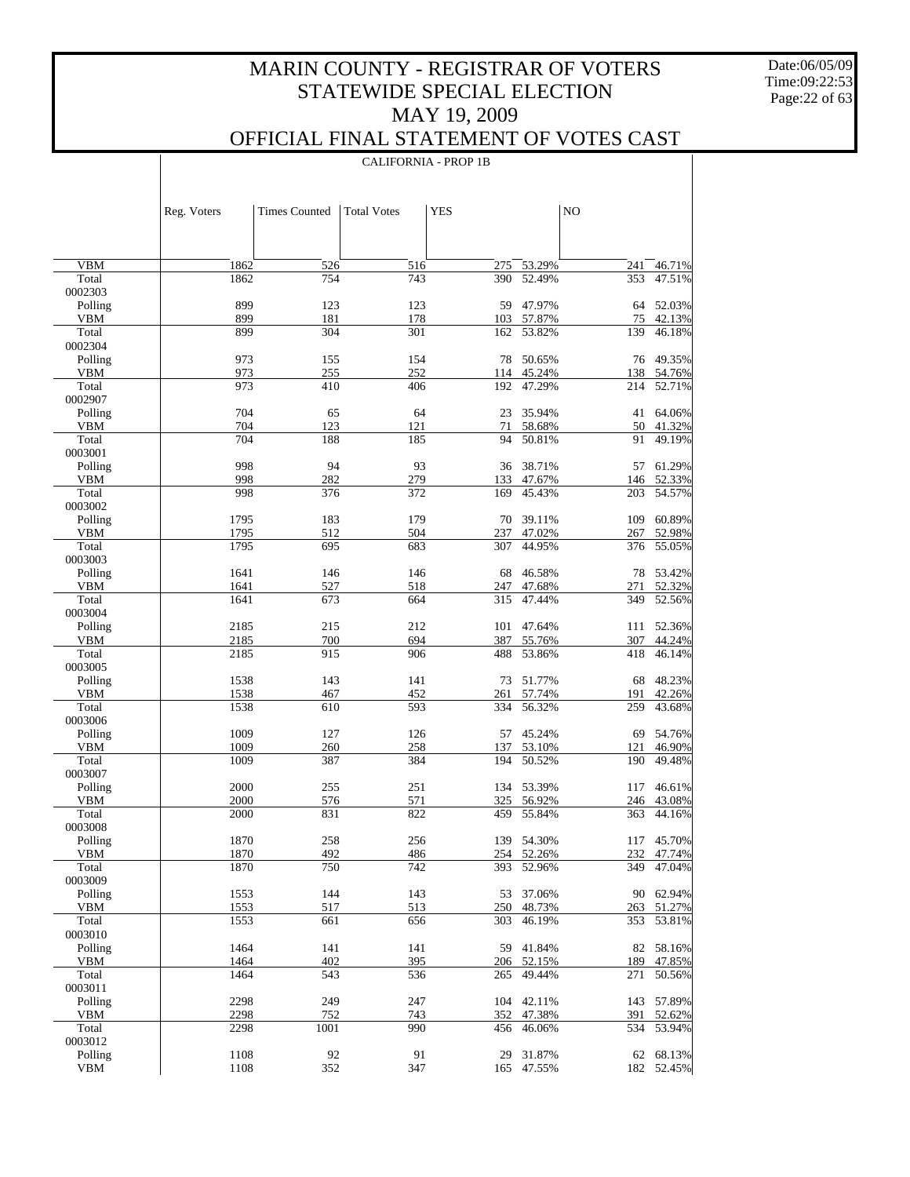Date:06/05/09 Time:09:22:53 Page:22 of 63

 $\mathbf{I}$ 

### OFFICIAL FINAL STATEMENT OF VOTES CAST

CALIFORNIA - PROP 1B

|                    | Reg. Voters  | <b>Times Counted</b> | <b>Total Votes</b> | <b>YES</b> |                  | N <sub>O</sub> |                      |
|--------------------|--------------|----------------------|--------------------|------------|------------------|----------------|----------------------|
|                    |              |                      |                    |            |                  |                |                      |
| <b>VBM</b>         | 1862         | 526                  | 516                | 275        | 53.29%           | 241            | 46.71%               |
| Total              | 1862         | 754                  | 743                | 390        | 52.49%           | 353            | 47.51%               |
| 0002303            | 899          | 123                  | 123                |            | 47.97%           |                | 52.03%               |
| Polling<br>VBM     | 899          | 181                  | 178                | 59<br>103  | 57.87%           | 64<br>75       | 42.13%               |
| Total              | 899          | 304                  | 301                | 162        | 53.82%           | 139            | 46.18%               |
| 0002304            |              |                      |                    |            |                  |                |                      |
| Polling            | 973          | 155                  | 154                | 78         | 50.65%           |                | 76 49.35%            |
| VBM<br>Total       | 973<br>973   | 255<br>410           | 252<br>406         | 114<br>192 | 45.24%<br>47.29% | 214            | 138 54.76%<br>52.71% |
| 0002907            |              |                      |                    |            |                  |                |                      |
| Polling            | 704          | 65                   | 64                 | 23         | 35.94%           |                | 41 64.06%            |
| VBM                | 704          | 123                  | 121                | 71         | 58.68%           | 50             | 41.32%               |
| Total              | 704          | 188                  | 185                | 94         | 50.81%           | 91             | 49.19%               |
| 0003001<br>Polling | 998          | 94                   | 93                 | 36         | 38.71%           |                | 57 61.29%            |
| VBM                | 998          | 282                  | 279                | 133        | 47.67%           | 146            | 52.33%               |
| Total              | 998          | 376                  | 372                | 169        | 45.43%           | 203            | 54.57%               |
| 0003002            |              |                      |                    |            |                  |                |                      |
| Polling            | 1795         | 183                  | 179                | 70         | 39.11%           | 109            | 60.89%               |
| VBM<br>Total       | 1795<br>1795 | 512<br>695           | 504<br>683         | 237<br>307 | 47.02%<br>44.95% | 267<br>376     | 52.98%<br>55.05%     |
| 0003003            |              |                      |                    |            |                  |                |                      |
| Polling            | 1641         | 146                  | 146                | 68         | 46.58%           | 78             | 53.42%               |
| VBM                | 1641         | 527                  | 518                | 247        | 47.68%           | 271            | 52.32%               |
| Total              | 1641         | 673                  | 664                | 315        | 47.44%           | 349            | 52.56%               |
| 0003004<br>Polling | 2185         | 215                  | 212                | 101        | 47.64%           |                | 111 52.36%           |
| VBM                | 2185         | 700                  | 694                | 387        | 55.76%           | 307            | 44.24%               |
| Total              | 2185         | 915                  | 906                | 488        | 53.86%           | 418            | 46.14%               |
| 0003005            |              |                      |                    |            |                  |                |                      |
| Polling            | 1538         | 143                  | 141                | 73         | 51.77%           | 68             | 48.23%               |
| VBM<br>Total       | 1538<br>1538 | 467<br>610           | 452<br>593         | 261<br>334 | 57.74%<br>56.32% | 191<br>259     | 42.26%<br>43.68%     |
| 0003006            |              |                      |                    |            |                  |                |                      |
| Polling            | 1009         | 127                  | 126                | 57         | 45.24%           | 69             | 54.76%               |
| VBM                | 1009         | 260                  | 258                | 137        | 53.10%           | 121            | 46.90%               |
| Total              | 1009         | 387                  | 384                | 194        | 50.52%           | 190            | 49.48%               |
| 0003007<br>Polling | 2000         | 255                  | 251                |            | 134 53.39%       | 117            | 46.61%               |
| VBM                | 2000         | 576                  | 571                | 325        | 56.92%           | 246            | 43.08%               |
| Total              | 2000         | 831                  | 822                | 459        | 55.84%           | 363            | 44.16%               |
| 0003008            |              |                      |                    |            |                  |                |                      |
| Polling            | 1870         | 258<br>492           | 256                | 139        | 54.30%           | 117            | 45.70%               |
| VBM<br>Total       | 1870<br>1870 | 750                  | 486<br>742         | 254<br>393 | 52.26%<br>52.96% | 232<br>349     | 47.74%<br>47.04%     |
| 0003009            |              |                      |                    |            |                  |                |                      |
| Polling            | 1553         | 144                  | 143                | 53         | 37.06%           |                | 90 62.94%            |
| VBM                | 1553         | 517                  | 513                | 250        | 48.73%           | 263            | 51.27%               |
| Total<br>0003010   | 1553         | 661                  | 656                | 303        | 46.19%           | 353            | 53.81%               |
| Polling            | 1464         | 141                  | 141                | 59         | 41.84%           | 82             | 58.16%               |
| VBM                | 1464         | 402                  | 395                |            | 206 52.15%       | 189            | 47.85%               |
| Total              | 1464         | 543                  | 536                | 265        | 49.44%           | 271            | 50.56%               |
| 0003011            |              |                      |                    |            |                  |                |                      |
| Polling            | 2298         | 249                  | 247                | 104        | 42.11%           | 143            | 57.89%               |
| VBM<br>Total       | 2298<br>2298 | 752<br>1001          | 743<br>990         | 352<br>456 | 47.38%<br>46.06% | 391<br>534     | 52.62%<br>53.94%     |
| 0003012            |              |                      |                    |            |                  |                |                      |
| Polling            | 1108         | 92                   | 91                 | 29         | 31.87%           |                | 62 68.13%            |
| VBM                | 1108         | 352                  | 347                | 165        | 47.55%           | 182            | 52.45%               |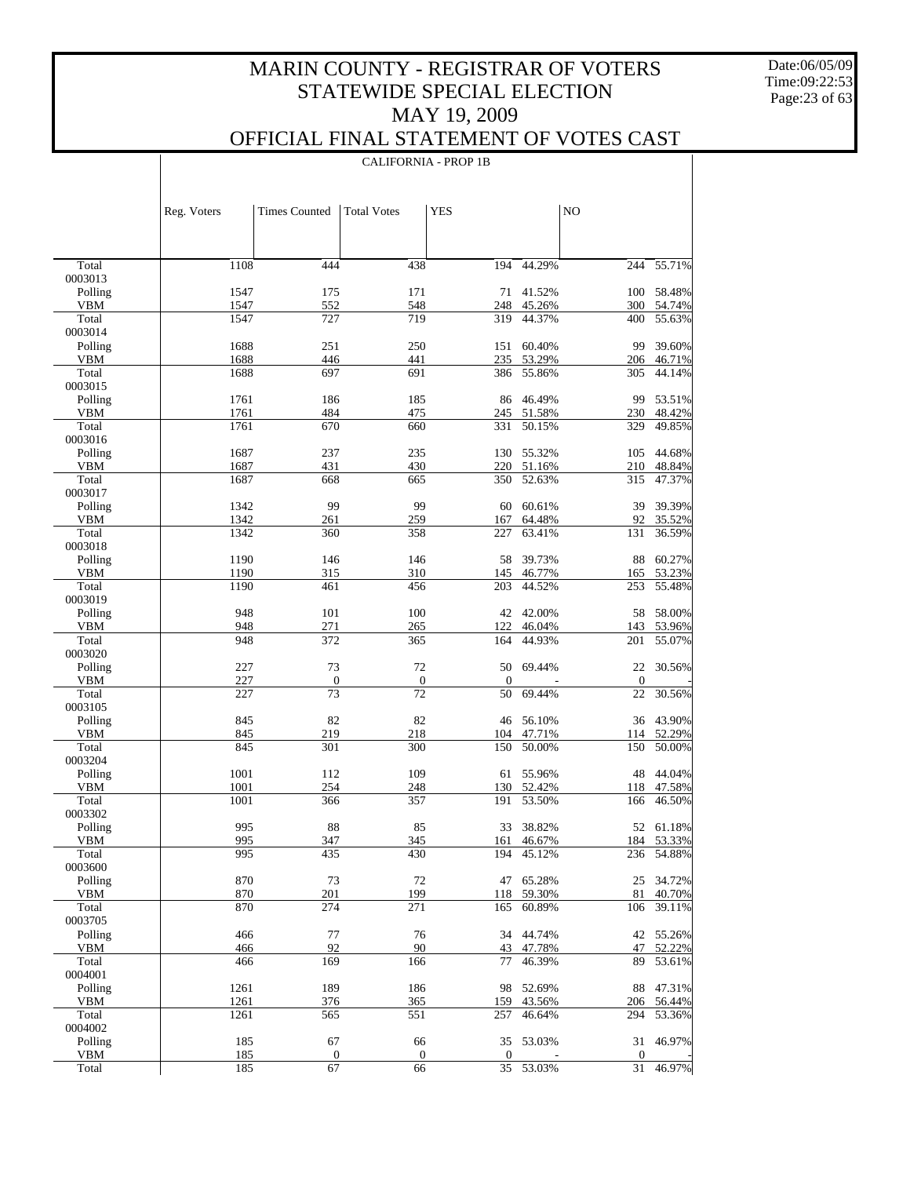Date:06/05/09 Time:09:22:53 Page:23 of 63

### OFFICIAL FINAL STATEMENT OF VOTES CAST

|                       | Reg. Voters  | <b>Times Counted</b> | <b>Total Votes</b> | <b>YES</b>       |                      | NO               |                      |
|-----------------------|--------------|----------------------|--------------------|------------------|----------------------|------------------|----------------------|
|                       |              |                      |                    |                  |                      |                  |                      |
| Total                 | 1108         | 444                  | 438                | 194              | 44.29%               | 244              | 55.71%               |
| 0003013               |              |                      |                    |                  |                      |                  |                      |
| Polling               | 1547         | 175                  | 171                | 71               | 41.52%               | 100              | 58.48%               |
| <b>VBM</b><br>Total   | 1547<br>1547 | 552<br>727           | 548<br>719         | 319              | 248 45.26%<br>44.37% | 300<br>400       | 54.74%               |
| 0003014               |              |                      |                    |                  |                      |                  | 55.63%               |
| Polling               | 1688         | 251                  | 250                | 151              | 60.40%               | 99               | 39.60%               |
| <b>VBM</b>            | 1688         | 446                  | 441                | 235              | 53.29%               |                  | 206 46.71%           |
| Total                 | 1688         | 697                  | 691                | 386              | 55.86%               | 305              | 44.14%               |
| 0003015               |              |                      |                    |                  |                      |                  |                      |
| Polling               | 1761         | 186                  | 185                | 86               | 46.49%               | 99               | 53.51%               |
| <b>VBM</b>            | 1761         | 484                  | 475                | 245              | 51.58%               | 230              | 48.42%               |
| Total                 | 1761         | 670                  | 660                | 331              | 50.15%               | 329              | 49.85%               |
| 0003016               |              |                      |                    |                  |                      |                  |                      |
| Polling               | 1687         | 237                  | 235                | 130              | 55.32%               | 105              | 44.68%               |
| VBM<br>Total          | 1687<br>1687 | 431<br>668           | 430<br>665         | 220<br>350       | 51.16%<br>52.63%     | 210<br>315       | 48.84%               |
| 0003017               |              |                      |                    |                  |                      |                  | 47.37%               |
| Polling               | 1342         | 99                   | 99                 | 60               | 60.61%               | 39               | 39.39%               |
| VBM                   | 1342         | 261                  | 259                | 167              | 64.48%               | 92               | 35.52%               |
| Total                 | 1342         | 360                  | 358                | 227              | 63.41%               | 131              | 36.59%               |
| 0003018               |              |                      |                    |                  |                      |                  |                      |
| Polling               | 1190         | 146                  | 146                | 58               | 39.73%               | 88               | 60.27%               |
| <b>VBM</b>            | 1190         | 315                  | 310                | 145              | 46.77%               | 165              | 53.23%               |
| Total                 | 1190         | 461                  | 456                | 203              | 44.52%               | 253              | 55.48%               |
| 0003019               |              |                      |                    |                  |                      |                  |                      |
| Polling               | 948          | 101                  | 100                |                  | 42 42.00%            | 58               | 58.00%               |
| VBM<br>Total          | 948<br>948   | 271<br>372           | 265<br>365         | 122              | 46.04%<br>44.93%     | 143<br>201       | 53.96%<br>55.07%     |
| 0003020               |              |                      |                    | 164              |                      |                  |                      |
| Polling               | 227          | 73                   | 72                 | 50               | 69.44%               | 22               | 30.56%               |
| VBM                   | 227          | $\boldsymbol{0}$     | $\boldsymbol{0}$   | $\boldsymbol{0}$ |                      | $\boldsymbol{0}$ |                      |
| Total                 | 227          | 73                   | $\overline{72}$    | 50               | 69.44%               | 22               | 30.56%               |
| 0003105               |              |                      |                    |                  |                      |                  |                      |
| Polling               | 845          | 82                   | 82                 | 46               | 56.10%               |                  | 36 43.90%            |
| VBM                   | 845          | 219                  | 218                | 104              | 47.71%               | 114              | 52.29%               |
| Total                 | 845          | 301                  | 300                | 150              | 50.00%               | 150              | 50.00%               |
| 0003204               |              |                      |                    |                  |                      |                  |                      |
| Polling               | 1001<br>1001 | 112<br>254           | 109                | 61               | 55.96%<br>52.42%     |                  | 48 44.04%            |
| <b>VBM</b><br>Total   | 1001         | 366                  | 248<br>357         | 130<br>191       | 53.50%               | 166              | 118 47.58%<br>46.50% |
| 0003302               |              |                      |                    |                  |                      |                  |                      |
| Polling               | 995          | 88                   | 85                 | 33               | 38.82%               |                  | 52 61.18%            |
| VBM                   | 995          | 347                  | 345                |                  | 161 46.67%           |                  | 184 53.33%           |
| Total                 | 995          | 435                  | 430                | 194              | 45.12%               | 236              | 54.88%               |
| 0003600               |              |                      |                    |                  |                      |                  |                      |
| Polling               | 870          | 73                   | 72                 | 47               | 65.28%               | 25               | 34.72%               |
| <b>VBM</b>            | 870          | 201                  | 199                | 118              | 59.30%               | 81               | 40.70%               |
| Total                 | 870          | 274                  | 271                | 165              | 60.89%               | 106              | 39.11%               |
| 0003705               |              |                      |                    |                  |                      |                  | 55.26%               |
| Polling<br><b>VBM</b> | 466<br>466   | 77<br>92             | 76<br>90           | 34<br>43         | 44.74%<br>47.78%     | 42<br>47         | 52.22%               |
| Total                 | 466          | 169                  | 166                | 77               | 46.39%               | 89               | 53.61%               |
| 0004001               |              |                      |                    |                  |                      |                  |                      |
| Polling               | 1261         | 189                  | 186                | 98               | 52.69%               | 88               | 47.31%               |
| <b>VBM</b>            | 1261         | 376                  | 365                | 159              | 43.56%               | 206              | 56.44%               |
| Total                 | 1261         | 565                  | 551                | 257              | 46.64%               | 294              | 53.36%               |
| 0004002               |              |                      |                    |                  |                      |                  |                      |
| Polling               | 185          | 67                   | 66                 | 35               | 53.03%               | 31               | 46.97%               |
| <b>VBM</b>            | 185          | $\boldsymbol{0}$     | $\boldsymbol{0}$   | $\boldsymbol{0}$ |                      | $\mathbf{0}$     |                      |
| Total                 | 185          | 67                   | 66                 | 35               | 53.03%               | 31               | 46.97%               |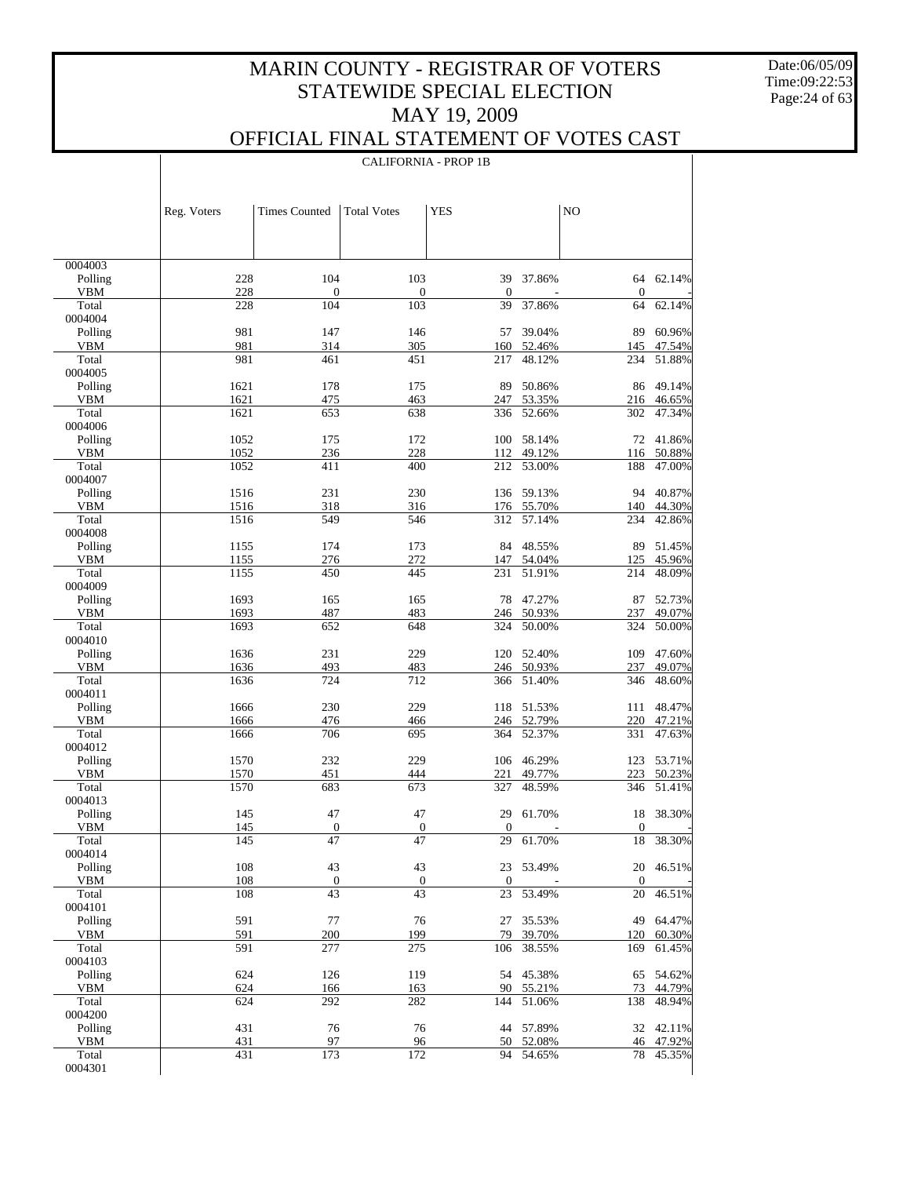Date:06/05/09 Time:09:22:53 Page:24 of 63

 $\perp$ 

|                       |              | <b>CALIFORNIA - PROP 1B</b>       |                                   |                        |                  |                                     |                  |  |
|-----------------------|--------------|-----------------------------------|-----------------------------------|------------------------|------------------|-------------------------------------|------------------|--|
|                       |              |                                   |                                   |                        |                  |                                     |                  |  |
|                       |              |                                   |                                   |                        |                  |                                     |                  |  |
|                       | Reg. Voters  | <b>Times Counted</b>              | <b>Total Votes</b>                | <b>YES</b>             |                  | NO                                  |                  |  |
|                       |              |                                   |                                   |                        |                  |                                     |                  |  |
|                       |              |                                   |                                   |                        |                  |                                     |                  |  |
| 0004003               |              |                                   |                                   |                        |                  |                                     |                  |  |
| Polling<br><b>VBM</b> | 228<br>228   | 104<br>$\boldsymbol{0}$           | 103<br>$\boldsymbol{0}$           | 39<br>$\mathbf{0}$     | 37.86%           | 64<br>$\mathbf{0}$                  | 62.14%           |  |
| Total                 | 228          | 104                               | 103                               | 39                     | 37.86%           | 64                                  | 62.14%           |  |
| 0004004               |              |                                   |                                   |                        |                  |                                     |                  |  |
| Polling<br><b>VBM</b> | 981<br>981   | 147<br>314                        | 146<br>305                        | 57<br>160              | 39.04%<br>52.46% | 89<br>145                           | 60.96%<br>47.54% |  |
| Total                 | 981          | 461                               | 451                               | 217                    | 48.12%           | 234                                 | 51.88%           |  |
| 0004005               |              |                                   |                                   |                        |                  |                                     |                  |  |
| Polling<br><b>VBM</b> | 1621<br>1621 | 178<br>475                        | 175<br>463                        | 89<br>247              | 50.86%<br>53.35% | 86<br>216                           | 49.14%<br>46.65% |  |
| Total                 | 1621         | 653                               | 638                               | 336                    | 52.66%           | 302                                 | 47.34%           |  |
| 0004006               |              |                                   |                                   |                        |                  |                                     |                  |  |
| Polling<br><b>VBM</b> | 1052<br>1052 | 175<br>236                        | 172<br>228                        | 100<br>112             | 58.14%<br>49.12% | 72<br>116                           | 41.86%<br>50.88% |  |
| Total                 | 1052         | 411                               | 400                               | 212                    | 53.00%           | 188                                 | 47.00%           |  |
| 0004007               |              |                                   |                                   |                        |                  |                                     |                  |  |
| Polling<br><b>VBM</b> | 1516<br>1516 | 231<br>318                        | 230<br>316                        | 136<br>176             | 59.13%<br>55.70% | 94<br>140                           | 40.87%<br>44.30% |  |
| Total                 | 1516         | 549                               | 546                               | 312                    | 57.14%           | 234                                 | 42.86%           |  |
| 0004008               |              |                                   |                                   |                        |                  |                                     |                  |  |
| Polling               | 1155         | 174                               | 173                               | 84                     | 48.55%           | 89                                  | 51.45%           |  |
| <b>VBM</b><br>Total   | 1155<br>1155 | 276<br>450                        | 272<br>445                        | 147<br>231             | 54.04%<br>51.91% | 125<br>214                          | 45.96%<br>48.09% |  |
| 0004009               |              |                                   |                                   |                        |                  |                                     |                  |  |
| Polling               | 1693         | 165                               | 165                               | 78                     | 47.27%           | 87                                  | 52.73%           |  |
| <b>VBM</b><br>Total   | 1693<br>1693 | 487<br>652                        | 483<br>648                        | 246<br>324             | 50.93%<br>50.00% | 237<br>324                          | 49.07%<br>50.00% |  |
| 0004010               |              |                                   |                                   |                        |                  |                                     |                  |  |
| Polling               | 1636         | 231                               | 229                               | 120                    | 52.40%           | 109                                 | 47.60%           |  |
| <b>VBM</b><br>Total   | 1636<br>1636 | 493<br>724                        | 483<br>712                        | 246<br>366             | 50.93%<br>51.40% | 237<br>346                          | 49.07%<br>48.60% |  |
| 0004011               |              |                                   |                                   |                        |                  |                                     |                  |  |
| Polling               | 1666         | 230                               | 229                               | 118                    | 51.53%           | 111                                 | 48.47%           |  |
| <b>VBM</b><br>Total   | 1666<br>1666 | 476<br>706                        | 466<br>695                        | 246<br>364             | 52.79%<br>52.37% | 220<br>331                          | 47.21%<br>47.63% |  |
| 0004012               |              |                                   |                                   |                        |                  |                                     |                  |  |
| Polling               | 1570         | 232                               | 229                               | 106                    | 46.29%           | 123                                 | 53.71%           |  |
| <b>VBM</b><br>Total   | 1570<br>1570 | 451<br>683                        | 444<br>673                        | 221<br>327             | 49.77%<br>48.59% | 223<br>346                          | 50.23%<br>51.41% |  |
| 0004013               |              |                                   |                                   |                        |                  |                                     |                  |  |
| Polling               | 145          | 47                                | 47                                |                        | 29 61.70%        |                                     | 18 38.30%        |  |
| VBM<br>Total          | 145<br>145   | $\overline{0}$<br>$\overline{47}$ | $\overline{0}$<br>$\overline{47}$ | $\boldsymbol{0}$<br>29 | 61.70%           | $\boldsymbol{0}$<br>$\overline{18}$ | 38.30%           |  |
| 0004014               |              |                                   |                                   |                        |                  |                                     |                  |  |
| Polling               | 108          | 43                                | 43                                | 23                     | 53.49%           | 20                                  | 46.51%           |  |
| VBM<br>Total          | 108<br>108   | $\boldsymbol{0}$<br>43            | $\boldsymbol{0}$<br>43            | $\boldsymbol{0}$<br>23 | 53.49%           | $\boldsymbol{0}$<br>$20\,$          | 46.51%           |  |
| 0004101               |              |                                   |                                   |                        |                  |                                     |                  |  |
| Polling               | 591          | 77                                | 76                                | 27                     | 35.53%           | 49                                  | 64.47%           |  |
| VBM<br>Total          | 591<br>591   | 200                               | 199<br>275                        | 79                     | 39.70%           | 120                                 | 60.30%<br>61.45% |  |
| 0004103               |              | 277                               |                                   | 106                    | 38.55%           | 169                                 |                  |  |
| Polling               | 624          | 126                               | 119                               | 54                     | 45.38%           | 65                                  | 54.62%           |  |
| VBM                   | 624          | 166                               | 163                               | 90                     | 55.21%           | 73                                  | 44.79%           |  |
| Total<br>0004200      | 624          | 292                               | 282                               | 144                    | 51.06%           | 138                                 | 48.94%           |  |
| Polling               | 431          | 76                                | 76                                | 44                     | 57.89%           | 32                                  | 42.11%           |  |
| VBM                   | 431          | 97                                | 96                                | 50                     | 52.08%           | 46                                  | 47.92%           |  |
| Total<br>0004301      | 431          | 173                               | 172                               | 94                     | 54.65%           | 78                                  | 45.35%           |  |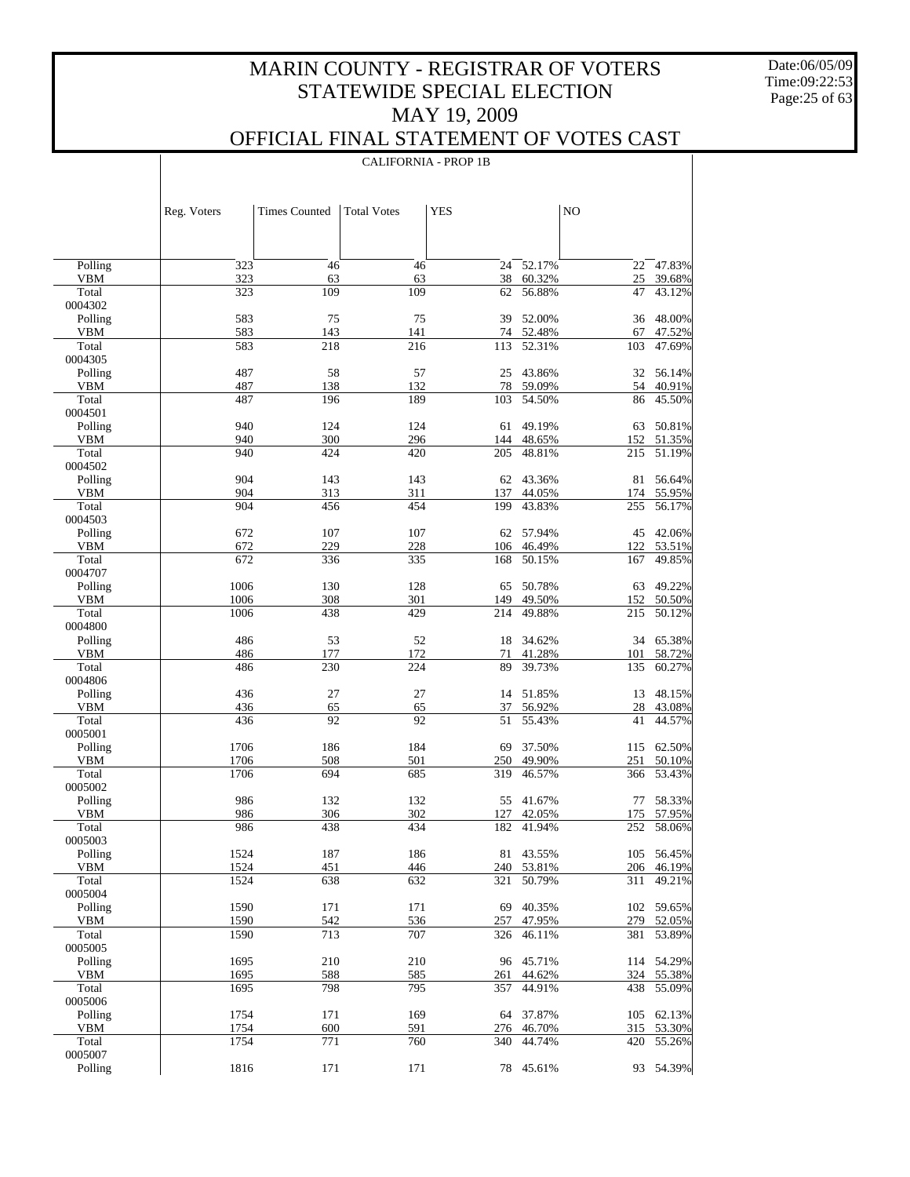Date:06/05/09 Time:09:22:53 Page:25 of 63

 $\perp$ 

|                       |              | <b>CALIFORNIA - PROP 1B</b> |                    |            |                  |            |                  |
|-----------------------|--------------|-----------------------------|--------------------|------------|------------------|------------|------------------|
|                       |              |                             |                    |            |                  |            |                  |
|                       | Reg. Voters  | <b>Times Counted</b>        | <b>Total Votes</b> | <b>YES</b> |                  | NO         |                  |
|                       |              |                             |                    |            |                  |            |                  |
| Polling               | 323          | 46                          | 46                 | 24         | 52.17%           | 22         | 47.83%           |
| <b>VBM</b>            | 323          | 63                          | 63                 | 38         | 60.32%           | 25         | 39.68%           |
| Total<br>0004302      | 323          | 109                         | 109                | 62         | 56.88%           | 47         | 43.12%           |
| Polling               | 583          | 75                          | 75                 | 39         | 52.00%           | 36         | 48.00%           |
| <b>VBM</b>            | 583          | 143                         | 141                |            | 74 52.48%        | 67         | 47.52%           |
| Total<br>0004305      | 583          | 218                         | 216                | 113        | 52.31%           | 103        | 47.69%           |
| Polling               | 487          | 58                          | 57                 | 25         | 43.86%           | 32         | 56.14%           |
| <b>VBM</b>            | 487          | 138                         | 132                | 78         | 59.09%           | 54         | 40.91%           |
| Total                 | 487          | 196                         | 189                | 103        | 54.50%           | 86         | 45.50%           |
| 0004501<br>Polling    | 940          | 124                         | 124                | 61         | 49.19%           | 63         | 50.81%           |
| <b>VBM</b>            | 940          | 300                         | 296                | 144        | 48.65%           | 152        | 51.35%           |
| Total                 | 940          | 424                         | 420                | 205        | 48.81%           | 215        | 51.19%           |
| 0004502               |              |                             |                    |            |                  |            |                  |
| Polling<br><b>VBM</b> | 904<br>904   | 143<br>313                  | 143<br>311         | 62         | 43.36%<br>44.05% | 81         | 56.64%           |
| Total                 | 904          | 456                         | 454                | 137<br>199 | 43.83%           | 174<br>255 | 55.95%<br>56.17% |
| 0004503               |              |                             |                    |            |                  |            |                  |
| Polling               | 672          | 107                         | 107                |            | 62 57.94%        | 45         | 42.06%           |
| <b>VBM</b><br>Total   | 672<br>672   | 229                         | 228                | 106<br>168 | 46.49%<br>50.15% | 122        | 53.51%           |
| 0004707               |              | 336                         | 335                |            |                  | 167        | 49.85%           |
| Polling               | 1006         | 130                         | 128                | 65         | 50.78%           | 63         | 49.22%           |
| <b>VBM</b>            | 1006         | 308                         | 301                | 149        | 49.50%           | 152        | 50.50%           |
| Total<br>0004800      | 1006         | 438                         | 429                | 214        | 49.88%           | 215        | 50.12%           |
| Polling               | 486          | 53                          | 52                 | 18         | 34.62%           | 34         | 65.38%           |
| <b>VBM</b><br>Total   | 486<br>486   | 177<br>230                  | 172<br>224         | 71<br>89   | 41.28%<br>39.73% | 101<br>135 | 58.72%<br>60.27% |
| 0004806               |              |                             |                    |            |                  |            |                  |
| Polling               | 436          | 27                          | 27                 | 14         | 51.85%           | 13         | 48.15%           |
| <b>VBM</b>            | 436          | 65                          | 65                 | 37         | 56.92%           | 28         | 43.08%           |
| Total<br>0005001      | 436          | 92                          | 92                 | 51         | 55.43%           | 41         | 44.57%           |
| Polling               | 1706         | 186                         | 184                | 69         | 37.50%           | 115        | 62.50%           |
| <b>VBM</b>            | 1706         | 508                         | 501                | 250        | 49.90%           | 251        | 50.10%           |
| Total                 | 1706         | 694                         | 685                | 319        | 46.57%           | 366        | 53.43%           |
| 0005002<br>Polling    | 986          | 132                         | 132                |            | 55 41.67%        | 77         | 58.33%           |
| VBM                   | 986          | 306                         | 302                |            | 127 42.05%       |            | 175 57.95%       |
| Total                 | 986          | 438                         | 434                | 182        | 41.94%           | 252        | 58.06%           |
| 0005003               |              |                             |                    |            |                  |            |                  |
| Polling<br>VBM        | 1524<br>1524 | 187<br>451                  | 186<br>446         | 81<br>240  | 43.55%<br>53.81% | 105<br>206 | 56.45%<br>46.19% |
| Total                 | 1524         | 638                         | 632                | 321        | 50.79%           | 311        | 49.21%           |
| 0005004               |              |                             |                    |            |                  |            |                  |
| Polling               | 1590         | 171                         | 171                | 69         | 40.35%           | 102        | 59.65%           |
| VBM<br>Total          | 1590<br>1590 | 542<br>713                  | 536<br>707         | 257<br>326 | 47.95%<br>46.11% | 279<br>381 | 52.05%<br>53.89% |
| 0005005               |              |                             |                    |            |                  |            |                  |
| Polling               | 1695         | 210                         | 210                | 96         | 45.71%           | 114        | 54.29%           |
| VBM                   | 1695         | 588                         | 585                | 261        | 44.62%           | 324        | 55.38%           |
| Total<br>0005006      | 1695         | 798                         | 795                | 357        | 44.91%           | 438        | 55.09%           |
| Polling               | 1754         | 171                         | 169                | 64         | 37.87%           | 105        | 62.13%           |
| VBM<br>Total          | 1754<br>1754 | 600<br>771                  | 591<br>760         | 276<br>340 | 46.70%<br>44.74% | 315<br>420 | 53.30%<br>55.26% |
| 0005007               |              |                             |                    |            |                  |            |                  |
| Polling               | 1816         | 171                         | 171                | 78         | 45.61%           | 93         | 54.39%           |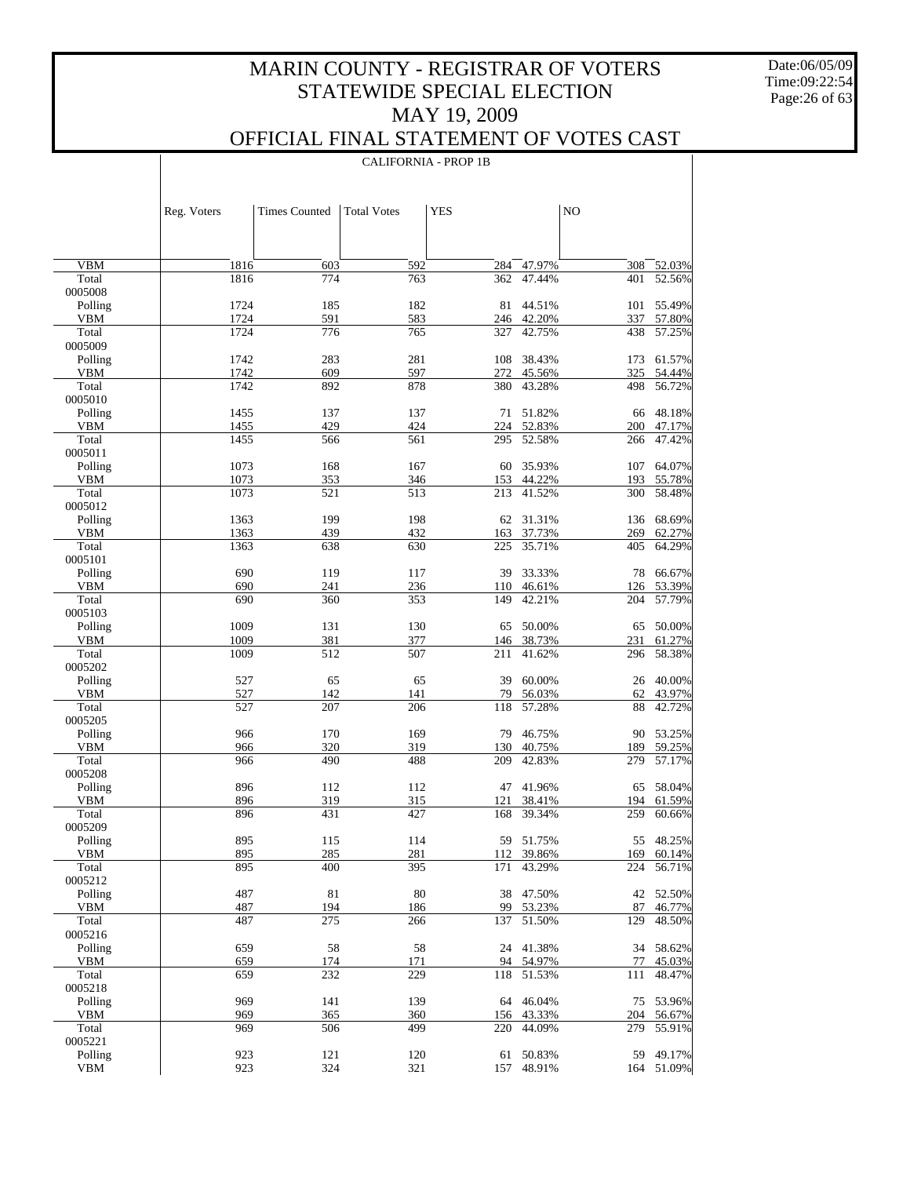Date:06/05/09 Time:09:22:54 Page:26 of 63

 $\overline{\phantom{a}}$ 

### OFFICIAL FINAL STATEMENT OF VOTES CAST

CALIFORNIA - PROP 1B

|                       | Reg. Voters  | <b>Times Counted</b> | <b>Total Votes</b> | <b>YES</b> |                      | NO         |                      |
|-----------------------|--------------|----------------------|--------------------|------------|----------------------|------------|----------------------|
|                       |              |                      |                    |            |                      |            |                      |
|                       |              |                      |                    |            |                      |            |                      |
| <b>VBM</b>            | 1816         | 603                  | 592                | 284        | 47.97%               | 308        | 52.03%               |
| Total                 | 1816         | 774                  | 763                | 362        | 47.44%               | 401        | 52.56%               |
| 0005008               |              |                      |                    |            |                      |            |                      |
| Polling<br><b>VBM</b> | 1724<br>1724 | 185<br>591           | 182<br>583         | 81         | 44.51%<br>246 42.20% | 101<br>337 | 55.49%<br>57.80%     |
| Total                 | 1724         | 776                  | 765                | 327        | 42.75%               | 438        | 57.25%               |
| 0005009               |              |                      |                    |            |                      |            |                      |
| Polling               | 1742         | 283                  | 281                | 108        | 38.43%               | 173        | 61.57%               |
| <b>VBM</b>            | 1742         | 609                  | 597                | 272        | 45.56%               | 325        | 54.44%               |
| Total<br>0005010      | 1742         | 892                  | 878                | 380        | 43.28%               | 498        | 56.72%               |
| Polling               | 1455         | 137                  | 137                | 71         | 51.82%               | 66         | 48.18%               |
| <b>VBM</b>            | 1455         | 429                  | 424                | 224        | 52.83%               | 200        | 47.17%               |
| Total                 | 1455         | 566                  | 561                | 295        | 52.58%               | 266        | 47.42%               |
| 0005011               |              |                      |                    |            |                      |            |                      |
| Polling               | 1073         | 168                  | 167                | 60         | 35.93%               | 107        | 64.07%               |
| <b>VBM</b>            | 1073<br>1073 | 353                  | 346                | 153        | 44.22%               | 193        | 55.78%               |
| Total<br>0005012      |              | 521                  | 513                | 213        | 41.52%               | 300        | 58.48%               |
| Polling               | 1363         | 199                  | 198                |            | 62 31.31%            |            | 136 68.69%           |
| <b>VBM</b>            | 1363         | 439                  | 432                | 163        | 37.73%               | 269        | 62.27%               |
| Total                 | 1363         | 638                  | 630                | 225        | 35.71%               | 405        | 64.29%               |
| 0005101               |              |                      |                    |            |                      |            |                      |
| Polling               | 690          | 119                  | 117                | 39         | 33.33%               |            | 78 66.67%            |
| <b>VBM</b><br>Total   | 690<br>690   | 241<br>360           | 236<br>353         | 110<br>149 | 46.61%<br>42.21%     | 126<br>204 | 53.39%<br>57.79%     |
| 0005103               |              |                      |                    |            |                      |            |                      |
| Polling               | 1009         | 131                  | 130                | 65         | 50.00%               | 65         | 50.00%               |
| <b>VBM</b>            | 1009         | 381                  | 377                | 146        | 38.73%               | 231        | 61.27%               |
| Total                 | 1009         | 512                  | 507                | 211        | 41.62%               | 296        | 58.38%               |
| 0005202               |              |                      |                    |            |                      |            |                      |
| Polling<br><b>VBM</b> | 527<br>527   | 65<br>142            | 65<br>141          | 39<br>79   | 60.00%<br>56.03%     | 26<br>62   | 40.00%<br>43.97%     |
| Total                 | 527          | 207                  | 206                | 118        | 57.28%               | 88         | 42.72%               |
| 0005205               |              |                      |                    |            |                      |            |                      |
| Polling               | 966          | 170                  | 169                | 79         | 46.75%               | 90         | 53.25%               |
| <b>VBM</b>            | 966          | 320                  | 319                | 130        | 40.75%               | 189        | 59.25%               |
| Total<br>0005208      | 966          | 490                  | 488                | 209        | 42.83%               | 279        | 57.17%               |
| Polling               | 896          | 112                  | 112                | 47         | 41.96%               | 65         | 58.04%               |
| <b>VBM</b>            | 896          | 319                  | 315                | 121        | 38.41%               | 194        | 61.59%               |
| Total                 | 896          | 431                  | 427                | 168        | 39.34%               | 259        | 60.66%               |
| 0005209               |              |                      |                    |            |                      |            |                      |
| Polling               | 895          | 115                  | 114                |            | 59 51.75%            | 55         | 48.25%               |
| VBM                   | 895          | 285                  | 281                |            | 112 39.86%           |            | 169 60.14%           |
| Total<br>0005212      | 895          | 400                  | 395                | 171        | 43.29%               | 224        | 56.71%               |
| Polling               | 487          | 81                   | 80                 | 38         | 47.50%               |            | 42 52.50%            |
| VBM                   | 487          | 194                  | 186                | 99         | 53.23%               | 87         | 46.77%               |
| Total                 | 487          | 275                  | 266                | 137        | 51.50%               | 129        | 48.50%               |
| 0005216               |              |                      |                    |            |                      |            |                      |
| Polling               | 659          | 58                   | 58                 | 24         | 41.38%               | 34         | 58.62%               |
| VBM<br>Total          | 659<br>659   | 174<br>232           | 171<br>229         | 94<br>118  | 54.97%<br>51.53%     | 77<br>111  | 45.03%<br>48.47%     |
| 0005218               |              |                      |                    |            |                      |            |                      |
| Polling               | 969          | 141                  | 139                | 64         | 46.04%               | 75         | 53.96%               |
| VBM                   | 969          | 365                  | 360                |            | 156 43.33%           | 204        | 56.67%               |
| Total                 | 969          | 506                  | 499                | 220        | 44.09%               | 279        | 55.91%               |
| 0005221               |              |                      |                    |            |                      |            |                      |
| Polling<br><b>VBM</b> | 923<br>923   | 121<br>324           | 120<br>321         | 61<br>157  | 50.83%<br>48.91%     | 59         | 49.17%<br>164 51.09% |
|                       |              |                      |                    |            |                      |            |                      |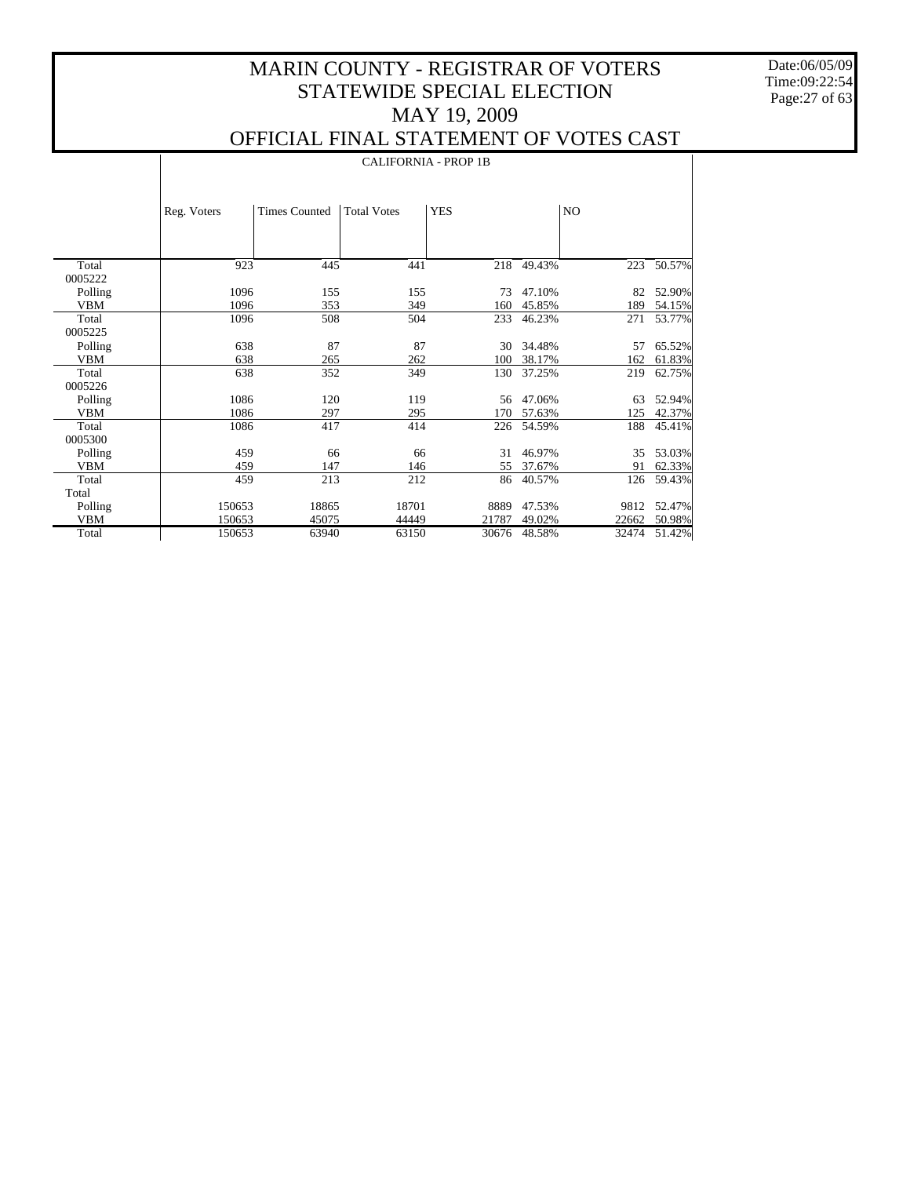Date:06/05/09 Time:09:22:54 Page:27 of 63

 $\mathbf{I}$ 

|            |             | <b>CALIFORNIA - PROP 1B</b> |                    |            |        |       |        |  |  |
|------------|-------------|-----------------------------|--------------------|------------|--------|-------|--------|--|--|
|            | Reg. Voters | <b>Times Counted</b>        | <b>Total Votes</b> | <b>YES</b> |        | NO.   |        |  |  |
| Total      | 923         | 445                         | 441                | 218        | 49.43% | 223   | 50.57% |  |  |
| 0005222    |             |                             |                    |            |        |       |        |  |  |
| Polling    | 1096        | 155                         | 155                | 73         | 47.10% | 82    | 52.90% |  |  |
| <b>VBM</b> | 1096        | 353                         | 349                | 160        | 45.85% | 189   | 54.15% |  |  |
| Total      | 1096        | 508                         | 504                | 233        | 46.23% | 271   | 53.77% |  |  |
| 0005225    |             |                             |                    |            |        |       |        |  |  |
| Polling    | 638         | 87                          | 87                 | 30         | 34.48% | 57    | 65.52% |  |  |
| <b>VBM</b> | 638         | 265                         | 262                | 100        | 38.17% | 162   | 61.83% |  |  |
| Total      | 638         | 352                         | 349                | 130        | 37.25% | 219   | 62.75% |  |  |
| 0005226    |             |                             |                    |            |        |       |        |  |  |
| Polling    | 1086        | 120                         | 119                | 56         | 47.06% | 63    | 52.94% |  |  |
| <b>VBM</b> | 1086        | 297                         | 295                | 170        | 57.63% | 125   | 42.37% |  |  |
| Total      | 1086        | 417                         | 414                | 226        | 54.59% | 188   | 45.41% |  |  |
| 0005300    |             |                             |                    |            |        |       |        |  |  |
| Polling    | 459         | 66                          | 66                 | 31         | 46.97% | 35    | 53.03% |  |  |
| <b>VBM</b> | 459         | 147                         | 146                | 55         | 37.67% | 91    | 62.33% |  |  |
| Total      | 459         | 213                         | 212                | 86         | 40.57% | 126   | 59.43% |  |  |
| Total      |             |                             |                    |            |        |       |        |  |  |
| Polling    | 150653      | 18865                       | 18701              | 8889       | 47.53% | 9812  | 52.47% |  |  |
| <b>VBM</b> | 150653      | 45075                       | 44449              | 21787      | 49.02% | 22662 | 50.98% |  |  |
| Total      | 150653      | 63940                       | 63150              | 30676      | 48.58% | 32474 | 51.42% |  |  |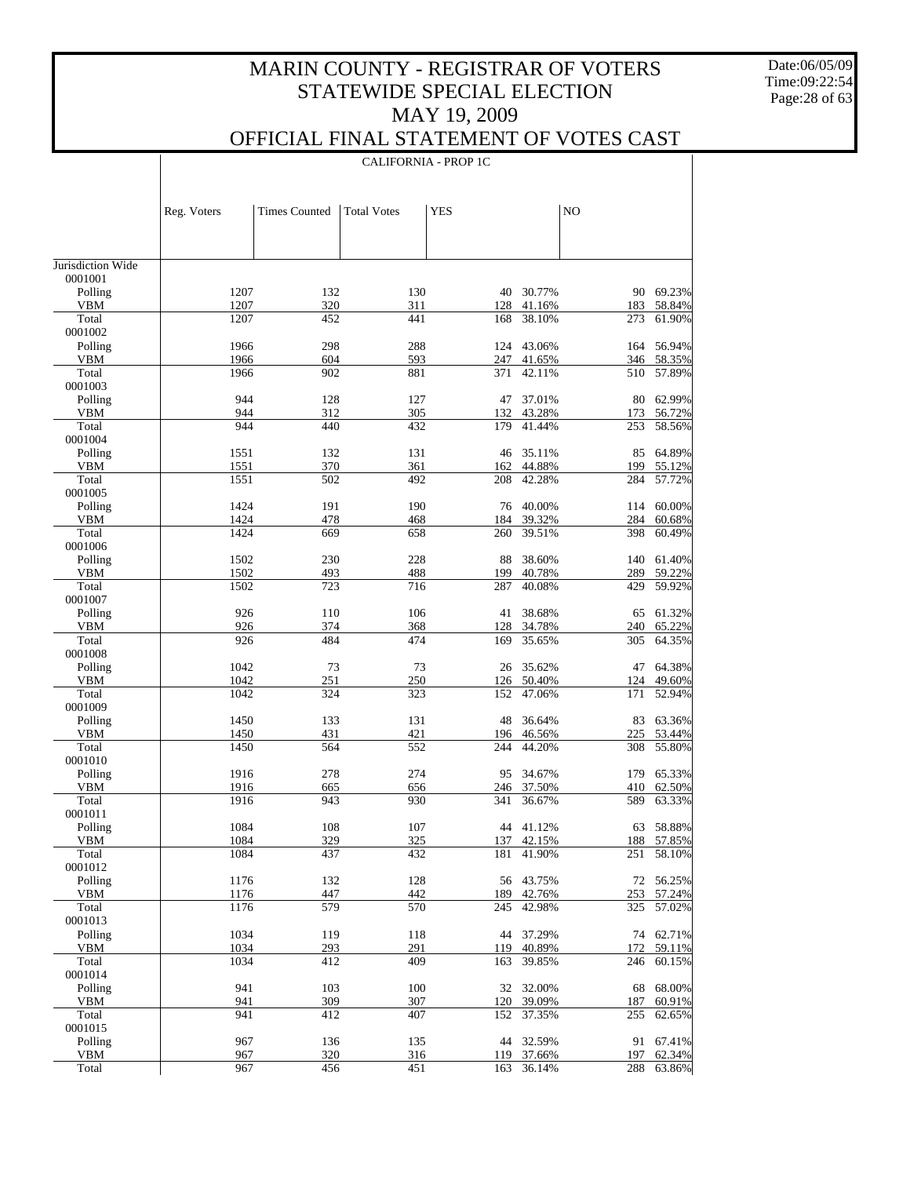Date:06/05/09 Time:09:22:54 Page:28 of 63

 $\perp$ 

|                              |              | <b>CALIFORNIA - PROP 1C</b> |                    |            |                  |                |                  |  |
|------------------------------|--------------|-----------------------------|--------------------|------------|------------------|----------------|------------------|--|
|                              |              |                             |                    |            |                  |                |                  |  |
|                              |              |                             |                    |            |                  |                |                  |  |
|                              | Reg. Voters  | <b>Times Counted</b>        | <b>Total Votes</b> | <b>YES</b> |                  | N <sub>O</sub> |                  |  |
|                              |              |                             |                    |            |                  |                |                  |  |
|                              |              |                             |                    |            |                  |                |                  |  |
| Jurisdiction Wide<br>0001001 |              |                             |                    |            |                  |                |                  |  |
| Polling                      | 1207         | 132                         | 130                | 40         | 30.77%           | 90             | 69.23%           |  |
| VBM                          | 1207         | 320                         | 311                | 128        | 41.16%           | 183            | 58.84%           |  |
| Total<br>0001002             | 1207         | 452                         | 441                | 168        | 38.10%           | 273            | 61.90%           |  |
| Polling                      | 1966         | 298                         | 288                | 124        | 43.06%           | 164            | 56.94%           |  |
| VBM                          | 1966         | 604                         | 593                | 247        | 41.65%           | 346            | 58.35%           |  |
| Total                        | 1966         | 902                         | 881                | 371        | 42.11%           | 510            | 57.89%           |  |
| 0001003<br>Polling           | 944          | 128                         | 127                | 47         | 37.01%           | 80             | 62.99%           |  |
| VBM                          | 944          | 312                         | 305                | 132        | 43.28%           | 173            | 56.72%           |  |
| Total                        | 944          | 440                         | 432                | 179        | 41.44%           | 253            | 58.56%           |  |
| 0001004                      |              |                             |                    |            |                  |                |                  |  |
| Polling<br><b>VBM</b>        | 1551<br>1551 | 132<br>370                  | 131<br>361         | 46<br>162  | 35.11%<br>44.88% | 85<br>199      | 64.89%<br>55.12% |  |
| Total                        | 1551         | 502                         | 492                | 208        | 42.28%           | 284            | 57.72%           |  |
| 0001005                      |              |                             |                    |            |                  |                |                  |  |
| Polling                      | 1424         | 191                         | 190                | 76         | 40.00%           | 114            | 60.00%           |  |
| <b>VBM</b>                   | 1424         | 478                         | 468                | 184        | 39.32%           | 284            | 60.68%           |  |
| Total                        | 1424         | 669                         | 658                | 260        | 39.51%           | 398            | 60.49%           |  |
| 0001006<br>Polling           | 1502         | 230                         | 228                | 88         | 38.60%           | 140            | 61.40%           |  |
| <b>VBM</b>                   | 1502         | 493                         | 488                | 199        | 40.78%           | 289            | 59.22%           |  |
| Total                        | 1502         | 723                         | 716                | 287        | 40.08%           | 429            | 59.92%           |  |
| 0001007                      |              |                             |                    |            |                  |                |                  |  |
| Polling                      | 926          | 110                         | 106                | 41         | 38.68%           | 65             | 61.32%           |  |
| <b>VBM</b><br>Total          | 926<br>926   | 374<br>484                  | 368<br>474         | 128<br>169 | 34.78%<br>35.65% | 240<br>305     | 65.22%<br>64.35% |  |
| 0001008                      |              |                             |                    |            |                  |                |                  |  |
| Polling                      | 1042         | 73                          | 73                 | 26         | 35.62%           | 47             | 64.38%           |  |
| <b>VBM</b>                   | 1042         | 251                         | 250                | 126        | 50.40%           | 124            | 49.60%           |  |
| Total                        | 1042         | 324                         | 323                | 152        | 47.06%           | 171            | 52.94%           |  |
| 0001009                      |              |                             |                    |            |                  |                |                  |  |
| Polling<br><b>VBM</b>        | 1450<br>1450 | 133<br>431                  | 131<br>421         | 48<br>196  | 36.64%<br>46.56% | 83<br>225      | 63.36%<br>53.44% |  |
| Total                        | 1450         | 564                         | 552                | 244        | 44.20%           | 308            | 55.80%           |  |
| 0001010                      |              |                             |                    |            |                  |                |                  |  |
| Polling                      | 1916         | 278                         | 274                | 95         | 34.67%           | 179            | 65.33%           |  |
| VBM                          | 1916         | 665                         | 656                | 246        | 37.50%           | 410            | 62.50%           |  |
| Total<br>0001011             | 1916         | 943                         | 930                | 341        | 36.67%           | 589            | 63.33%           |  |
| Polling                      | 1084         | 108                         | 107                |            | 44 41.12%        | 63             | 58.88%           |  |
| <b>VBM</b>                   | 1084         | 329                         | 325                | 137        | 42.15%           | 188            | 57.85%           |  |
| Total                        | 1084         | 437                         | 432                | 181        | 41.90%           | 251            | 58.10%           |  |
| 0001012                      |              |                             |                    |            |                  |                |                  |  |
| Polling                      | 1176         | 132                         | 128                | 56         | 43.75%           | 72             | 56.25%           |  |
| VBM<br>Total                 | 1176<br>1176 | 447<br>579                  | 442<br>570         | 189<br>245 | 42.76%<br>42.98% | 253<br>325     | 57.24%<br>57.02% |  |
| 0001013                      |              |                             |                    |            |                  |                |                  |  |
| Polling                      | 1034         | 119                         | 118                | 44         | 37.29%           | 74             | 62.71%           |  |
| VBM                          | 1034         | 293                         | 291                | 119        | 40.89%           | 172            | 59.11%           |  |
| Total                        | 1034         | 412                         | 409                | 163        | 39.85%           | 246            | 60.15%           |  |
| 0001014<br>Polling           | 941          | 103                         | 100                | 32         | 32.00%           | 68             | 68.00%           |  |
| VBM                          | 941          | 309                         | 307                | 120        | 39.09%           | 187            | 60.91%           |  |
| Total                        | 941          | 412                         | 407                | 152        | 37.35%           | 255            | 62.65%           |  |
| 0001015                      |              |                             |                    |            |                  |                |                  |  |
| Polling                      | 967          | 136                         | 135                | 44         | 32.59%           | 91             | 67.41%           |  |
| VBM                          | 967          | 320<br>456                  | 316<br>451         | 119        | 37.66%           | 197            | 62.34%<br>63.86% |  |
| Total                        | 967          |                             |                    | 163        | 36.14%           | 288            |                  |  |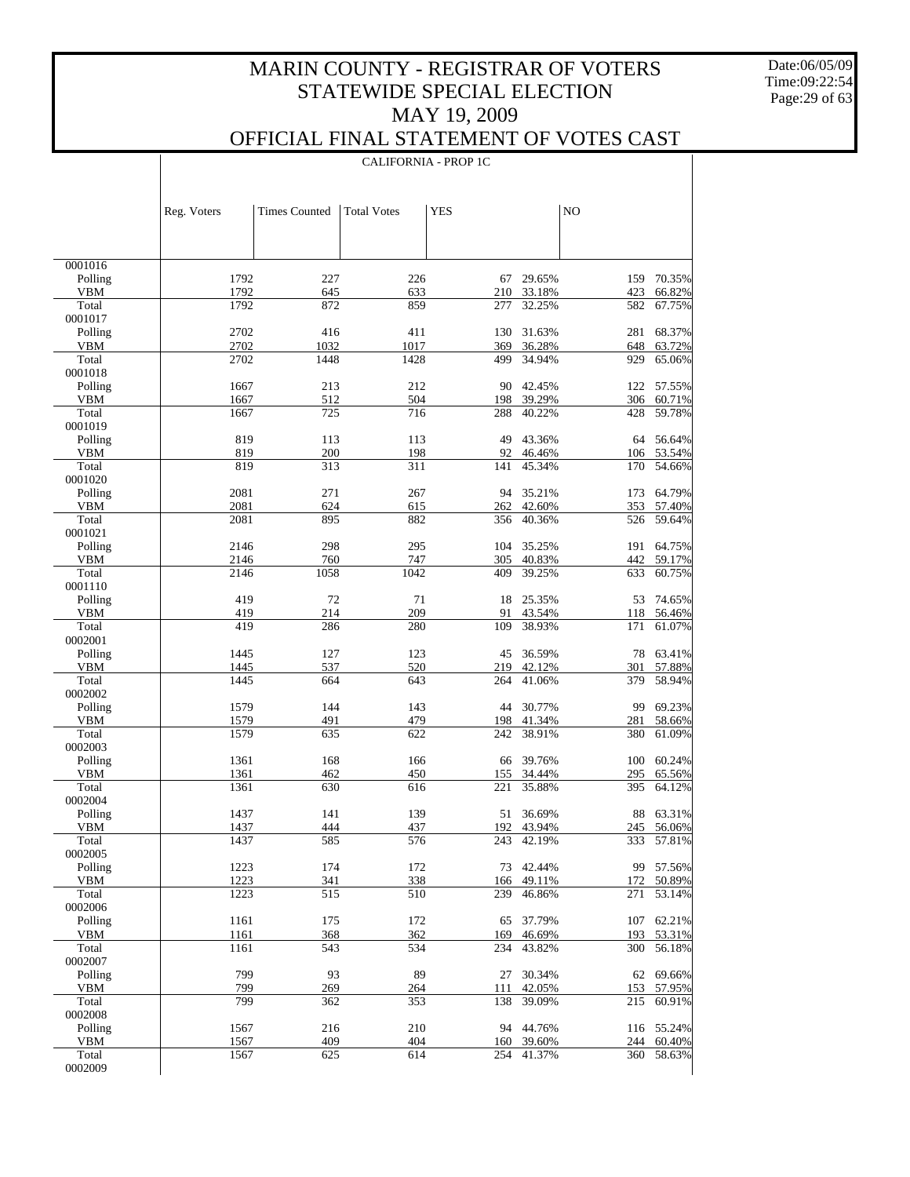Date:06/05/09 Time:09:22:54 Page:29 of 63

 $\top$ 

## OFFICIAL FINAL STATEMENT OF VOTES CAST

|                       |              | <b>CALIFORNIA - PROP 1C</b> |                    |            |                  |                |                      |  |
|-----------------------|--------------|-----------------------------|--------------------|------------|------------------|----------------|----------------------|--|
|                       |              |                             |                    |            |                  |                |                      |  |
|                       | Reg. Voters  | <b>Times Counted</b>        | <b>Total Votes</b> | <b>YES</b> |                  | N <sub>O</sub> |                      |  |
|                       |              |                             |                    |            |                  |                |                      |  |
| 0001016               |              |                             |                    |            |                  |                |                      |  |
| Polling<br><b>VBM</b> | 1792<br>1792 | 227<br>645                  | 226<br>633         | 67<br>210  | 29.65%<br>33.18% | 159<br>423     | 70.35%<br>66.82%     |  |
| Total                 | 1792         | 872                         | 859                | 277        | 32.25%           | 582            | 67.75%               |  |
| 0001017               |              |                             |                    |            |                  |                |                      |  |
| Polling<br><b>VBM</b> | 2702<br>2702 | 416<br>1032                 | 411<br>1017        | 130<br>369 | 31.63%<br>36.28% | 281<br>648     | 68.37%<br>63.72%     |  |
| Total                 | 2702         | 1448                        | 1428               | 499        | 34.94%           | 929            | 65.06%               |  |
| 0001018               |              |                             |                    |            |                  |                |                      |  |
| Polling<br><b>VBM</b> | 1667<br>1667 | 213<br>512                  | 212<br>504         | 90<br>198  | 42.45%<br>39.29% | 306            | 122 57.55%<br>60.71% |  |
| Total                 | 1667         | 725                         | 716                | 288        | 40.22%           | 428            | 59.78%               |  |
| 0001019               |              |                             |                    |            |                  |                |                      |  |
| Polling<br><b>VBM</b> | 819<br>819   | 113<br>200                  | 113<br>198         | 49<br>92   | 43.36%<br>46.46% | 64<br>106      | 56.64%<br>53.54%     |  |
| Total                 | 819          | 313                         | 311                | 141        | 45.34%           | 170            | 54.66%               |  |
| 0001020               |              |                             |                    |            |                  |                |                      |  |
| Polling<br><b>VBM</b> | 2081<br>2081 | 271<br>624                  | 267<br>615         | 94<br>262  | 35.21%<br>42.60% | 173<br>353     | 64.79%<br>57.40%     |  |
| Total                 | 2081         | 895                         | 882                | 356        | 40.36%           | 526            | 59.64%               |  |
| 0001021               |              |                             |                    |            |                  |                |                      |  |
| Polling               | 2146         | 298                         | 295                | 104        | 35.25%           | 191<br>442     | 64.75%               |  |
| <b>VBM</b><br>Total   | 2146<br>2146 | 760<br>1058                 | 747<br>1042        | 305<br>409 | 40.83%<br>39.25% | 633            | 59.17%<br>60.75%     |  |
| 0001110               |              |                             |                    |            |                  |                |                      |  |
| Polling               | 419          | 72                          | 71                 | 18         | 25.35%           | 53             | 74.65%               |  |
| <b>VBM</b><br>Total   | 419<br>419   | 214<br>286                  | 209<br>280         | 91<br>109  | 43.54%<br>38.93% | 118<br>171     | 56.46%<br>61.07%     |  |
| 0002001               |              |                             |                    |            |                  |                |                      |  |
| Polling               | 1445         | 127                         | 123                | 45         | 36.59%           | 78             | 63.41%               |  |
| <b>VBM</b><br>Total   | 1445<br>1445 | 537<br>664                  | 520<br>643         | 219<br>264 | 42.12%<br>41.06% | 301<br>379     | 57.88%<br>58.94%     |  |
| 0002002               |              |                             |                    |            |                  |                |                      |  |
| Polling               | 1579         | 144                         | 143                | 44         | 30.77%           | 99             | 69.23%               |  |
| <b>VBM</b><br>Total   | 1579<br>1579 | 491<br>635                  | 479<br>622         | 198<br>242 | 41.34%<br>38.91% | 281<br>380     | 58.66%<br>61.09%     |  |
| 0002003               |              |                             |                    |            |                  |                |                      |  |
| Polling               | 1361         | 168                         | 166                | 66         | 39.76%           | 100            | 60.24%               |  |
| <b>VBM</b>            | 1361         | 462                         | 450                | 155        | 34.44%           | 295            | 65.56%               |  |
| Total<br>0002004      | 1361         | 630                         | 616                | 221        | 35.88%           | 395            | 64.12%               |  |
| Polling               | 1437         | 141                         | 139                | 51         | 36.69%           |                | 88 63.31%            |  |
| VBM                   | 1437         | 444                         | 437                |            | 192 43.94%       |                | 245 56.06%           |  |
| Total<br>0002005      | 1437         | 585                         | 576                | 243        | 42.19%           | 333            | 57.81%               |  |
| Polling               | 1223         | 174                         | 172                | 73         | 42.44%           |                | 99 57.56%            |  |
| VBM                   | 1223         | 341                         | 338                | 166        | 49.11%           | 172            | 50.89%               |  |
| Total<br>0002006      | 1223         | 515                         | 510                | 239        | 46.86%           | 271            | 53.14%               |  |
| Polling               | 1161         | 175                         | 172                | 65         | 37.79%           | 107            | 62.21%               |  |
| VBM                   | 1161         | 368                         | 362                | 169        | 46.69%           | 193            | 53.31%               |  |
| Total<br>0002007      | 1161         | 543                         | 534                | 234        | 43.82%           | 300            | 56.18%               |  |
| Polling               | 799          | 93                          | 89                 | 27         | 30.34%           | 62             | 69.66%               |  |
| VBM                   | 799          | 269                         | 264                | 111        | 42.05%           | 153            | 57.95%               |  |
| Total<br>0002008      | 799          | 362                         | 353                | 138        | 39.09%           | 215            | 60.91%               |  |
| Polling               | 1567         | 216                         | 210                |            | 94 44.76%        |                | 116 55.24%           |  |
| VBM                   | 1567         | 409                         | 404                |            | 160 39.60%       | 244            | 60.40%               |  |
| Total<br>0002009      | 1567         | 625                         | 614                | 254        | 41.37%           | 360            | 58.63%               |  |
|                       |              |                             |                    |            |                  |                |                      |  |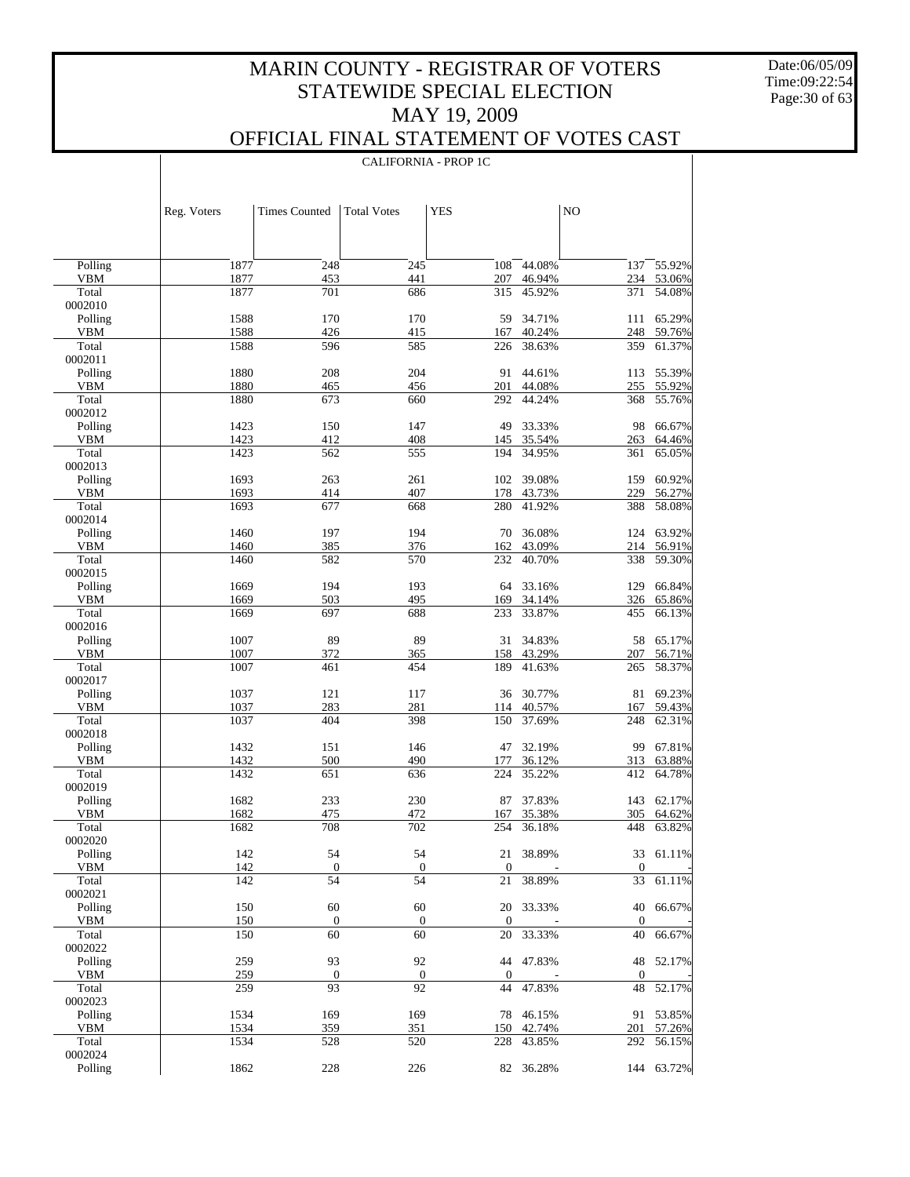CALIFORNIA - PROP 1C

 $\overline{\phantom{a}}$ 

Date:06/05/09 Time:09:22:54 Page:30 of 63

 $\overline{\phantom{a}}$ 

|                       | Reg. Voters  | <b>Times Counted</b>   | <b>Total Votes</b> | <b>YES</b>             |                  | N <sub>O</sub>   |                  |
|-----------------------|--------------|------------------------|--------------------|------------------------|------------------|------------------|------------------|
|                       |              |                        |                    |                        |                  |                  |                  |
| Polling               | 1877         | 248                    | 245                | 108                    | 44.08%           | 137              | 55.92%           |
| <b>VBM</b>            | 1877         | 453                    | 441                | 207                    | 46.94%           | 234              | 53.06%           |
| Total                 | 1877         | 701                    | 686                | 315                    | 45.92%           | 371              | 54.08%           |
| 0002010               |              |                        |                    |                        |                  |                  |                  |
| Polling               | 1588         | 170                    | 170                | 59                     | 34.71%           | 111              | 65.29%           |
| <b>VBM</b>            | 1588         | 426                    | 415                | 167                    | 40.24%           | 248              | 59.76%           |
| Total                 | 1588         | 596                    | 585                | 226                    | 38.63%           | 359              | 61.37%           |
| 0002011               |              |                        |                    |                        |                  |                  |                  |
| Polling               | 1880         | 208                    | 204                | 91                     | 44.61%           | 113              | 55.39%           |
| <b>VBM</b><br>Total   | 1880<br>1880 | 465<br>673             | 456<br>660         | 201<br>292             | 44.08%<br>44.24% | 255<br>368       | 55.92%<br>55.76% |
| 0002012               |              |                        |                    |                        |                  |                  |                  |
| Polling               | 1423         | 150                    | 147                | 49                     | 33.33%           | 98               | 66.67%           |
| <b>VBM</b>            | 1423         | 412                    | 408                | 145                    | 35.54%           | 263              | 64.46%           |
| Total                 | 1423         | 562                    | 555                | 194                    | 34.95%           | 361              | 65.05%           |
| 0002013               |              |                        |                    |                        |                  |                  |                  |
| Polling               | 1693         | 263                    | 261                | 102                    | 39.08%           | 159              | 60.92%           |
| <b>VBM</b>            | 1693         | 414                    | 407                | 178                    | 43.73%           | 229              | 56.27%           |
| Total                 | 1693         | 677                    | 668                | 280                    | 41.92%           | 388              | 58.08%           |
| 0002014               |              |                        |                    |                        |                  |                  |                  |
| Polling               | 1460         | 197                    | 194                | 70                     | 36.08%           | 124              | 63.92%           |
| <b>VBM</b>            | 1460         | 385                    | 376                | 162                    | 43.09%<br>40.70% | 214              | 56.91%<br>59.30% |
| Total<br>0002015      | 1460         | 582                    | 570                | 232                    |                  | 338              |                  |
| Polling               | 1669         | 194                    | 193                | 64                     | 33.16%           | 129              | 66.84%           |
| <b>VBM</b>            | 1669         | 503                    | 495                | 169                    | 34.14%           | 326              | 65.86%           |
| Total                 | 1669         | 697                    | 688                | 233                    | 33.87%           | 455              | 66.13%           |
| 0002016               |              |                        |                    |                        |                  |                  |                  |
| Polling               | 1007         | 89                     | 89                 | 31                     | 34.83%           | 58               | 65.17%           |
| <b>VBM</b>            | 1007         | 372                    | 365                | 158                    | 43.29%           | 207              | 56.71%           |
| Total                 | 1007         | 461                    | 454                | 189                    | 41.63%           | 265              | 58.37%           |
| 0002017               |              |                        |                    |                        |                  |                  |                  |
| Polling               | 1037         | 121                    | 117                | 36                     | 30.77%           | 81               | 69.23%           |
| VBM<br>Total          | 1037<br>1037 | 283<br>404             | 281<br>398         | 114<br>150             | 40.57%<br>37.69% | 167<br>248       | 59.43%<br>62.31% |
| 0002018               |              |                        |                    |                        |                  |                  |                  |
| Polling               | 1432         | 151                    | 146                | 47                     | 32.19%           | 99               | 67.81%           |
| VBM                   | 1432         | 500                    | 490                | 177                    | 36.12%           | 313              | 63.88%           |
| Total                 | 1432         | 651                    | 636                | 224                    | 35.22%           | 412              | 64.78%           |
| 0002019               |              |                        |                    |                        |                  |                  |                  |
| Polling               | 1682         | 233                    | 230                | 87                     | 37.83%           | 143              | 62.17%           |
| VBM                   | 1682         | 475                    | 472                | 167                    | 35.38%           | 305              | 64.62%           |
| Total                 | 1682         | 708                    | 702                | 254                    | 36.18%           | 448              | 63.82%           |
| 0002020               |              |                        |                    |                        |                  |                  |                  |
| Polling<br><b>VBM</b> | 142<br>142   | 54<br>$\boldsymbol{0}$ | 54<br>$\mathbf{0}$ | 21<br>$\boldsymbol{0}$ | 38.89%           | $\boldsymbol{0}$ | 33 61.11%        |
| Total                 | 142          | 54                     | 54                 | $21\,$                 | 38.89%           | 33               | 61.11%           |
| 0002021               |              |                        |                    |                        |                  |                  |                  |
| Polling               | 150          | 60                     | 60                 |                        | 20 33.33%        | 40               | 66.67%           |
| VBM                   | 150          | $\mathbf{0}$           | $\mathbf{0}$       | $\boldsymbol{0}$       |                  | $\boldsymbol{0}$ |                  |
| Total                 | 150          | 60                     | 60                 | $20\,$                 | 33.33%           | 40               | 66.67%           |
| 0002022               |              |                        |                    |                        |                  |                  |                  |
| Polling               | 259          | 93                     | 92                 |                        | 44 47.83%        | 48               | 52.17%           |
| VBM                   | 259          | $\boldsymbol{0}$       | $\boldsymbol{0}$   | $\boldsymbol{0}$       |                  | $\boldsymbol{0}$ |                  |
| Total                 | 259          | 93                     | 92                 | 44                     | 47.83%           | $48\,$           | 52.17%           |
| 0002023<br>Polling    | 1534         |                        |                    |                        |                  |                  | 53.85%           |
| VBM                   | 1534         | 169<br>359             | 169<br>351         | 78<br>150              | 46.15%<br>42.74% | 91<br>201        | 57.26%           |
| Total                 | 1534         | 528                    | 520                | 228                    | 43.85%           | 292              | 56.15%           |
| 0002024               |              |                        |                    |                        |                  |                  |                  |
| Polling               | 1862         | 228                    | 226                |                        | 82 36.28%        |                  | 144 63.72%       |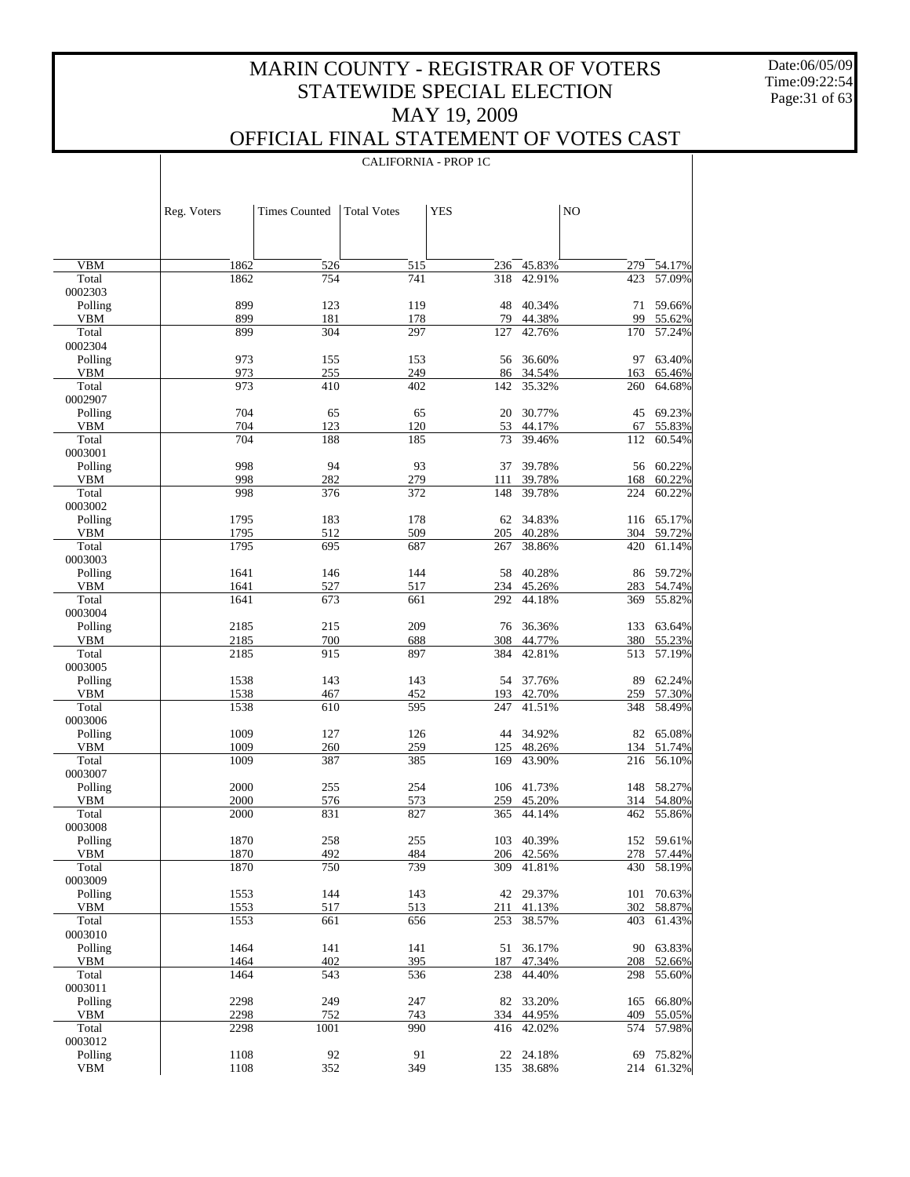Date:06/05/09 Time:09:22:54 Page:31 of 63

 $\overline{\phantom{a}}$ 

### OFFICIAL FINAL STATEMENT OF VOTES CAST

CALIFORNIA - PROP 1C

|                       | Reg. Voters  | <b>Times Counted</b> | <b>Total Votes</b> | <b>YES</b> |                  | NO         |                  |
|-----------------------|--------------|----------------------|--------------------|------------|------------------|------------|------------------|
|                       |              |                      |                    |            |                  |            |                  |
| <b>VBM</b>            | 1862         | 526                  | 515                | 236        | 45.83%           | 279        | 54.17%           |
| Total                 | 1862         | 754                  | 741                | 318        | 42.91%           | 423        | 57.09%           |
| 0002303               |              |                      |                    |            |                  |            |                  |
| Polling<br><b>VBM</b> | 899<br>899   | 123<br>181           | 119                | 48<br>79   | 40.34%<br>44.38% | 71<br>99   | 59.66%<br>55.62% |
| Total                 | 899          | 304                  | 178<br>297         | 127        | 42.76%           | 170        | 57.24%           |
| 0002304               |              |                      |                    |            |                  |            |                  |
| Polling               | 973          | 155                  | 153                | 56         | 36.60%           | 97         | 63.40%           |
| <b>VBM</b>            | 973          | 255                  | 249                | 86         | 34.54%           | 163        | 65.46%           |
| Total                 | 973          | 410                  | 402                | 142        | 35.32%           | 260        | 64.68%           |
| 0002907<br>Polling    | 704          | 65                   | 65                 | 20         | 30.77%           | 45         | 69.23%           |
| <b>VBM</b>            | 704          | 123                  | 120                | 53         | 44.17%           | 67         | 55.83%           |
| Total                 | 704          | 188                  | 185                | 73         | 39.46%           | 112        | 60.54%           |
| 0003001               |              |                      |                    |            |                  |            |                  |
| Polling               | 998          | 94                   | 93                 | 37         | 39.78%           | 56         | 60.22%           |
| <b>VBM</b>            | 998          | 282                  | 279                | 111        | 39.78%           | 168        | 60.22%           |
| Total                 | 998          | 376                  | 372                | 148        | 39.78%           | 224        | 60.22%           |
| 0003002<br>Polling    |              |                      |                    |            | 34.83%           |            | 116 65.17%       |
| <b>VBM</b>            | 1795<br>1795 | 183<br>512           | 178<br>509         | 62<br>205  | 40.28%           | 304        | 59.72%           |
| Total                 | 1795         | 695                  | 687                | 267        | 38.86%           | 420        | 61.14%           |
| 0003003               |              |                      |                    |            |                  |            |                  |
| Polling               | 1641         | 146                  | 144                | 58         | 40.28%           | 86         | 59.72%           |
| <b>VBM</b>            | 1641         | 527                  | 517                | 234        | 45.26%           | 283        | 54.74%           |
| Total                 | 1641         | 673                  | 661                | 292        | 44.18%           | 369        | 55.82%           |
| 0003004               |              |                      |                    |            |                  |            |                  |
| Polling<br><b>VBM</b> | 2185<br>2185 | 215<br>700           | 209                | 76<br>308  | 36.36%<br>44.77% | 133<br>380 | 63.64%           |
| Total                 | 2185         | 915                  | 688<br>897         | 384        | 42.81%           | 513        | 55.23%<br>57.19% |
| 0003005               |              |                      |                    |            |                  |            |                  |
| Polling               | 1538         | 143                  | 143                | 54         | 37.76%           | 89         | 62.24%           |
| <b>VBM</b>            | 1538         | 467                  | 452                | 193        | 42.70%           | 259        | 57.30%           |
| Total                 | 1538         | 610                  | 595                | 247        | 41.51%           | 348        | 58.49%           |
| 0003006               |              |                      |                    |            |                  |            |                  |
| Polling<br><b>VBM</b> | 1009<br>1009 | 127                  | 126<br>259         | 44         | 34.92%<br>48.26% | 82<br>134  | 65.08%           |
| Total                 | 1009         | 260<br>387           | 385                | 125<br>169 | 43.90%           | 216        | 51.74%<br>56.10% |
| 0003007               |              |                      |                    |            |                  |            |                  |
| Polling               | 2000         | 255                  | 254                | 106        | 41.73%           | 148        | 58.27%           |
| <b>VBM</b>            | 2000         | 576                  | 573                | 259        | 45.20%           | 314        | 54.80%           |
| Total                 | 2000         | 831                  | 827                | 365        | 44.14%           | 462        | 55.86%           |
| 0003008               |              |                      |                    |            |                  |            |                  |
| Polling               | 1870         | 258                  | 255<br>484         | 103        | 40.39%           | 152        | 59.61%<br>57.44% |
| VBM<br>Total          | 1870<br>1870 | 492<br>750           | 739                | 206<br>309 | 42.56%<br>41.81% | 278<br>430 | 58.19%           |
| 0003009               |              |                      |                    |            |                  |            |                  |
| Polling               | 1553         | 144                  | 143                |            | 42 29.37%        | 101        | 70.63%           |
| <b>VBM</b>            | 1553         | 517                  | 513                | 211        | 41.13%           | 302        | 58.87%           |
| Total                 | 1553         | 661                  | 656                | 253        | 38.57%           | 403        | 61.43%           |
| 0003010               |              |                      |                    |            |                  |            |                  |
| Polling<br><b>VBM</b> | 1464<br>1464 | 141<br>402           | 141<br>395         | 51<br>187  | 36.17%           | 90         | 63.83%           |
| Total                 | 1464         | 543                  | 536                | 238        | 47.34%<br>44.40% | 208<br>298 | 52.66%<br>55.60% |
| 0003011               |              |                      |                    |            |                  |            |                  |
| Polling               | 2298         | 249                  | 247                | 82         | 33.20%           | 165        | 66.80%           |
| <b>VBM</b>            | 2298         | 752                  | 743                | 334        | 44.95%           | 409        | 55.05%           |
| Total                 | 2298         | 1001                 | 990                | 416        | 42.02%           | 574        | 57.98%           |
| 0003012               |              |                      |                    |            |                  |            |                  |
| Polling               | 1108         | 92                   | 91                 | 22         | 24.18%           | 69         | 75.82%           |
| <b>VBM</b>            | 1108         | 352                  | 349                | 135        | 38.68%           | 214        | 61.32%           |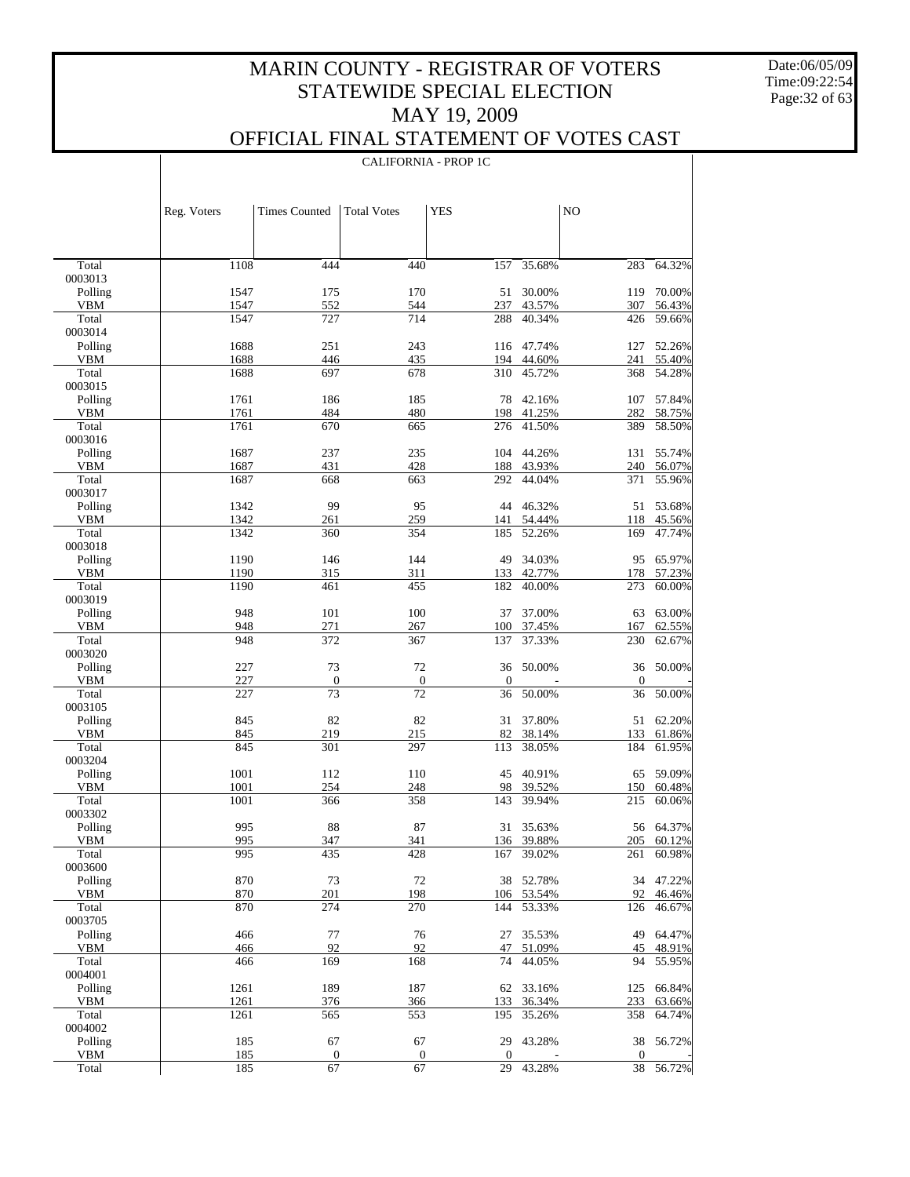Date:06/05/09 Time:09:22:54 Page:32 of 63

#### OFFICIAL FINAL STATEMENT OF VOTES CAST CALIFORNIA - PROP 1C

|                  | Reg. Voters  | <b>Times Counted</b>   | <b>Total Votes</b>     | <b>YES</b>             |                  | NO.                |                  |
|------------------|--------------|------------------------|------------------------|------------------------|------------------|--------------------|------------------|
|                  |              |                        |                        |                        |                  |                    |                  |
| Total            | 1108         | 444                    | 440                    | 157                    | 35.68%           | 283                | 64.32%           |
| 0003013          |              |                        |                        |                        |                  |                    |                  |
| Polling          | 1547         | 175                    | 170                    | 51                     | 30.00%           | 119                | 70.00%           |
| VBM<br>Total     | 1547<br>1547 | 552<br>727             | 544<br>714             | 237<br>288             | 43.57%<br>40.34% | 307<br>426         | 56.43%<br>59.66% |
| 0003014          |              |                        |                        |                        |                  |                    |                  |
| Polling          | 1688         | 251                    | 243                    |                        | 116 47.74%       | 127                | 52.26%           |
| VBM              | 1688         | 446                    | 435                    |                        | 194 44.60%       | 241                | 55.40%           |
| Total            | 1688         | 697                    | 678                    | 310                    | 45.72%           | 368                | 54.28%           |
| 0003015          |              |                        |                        |                        |                  |                    |                  |
| Polling          | 1761         | 186                    | 185                    | 78                     | 42.16%           | 107                | 57.84%           |
| VBM<br>Total     | 1761<br>1761 | 484<br>670             | 480                    | 198                    | 41.25%<br>41.50% | 282<br>389         | 58.75%           |
| 0003016          |              |                        | 665                    | 276                    |                  |                    | 58.50%           |
| Polling          | 1687         | 237                    | 235                    |                        | 104 44.26%       | 131                | 55.74%           |
| VBM              | 1687         | 431                    | 428                    |                        | 188 43.93%       | 240                | 56.07%           |
| Total            | 1687         | 668                    | 663                    | 292                    | 44.04%           | 371                | 55.96%           |
| 0003017          |              |                        |                        |                        |                  |                    |                  |
| Polling          | 1342         | 99                     | 95                     |                        | 44 46.32%        | 51                 | 53.68%           |
| VBM              | 1342         | 261                    | 259                    | 141                    | 54.44%           | 118                | 45.56%           |
| Total            | 1342         | 360                    | 354                    | 185                    | 52.26%           | 169                | 47.74%           |
| 0003018          | 1190         | 146                    | 144                    |                        | 34.03%           |                    | 65.97%           |
| Polling<br>VBM   | 1190         | 315                    | 311                    | 49<br>133              | 42.77%           | 95<br>178          | 57.23%           |
| Total            | 1190         | 461                    | 455                    | 182                    | 40.00%           | 273                | 60.00%           |
| 0003019          |              |                        |                        |                        |                  |                    |                  |
| Polling          | 948          | 101                    | 100                    | 37                     | 37.00%           | 63                 | 63.00%           |
| VBM              | 948          | 271                    | 267                    | 100                    | 37.45%           | 167                | 62.55%           |
| Total            | 948          | 372                    | 367                    | 137                    | 37.33%           | 230                | 62.67%           |
| 0003020          |              |                        |                        |                        |                  |                    |                  |
| Polling          | 227          | 73                     | 72                     | 36                     | 50.00%           | 36                 | 50.00%           |
| VBM<br>Total     | 227<br>227   | $\boldsymbol{0}$<br>73 | $\boldsymbol{0}$<br>72 | $\boldsymbol{0}$<br>36 | 50.00%           | $\mathbf{0}$<br>36 | 50.00%           |
| 0003105          |              |                        |                        |                        |                  |                    |                  |
| Polling          | 845          | 82                     | 82                     | 31                     | 37.80%           | 51                 | 62.20%           |
| VBM              | 845          | 219                    | 215                    | 82                     | 38.14%           | 133                | 61.86%           |
| Total            | 845          | 301                    | 297                    | 113                    | 38.05%           | 184                | 61.95%           |
| 0003204          |              |                        |                        |                        |                  |                    |                  |
| Polling          | 1001         | 112                    | 110                    | 45                     | 40.91%           | 65                 | 59.09%           |
| <b>VBM</b>       | 1001         | 254                    | 248                    | 98                     | 39.52%           | 150                | 60.48%           |
| Total<br>0003302 | 1001         | 366                    | 358                    | 143                    | 39.94%           | 215                | 60.06%           |
| Polling          | 995          | 88                     | 87                     |                        | 31 35.63%        |                    | 56 64.37%        |
| VBM              | 995          | 347                    | 341                    |                        | 136 39.88%       |                    | 205 60.12%       |
| Total            | 995          | 435                    | 428                    | 167                    | 39.02%           | 261                | 60.98%           |
| 0003600          |              |                        |                        |                        |                  |                    |                  |
| Polling          | 870          | 73                     | 72                     | 38                     | 52.78%           | 34                 | 47.22%           |
| <b>VBM</b>       | 870          | 201                    | 198                    | 106                    | 53.54%           | 92                 | 46.46%           |
| Total            | 870          | 274                    | 270                    | 144                    | 53.33%           | 126                | 46.67%           |
| 0003705          |              |                        |                        |                        |                  |                    |                  |
| Polling          | 466<br>466   | 77<br>92               | 76<br>92               | 27<br>47               | 35.53%           | 49<br>45           | 64.47%<br>48.91% |
| VBM<br>Total     | 466          | 169                    | 168                    | 74                     | 51.09%<br>44.05% | 94                 | 55.95%           |
| 0004001          |              |                        |                        |                        |                  |                    |                  |
| Polling          | 1261         | 189                    | 187                    | 62                     | 33.16%           | 125                | 66.84%           |
| <b>VBM</b>       | 1261         | 376                    | 366                    | 133                    | 36.34%           | 233                | 63.66%           |
| Total            | 1261         | 565                    | 553                    | 195                    | 35.26%           | 358                | 64.74%           |
| 0004002          |              |                        |                        |                        |                  |                    |                  |
| Polling          | 185          | 67                     | 67                     | 29                     | 43.28%           | 38                 | 56.72%           |
| <b>VBM</b>       | 185          | $\boldsymbol{0}$       | $\boldsymbol{0}$       | 0                      |                  | $\boldsymbol{0}$   |                  |
| Total            | 185          | 67                     | 67                     | 29                     | 43.28%           | 38                 | 56.72%           |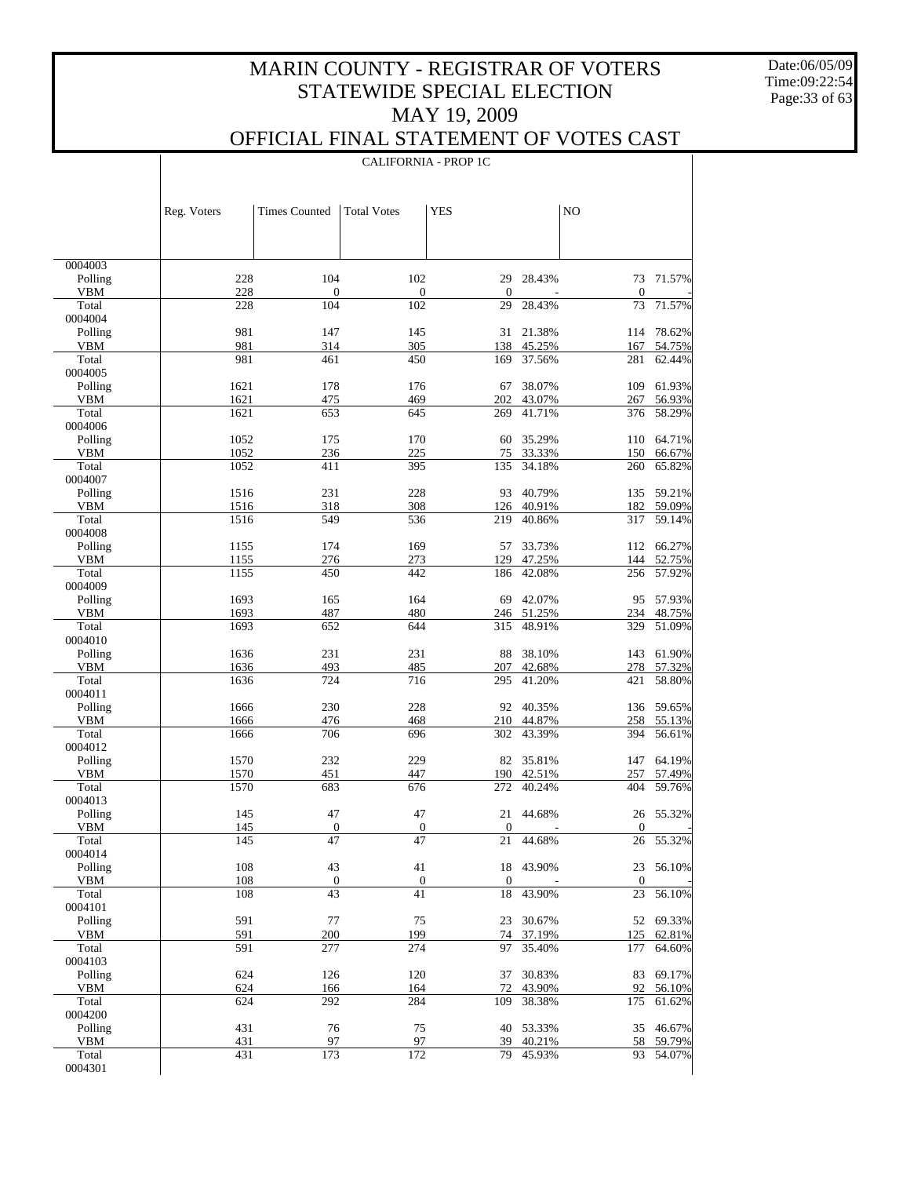Date:06/05/09 Time:09:22:54 Page:33 of 63

 $\top$ 

## OFFICIAL FINAL STATEMENT OF VOTES CAST

|                       |              | <b>CALIFORNIA - PROP 1C</b> |                        |                  |                  |                    |                  |  |
|-----------------------|--------------|-----------------------------|------------------------|------------------|------------------|--------------------|------------------|--|
|                       |              |                             |                        |                  |                  |                    |                  |  |
|                       | Reg. Voters  | <b>Times Counted</b>        | <b>Total Votes</b>     | <b>YES</b>       |                  | NO                 |                  |  |
|                       |              |                             |                        |                  |                  |                    |                  |  |
| 0004003               |              |                             |                        |                  |                  |                    |                  |  |
| Polling               | 228          | 104                         | 102                    | 29               | 28.43%           | 73                 | 71.57%           |  |
| <b>VBM</b>            | 228          | $\mathbf{0}$                | $\boldsymbol{0}$       | $\mathbf{0}$     |                  | $\mathbf{0}$       |                  |  |
| Total<br>0004004      | 228          | 104                         | 102                    | 29               | 28.43%           | 73                 | 71.57%           |  |
| Polling               | 981          | 147                         | 145                    | 31               | 21.38%           | 114                | 78.62%           |  |
| <b>VBM</b>            | 981          | 314                         | 305                    | 138              | 45.25%           | 167                | 54.75%           |  |
| Total                 | 981          | 461                         | 450                    | 169              | 37.56%           | 281                | 62.44%           |  |
| 0004005<br>Polling    | 1621         | 178                         | 176                    | 67               | 38.07%           | 109                | 61.93%           |  |
| <b>VBM</b>            | 1621         | 475                         | 469                    | 202              | 43.07%           | 267                | 56.93%           |  |
| Total                 | 1621         | 653                         | 645                    | 269              | 41.71%           | 376                | 58.29%           |  |
| 0004006               |              |                             |                        |                  |                  |                    |                  |  |
| Polling<br><b>VBM</b> | 1052<br>1052 | 175<br>236                  | 170<br>225             | 60<br>75         | 35.29%<br>33.33% | 110<br>150         | 64.71%<br>66.67% |  |
| Total                 | 1052         | 411                         | 395                    | 135              | 34.18%           | 260                | 65.82%           |  |
| 0004007               |              |                             |                        |                  |                  |                    |                  |  |
| Polling               | 1516         | 231                         | 228                    | 93               | 40.79%           | 135                | 59.21%           |  |
| <b>VBM</b><br>Total   | 1516<br>1516 | 318<br>549                  | 308<br>536             | 126<br>219       | 40.91%<br>40.86% | 182<br>317         | 59.09%<br>59.14% |  |
| 0004008               |              |                             |                        |                  |                  |                    |                  |  |
| Polling               | 1155         | 174                         | 169                    | 57               | 33.73%           |                    | 112 66.27%       |  |
| <b>VBM</b>            | 1155         | 276                         | 273                    | 129              | 47.25%           | 144                | 52.75%           |  |
| Total                 | 1155         | 450                         | 442                    | 186              | 42.08%           | 256                | 57.92%           |  |
| 0004009<br>Polling    | 1693         | 165                         | 164                    | 69               | 42.07%           | 95                 | 57.93%           |  |
| <b>VBM</b>            | 1693         | 487                         | 480                    | 246              | 51.25%           | 234                | 48.75%           |  |
| Total                 | 1693         | 652                         | 644                    | 315              | 48.91%           | 329                | 51.09%           |  |
| 0004010               |              |                             |                        |                  |                  |                    |                  |  |
| Polling<br><b>VBM</b> | 1636<br>1636 | 231<br>493                  | 231<br>485             | 88<br>207        | 38.10%<br>42.68% | 143<br>278         | 61.90%<br>57.32% |  |
| Total                 | 1636         | 724                         | 716                    | 295              | 41.20%           | 421                | 58.80%           |  |
| 0004011               |              |                             |                        |                  |                  |                    |                  |  |
| Polling               | 1666         | 230                         | 228                    | 92               | 40.35%           |                    | 136 59.65%       |  |
| <b>VBM</b><br>Total   | 1666<br>1666 | 476<br>706                  | 468                    | 210<br>302       | 44.87%<br>43.39% | 258<br>394         | 55.13%<br>56.61% |  |
| 0004012               |              |                             | 696                    |                  |                  |                    |                  |  |
| Polling               | 1570         | 232                         | 229                    | 82               | 35.81%           | 147                | 64.19%           |  |
| <b>VBM</b>            | 1570         | 451                         | 447                    | 190              | 42.51%           | 257                | 57.49%           |  |
| Total<br>0004013      | 1570         | 683                         | 676                    | 272              | 40.24%           | 404                | 59.76%           |  |
| Polling               | 145          | 47                          | 47                     | 21               | 44.68%           |                    | 26 55.32%        |  |
| VBM                   | 145          | $\overline{0}$              | $\boldsymbol{0}$       | $\boldsymbol{0}$ |                  | $\boldsymbol{0}$   |                  |  |
| Total                 | 145          | $\overline{47}$             | 47                     | 21               | 44.68%           | $26\,$             | 55.32%           |  |
| 0004014               |              |                             |                        |                  |                  |                    |                  |  |
| Polling<br>VBM        | 108<br>108   | 43<br>$\boldsymbol{0}$      | 41<br>$\boldsymbol{0}$ | $\boldsymbol{0}$ | 18 43.90%        | 23<br>$\mathbf{0}$ | 56.10%           |  |
| Total                 | 108          | 43                          | 41                     | 18               | 43.90%           | 23                 | 56.10%           |  |
| 0004101               |              |                             |                        |                  |                  |                    |                  |  |
| Polling               | 591          | 77                          | 75                     | 23               | 30.67%           |                    | 52 69.33%        |  |
| VBM                   | 591          | 200                         | 199                    | 74               | 37.19%           | 125                | 62.81%           |  |
| Total<br>0004103      | 591          | 277                         | 274                    | 97               | 35.40%           | 177                | 64.60%           |  |
| Polling               | 624          | 126                         | 120                    | 37               | 30.83%           | 83                 | 69.17%           |  |
| VBM                   | 624          | 166                         | 164                    | 72               | 43.90%           | 92                 | 56.10%           |  |
| Total                 | 624          | 292                         | 284                    | 109              | 38.38%           | 175                | 61.62%           |  |
| 0004200               | 431          |                             |                        |                  |                  |                    | 46.67%           |  |
| Polling<br>VBM        | 431          | 76<br>97                    | 75<br>97               | 40<br>39         | 53.33%<br>40.21% | 35<br>58           | 59.79%           |  |
| Total                 | 431          | 173                         | 172                    | 79               | 45.93%           | 93                 | 54.07%           |  |
| 0004301               |              |                             |                        |                  |                  |                    |                  |  |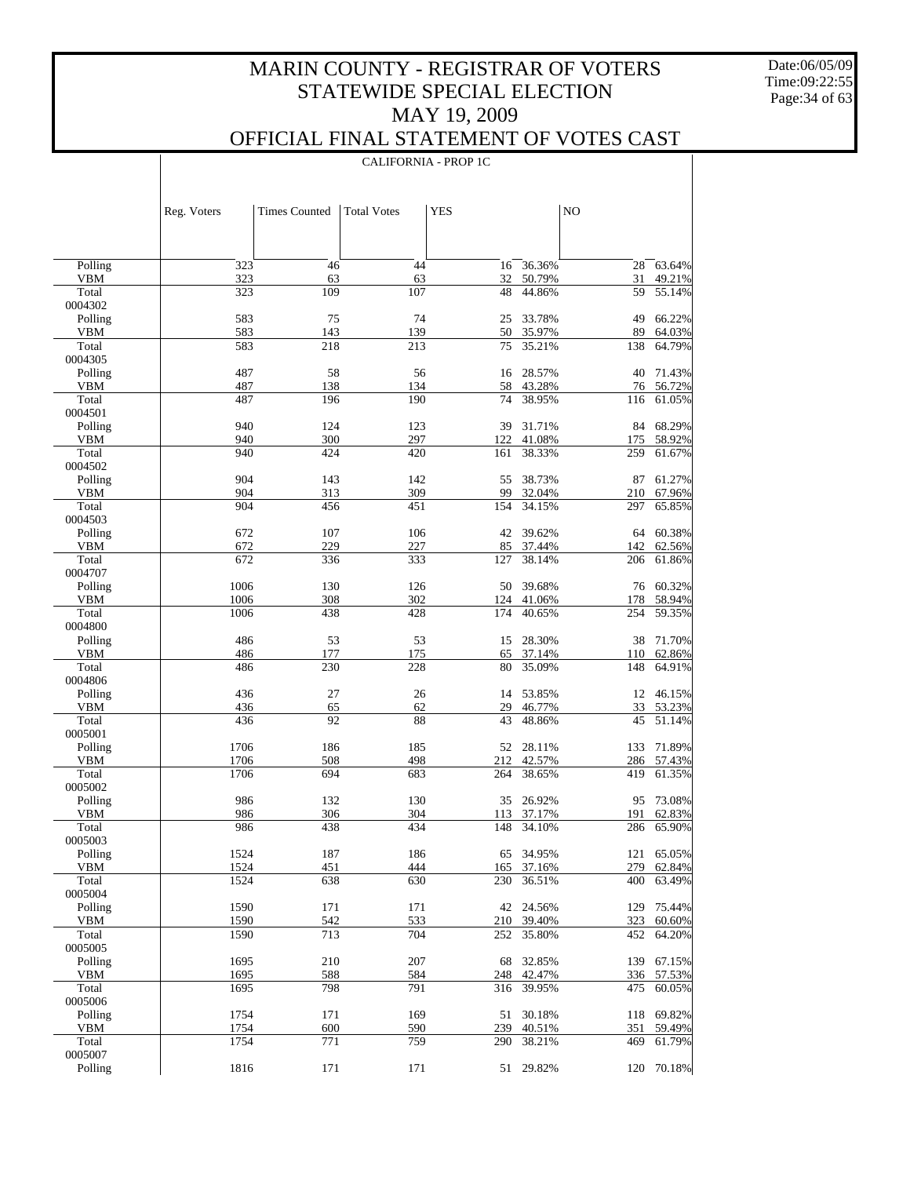Date:06/05/09 Time:09:22:55 Page:34 of 63

 $\mathbf{I}$ 

|                     |              |                      | <b>CALIFORNIA - PROP 1C</b> |            |                  |            |                  |
|---------------------|--------------|----------------------|-----------------------------|------------|------------------|------------|------------------|
|                     |              |                      |                             |            |                  |            |                  |
|                     | Reg. Voters  | <b>Times Counted</b> | <b>Total Votes</b>          | <b>YES</b> |                  | NO         |                  |
|                     |              |                      |                             |            |                  |            |                  |
| Polling             | 323          | 46                   | 44                          | 16         | 36.36%           | 28         | 63.64%           |
| VBM                 | 323          | 63                   | 63                          | 32         | 50.79%           | 31         | 49.21%           |
| Total<br>0004302    | 323          | 109                  | 107                         | 48         | 44.86%           | 59         | 55.14%           |
| Polling             | 583          | 75                   | 74                          | 25         | 33.78%           | 49         | 66.22%           |
| <b>VBM</b>          | 583          | 143                  | 139                         | 50         | 35.97%           | 89         | 64.03%           |
| Total               | 583          | 218                  | 213                         | 75         | 35.21%           | 138        | 64.79%           |
| 0004305<br>Polling  | 487          | 58                   | 56                          | 16         | 28.57%           | 40         | 71.43%           |
| VBM                 | 487          | 138                  | 134                         |            | 58 43.28%        | 76         | 56.72%           |
| Total               | 487          | 196                  | 190                         | 74         | 38.95%           | 116        | 61.05%           |
| 0004501             |              |                      |                             |            |                  |            |                  |
| Polling<br>VBM      | 940<br>940   | 124<br>300           | 123<br>297                  | 39<br>122  | 31.71%<br>41.08% | 84<br>175  | 68.29%<br>58.92% |
| Total               | 940          | 424                  | 420                         | 161        | 38.33%           | 259        | 61.67%           |
| 0004502             |              |                      |                             |            |                  |            |                  |
| Polling             | 904          | 143                  | 142                         | 55         | 38.73%           | 87         | 61.27%           |
| <b>VBM</b><br>Total | 904<br>904   | 313<br>456           | 309<br>451                  | 99<br>154  | 32.04%<br>34.15% | 210<br>297 | 67.96%<br>65.85% |
| 0004503             |              |                      |                             |            |                  |            |                  |
| Polling             | 672          | 107                  | 106                         | 42         | 39.62%           | 64         | 60.38%           |
| <b>VBM</b>          | 672          | 229                  | 227                         | 85         | 37.44%           | 142        | 62.56%           |
| Total<br>0004707    | 672          | 336                  | 333                         | 127        | 38.14%           | 206        | 61.86%           |
| Polling             | 1006         | 130                  | 126                         | 50         | 39.68%           | 76         | 60.32%           |
| VBM                 | 1006         | 308                  | 302                         | 124        | 41.06%           | 178        | 58.94%           |
| Total<br>0004800    | 1006         | 438                  | 428                         | 174        | 40.65%           | 254        | 59.35%           |
| Polling             | 486          | 53                   | 53                          | 15         | 28.30%           | 38         | 71.70%           |
| VBM<br>Total        | 486<br>486   | 177<br>230           | 175<br>228                  | 65<br>80   | 37.14%<br>35.09% | 110<br>148 | 62.86%<br>64.91% |
| 0004806             |              |                      |                             |            |                  |            |                  |
| Polling             | 436          | 27                   | 26                          |            | 14 53.85%        |            | 12 46.15%        |
| VBM<br>Total        | 436<br>436   | 65<br>92             | 62<br>88                    | 29<br>43   | 46.77%<br>48.86% | 33<br>45   | 53.23%<br>51.14% |
| 0005001             |              |                      |                             |            |                  |            |                  |
| Polling             | 1706         | 186                  | 185                         |            | 52 28.11%        | 133        | 71.89%           |
| <b>VBM</b>          | 1706         | 508                  | 498                         |            | 212 42.57%       | 286        | 57.43%           |
| Total<br>0005002    | 1706         | 694                  | 683                         | 264        | 38.65%           | 419        | 61.35%           |
| Polling             | 986          | 132                  | 130                         |            | 35 26.92%        | 95         | 73.08%           |
| VBM                 | 986          | 306                  | 304                         |            | 113 37.17%       |            | 191 62.83%       |
| Total<br>0005003    | 986          | 438                  | 434                         | 148        | 34.10%           | 286        | 65.90%           |
| Polling             | 1524         | 187                  | 186                         | 65         | 34.95%           | 121        | 65.05%           |
| VBM                 | 1524         | 451                  | 444                         | 165        | 37.16%           | 279        | 62.84%           |
| Total               | 1524         | 638                  | 630                         | 230        | 36.51%           | 400        | 63.49%           |
| 0005004<br>Polling  | 1590         | 171                  |                             | 42         |                  |            | 75.44%           |
| VBM                 | 1590         | 542                  | 171<br>533                  | 210        | 24.56%<br>39.40% | 129<br>323 | 60.60%           |
| Total               | 1590         | 713                  | 704                         | 252        | 35.80%           | 452        | 64.20%           |
| 0005005             |              |                      |                             |            |                  |            |                  |
| Polling<br>VBM      | 1695<br>1695 | 210<br>588           | 207<br>584                  | 68<br>248  | 32.85%<br>42.47% | 139<br>336 | 67.15%<br>57.53% |
| Total               | 1695         | 798                  | 791                         | 316        | 39.95%           | 475        | 60.05%           |
| 0005006             |              |                      |                             |            |                  |            |                  |
| Polling             | 1754         | 171                  | 169                         | 51         | 30.18%           | 118        | 69.82%           |
| VBM<br>Total        | 1754<br>1754 | 600<br>771           | 590<br>759                  | 239<br>290 | 40.51%<br>38.21% | 351<br>469 | 59.49%<br>61.79% |
| 0005007             |              |                      |                             |            |                  |            |                  |
| Polling             | 1816         | 171                  | 171                         | 51         | 29.82%           | 120        | 70.18%           |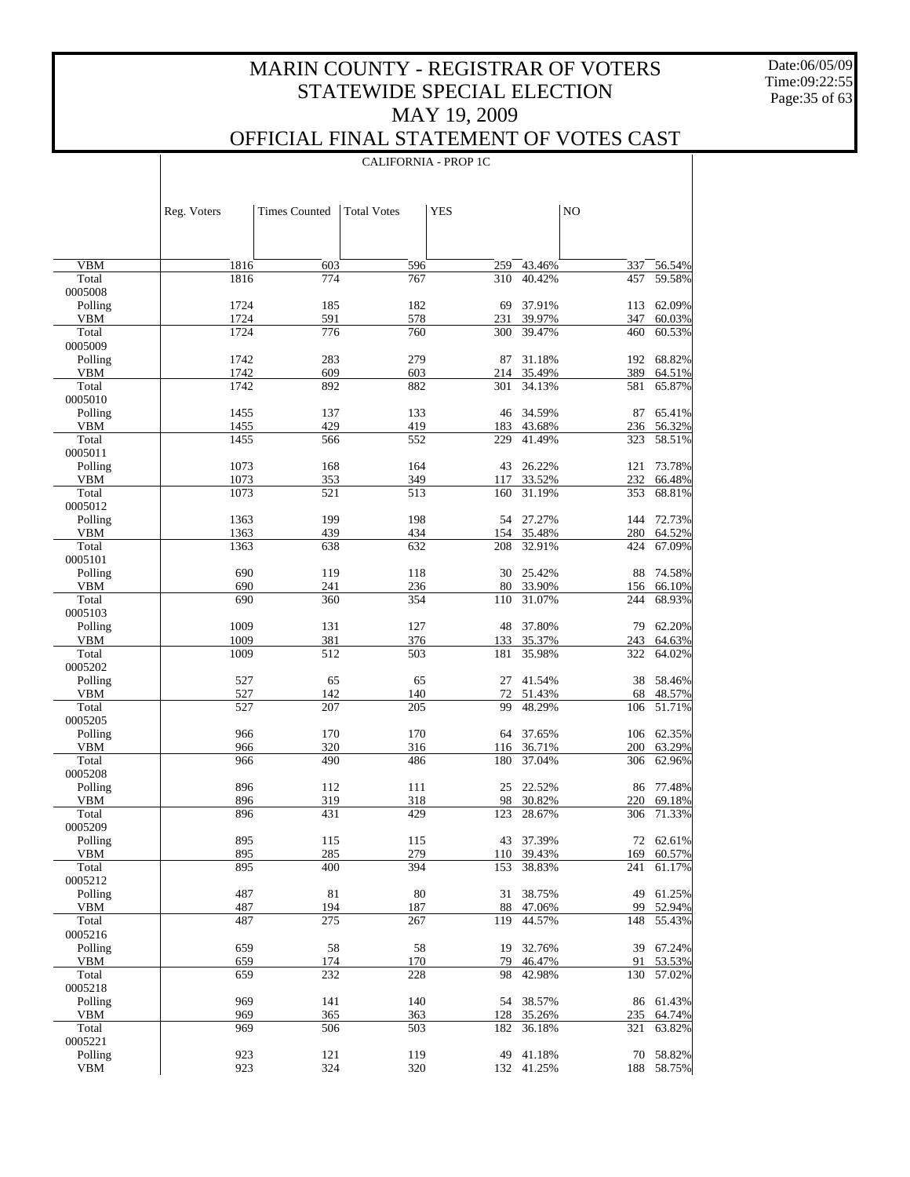Date:06/05/09 Time:09:22:55 Page:35 of 63

 $\overline{\phantom{a}}$ 

### OFFICIAL FINAL STATEMENT OF VOTES CAST

CALIFORNIA - PROP 1C

|                       | Reg. Voters  | <b>Times Counted</b> | <b>Total Votes</b> | <b>YES</b> |                      | NO         |                      |
|-----------------------|--------------|----------------------|--------------------|------------|----------------------|------------|----------------------|
|                       |              |                      |                    |            |                      |            |                      |
|                       |              |                      |                    |            |                      |            |                      |
| <b>VBM</b>            | 1816         | 603                  | 596                | 259        | 43.46%               | 337        | 56.54%               |
| Total                 | 1816         | 774                  | 767                | 310        | 40.42%               | 457        | 59.58%               |
| 0005008               |              |                      |                    |            |                      |            |                      |
| Polling<br><b>VBM</b> | 1724<br>1724 | 185<br>591           | 182<br>578         | 69<br>231  | 37.91%<br>39.97%     | 113<br>347 | 62.09%<br>60.03%     |
| Total                 | 1724         | 776                  | 760                | 300        | 39.47%               | 460        | 60.53%               |
| 0005009               |              |                      |                    |            |                      |            |                      |
| Polling               | 1742         | 283                  | 279                | 87         | 31.18%               |            | 192 68.82%           |
| <b>VBM</b>            | 1742         | 609                  | 603                | 214        | 35.49%               | 389        | 64.51%               |
| Total                 | 1742         | 892                  | 882                | 301        | 34.13%               | 581        | 65.87%               |
| 0005010<br>Polling    | 1455         | 137                  | 133                | 46         | 34.59%               | 87         | 65.41%               |
| <b>VBM</b>            | 1455         | 429                  | 419                | 183        | 43.68%               | 236        | 56.32%               |
| Total                 | 1455         | 566                  | 552                | 229        | 41.49%               | 323        | 58.51%               |
| 0005011               |              |                      |                    |            |                      |            |                      |
| Polling               | 1073         | 168                  | 164                | 43         | 26.22%               | 121        | 73.78%               |
| <b>VBM</b>            | 1073         | 353                  | 349                | 117        | 33.52%               | 232        | 66.48%               |
| Total<br>0005012      | 1073         | 521                  | 513                | 160        | 31.19%               | 353        | 68.81%               |
| Polling               | 1363         | 199                  | 198                |            | 54 27.27%            |            | 144 72.73%           |
| <b>VBM</b>            | 1363         | 439                  | 434                | 154        | 35.48%               | 280        | 64.52%               |
| Total                 | 1363         | 638                  | 632                | 208        | 32.91%               | 424        | 67.09%               |
| 0005101               |              |                      |                    |            |                      |            |                      |
| Polling               | 690          | 119                  | 118                | 30         | 25.42%               | 88         | 74.58%               |
| <b>VBM</b><br>Total   | 690<br>690   | 241<br>360           | 236<br>354         | 80<br>110  | 33.90%<br>31.07%     | 156<br>244 | 66.10%<br>68.93%     |
| 0005103               |              |                      |                    |            |                      |            |                      |
| Polling               | 1009         | 131                  | 127                | 48         | 37.80%               | 79         | 62.20%               |
| <b>VBM</b>            | 1009         | 381                  | 376                | 133        | 35.37%               | 243        | 64.63%               |
| Total                 | 1009         | 512                  | 503                | 181        | 35.98%               | 322        | 64.02%               |
| 0005202               |              |                      |                    |            |                      |            |                      |
| Polling<br><b>VBM</b> | 527<br>527   | 65<br>142            | 65<br>140          | 27<br>72   | 41.54%<br>51.43%     | 38<br>68   | 58.46%<br>48.57%     |
| Total                 | 527          | 207                  | 205                | 99         | 48.29%               | 106        | 51.71%               |
| 0005205               |              |                      |                    |            |                      |            |                      |
| Polling               | 966          | 170                  | 170                | 64         | 37.65%               |            | 106 62.35%           |
| <b>VBM</b>            | 966          | 320                  | 316                | 116        | 36.71%               | 200        | 63.29%               |
| Total                 | 966          | 490                  | 486                | 180        | 37.04%               | 306        | 62.96%               |
| 0005208<br>Polling    | 896          | 112                  | 111                | 25         | 22.52%               | 86         | 77.48%               |
| <b>VBM</b>            | 896          | 319                  | 318                | 98         | 30.82%               | 220        | 69.18%               |
| Total                 | 896          | 431                  | 429                | 123        | 28.67%               | 306        | 71.33%               |
| 0005209               |              |                      |                    |            |                      |            |                      |
| Polling               | 895          | 115                  | 115                |            | 43 37.39%            |            | 72 62.61%            |
| VBM                   | 895          | 285                  | 279                |            | 110 39.43%           | 169        | 60.57%               |
| Total<br>0005212      | 895          | 400                  | 394                | 153        | 38.83%               | 241        | 61.17%               |
| Polling               | 487          | 81                   | 80                 | 31         | 38.75%               | 49         | 61.25%               |
| VBM                   | 487          | 194                  | 187                | 88         | 47.06%               | 99         | 52.94%               |
| Total                 | 487          | 275                  | 267                | 119        | 44.57%               | 148        | 55.43%               |
| 0005216               |              |                      |                    |            |                      |            |                      |
| Polling               | 659          | 58                   | 58                 | 19         | 32.76%               | 39         | 67.24%               |
| VBM<br>Total          | 659<br>659   | 174<br>232           | 170<br>228         | 79<br>98   | 46.47%<br>42.98%     | 91<br>130  | 53.53%<br>57.02%     |
| 0005218               |              |                      |                    |            |                      |            |                      |
| Polling               | 969          | 141                  | 140                | 54         | 38.57%               | 86         | 61.43%               |
| VBM                   | 969          | 365                  | 363                | 128        | 35.26%               | 235        | 64.74%               |
| Total                 | 969          | 506                  | 503                | 182        | 36.18%               | 321        | 63.82%               |
| 0005221               |              |                      |                    |            |                      |            |                      |
| Polling<br><b>VBM</b> | 923<br>923   | 121<br>324           | 119<br>320         | 49         | 41.18%<br>132 41.25% | 70         | 58.82%<br>188 58.75% |
|                       |              |                      |                    |            |                      |            |                      |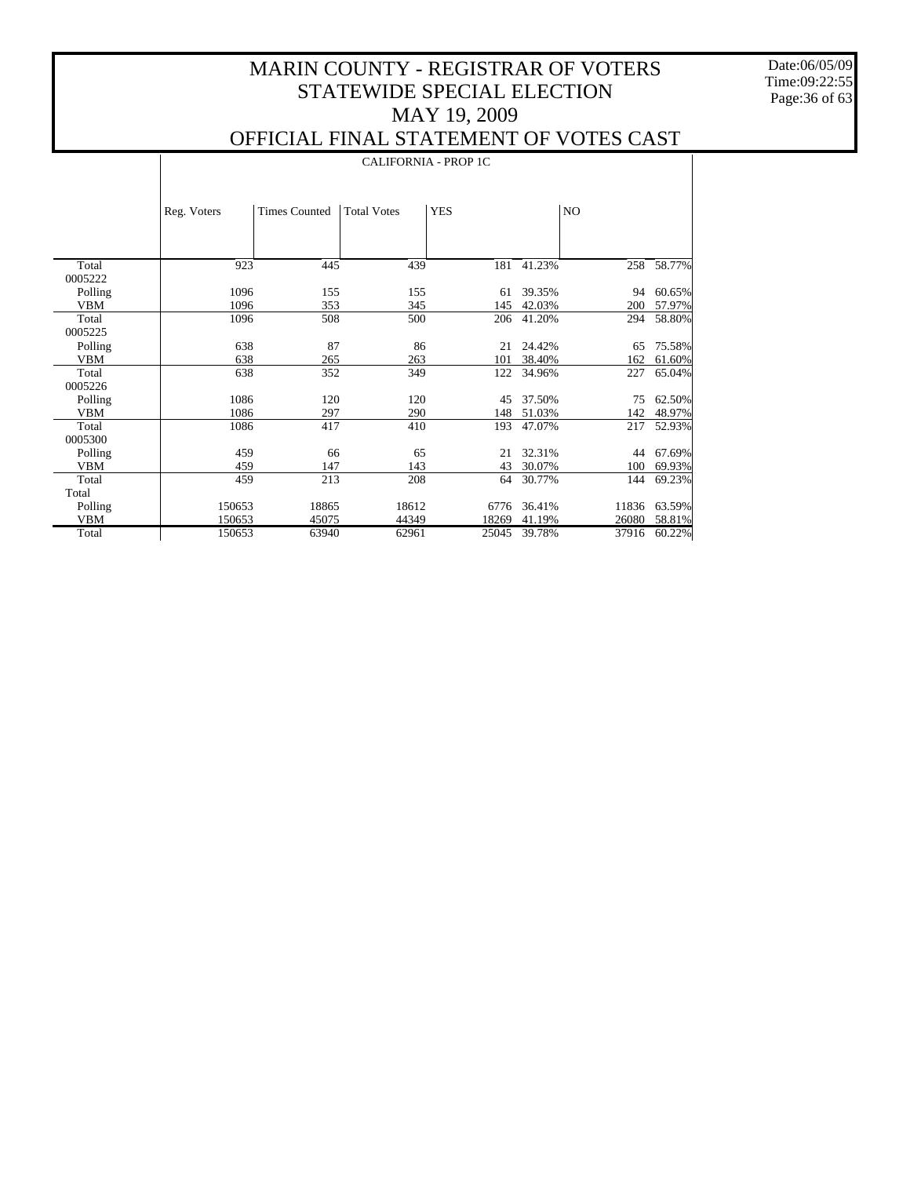Date:06/05/09 Time:09:22:55 Page:36 of 63

 $\mathbf{I}$ 

### OFFICIAL FINAL STATEMENT OF VOTES CAST

|            |             | <b>CALIFORNIA - PROP 1C</b> |                    |            |        |                |        |  |  |  |
|------------|-------------|-----------------------------|--------------------|------------|--------|----------------|--------|--|--|--|
|            | Reg. Voters | <b>Times Counted</b>        | <b>Total Votes</b> | <b>YES</b> |        | N <sub>O</sub> |        |  |  |  |
| Total      | 923         | 445                         | 439                | 181        | 41.23% | 258            | 58.77% |  |  |  |
| 0005222    |             |                             |                    |            |        |                |        |  |  |  |
| Polling    | 1096        | 155                         | 155                | 61         | 39.35% | 94             | 60.65% |  |  |  |
| <b>VBM</b> | 1096        | 353                         | 345                | 145        | 42.03% | 200            | 57.97% |  |  |  |
| Total      | 1096        | 508                         | 500                | 206        | 41.20% | 294            | 58.80% |  |  |  |
| 0005225    |             |                             |                    |            |        |                |        |  |  |  |
| Polling    | 638         | 87                          | 86                 | 21         | 24.42% | 65             | 75.58% |  |  |  |
| <b>VBM</b> | 638         | 265                         | 263                | 101        | 38.40% | 162            | 61.60% |  |  |  |
| Total      | 638         | 352                         | 349                | 122        | 34.96% | 227            | 65.04% |  |  |  |
| 0005226    |             |                             |                    |            |        |                |        |  |  |  |
| Polling    | 1086        | 120                         | 120                | 45         | 37.50% | 75             | 62.50% |  |  |  |
| <b>VBM</b> | 1086        | 297                         | 290                | 148        | 51.03% | 142            | 48.97% |  |  |  |
| Total      | 1086        | 417                         | 410                | 193        | 47.07% | 217            | 52.93% |  |  |  |
| 0005300    |             |                             |                    |            |        |                |        |  |  |  |
| Polling    | 459         | 66                          | 65                 | 21         | 32.31% | 44             | 67.69% |  |  |  |
| <b>VBM</b> | 459         | 147                         | 143                | 43         | 30.07% | 100            | 69.93% |  |  |  |
| Total      | 459         | 213                         | 208                | 64         | 30.77% | 144            | 69.23% |  |  |  |
| Total      |             |                             |                    |            |        |                |        |  |  |  |
| Polling    | 150653      | 18865                       | 18612              | 6776       | 36.41% | 11836          | 63.59% |  |  |  |
| <b>VBM</b> | 150653      | 45075                       | 44349              | 18269      | 41.19% | 26080          | 58.81% |  |  |  |
| Total      | 150653      | 63940                       | 62961              | 25045      | 39.78% | 37916          | 60.22% |  |  |  |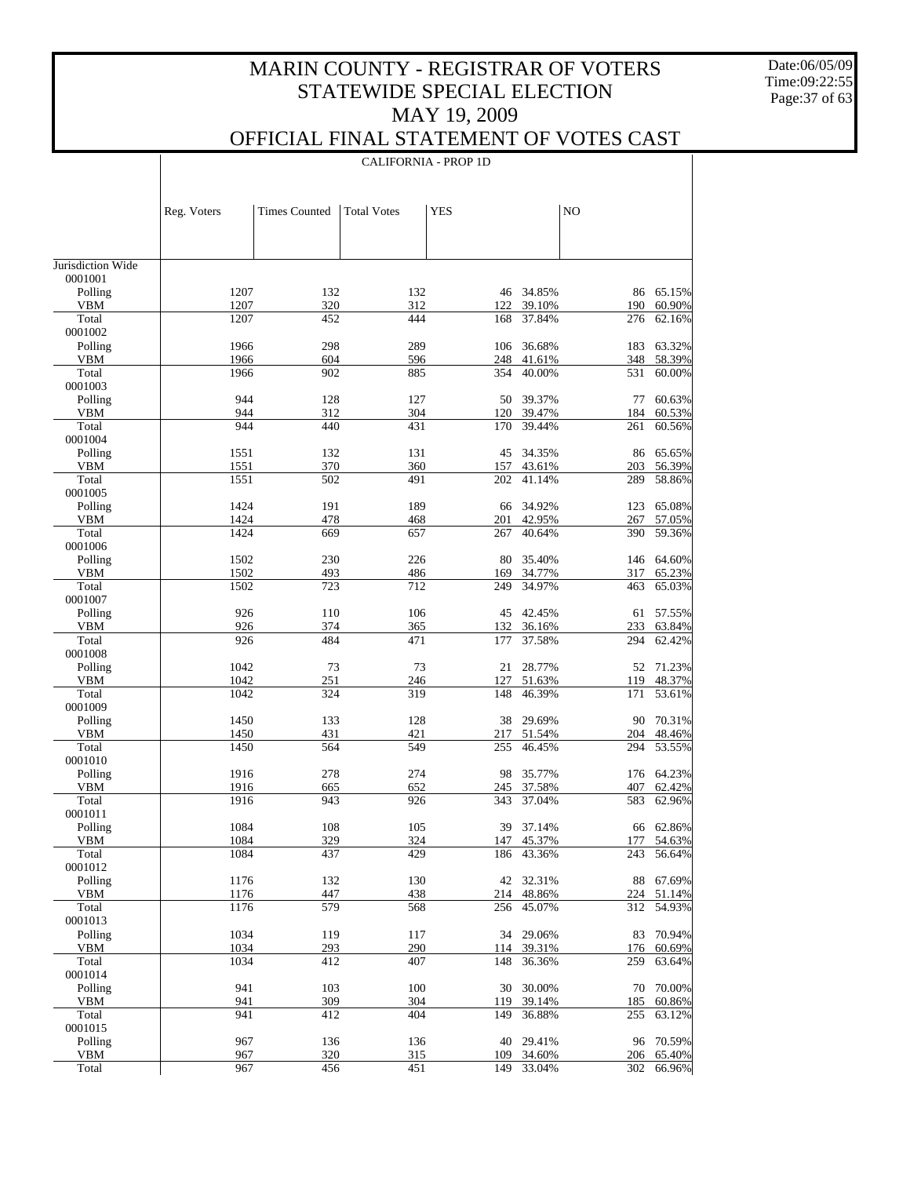Date:06/05/09 Time:09:22:55 Page:37 of 63

 $\mathbf{I}$ 

### OFFICIAL FINAL STATEMENT OF VOTES CAST

| <b>Times Counted</b><br><b>Total Votes</b><br><b>YES</b><br>NO<br>Reg. Voters<br>Jurisdiction Wide<br>0001001<br>Polling<br>1207<br>65.15%<br>132<br>132<br>34.85%<br>46<br>86<br>1207<br>320<br>312<br>122<br>39.10%<br>190<br>60.90%<br>VBM<br>Total<br>1207<br>452<br>444<br>37.84%<br>276<br>62.16%<br>168<br>0001002<br>Polling<br>1966<br>298<br>289<br>36.68%<br>63.32%<br>106<br>183<br>1966<br>604<br>596<br>41.61%<br>58.39%<br>VBM<br>248<br>348<br>Total<br>1966<br>902<br>885<br>40.00%<br>531<br>60.00%<br>354<br>0001003<br>Polling<br>944<br>128<br>127<br>39.37%<br>60.63%<br>50<br>77<br>944<br>312<br>304<br>39.47%<br>184<br>60.53%<br>VBM<br>120<br>Total<br>944<br>440<br>431<br>39.44%<br>261<br>170<br>60.56%<br>0001004<br>Polling<br>1551<br>132<br>65.65%<br>131<br>45<br>34.35%<br>86<br><b>VBM</b><br>1551<br>370<br>157<br>43.61%<br>203<br>56.39%<br>360<br>Total<br>1551<br>502<br>491<br>41.14%<br>289<br>58.86%<br>202<br>0001005<br>1424<br>Polling<br>191<br>189<br>34.92%<br>65.08%<br>123<br>66<br><b>VBM</b><br>1424<br>478<br>42.95%<br>468<br>201<br>267<br>57.05%<br>1424<br>Total<br>669<br>657<br>40.64%<br>390<br>59.36%<br>267<br>0001006<br>1502<br>Polling<br>230<br>226<br>35.40%<br>80<br>64.60%<br>146<br><b>VBM</b><br>1502<br>493<br>486<br>34.77%<br>65.23%<br>169<br>317<br>Total<br>1502<br>723<br>712<br>249<br>34.97%<br>463<br>65.03%<br>0001007<br>Polling<br>926<br>110<br>106<br>42.45%<br>57.55%<br>45<br>61<br><b>VBM</b><br>926<br>374<br>365<br>36.16%<br>233<br>63.84%<br>132<br>Total<br>926<br>484<br>471<br>37.58%<br>294<br>62.42%<br>177<br>0001008<br>73<br>Polling<br>1042<br>73<br>28.77%<br>71.23%<br>21<br>52<br><b>VBM</b><br>1042<br>251<br>127<br>51.63%<br>119<br>48.37%<br>246<br>Total<br>1042<br>324<br>319<br>148<br>46.39%<br>171<br>53.61%<br>0001009<br>Polling<br>1450<br>133<br>128<br>29.69%<br>70.31%<br>38<br>90<br><b>VBM</b><br>1450<br>431<br>421<br>51.54%<br>48.46%<br>217<br>204<br>Total<br>1450<br>564<br>549<br>46.45%<br>53.55%<br>255<br>294<br>0001010<br>Polling<br>1916<br>278<br>274<br>35.77%<br>64.23%<br>98<br>176<br>1916<br>652<br>37.58%<br>62.42%<br>VBM<br>665<br>245<br>407<br>Total<br>1916<br>943<br>926<br>343<br>37.04%<br>583<br>62.96%<br>0001011<br>1084<br>108<br>37.14%<br>66 62.86%<br>Polling<br>105<br>39<br>1084<br>329<br><b>VBM</b><br>324<br>45.37%<br>177<br>54.63%<br>147<br>Total<br>1084<br>429<br>56.64%<br>437<br>186<br>43.36%<br>243<br>0001012<br>1176<br>132<br>130<br>42 32.31%<br>88<br>67.69%<br>Polling<br>1176<br>48.86%<br>224<br>51.14%<br>VBM<br>447<br>438<br>214<br>1176<br>579<br>Total<br>568<br>256<br>45.07%<br>312<br>54.93%<br>0001013<br>1034<br>70.94%<br>Polling<br>119<br>117<br>29.06%<br>34<br>83<br>1034<br>293<br>290<br>39.31%<br>VBM<br>114<br>176<br>60.69%<br>1034<br>407<br>Total<br>412<br>148<br>36.36%<br>259<br>63.64%<br>0001014<br>70.00%<br>941<br>103<br>100<br>30.00%<br>Polling<br>30<br>70<br>941<br>309<br>304<br>39.14%<br>60.86%<br>VBM<br>119<br>185<br>941<br>404<br>Total<br>412<br>149<br>36.88%<br>255<br>63.12%<br>0001015<br>967<br>136<br>29.41%<br>70.59%<br>Polling<br>136<br>40<br>96<br>320<br>315<br>34.60%<br>VBM<br>967<br>109<br>206<br>65.40% |       |     |     |     | <b>CALIFORNIA - PROP 1D</b> |        |     |        |
|----------------------------------------------------------------------------------------------------------------------------------------------------------------------------------------------------------------------------------------------------------------------------------------------------------------------------------------------------------------------------------------------------------------------------------------------------------------------------------------------------------------------------------------------------------------------------------------------------------------------------------------------------------------------------------------------------------------------------------------------------------------------------------------------------------------------------------------------------------------------------------------------------------------------------------------------------------------------------------------------------------------------------------------------------------------------------------------------------------------------------------------------------------------------------------------------------------------------------------------------------------------------------------------------------------------------------------------------------------------------------------------------------------------------------------------------------------------------------------------------------------------------------------------------------------------------------------------------------------------------------------------------------------------------------------------------------------------------------------------------------------------------------------------------------------------------------------------------------------------------------------------------------------------------------------------------------------------------------------------------------------------------------------------------------------------------------------------------------------------------------------------------------------------------------------------------------------------------------------------------------------------------------------------------------------------------------------------------------------------------------------------------------------------------------------------------------------------------------------------------------------------------------------------------------------------------------------------------------------------------------------------------------------------------------------------------------------------------------------------------------------------------------------------------------------------------------------------------------------------------------------------------------------------------------------------------------------------------------------------------------------------------------------------------------------------------------------------------------------------------------------------------------------------------------------------------------------------------------------------------------------|-------|-----|-----|-----|-----------------------------|--------|-----|--------|
|                                                                                                                                                                                                                                                                                                                                                                                                                                                                                                                                                                                                                                                                                                                                                                                                                                                                                                                                                                                                                                                                                                                                                                                                                                                                                                                                                                                                                                                                                                                                                                                                                                                                                                                                                                                                                                                                                                                                                                                                                                                                                                                                                                                                                                                                                                                                                                                                                                                                                                                                                                                                                                                                                                                                                                                                                                                                                                                                                                                                                                                                                                                                                                                                                                                          |       |     |     |     |                             |        |     |        |
|                                                                                                                                                                                                                                                                                                                                                                                                                                                                                                                                                                                                                                                                                                                                                                                                                                                                                                                                                                                                                                                                                                                                                                                                                                                                                                                                                                                                                                                                                                                                                                                                                                                                                                                                                                                                                                                                                                                                                                                                                                                                                                                                                                                                                                                                                                                                                                                                                                                                                                                                                                                                                                                                                                                                                                                                                                                                                                                                                                                                                                                                                                                                                                                                                                                          |       |     |     |     |                             |        |     |        |
|                                                                                                                                                                                                                                                                                                                                                                                                                                                                                                                                                                                                                                                                                                                                                                                                                                                                                                                                                                                                                                                                                                                                                                                                                                                                                                                                                                                                                                                                                                                                                                                                                                                                                                                                                                                                                                                                                                                                                                                                                                                                                                                                                                                                                                                                                                                                                                                                                                                                                                                                                                                                                                                                                                                                                                                                                                                                                                                                                                                                                                                                                                                                                                                                                                                          |       |     |     |     |                             |        |     |        |
|                                                                                                                                                                                                                                                                                                                                                                                                                                                                                                                                                                                                                                                                                                                                                                                                                                                                                                                                                                                                                                                                                                                                                                                                                                                                                                                                                                                                                                                                                                                                                                                                                                                                                                                                                                                                                                                                                                                                                                                                                                                                                                                                                                                                                                                                                                                                                                                                                                                                                                                                                                                                                                                                                                                                                                                                                                                                                                                                                                                                                                                                                                                                                                                                                                                          |       |     |     |     |                             |        |     |        |
|                                                                                                                                                                                                                                                                                                                                                                                                                                                                                                                                                                                                                                                                                                                                                                                                                                                                                                                                                                                                                                                                                                                                                                                                                                                                                                                                                                                                                                                                                                                                                                                                                                                                                                                                                                                                                                                                                                                                                                                                                                                                                                                                                                                                                                                                                                                                                                                                                                                                                                                                                                                                                                                                                                                                                                                                                                                                                                                                                                                                                                                                                                                                                                                                                                                          |       |     |     |     |                             |        |     |        |
|                                                                                                                                                                                                                                                                                                                                                                                                                                                                                                                                                                                                                                                                                                                                                                                                                                                                                                                                                                                                                                                                                                                                                                                                                                                                                                                                                                                                                                                                                                                                                                                                                                                                                                                                                                                                                                                                                                                                                                                                                                                                                                                                                                                                                                                                                                                                                                                                                                                                                                                                                                                                                                                                                                                                                                                                                                                                                                                                                                                                                                                                                                                                                                                                                                                          |       |     |     |     |                             |        |     |        |
|                                                                                                                                                                                                                                                                                                                                                                                                                                                                                                                                                                                                                                                                                                                                                                                                                                                                                                                                                                                                                                                                                                                                                                                                                                                                                                                                                                                                                                                                                                                                                                                                                                                                                                                                                                                                                                                                                                                                                                                                                                                                                                                                                                                                                                                                                                                                                                                                                                                                                                                                                                                                                                                                                                                                                                                                                                                                                                                                                                                                                                                                                                                                                                                                                                                          |       |     |     |     |                             |        |     |        |
|                                                                                                                                                                                                                                                                                                                                                                                                                                                                                                                                                                                                                                                                                                                                                                                                                                                                                                                                                                                                                                                                                                                                                                                                                                                                                                                                                                                                                                                                                                                                                                                                                                                                                                                                                                                                                                                                                                                                                                                                                                                                                                                                                                                                                                                                                                                                                                                                                                                                                                                                                                                                                                                                                                                                                                                                                                                                                                                                                                                                                                                                                                                                                                                                                                                          |       |     |     |     |                             |        |     |        |
|                                                                                                                                                                                                                                                                                                                                                                                                                                                                                                                                                                                                                                                                                                                                                                                                                                                                                                                                                                                                                                                                                                                                                                                                                                                                                                                                                                                                                                                                                                                                                                                                                                                                                                                                                                                                                                                                                                                                                                                                                                                                                                                                                                                                                                                                                                                                                                                                                                                                                                                                                                                                                                                                                                                                                                                                                                                                                                                                                                                                                                                                                                                                                                                                                                                          |       |     |     |     |                             |        |     |        |
|                                                                                                                                                                                                                                                                                                                                                                                                                                                                                                                                                                                                                                                                                                                                                                                                                                                                                                                                                                                                                                                                                                                                                                                                                                                                                                                                                                                                                                                                                                                                                                                                                                                                                                                                                                                                                                                                                                                                                                                                                                                                                                                                                                                                                                                                                                                                                                                                                                                                                                                                                                                                                                                                                                                                                                                                                                                                                                                                                                                                                                                                                                                                                                                                                                                          |       |     |     |     |                             |        |     |        |
|                                                                                                                                                                                                                                                                                                                                                                                                                                                                                                                                                                                                                                                                                                                                                                                                                                                                                                                                                                                                                                                                                                                                                                                                                                                                                                                                                                                                                                                                                                                                                                                                                                                                                                                                                                                                                                                                                                                                                                                                                                                                                                                                                                                                                                                                                                                                                                                                                                                                                                                                                                                                                                                                                                                                                                                                                                                                                                                                                                                                                                                                                                                                                                                                                                                          |       |     |     |     |                             |        |     |        |
|                                                                                                                                                                                                                                                                                                                                                                                                                                                                                                                                                                                                                                                                                                                                                                                                                                                                                                                                                                                                                                                                                                                                                                                                                                                                                                                                                                                                                                                                                                                                                                                                                                                                                                                                                                                                                                                                                                                                                                                                                                                                                                                                                                                                                                                                                                                                                                                                                                                                                                                                                                                                                                                                                                                                                                                                                                                                                                                                                                                                                                                                                                                                                                                                                                                          |       |     |     |     |                             |        |     |        |
|                                                                                                                                                                                                                                                                                                                                                                                                                                                                                                                                                                                                                                                                                                                                                                                                                                                                                                                                                                                                                                                                                                                                                                                                                                                                                                                                                                                                                                                                                                                                                                                                                                                                                                                                                                                                                                                                                                                                                                                                                                                                                                                                                                                                                                                                                                                                                                                                                                                                                                                                                                                                                                                                                                                                                                                                                                                                                                                                                                                                                                                                                                                                                                                                                                                          |       |     |     |     |                             |        |     |        |
|                                                                                                                                                                                                                                                                                                                                                                                                                                                                                                                                                                                                                                                                                                                                                                                                                                                                                                                                                                                                                                                                                                                                                                                                                                                                                                                                                                                                                                                                                                                                                                                                                                                                                                                                                                                                                                                                                                                                                                                                                                                                                                                                                                                                                                                                                                                                                                                                                                                                                                                                                                                                                                                                                                                                                                                                                                                                                                                                                                                                                                                                                                                                                                                                                                                          |       |     |     |     |                             |        |     |        |
|                                                                                                                                                                                                                                                                                                                                                                                                                                                                                                                                                                                                                                                                                                                                                                                                                                                                                                                                                                                                                                                                                                                                                                                                                                                                                                                                                                                                                                                                                                                                                                                                                                                                                                                                                                                                                                                                                                                                                                                                                                                                                                                                                                                                                                                                                                                                                                                                                                                                                                                                                                                                                                                                                                                                                                                                                                                                                                                                                                                                                                                                                                                                                                                                                                                          |       |     |     |     |                             |        |     |        |
|                                                                                                                                                                                                                                                                                                                                                                                                                                                                                                                                                                                                                                                                                                                                                                                                                                                                                                                                                                                                                                                                                                                                                                                                                                                                                                                                                                                                                                                                                                                                                                                                                                                                                                                                                                                                                                                                                                                                                                                                                                                                                                                                                                                                                                                                                                                                                                                                                                                                                                                                                                                                                                                                                                                                                                                                                                                                                                                                                                                                                                                                                                                                                                                                                                                          |       |     |     |     |                             |        |     |        |
|                                                                                                                                                                                                                                                                                                                                                                                                                                                                                                                                                                                                                                                                                                                                                                                                                                                                                                                                                                                                                                                                                                                                                                                                                                                                                                                                                                                                                                                                                                                                                                                                                                                                                                                                                                                                                                                                                                                                                                                                                                                                                                                                                                                                                                                                                                                                                                                                                                                                                                                                                                                                                                                                                                                                                                                                                                                                                                                                                                                                                                                                                                                                                                                                                                                          |       |     |     |     |                             |        |     |        |
|                                                                                                                                                                                                                                                                                                                                                                                                                                                                                                                                                                                                                                                                                                                                                                                                                                                                                                                                                                                                                                                                                                                                                                                                                                                                                                                                                                                                                                                                                                                                                                                                                                                                                                                                                                                                                                                                                                                                                                                                                                                                                                                                                                                                                                                                                                                                                                                                                                                                                                                                                                                                                                                                                                                                                                                                                                                                                                                                                                                                                                                                                                                                                                                                                                                          |       |     |     |     |                             |        |     |        |
|                                                                                                                                                                                                                                                                                                                                                                                                                                                                                                                                                                                                                                                                                                                                                                                                                                                                                                                                                                                                                                                                                                                                                                                                                                                                                                                                                                                                                                                                                                                                                                                                                                                                                                                                                                                                                                                                                                                                                                                                                                                                                                                                                                                                                                                                                                                                                                                                                                                                                                                                                                                                                                                                                                                                                                                                                                                                                                                                                                                                                                                                                                                                                                                                                                                          |       |     |     |     |                             |        |     |        |
|                                                                                                                                                                                                                                                                                                                                                                                                                                                                                                                                                                                                                                                                                                                                                                                                                                                                                                                                                                                                                                                                                                                                                                                                                                                                                                                                                                                                                                                                                                                                                                                                                                                                                                                                                                                                                                                                                                                                                                                                                                                                                                                                                                                                                                                                                                                                                                                                                                                                                                                                                                                                                                                                                                                                                                                                                                                                                                                                                                                                                                                                                                                                                                                                                                                          |       |     |     |     |                             |        |     |        |
|                                                                                                                                                                                                                                                                                                                                                                                                                                                                                                                                                                                                                                                                                                                                                                                                                                                                                                                                                                                                                                                                                                                                                                                                                                                                                                                                                                                                                                                                                                                                                                                                                                                                                                                                                                                                                                                                                                                                                                                                                                                                                                                                                                                                                                                                                                                                                                                                                                                                                                                                                                                                                                                                                                                                                                                                                                                                                                                                                                                                                                                                                                                                                                                                                                                          |       |     |     |     |                             |        |     |        |
|                                                                                                                                                                                                                                                                                                                                                                                                                                                                                                                                                                                                                                                                                                                                                                                                                                                                                                                                                                                                                                                                                                                                                                                                                                                                                                                                                                                                                                                                                                                                                                                                                                                                                                                                                                                                                                                                                                                                                                                                                                                                                                                                                                                                                                                                                                                                                                                                                                                                                                                                                                                                                                                                                                                                                                                                                                                                                                                                                                                                                                                                                                                                                                                                                                                          |       |     |     |     |                             |        |     |        |
|                                                                                                                                                                                                                                                                                                                                                                                                                                                                                                                                                                                                                                                                                                                                                                                                                                                                                                                                                                                                                                                                                                                                                                                                                                                                                                                                                                                                                                                                                                                                                                                                                                                                                                                                                                                                                                                                                                                                                                                                                                                                                                                                                                                                                                                                                                                                                                                                                                                                                                                                                                                                                                                                                                                                                                                                                                                                                                                                                                                                                                                                                                                                                                                                                                                          |       |     |     |     |                             |        |     |        |
|                                                                                                                                                                                                                                                                                                                                                                                                                                                                                                                                                                                                                                                                                                                                                                                                                                                                                                                                                                                                                                                                                                                                                                                                                                                                                                                                                                                                                                                                                                                                                                                                                                                                                                                                                                                                                                                                                                                                                                                                                                                                                                                                                                                                                                                                                                                                                                                                                                                                                                                                                                                                                                                                                                                                                                                                                                                                                                                                                                                                                                                                                                                                                                                                                                                          |       |     |     |     |                             |        |     |        |
|                                                                                                                                                                                                                                                                                                                                                                                                                                                                                                                                                                                                                                                                                                                                                                                                                                                                                                                                                                                                                                                                                                                                                                                                                                                                                                                                                                                                                                                                                                                                                                                                                                                                                                                                                                                                                                                                                                                                                                                                                                                                                                                                                                                                                                                                                                                                                                                                                                                                                                                                                                                                                                                                                                                                                                                                                                                                                                                                                                                                                                                                                                                                                                                                                                                          |       |     |     |     |                             |        |     |        |
|                                                                                                                                                                                                                                                                                                                                                                                                                                                                                                                                                                                                                                                                                                                                                                                                                                                                                                                                                                                                                                                                                                                                                                                                                                                                                                                                                                                                                                                                                                                                                                                                                                                                                                                                                                                                                                                                                                                                                                                                                                                                                                                                                                                                                                                                                                                                                                                                                                                                                                                                                                                                                                                                                                                                                                                                                                                                                                                                                                                                                                                                                                                                                                                                                                                          |       |     |     |     |                             |        |     |        |
|                                                                                                                                                                                                                                                                                                                                                                                                                                                                                                                                                                                                                                                                                                                                                                                                                                                                                                                                                                                                                                                                                                                                                                                                                                                                                                                                                                                                                                                                                                                                                                                                                                                                                                                                                                                                                                                                                                                                                                                                                                                                                                                                                                                                                                                                                                                                                                                                                                                                                                                                                                                                                                                                                                                                                                                                                                                                                                                                                                                                                                                                                                                                                                                                                                                          |       |     |     |     |                             |        |     |        |
|                                                                                                                                                                                                                                                                                                                                                                                                                                                                                                                                                                                                                                                                                                                                                                                                                                                                                                                                                                                                                                                                                                                                                                                                                                                                                                                                                                                                                                                                                                                                                                                                                                                                                                                                                                                                                                                                                                                                                                                                                                                                                                                                                                                                                                                                                                                                                                                                                                                                                                                                                                                                                                                                                                                                                                                                                                                                                                                                                                                                                                                                                                                                                                                                                                                          |       |     |     |     |                             |        |     |        |
|                                                                                                                                                                                                                                                                                                                                                                                                                                                                                                                                                                                                                                                                                                                                                                                                                                                                                                                                                                                                                                                                                                                                                                                                                                                                                                                                                                                                                                                                                                                                                                                                                                                                                                                                                                                                                                                                                                                                                                                                                                                                                                                                                                                                                                                                                                                                                                                                                                                                                                                                                                                                                                                                                                                                                                                                                                                                                                                                                                                                                                                                                                                                                                                                                                                          |       |     |     |     |                             |        |     |        |
|                                                                                                                                                                                                                                                                                                                                                                                                                                                                                                                                                                                                                                                                                                                                                                                                                                                                                                                                                                                                                                                                                                                                                                                                                                                                                                                                                                                                                                                                                                                                                                                                                                                                                                                                                                                                                                                                                                                                                                                                                                                                                                                                                                                                                                                                                                                                                                                                                                                                                                                                                                                                                                                                                                                                                                                                                                                                                                                                                                                                                                                                                                                                                                                                                                                          |       |     |     |     |                             |        |     |        |
|                                                                                                                                                                                                                                                                                                                                                                                                                                                                                                                                                                                                                                                                                                                                                                                                                                                                                                                                                                                                                                                                                                                                                                                                                                                                                                                                                                                                                                                                                                                                                                                                                                                                                                                                                                                                                                                                                                                                                                                                                                                                                                                                                                                                                                                                                                                                                                                                                                                                                                                                                                                                                                                                                                                                                                                                                                                                                                                                                                                                                                                                                                                                                                                                                                                          |       |     |     |     |                             |        |     |        |
|                                                                                                                                                                                                                                                                                                                                                                                                                                                                                                                                                                                                                                                                                                                                                                                                                                                                                                                                                                                                                                                                                                                                                                                                                                                                                                                                                                                                                                                                                                                                                                                                                                                                                                                                                                                                                                                                                                                                                                                                                                                                                                                                                                                                                                                                                                                                                                                                                                                                                                                                                                                                                                                                                                                                                                                                                                                                                                                                                                                                                                                                                                                                                                                                                                                          |       |     |     |     |                             |        |     |        |
|                                                                                                                                                                                                                                                                                                                                                                                                                                                                                                                                                                                                                                                                                                                                                                                                                                                                                                                                                                                                                                                                                                                                                                                                                                                                                                                                                                                                                                                                                                                                                                                                                                                                                                                                                                                                                                                                                                                                                                                                                                                                                                                                                                                                                                                                                                                                                                                                                                                                                                                                                                                                                                                                                                                                                                                                                                                                                                                                                                                                                                                                                                                                                                                                                                                          |       |     |     |     |                             |        |     |        |
|                                                                                                                                                                                                                                                                                                                                                                                                                                                                                                                                                                                                                                                                                                                                                                                                                                                                                                                                                                                                                                                                                                                                                                                                                                                                                                                                                                                                                                                                                                                                                                                                                                                                                                                                                                                                                                                                                                                                                                                                                                                                                                                                                                                                                                                                                                                                                                                                                                                                                                                                                                                                                                                                                                                                                                                                                                                                                                                                                                                                                                                                                                                                                                                                                                                          |       |     |     |     |                             |        |     |        |
|                                                                                                                                                                                                                                                                                                                                                                                                                                                                                                                                                                                                                                                                                                                                                                                                                                                                                                                                                                                                                                                                                                                                                                                                                                                                                                                                                                                                                                                                                                                                                                                                                                                                                                                                                                                                                                                                                                                                                                                                                                                                                                                                                                                                                                                                                                                                                                                                                                                                                                                                                                                                                                                                                                                                                                                                                                                                                                                                                                                                                                                                                                                                                                                                                                                          |       |     |     |     |                             |        |     |        |
|                                                                                                                                                                                                                                                                                                                                                                                                                                                                                                                                                                                                                                                                                                                                                                                                                                                                                                                                                                                                                                                                                                                                                                                                                                                                                                                                                                                                                                                                                                                                                                                                                                                                                                                                                                                                                                                                                                                                                                                                                                                                                                                                                                                                                                                                                                                                                                                                                                                                                                                                                                                                                                                                                                                                                                                                                                                                                                                                                                                                                                                                                                                                                                                                                                                          |       |     |     |     |                             |        |     |        |
|                                                                                                                                                                                                                                                                                                                                                                                                                                                                                                                                                                                                                                                                                                                                                                                                                                                                                                                                                                                                                                                                                                                                                                                                                                                                                                                                                                                                                                                                                                                                                                                                                                                                                                                                                                                                                                                                                                                                                                                                                                                                                                                                                                                                                                                                                                                                                                                                                                                                                                                                                                                                                                                                                                                                                                                                                                                                                                                                                                                                                                                                                                                                                                                                                                                          |       |     |     |     |                             |        |     |        |
|                                                                                                                                                                                                                                                                                                                                                                                                                                                                                                                                                                                                                                                                                                                                                                                                                                                                                                                                                                                                                                                                                                                                                                                                                                                                                                                                                                                                                                                                                                                                                                                                                                                                                                                                                                                                                                                                                                                                                                                                                                                                                                                                                                                                                                                                                                                                                                                                                                                                                                                                                                                                                                                                                                                                                                                                                                                                                                                                                                                                                                                                                                                                                                                                                                                          |       |     |     |     |                             |        |     |        |
|                                                                                                                                                                                                                                                                                                                                                                                                                                                                                                                                                                                                                                                                                                                                                                                                                                                                                                                                                                                                                                                                                                                                                                                                                                                                                                                                                                                                                                                                                                                                                                                                                                                                                                                                                                                                                                                                                                                                                                                                                                                                                                                                                                                                                                                                                                                                                                                                                                                                                                                                                                                                                                                                                                                                                                                                                                                                                                                                                                                                                                                                                                                                                                                                                                                          |       |     |     |     |                             |        |     |        |
|                                                                                                                                                                                                                                                                                                                                                                                                                                                                                                                                                                                                                                                                                                                                                                                                                                                                                                                                                                                                                                                                                                                                                                                                                                                                                                                                                                                                                                                                                                                                                                                                                                                                                                                                                                                                                                                                                                                                                                                                                                                                                                                                                                                                                                                                                                                                                                                                                                                                                                                                                                                                                                                                                                                                                                                                                                                                                                                                                                                                                                                                                                                                                                                                                                                          |       |     |     |     |                             |        |     |        |
|                                                                                                                                                                                                                                                                                                                                                                                                                                                                                                                                                                                                                                                                                                                                                                                                                                                                                                                                                                                                                                                                                                                                                                                                                                                                                                                                                                                                                                                                                                                                                                                                                                                                                                                                                                                                                                                                                                                                                                                                                                                                                                                                                                                                                                                                                                                                                                                                                                                                                                                                                                                                                                                                                                                                                                                                                                                                                                                                                                                                                                                                                                                                                                                                                                                          |       |     |     |     |                             |        |     |        |
|                                                                                                                                                                                                                                                                                                                                                                                                                                                                                                                                                                                                                                                                                                                                                                                                                                                                                                                                                                                                                                                                                                                                                                                                                                                                                                                                                                                                                                                                                                                                                                                                                                                                                                                                                                                                                                                                                                                                                                                                                                                                                                                                                                                                                                                                                                                                                                                                                                                                                                                                                                                                                                                                                                                                                                                                                                                                                                                                                                                                                                                                                                                                                                                                                                                          |       |     |     |     |                             |        |     |        |
|                                                                                                                                                                                                                                                                                                                                                                                                                                                                                                                                                                                                                                                                                                                                                                                                                                                                                                                                                                                                                                                                                                                                                                                                                                                                                                                                                                                                                                                                                                                                                                                                                                                                                                                                                                                                                                                                                                                                                                                                                                                                                                                                                                                                                                                                                                                                                                                                                                                                                                                                                                                                                                                                                                                                                                                                                                                                                                                                                                                                                                                                                                                                                                                                                                                          |       |     |     |     |                             |        |     |        |
|                                                                                                                                                                                                                                                                                                                                                                                                                                                                                                                                                                                                                                                                                                                                                                                                                                                                                                                                                                                                                                                                                                                                                                                                                                                                                                                                                                                                                                                                                                                                                                                                                                                                                                                                                                                                                                                                                                                                                                                                                                                                                                                                                                                                                                                                                                                                                                                                                                                                                                                                                                                                                                                                                                                                                                                                                                                                                                                                                                                                                                                                                                                                                                                                                                                          |       |     |     |     |                             |        |     |        |
|                                                                                                                                                                                                                                                                                                                                                                                                                                                                                                                                                                                                                                                                                                                                                                                                                                                                                                                                                                                                                                                                                                                                                                                                                                                                                                                                                                                                                                                                                                                                                                                                                                                                                                                                                                                                                                                                                                                                                                                                                                                                                                                                                                                                                                                                                                                                                                                                                                                                                                                                                                                                                                                                                                                                                                                                                                                                                                                                                                                                                                                                                                                                                                                                                                                          |       |     |     |     |                             |        |     |        |
|                                                                                                                                                                                                                                                                                                                                                                                                                                                                                                                                                                                                                                                                                                                                                                                                                                                                                                                                                                                                                                                                                                                                                                                                                                                                                                                                                                                                                                                                                                                                                                                                                                                                                                                                                                                                                                                                                                                                                                                                                                                                                                                                                                                                                                                                                                                                                                                                                                                                                                                                                                                                                                                                                                                                                                                                                                                                                                                                                                                                                                                                                                                                                                                                                                                          |       |     |     |     |                             |        |     |        |
|                                                                                                                                                                                                                                                                                                                                                                                                                                                                                                                                                                                                                                                                                                                                                                                                                                                                                                                                                                                                                                                                                                                                                                                                                                                                                                                                                                                                                                                                                                                                                                                                                                                                                                                                                                                                                                                                                                                                                                                                                                                                                                                                                                                                                                                                                                                                                                                                                                                                                                                                                                                                                                                                                                                                                                                                                                                                                                                                                                                                                                                                                                                                                                                                                                                          |       |     |     |     |                             |        |     |        |
|                                                                                                                                                                                                                                                                                                                                                                                                                                                                                                                                                                                                                                                                                                                                                                                                                                                                                                                                                                                                                                                                                                                                                                                                                                                                                                                                                                                                                                                                                                                                                                                                                                                                                                                                                                                                                                                                                                                                                                                                                                                                                                                                                                                                                                                                                                                                                                                                                                                                                                                                                                                                                                                                                                                                                                                                                                                                                                                                                                                                                                                                                                                                                                                                                                                          |       |     |     |     |                             |        |     |        |
|                                                                                                                                                                                                                                                                                                                                                                                                                                                                                                                                                                                                                                                                                                                                                                                                                                                                                                                                                                                                                                                                                                                                                                                                                                                                                                                                                                                                                                                                                                                                                                                                                                                                                                                                                                                                                                                                                                                                                                                                                                                                                                                                                                                                                                                                                                                                                                                                                                                                                                                                                                                                                                                                                                                                                                                                                                                                                                                                                                                                                                                                                                                                                                                                                                                          |       |     |     |     |                             |        |     |        |
|                                                                                                                                                                                                                                                                                                                                                                                                                                                                                                                                                                                                                                                                                                                                                                                                                                                                                                                                                                                                                                                                                                                                                                                                                                                                                                                                                                                                                                                                                                                                                                                                                                                                                                                                                                                                                                                                                                                                                                                                                                                                                                                                                                                                                                                                                                                                                                                                                                                                                                                                                                                                                                                                                                                                                                                                                                                                                                                                                                                                                                                                                                                                                                                                                                                          |       |     |     |     |                             |        |     |        |
|                                                                                                                                                                                                                                                                                                                                                                                                                                                                                                                                                                                                                                                                                                                                                                                                                                                                                                                                                                                                                                                                                                                                                                                                                                                                                                                                                                                                                                                                                                                                                                                                                                                                                                                                                                                                                                                                                                                                                                                                                                                                                                                                                                                                                                                                                                                                                                                                                                                                                                                                                                                                                                                                                                                                                                                                                                                                                                                                                                                                                                                                                                                                                                                                                                                          |       |     |     |     |                             |        |     |        |
|                                                                                                                                                                                                                                                                                                                                                                                                                                                                                                                                                                                                                                                                                                                                                                                                                                                                                                                                                                                                                                                                                                                                                                                                                                                                                                                                                                                                                                                                                                                                                                                                                                                                                                                                                                                                                                                                                                                                                                                                                                                                                                                                                                                                                                                                                                                                                                                                                                                                                                                                                                                                                                                                                                                                                                                                                                                                                                                                                                                                                                                                                                                                                                                                                                                          |       |     |     |     |                             |        |     |        |
|                                                                                                                                                                                                                                                                                                                                                                                                                                                                                                                                                                                                                                                                                                                                                                                                                                                                                                                                                                                                                                                                                                                                                                                                                                                                                                                                                                                                                                                                                                                                                                                                                                                                                                                                                                                                                                                                                                                                                                                                                                                                                                                                                                                                                                                                                                                                                                                                                                                                                                                                                                                                                                                                                                                                                                                                                                                                                                                                                                                                                                                                                                                                                                                                                                                          |       |     |     |     |                             |        |     |        |
|                                                                                                                                                                                                                                                                                                                                                                                                                                                                                                                                                                                                                                                                                                                                                                                                                                                                                                                                                                                                                                                                                                                                                                                                                                                                                                                                                                                                                                                                                                                                                                                                                                                                                                                                                                                                                                                                                                                                                                                                                                                                                                                                                                                                                                                                                                                                                                                                                                                                                                                                                                                                                                                                                                                                                                                                                                                                                                                                                                                                                                                                                                                                                                                                                                                          |       |     |     |     |                             |        |     |        |
|                                                                                                                                                                                                                                                                                                                                                                                                                                                                                                                                                                                                                                                                                                                                                                                                                                                                                                                                                                                                                                                                                                                                                                                                                                                                                                                                                                                                                                                                                                                                                                                                                                                                                                                                                                                                                                                                                                                                                                                                                                                                                                                                                                                                                                                                                                                                                                                                                                                                                                                                                                                                                                                                                                                                                                                                                                                                                                                                                                                                                                                                                                                                                                                                                                                          | Total | 967 | 456 | 451 | 149                         | 33.04% | 302 | 66.96% |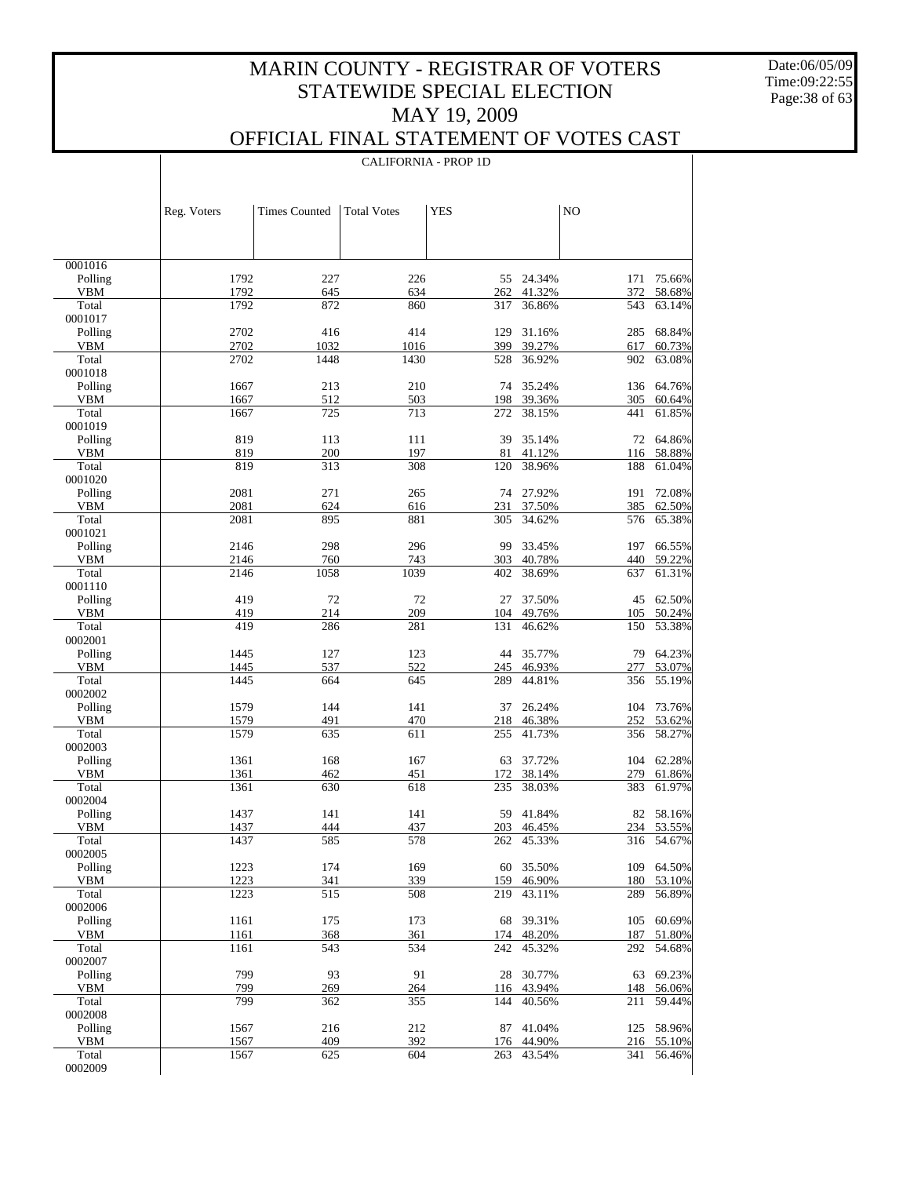Date:06/05/09 Time:09:22:55 Page:38 of 63

 $\mathbf{I}$ 

### OFFICIAL FINAL STATEMENT OF VOTES CAST

|                       |              |                      | <b>CALIFORNIA - PROP 1D</b> |            |                  |            |                      |
|-----------------------|--------------|----------------------|-----------------------------|------------|------------------|------------|----------------------|
|                       |              |                      |                             |            |                  |            |                      |
|                       |              |                      |                             |            |                  |            |                      |
|                       | Reg. Voters  | <b>Times Counted</b> | <b>Total Votes</b>          | <b>YES</b> |                  | NO         |                      |
|                       |              |                      |                             |            |                  |            |                      |
|                       |              |                      |                             |            |                  |            |                      |
| 0001016               |              |                      |                             |            |                  |            |                      |
| Polling               | 1792         | 227                  | 226                         | 55         | 24.34%           | 171        | 75.66%               |
| <b>VBM</b>            | 1792         | 645                  | 634                         | 262        | 41.32%           | 372        | 58.68%               |
| Total<br>0001017      | 1792         | 872                  | 860                         | 317        | 36.86%           | 543        | 63.14%               |
| Polling               | 2702         | 416                  | 414                         | 129        | 31.16%           | 285        | 68.84%               |
| <b>VBM</b>            | 2702         | 1032                 | 1016                        | 399        | 39.27%           | 617        | 60.73%               |
| Total                 | 2702         | 1448                 | 1430                        | 528        | 36.92%           | 902        | 63.08%               |
| 0001018<br>Polling    | 1667         | 213                  | 210                         | 74         | 35.24%           |            | 136 64.76%           |
| <b>VBM</b>            | 1667         | 512                  | 503                         | 198        | 39.36%           | 305        | 60.64%               |
| Total                 | 1667         | 725                  | 713                         | 272        | 38.15%           | 441        | 61.85%               |
| 0001019               |              |                      |                             |            |                  |            |                      |
| Polling               | 819          | 113                  | 111                         | 39         | 35.14%           | 72         | 64.86%               |
| <b>VBM</b><br>Total   | 819<br>819   | 200<br>313           | 197<br>308                  | 81<br>120  | 41.12%<br>38.96% | 116<br>188 | 58.88%<br>61.04%     |
| 0001020               |              |                      |                             |            |                  |            |                      |
| Polling               | 2081         | 271                  | 265                         | 74         | 27.92%           | 191        | 72.08%               |
| <b>VBM</b>            | 2081         | 624                  | 616                         | 231        | 37.50%           | 385        | 62.50%               |
| Total                 | 2081         | 895                  | 881                         | 305        | 34.62%           | 576        | 65.38%               |
| 0001021               |              |                      |                             |            |                  |            | 66.55%               |
| Polling<br><b>VBM</b> | 2146<br>2146 | 298<br>760           | 296<br>743                  | 99<br>303  | 33.45%<br>40.78% | 197<br>440 | 59.22%               |
| Total                 | 2146         | 1058                 | 1039                        | 402        | 38.69%           | 637        | 61.31%               |
| 0001110               |              |                      |                             |            |                  |            |                      |
| Polling               | 419          | 72                   | 72                          | 27         | 37.50%           |            | 45 62.50%            |
| <b>VBM</b>            | 419          | 214                  | 209                         | 104        | 49.76%           | 105        | 50.24%               |
| Total<br>0002001      | 419          | 286                  | 281                         | 131        | 46.62%           | 150        | 53.38%               |
| Polling               | 1445         | 127                  | 123                         | 44         | 35.77%           | 79         | 64.23%               |
| <b>VBM</b>            | 1445         | 537                  | 522                         | 245        | 46.93%           | 277        | 53.07%               |
| Total                 | 1445         | 664                  | 645                         | 289        | 44.81%           | 356        | 55.19%               |
| 0002002               |              |                      |                             |            |                  |            |                      |
| Polling<br><b>VBM</b> | 1579<br>1579 | 144<br>491           | 141<br>470                  | 37<br>218  | 26.24%<br>46.38% | 252        | 104 73.76%<br>53.62% |
| Total                 | 1579         | 635                  | 611                         | 255        | 41.73%           | 356        | 58.27%               |
| 0002003               |              |                      |                             |            |                  |            |                      |
| Polling               | 1361         | 168                  | 167                         | 63         | 37.72%           | 104        | 62.28%               |
| <b>VBM</b>            | 1361         | 462                  | 451                         | 172        | 38.14%           | 279        | 61.86%               |
| Total<br>0002004      | 1361         | 630                  | 618                         | 235        | 38.03%           | 383        | 61.97%               |
| Polling               | 1437         | 141                  | 141                         |            | 59 41.84%        |            | 82 58.16%            |
| <b>VBM</b>            | 1437         | 444                  | 437                         |            | 203 46.45%       |            | 234 53.55%           |
| Total                 | 1437         | 585                  | 578                         | 262        | 45.33%           | 316        | 54.67%               |
| 0002005               |              |                      |                             |            |                  |            |                      |
| Polling<br><b>VBM</b> | 1223<br>1223 | 174<br>341           | 169<br>339                  | 60<br>159  | 35.50%<br>46.90% | 109<br>180 | 64.50%<br>53.10%     |
| Total                 | 1223         | 515                  | 508                         | 219        | 43.11%           | 289        | 56.89%               |
| 0002006               |              |                      |                             |            |                  |            |                      |
| Polling               | 1161         | 175                  | 173                         | 68         | 39.31%           | 105        | 60.69%               |
| <b>VBM</b>            | 1161         | 368                  | 361                         | 174        | 48.20%           | 187        | 51.80%               |
| Total<br>0002007      | 1161         | 543                  | 534                         | 242        | 45.32%           | 292        | 54.68%               |
| Polling               | 799          | 93                   | 91                          | 28         | 30.77%           | 63         | 69.23%               |
| <b>VBM</b>            | 799          | 269                  | 264                         | 116        | 43.94%           | 148        | 56.06%               |
| Total                 | 799          | 362                  | 355                         | 144        | 40.56%           | 211        | 59.44%               |
| 0002008               |              |                      |                             |            |                  |            |                      |
| Polling               | 1567         | 216                  | 212                         | 87         | 41.04%           |            | 125 58.96%           |
| <b>VBM</b><br>Total   | 1567<br>1567 | 409<br>625           | 392<br>604                  | 176<br>263 | 44.90%<br>43.54% | 216<br>341 | 55.10%<br>56.46%     |
| 0002009               |              |                      |                             |            |                  |            |                      |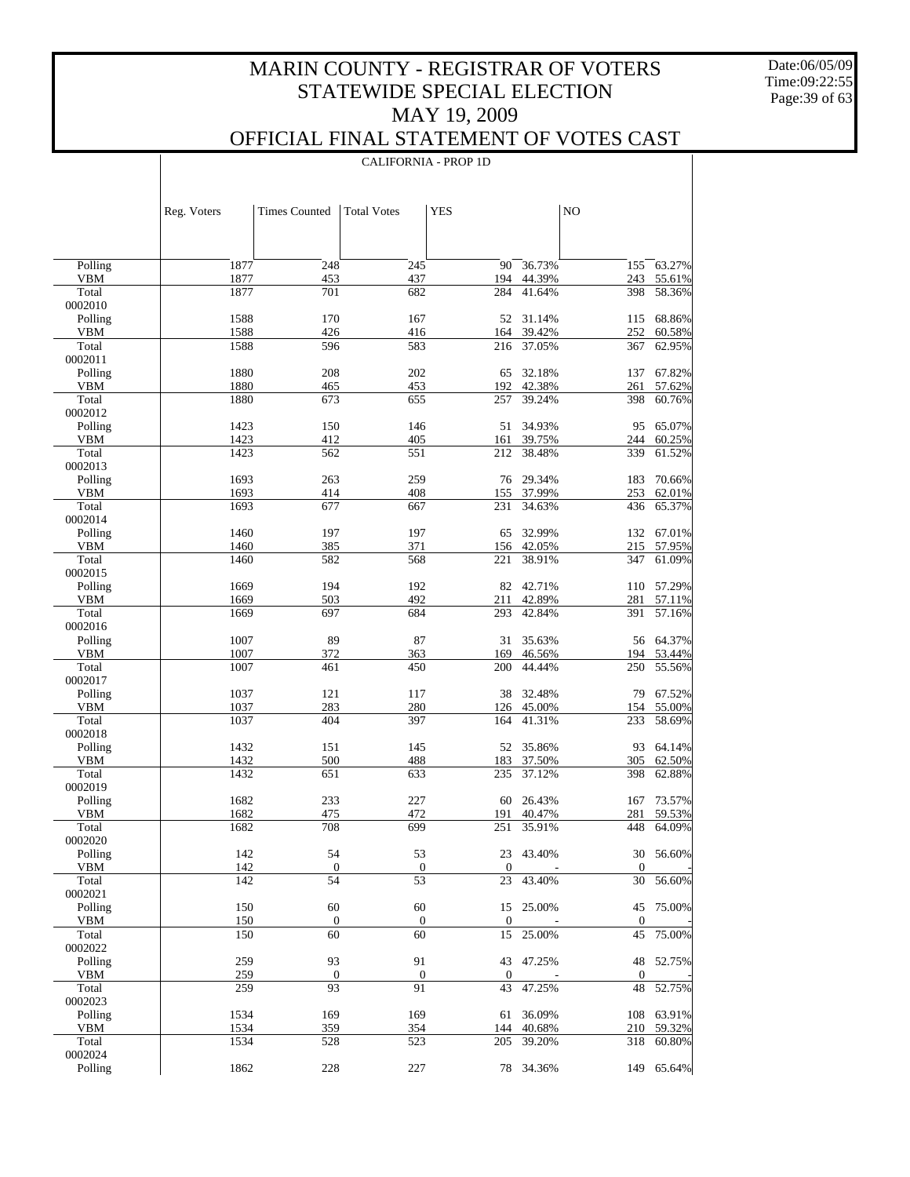Date:06/05/09 Time:09:22:55 Page:39 of 63

 $\overline{\phantom{a}}$ 

### OFFICIAL FINAL STATEMENT OF VOTES CAST

CALIFORNIA - PROP 1D

 $\overline{\phantom{a}}$ 

|                     | Reg. Voters  | <b>Times Counted</b>   | <b>Total Votes</b>     | <b>YES</b>       |                  | N <sub>O</sub>     |                  |
|---------------------|--------------|------------------------|------------------------|------------------|------------------|--------------------|------------------|
|                     |              |                        |                        |                  |                  |                    |                  |
| Polling             | 1877         | 248                    | 245                    | 90               | 36.73%           | 155                | 63.27%           |
| VBM<br>Total        | 1877<br>1877 | 453<br>701             | 437<br>682             | 194<br>284       | 44.39%           | 243<br>398         | 55.61%           |
| 0002010             |              |                        |                        |                  | 41.64%           |                    | 58.36%           |
| Polling             | 1588         | 170                    | 167                    | 52               | 31.14%           | 115                | 68.86%           |
| <b>VBM</b>          | 1588         | 426                    | 416                    | 164              | 39.42%           | 252                | 60.58%           |
| Total               | 1588         | 596                    | 583                    | 216              | 37.05%           | 367                | 62.95%           |
| 0002011<br>Polling  | 1880         | 208                    | 202                    | 65               | 32.18%           | 137                | 67.82%           |
| <b>VBM</b>          | 1880         | 465                    | 453                    | 192              | 42.38%           | 261                | 57.62%           |
| Total               | 1880         | 673                    | 655                    | 257              | 39.24%           | 398                | 60.76%           |
| 0002012             |              |                        |                        |                  |                  |                    |                  |
| Polling             | 1423         | 150                    | 146                    | 51               | 34.93%           | 95                 | 65.07%           |
| <b>VBM</b><br>Total | 1423<br>1423 | 412<br>562             | 405<br>551             | 161<br>212       | 39.75%<br>38.48% | 244<br>339         | 60.25%<br>61.52% |
| 0002013             |              |                        |                        |                  |                  |                    |                  |
| Polling             | 1693         | 263                    | 259                    | 76               | 29.34%           | 183                | 70.66%           |
| <b>VBM</b>          | 1693         | 414                    | 408                    | 155              | 37.99%           | 253                | 62.01%           |
| Total               | 1693         | 677                    | 667                    | 231              | 34.63%           | 436                | 65.37%           |
| 0002014<br>Polling  | 1460         | 197                    | 197                    | 65               | 32.99%           | 132                | 67.01%           |
| <b>VBM</b>          | 1460         | 385                    | 371                    | 156              | 42.05%           | 215                | 57.95%           |
| Total               | 1460         | 582                    | 568                    | 221              | 38.91%           | 347                | 61.09%           |
| 0002015             |              |                        |                        |                  |                  |                    |                  |
| Polling             | 1669         | 194                    | 192                    | 82               | 42.71%           | 110                | 57.29%           |
| <b>VBM</b><br>Total | 1669<br>1669 | 503<br>697             | 492<br>684             | 211<br>293       | 42.89%<br>42.84% | 281<br>391         | 57.11%<br>57.16% |
| 0002016             |              |                        |                        |                  |                  |                    |                  |
| Polling             | 1007         | 89                     | 87                     | 31               | 35.63%           | 56                 | 64.37%           |
| <b>VBM</b>          | 1007         | 372                    | 363                    | 169              | 46.56%           | 194                | 53.44%           |
| Total               | 1007         | 461                    | 450                    | 200              | 44.44%           | 250                | 55.56%           |
| 0002017<br>Polling  | 1037         | 121                    | 117                    | 38               | 32.48%           | 79                 | 67.52%           |
| <b>VBM</b>          | 1037         | 283                    | 280                    | 126              | 45.00%           | 154                | 55.00%           |
| Total               | 1037         | 404                    | 397                    | 164              | 41.31%           | 233                | 58.69%           |
| 0002018             |              |                        |                        |                  |                  |                    |                  |
| Polling             | 1432         | 151                    | 145                    | 52               | 35.86%           | 93                 | 64.14%           |
| <b>VBM</b><br>Total | 1432<br>1432 | 500<br>651             | 488<br>633             | 183<br>235       | 37.50%<br>37.12% | 305<br>398         | 62.50%<br>62.88% |
| 0002019             |              |                        |                        |                  |                  |                    |                  |
| Polling             | 1682         | 233                    | 227                    | 60               | 26.43%           | 167                | 73.57%           |
| <b>VBM</b>          | 1682         | 475                    | 472                    | 191              | 40.47%           | 281                | 59.53%           |
| Total<br>0002020    | 1682         | 708                    | 699                    | 251              | 35.91%           | 448                | 64.09%           |
| Polling             | 142          | 54                     | 53                     |                  | 23 43.40%        | 30                 | 56.60%           |
| <b>VBM</b>          | 142          | $\boldsymbol{0}$       | $\boldsymbol{0}$       | $\boldsymbol{0}$ |                  | $\mathbf{0}$       |                  |
| Total               | 142          | 54                     | 53                     | 23               | 43.40%           | 30                 | 56.60%           |
| 0002021             |              |                        |                        |                  |                  |                    |                  |
| Polling             | 150<br>150   | 60                     | 60                     | $\boldsymbol{0}$ | 15 25.00%        | 45<br>$\mathbf{0}$ | 75.00%           |
| VBM<br>Total        | 150          | $\boldsymbol{0}$<br>60 | $\boldsymbol{0}$<br>60 | 15               | 25.00%           | 45                 | 75.00%           |
| 0002022             |              |                        |                        |                  |                  |                    |                  |
| Polling             | 259          | 93                     | 91                     |                  | 43 47.25%        | 48                 | 52.75%           |
| VBM                 | 259          | $\boldsymbol{0}$       | $\boldsymbol{0}$       | $\boldsymbol{0}$ |                  | $\mathbf{0}$       |                  |
| Total<br>0002023    | 259          | 93                     | 91                     | 43               | 47.25%           | 48                 | 52.75%           |
| Polling             | 1534         | 169                    | 169                    | 61               | 36.09%           |                    | 108 63.91%       |
| VBM                 | 1534         | 359                    | 354                    | 144              | 40.68%           | 210                | 59.32%           |
| Total               | 1534         | 528                    | 523                    | 205              | 39.20%           | 318                | 60.80%           |
| 0002024             |              |                        |                        |                  |                  |                    |                  |
| Polling             | 1862         | 228                    | 227                    |                  | 78 34.36%        |                    | 149 65.64%       |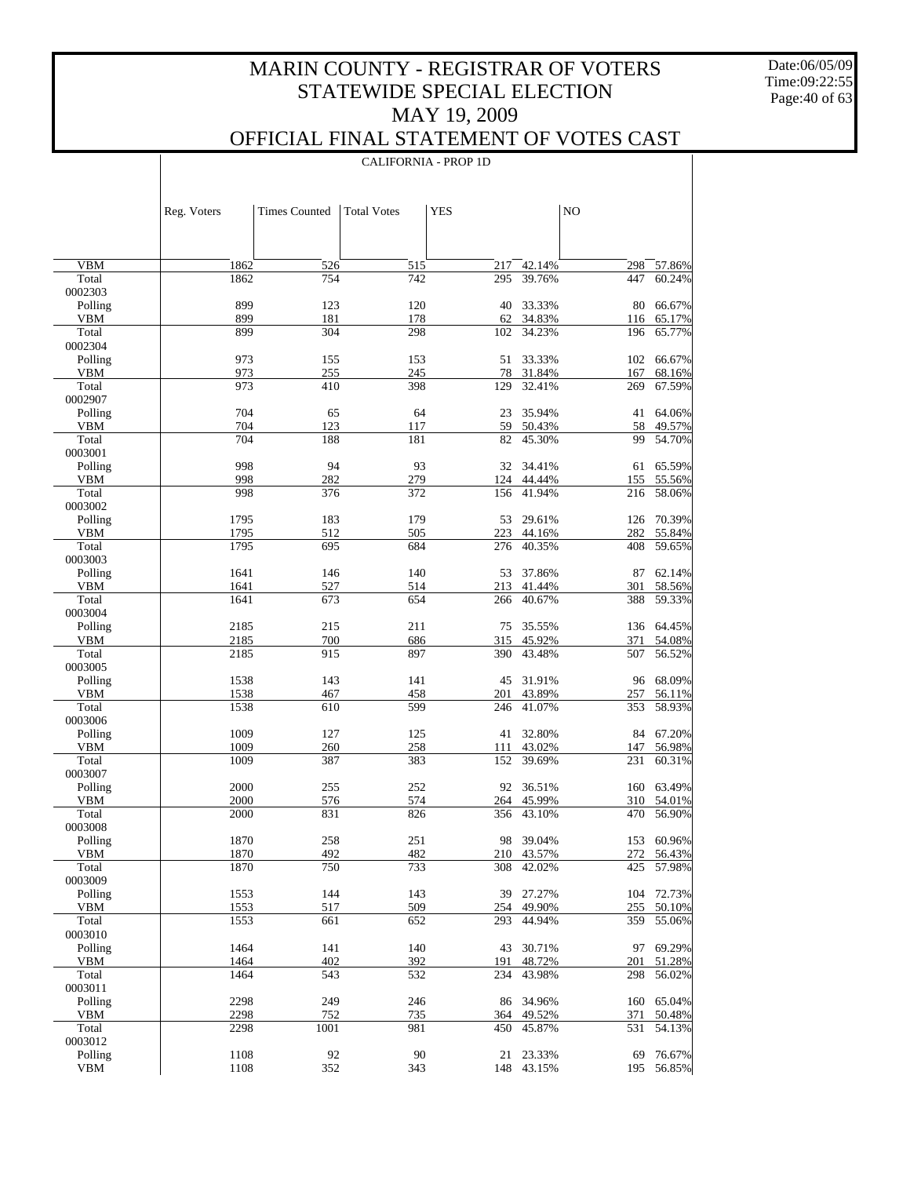Date:06/05/09 Time:09:22:55 Page:40 of 63

 $\overline{\phantom{a}}$ 

### OFFICIAL FINAL STATEMENT OF VOTES CAST

|                       | Reg. Voters  | <b>Times Counted</b> | <b>Total Votes</b> | <b>YES</b> |                      | NO         |                          |
|-----------------------|--------------|----------------------|--------------------|------------|----------------------|------------|--------------------------|
|                       |              |                      |                    |            |                      |            |                          |
|                       |              |                      |                    |            |                      |            |                          |
| <b>VBM</b>            | 1862         | 526                  | 515                | 217        | 42.14%               | 298        | 57.86%                   |
| Total                 | 1862         | 754                  | 742                | 295        | 39.76%               | 447        | 60.24%                   |
| 0002303               | 899          |                      |                    |            |                      |            |                          |
| Polling<br><b>VBM</b> | 899          | 123<br>181           | 120<br>178         | 40<br>62   | 33.33%<br>34.83%     | 80<br>116  | 66.67%<br>65.17%         |
| Total                 | 899          | 304                  | 298                | 102        | 34.23%               | 196        | 65.77%                   |
| 0002304               |              |                      |                    |            |                      |            |                          |
| Polling               | 973          | 155                  | 153                | 51         | 33.33%               | 102        | 66.67%                   |
| <b>VBM</b><br>Total   | 973<br>973   | 255<br>410           | 245<br>398         | 78<br>129  | 31.84%<br>32.41%     | 167<br>269 | 68.16%                   |
| 0002907               |              |                      |                    |            |                      |            | 67.59%                   |
| Polling               | 704          | 65                   | 64                 | 23         | 35.94%               | 41         | 64.06%                   |
| <b>VBM</b>            | 704          | 123                  | 117                | 59         | 50.43%               | 58         | 49.57%                   |
| Total                 | 704          | 188                  | 181                | 82         | 45.30%               | 99         | 54.70%                   |
| 0003001<br>Polling    | 998          | 94                   | 93                 |            | 32 34.41%            | 61         | 65.59%                   |
| <b>VBM</b>            | 998          | 282                  | 279                | 124        | 44.44%               | 155        | 55.56%                   |
| Total                 | 998          | 376                  | 372                | 156        | 41.94%               | 216        | 58.06%                   |
| 0003002               |              |                      |                    |            |                      |            |                          |
| Polling               | 1795         | 183                  | 179                | 53         | 29.61%               | 126        | 70.39%                   |
| <b>VBM</b><br>Total   | 1795<br>1795 | 512<br>695           | 505<br>684         | 223        | 44.16%<br>40.35%     | 282<br>408 | 55.84%<br>59.65%         |
| 0003003               |              |                      |                    | 276        |                      |            |                          |
| Polling               | 1641         | 146                  | 140                | 53         | 37.86%               | 87         | 62.14%                   |
| <b>VBM</b>            | 1641         | 527                  | 514                | 213        | 41.44%               | 301        | 58.56%                   |
| Total                 | 1641         | 673                  | 654                | 266        | 40.67%               | 388        | 59.33%                   |
| 0003004               |              |                      |                    |            |                      |            |                          |
| Polling<br><b>VBM</b> | 2185<br>2185 | 215<br>700           | 211<br>686         | 75<br>315  | 35.55%<br>45.92%     | 371        | 136 64.45%<br>54.08%     |
| Total                 | 2185         | 915                  | 897                | 390        | 43.48%               | 507        | 56.52%                   |
| 0003005               |              |                      |                    |            |                      |            |                          |
| Polling               | 1538         | 143                  | 141                | 45         | 31.91%               | 96         | 68.09%                   |
| <b>VBM</b><br>Total   | 1538<br>1538 | 467<br>610           | 458<br>599         | 201        | 43.89%<br>41.07%     | 257        | 56.11%                   |
| 0003006               |              |                      |                    | 246        |                      | 353        | 58.93%                   |
| Polling               | 1009         | 127                  | 125                | 41         | 32.80%               | 84         | 67.20%                   |
| <b>VBM</b>            | 1009         | 260                  | 258                | 111        | 43.02%               | 147        | 56.98%                   |
| Total                 | 1009         | 387                  | 383                | 152        | 39.69%               | 231        | 60.31%                   |
| 0003007<br>Polling    | 2000         | 255                  | 252                |            | 92 36.51%            |            | 63.49%                   |
| <b>VBM</b>            | 2000         | 576                  | 574                | 264        | 45.99%               | 160<br>310 | 54.01%                   |
| Total                 | 2000         | 831                  | 826                | 356        | 43.10%               | 470        | 56.90%                   |
| 0003008               |              |                      |                    |            |                      |            |                          |
| Polling               | 1870         | 258                  | 251                |            | 98 39.04%            |            | 153 60.96%               |
| VBM<br>Total          | 1870<br>1870 | 492<br>750           | 482<br>733         | 308        | 210 43.57%<br>42.02% |            | 272 56.43%<br>425 57.98% |
| 0003009               |              |                      |                    |            |                      |            |                          |
| Polling               | 1553         | 144                  | 143                | 39         | 27.27%               | 104        | 72.73%                   |
| VBM                   | 1553         | 517                  | 509                |            | 254 49.90%           | 255        | 50.10%                   |
| Total                 | 1553         | 661                  | 652                | 293        | 44.94%               | 359        | 55.06%                   |
| 0003010<br>Polling    | 1464         | 141                  | 140                | 43         | 30.71%               | 97         | 69.29%                   |
| VBM                   | 1464         | 402                  | 392                | 191        | 48.72%               | 201        | 51.28%                   |
| Total                 | 1464         | 543                  | 532                | 234        | 43.98%               | 298        | 56.02%                   |
| 0003011               |              |                      |                    |            |                      |            |                          |
| Polling               | 2298         | 249                  | 246                | 86         | 34.96%               | 160        | 65.04%                   |
| VBM<br>Total          | 2298<br>2298 | 752<br>1001          | 735<br>981         | 450        | 364 49.52%<br>45.87% | 371<br>531 | 50.48%<br>54.13%         |
| 0003012               |              |                      |                    |            |                      |            |                          |
| Polling               | 1108         | 92                   | 90                 | 21         | 23.33%               | 69         | 76.67%                   |
| <b>VBM</b>            | 1108         | 352                  | 343                |            | 148 43.15%           | 195        | 56.85%                   |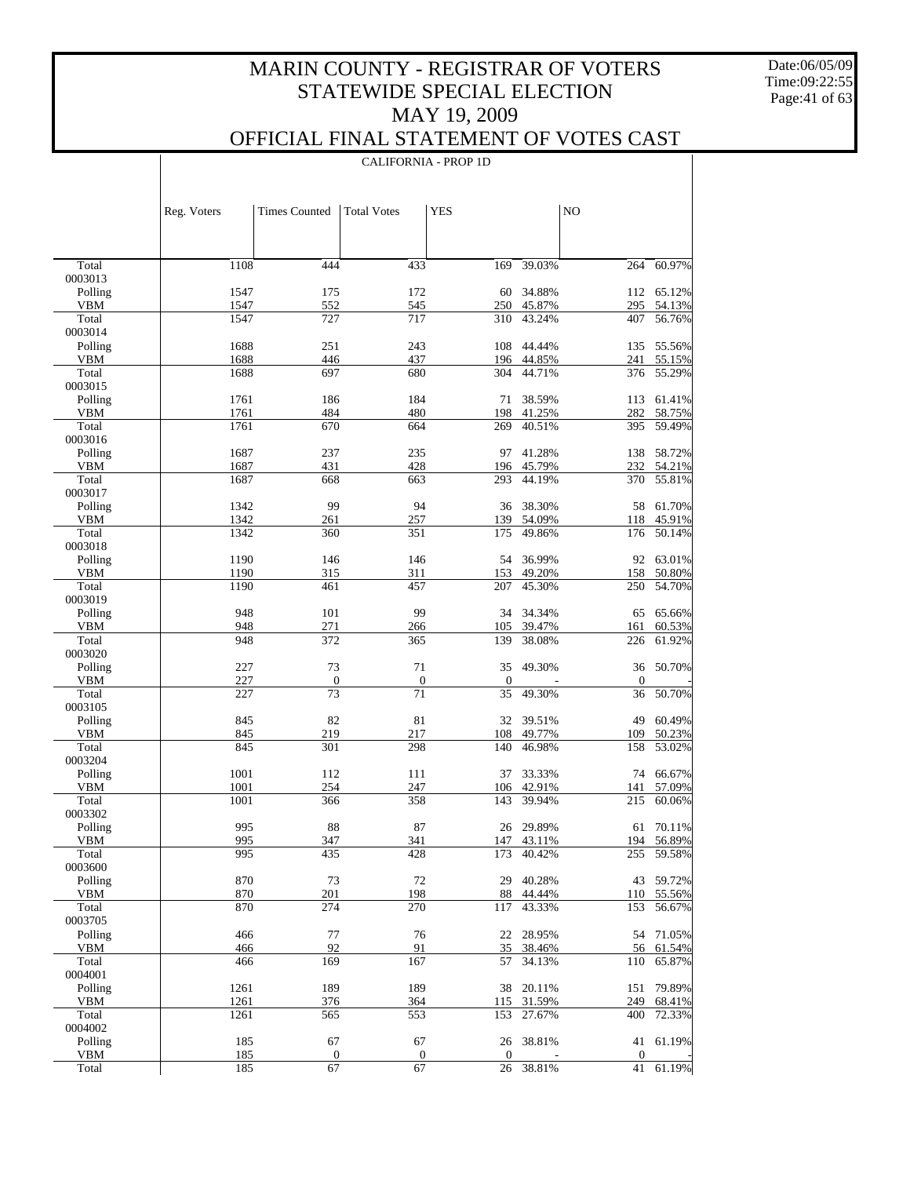Date:06/05/09 Time:09:22:55 Page:41 of 63

### OFFICIAL FINAL STATEMENT OF VOTES CAST

|                       | Reg. Voters  | <b>Times Counted</b>   | <b>Total Votes</b>     | <b>YES</b>             |                  | NO                     |                  |
|-----------------------|--------------|------------------------|------------------------|------------------------|------------------|------------------------|------------------|
|                       |              |                        |                        |                        |                  |                        |                  |
| Total                 | 1108         | 444                    | 433                    | 169                    | 39.03%           | 264                    | 60.97%           |
| 0003013<br>Polling    | 1547         | 175                    | 172                    | 60                     | 34.88%           | 112                    | 65.12%           |
| VBM                   | 1547         | 552                    | 545                    | 250                    | 45.87%           | 295                    | 54.13%           |
| Total                 | 1547         | 727                    | 717                    | 310                    | 43.24%           | 407                    | 56.76%           |
| 0003014               |              |                        |                        |                        |                  |                        |                  |
| Polling               | 1688         | 251                    | 243                    | 108                    | 44.44%           | 135                    | 55.56%           |
| <b>VBM</b>            | 1688         | 446                    | 437                    | 196                    | 44.85%           | 241                    | 55.15%           |
| Total<br>0003015      | 1688         | 697                    | 680                    | 304                    | 44.71%           | 376                    | 55.29%           |
| Polling               | 1761         | 186                    | 184                    | 71                     | 38.59%           | 113                    | 61.41%           |
| <b>VBM</b>            | 1761         | 484                    | 480                    | 198                    | 41.25%           | 282                    | 58.75%           |
| Total                 | 1761         | 670                    | 664                    | 269                    | 40.51%           | 395                    | 59.49%           |
| 0003016               |              |                        |                        |                        |                  |                        |                  |
| Polling               | 1687         | 237                    | 235                    | 97                     | 41.28%           | 138                    | 58.72%           |
| <b>VBM</b><br>Total   | 1687<br>1687 | 431<br>668             | 428<br>663             | 196<br>293             | 45.79%<br>44.19% | 232<br>370             | 54.21%<br>55.81% |
| 0003017               |              |                        |                        |                        |                  |                        |                  |
| Polling               | 1342         | 99                     | 94                     | 36                     | 38.30%           | 58                     | 61.70%           |
| <b>VBM</b>            | 1342         | 261                    | 257                    | 139                    | 54.09%           | 118                    | 45.91%           |
| Total                 | 1342         | 360                    | 351                    | 175                    | 49.86%           | 176                    | 50.14%           |
| 0003018               |              |                        |                        |                        |                  |                        |                  |
| Polling               | 1190         | 146                    | 146                    | 54                     | 36.99%           | 92                     | 63.01%           |
| <b>VBM</b><br>Total   | 1190<br>1190 | 315<br>461             | 311<br>457             | 153<br>207             | 49.20%<br>45.30% | 158<br>250             | 50.80%<br>54.70% |
| 0003019               |              |                        |                        |                        |                  |                        |                  |
| Polling               | 948          | 101                    | 99                     | 34                     | 34.34%           | 65                     | 65.66%           |
| <b>VBM</b>            | 948          | 271                    | 266                    | 105                    | 39.47%           | 161                    | 60.53%           |
| Total                 | 948          | 372                    | 365                    | 139                    | 38.08%           | 226                    | 61.92%           |
| 0003020               |              |                        |                        |                        |                  |                        |                  |
| Polling<br><b>VBM</b> | 227<br>227   | 73<br>$\boldsymbol{0}$ | 71<br>$\boldsymbol{0}$ | 35<br>$\boldsymbol{0}$ | 49.30%           | 36<br>$\boldsymbol{0}$ | 50.70%           |
| Total                 | 227          | 73                     | 71                     | 35                     | 49.30%           | 36                     | 50.70%           |
| 0003105               |              |                        |                        |                        |                  |                        |                  |
| Polling               | 845          | 82                     | 81                     | 32                     | 39.51%           | 49                     | 60.49%           |
| <b>VBM</b>            | 845          | 219                    | 217                    | 108                    | 49.77%           | 109                    | 50.23%           |
| Total                 | 845          | 301                    | 298                    | 140                    | 46.98%           | 158                    | 53.02%           |
| 0003204<br>Polling    | 1001         | 112                    | 111                    | 37                     | 33.33%           | 74                     | 66.67%           |
| <b>VBM</b>            | 1001         | 254                    | 247                    | 106                    | 42.91%           | 141                    | 57.09%           |
| Total                 | 1001         | 366                    | 358                    | 143                    | 39.94%           | 215                    | 60.06%           |
| 0003302               |              |                        |                        |                        |                  |                        |                  |
| Polling               | 995          | 88                     | 87                     | 26                     | 29.89%           | 61                     | 70.11%           |
| VВM                   | 995          | 347                    | 341                    | 147                    | 43.11%           | 194                    | <u>56.89%</u>    |
| Total                 | 995          | 435                    | 428                    | 173                    | 40.42%           | 255                    | 59.58%           |
| 0003600<br>Polling    | 870          | 73                     | 72                     | 29                     | 40.28%           | 43                     | 59.72%           |
| <b>VBM</b>            | 870          | 201                    | 198                    | 88                     | 44.44%           | 110                    | 55.56%           |
| Total                 | 870          | 274                    | 270                    | 117                    | 43.33%           | 153                    | 56.67%           |
| 0003705               |              |                        |                        |                        |                  |                        |                  |
| Polling               | 466          | 77                     | 76                     | 22                     | 28.95%           | 54                     | 71.05%           |
| <b>VBM</b>            | 466          | 92                     | 91                     | 35                     | 38.46%           | 56                     | 61.54%           |
| Total<br>0004001      | 466          | 169                    | 167                    | 57                     | 34.13%           | 110                    | 65.87%           |
| Polling               | 1261         | 189                    | 189                    | 38                     | 20.11%           | 151                    | 79.89%           |
| <b>VBM</b>            | 1261         | 376                    | 364                    | 115                    | 31.59%           | 249                    | 68.41%           |
| Total                 | 1261         | 565                    | 553                    | 153                    | 27.67%           | 400                    | 72.33%           |
| 0004002               |              |                        |                        |                        |                  |                        |                  |
| Polling               | 185          | 67                     | 67                     | 26                     | 38.81%           | 41                     | 61.19%           |
| <b>VBM</b>            | 185          | $\boldsymbol{0}$       | $\boldsymbol{0}$       | $\boldsymbol{0}$       |                  | $\boldsymbol{0}$       |                  |
| Total                 | 185          | 67                     | 67                     | 26                     | 38.81%           | 41                     | 61.19%           |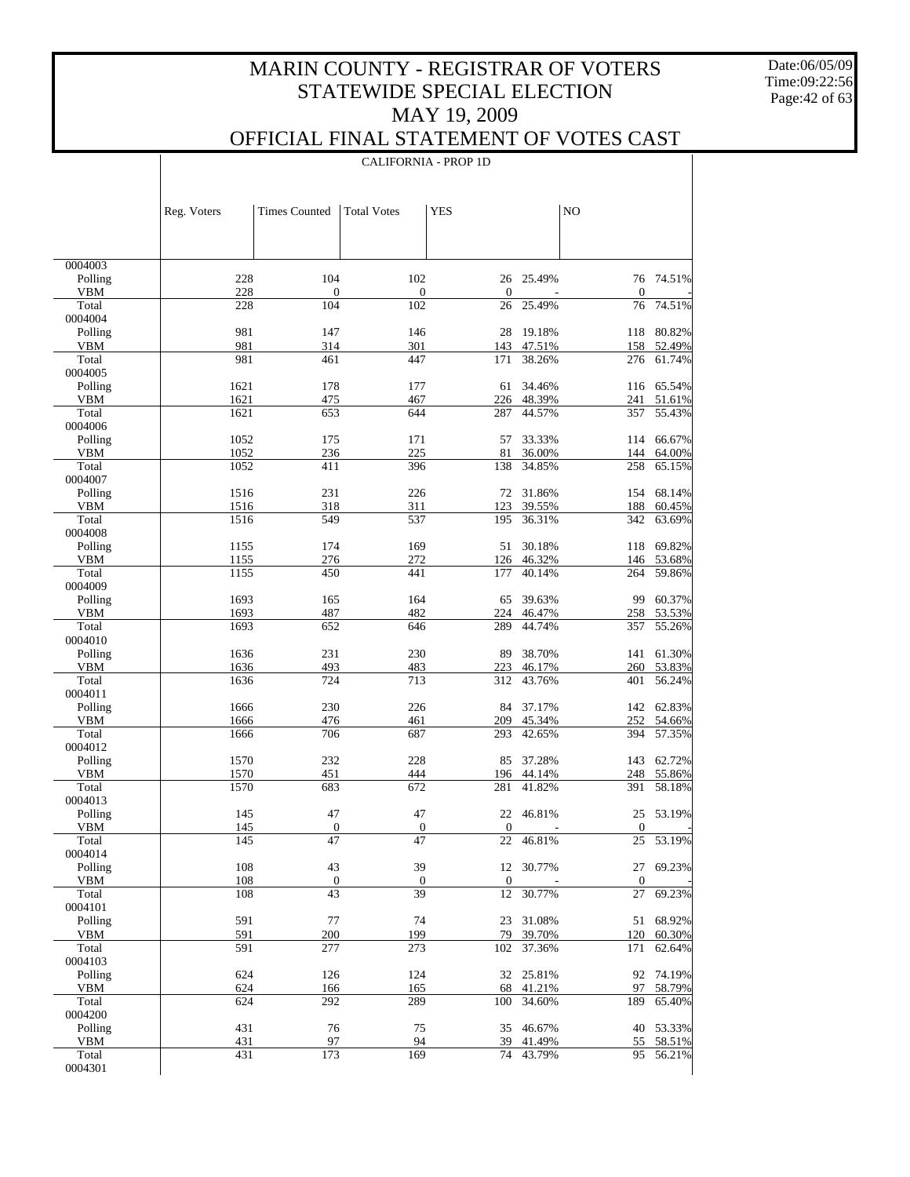Date:06/05/09 Time:09:22:56 Page:42 of 63

 $\mathbf{I}$ 

### OFFICIAL FINAL STATEMENT OF VOTES CAST

|                       |             |                      | <b>CALIFORNIA - PROP 1D</b> |                    |                  |                    |                     |
|-----------------------|-------------|----------------------|-----------------------------|--------------------|------------------|--------------------|---------------------|
|                       |             |                      |                             |                    |                  |                    |                     |
|                       |             |                      |                             |                    |                  |                    |                     |
|                       | Reg. Voters | <b>Times Counted</b> | <b>Total Votes</b>          | <b>YES</b>         |                  | NO                 |                     |
|                       |             |                      |                             |                    |                  |                    |                     |
| 0004003               |             |                      |                             |                    |                  |                    |                     |
| Polling               | 228         | 104                  | 102                         | 26                 | 25.49%           | 76                 | 74.51%              |
| <b>VBM</b><br>Total   | 228<br>228  | $\mathbf{0}$<br>104  | 0<br>102                    | $\mathbf{0}$<br>26 | 25.49%           | $\mathbf{0}$<br>76 | 74.51%              |
| 0004004               |             |                      |                             |                    |                  |                    |                     |
| Polling               | 981         | 147                  | 146                         | 28                 | 19.18%           | 118                | 80.82%              |
| <b>VBM</b><br>Total   | 981<br>981  | 314<br>461           | 301<br>447                  | 143<br>171         | 47.51%<br>38.26% | 158<br>276         | 52.49%<br>61.74%    |
| 0004005               |             |                      |                             |                    |                  |                    |                     |
| Polling               | 1621        | 178                  | 177                         | 61                 | 34.46%           |                    | 116 65.54%          |
| <b>VBM</b>            | 1621        | 475                  | 467                         | 226                | 48.39%           | 241                | 51.61%              |
| Total<br>0004006      | 1621        | 653                  | 644                         | 287                | 44.57%           | 357                | 55.43%              |
| Polling               | 1052        | 175                  | 171                         | 57                 | 33.33%           |                    | 114 66.67%          |
| <b>VBM</b>            | 1052        | 236                  | 225                         | 81                 | 36.00%           | 144                | 64.00%              |
| Total<br>0004007      | 1052        | 411                  | 396                         | 138                | 34.85%           | 258                | 65.15%              |
| Polling               | 1516        | 231                  | 226                         | 72                 | 31.86%           | 154                | 68.14%              |
| <b>VBM</b>            | 1516        | 318                  | 311                         | 123                | 39.55%           | 188                | 60.45%              |
| Total<br>0004008      | 1516        | 549                  | 537                         | 195                | 36.31%           | 342                | 63.69%              |
| Polling               | 1155        | 174                  | 169                         | 51                 | 30.18%           | 118                | 69.82%              |
| <b>VBM</b>            | 1155        | 276                  | 272                         | 126                | 46.32%           | 146                | 53.68%              |
| Total<br>0004009      | 1155        | 450                  | 441                         | 177                | 40.14%           | 264                | 59.86%              |
| Polling               | 1693        | 165                  | 164                         | 65                 | 39.63%           | 99                 | 60.37%              |
| <b>VBM</b>            | 1693        | 487                  | 482                         | 224                | 46.47%           | 258                | 53.53%              |
| Total                 | 1693        | 652                  | 646                         | 289                | 44.74%           | 357                | 55.26%              |
| 0004010<br>Polling    | 1636        | 231                  | 230                         | 89                 | 38.70%           |                    | 141 61.30%          |
| <b>VBM</b>            | 1636        | 493                  | 483                         | 223                | 46.17%           | 260                | 53.83%              |
| Total                 | 1636        | 724                  | 713                         | 312                | 43.76%           | 401                | 56.24%              |
| 0004011<br>Polling    | 1666        | 230                  | 226                         | 84                 | 37.17%           |                    | 142 62.83%          |
| <b>VBM</b>            | 1666        | 476                  | 461                         | 209                | 45.34%           | 252                | 54.66%              |
| Total                 | 1666        | 706                  | 687                         | 293                | 42.65%           | 394                | 57.35%              |
| 0004012<br>Polling    | 1570        | 232                  | 228                         | 85                 | 37.28%           | 143                | 62.72%              |
| <b>VBM</b>            | 1570        | 451                  | 444                         | 196                | 44.14%           | 248                | 55.86%              |
| Total                 | 1570        | 683                  | 672                         | 281                | 41.82%           | 391                | 58.18%              |
| 0004013<br>Polling    | 145         | 47                   | 47                          | 22                 | 46.81%           |                    | 25 53.19%           |
| <b>VBM</b>            | 145         | $\overline{0}$       | $\overline{0}$              | $\boldsymbol{0}$   |                  | $\mathbf{0}$       |                     |
| Total                 | 145         | $\overline{47}$      | $\overline{47}$             | 22                 | 46.81%           | $25\,$             | 53.19%              |
| 0004014<br>Polling    | 108         | 43                   | 39                          | 12                 | 30.77%           |                    | 27 69.23%           |
| <b>VBM</b>            | 108         | $\boldsymbol{0}$     | $\boldsymbol{0}$            | $\boldsymbol{0}$   |                  | $\boldsymbol{0}$   |                     |
| Total                 | 108         | 43                   | 39                          | 12                 | 30.77%           | 27                 | 69.23%              |
| 0004101               |             |                      |                             |                    |                  |                    |                     |
| Polling<br><b>VBM</b> | 591<br>591  | 77<br>200            | 74<br>199                   | 23<br>79           | 31.08%<br>39.70% | 120                | 51 68.92%<br>60.30% |
| Total                 | 591         | 277                  | 273                         | 102                | 37.36%           | 171                | 62.64%              |
| 0004103               |             |                      |                             |                    |                  |                    |                     |
| Polling<br>VBM        | 624<br>624  | 126<br>166           | 124<br>165                  | 32<br>68           | 25.81%<br>41.21% | 97                 | 92 74.19%<br>58.79% |
| Total                 | 624         | 292                  | 289                         | 100                | 34.60%           | 189                | 65.40%              |
| 0004200               |             |                      |                             |                    |                  |                    |                     |
| Polling<br><b>VBM</b> | 431<br>431  | 76<br>97             | 75<br>94                    | 35<br>39           | 46.67%<br>41.49% | 55                 | 40 53.33%<br>58.51% |
| Total                 | 431         | 173                  | 169                         | 74                 | 43.79%           | 95                 | 56.21%              |
| 0004301               |             |                      |                             |                    |                  |                    |                     |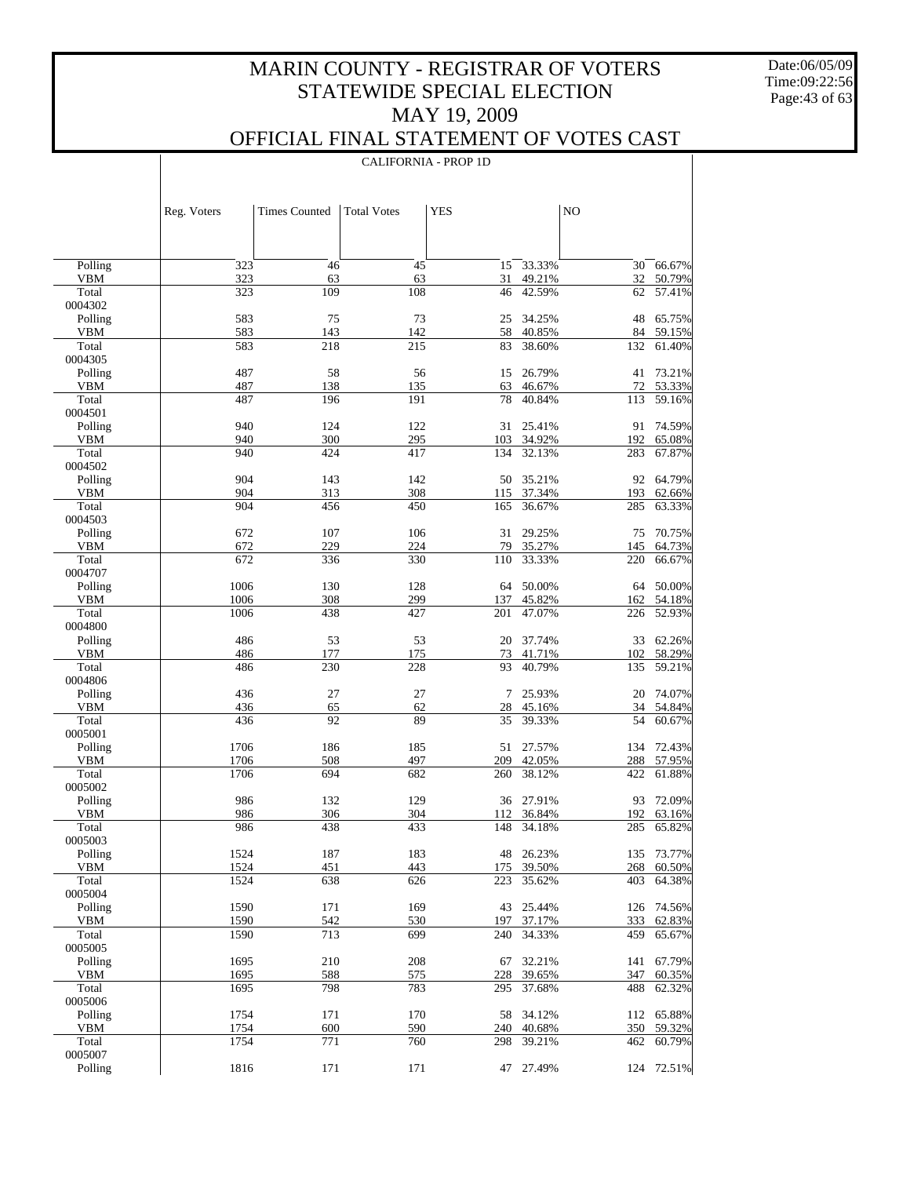Date:06/05/09 Time:09:22:56 Page:43 of 63

 $\mathbf{I}$ 

|                       |              |                      | <b>CALIFORNIA - PROP 1D</b> |            |                      |            |                      |
|-----------------------|--------------|----------------------|-----------------------------|------------|----------------------|------------|----------------------|
|                       |              |                      |                             |            |                      |            |                      |
|                       | Reg. Voters  | <b>Times Counted</b> | <b>Total Votes</b>          | <b>YES</b> |                      | NO         |                      |
|                       |              |                      |                             |            |                      |            |                      |
| Polling               | 323          | 46                   | 45                          | 15         | 33.33%               | 30         | 66.67%               |
| <b>VBM</b>            | 323          | 63                   | 63                          | 31         | 49.21%               | 32         | 50.79%               |
| Total<br>0004302      | 323          | 109                  | 108                         | 46         | 42.59%               | 62         | 57.41%               |
| Polling               | 583          | 75                   | 73                          | 25         | 34.25%               | 48         | 65.75%               |
| <b>VBM</b>            | 583          | 143                  | 142                         | 58         | 40.85%               | 84         | 59.15%               |
| Total<br>0004305      | 583          | 218                  | 215                         | 83         | 38.60%               | 132        | 61.40%               |
| Polling               | 487          | 58                   | 56                          | 15         | 26.79%               | 41         | 73.21%               |
| <b>VBM</b>            | 487          | 138                  | 135                         | 63         | 46.67%               | 72         | 53.33%               |
| Total<br>0004501      | 487          | 196                  | 191                         | 78         | 40.84%               | 113        | 59.16%               |
| Polling               | 940          | 124                  | 122                         | 31         | 25.41%               | 91         | 74.59%               |
| <b>VBM</b>            | 940          | 300                  | 295                         | 103        | 34.92%               | 192        | 65.08%               |
| Total                 | 940          | 424                  | 417                         | 134        | 32.13%               | 283        | 67.87%               |
| 0004502<br>Polling    | 904          | 143                  | 142                         | 50         | 35.21%               | 92         | 64.79%               |
| <b>VBM</b>            | 904          | 313                  | 308                         | 115        | 37.34%               | 193        | 62.66%               |
| Total                 | 904          | 456                  | 450                         | 165        | 36.67%               | 285        | 63.33%               |
| 0004503<br>Polling    | 672          | 107                  | 106                         | 31         | 29.25%               | 75         | 70.75%               |
| <b>VBM</b>            | 672          | 229                  | 224                         | 79         | 35.27%               | 145        | 64.73%               |
| Total                 | 672          | 336                  | 330                         | 110        | 33.33%               | 220        | 66.67%               |
| 0004707               |              |                      |                             |            |                      |            |                      |
| Polling<br><b>VBM</b> | 1006<br>1006 | 130<br>308           | 128<br>299                  | 64<br>137  | 50.00%<br>45.82%     | 64<br>162  | 50.00%<br>54.18%     |
| Total                 | 1006         | 438                  | 427                         | 201        | 47.07%               | 226        | 52.93%               |
| 0004800               |              |                      |                             |            |                      |            |                      |
| Polling<br><b>VBM</b> | 486<br>486   | 53<br>177            | 53<br>175                   | 20<br>73   | 37.74%<br>41.71%     | 33<br>102  | 62.26%<br>58.29%     |
| Total                 | 486          | 230                  | 228                         | 93         | 40.79%               | 135        | 59.21%               |
| 0004806               |              |                      |                             |            |                      |            |                      |
| Polling<br><b>VBM</b> | 436<br>436   | 27<br>65             | 27<br>62                    | 7<br>28    | 25.93%<br>45.16%     | 20<br>34   | 74.07%<br>54.84%     |
| Total                 | 436          | 92                   | 89                          | 35         | 39.33%               | 54         | 60.67%               |
| 0005001               |              |                      |                             |            |                      |            |                      |
| Polling<br><b>VBM</b> | 1706<br>1706 | 186<br>508           | 185<br>497                  | 51<br>209  | 27.57%<br>42.05%     | 134<br>288 | 72.43%<br>57.95%     |
| Total                 | 1706         | 694                  | 682                         | 260        | 38.12%               | 422        | 61.88%               |
| 0005002               |              |                      |                             |            |                      |            |                      |
| Polling               | 986          | 132                  | 129                         |            | 36 27.91%            | 93         | 72.09%<br>192 63.16% |
| VBM<br>Total          | 986<br>986   | 306<br>438           | 304<br>433                  | 148        | 112 36.84%<br>34.18% | 285        | 65.82%               |
| 0005003               |              |                      |                             |            |                      |            |                      |
| Polling               | 1524         | 187                  | 183                         | 48         | 26.23%               | 135        | 73.77%               |
| VBM<br>Total          | 1524<br>1524 | 451<br>638           | 443<br>626                  | 175<br>223 | 39.50%<br>35.62%     | 268<br>403 | 60.50%<br>64.38%     |
| 0005004               |              |                      |                             |            |                      |            |                      |
| Polling               | 1590         | 171                  | 169                         | 43         | 25.44%               | 126        | 74.56%               |
| <b>VBM</b><br>Total   | 1590<br>1590 | 542<br>713           | 530<br>699                  | 197<br>240 | 37.17%<br>34.33%     | 333<br>459 | 62.83%<br>65.67%     |
| 0005005               |              |                      |                             |            |                      |            |                      |
| Polling               | 1695         | 210                  | 208                         | 67         | 32.21%               | 141        | 67.79%               |
| <b>VBM</b><br>Total   | 1695<br>1695 | 588<br>798           | 575<br>783                  | 228        | 39.65%<br>37.68%     | 347<br>488 | 60.35%               |
| 0005006               |              |                      |                             | 295        |                      |            | 62.32%               |
| Polling               | 1754         | 171                  | 170                         | 58         | 34.12%               | 112        | 65.88%               |
| <b>VBM</b><br>Total   | 1754<br>1754 | 600<br>771           | 590<br>760                  | 240        | 40.68%               | 350        | 59.32%               |
| 0005007               |              |                      |                             | 298        | 39.21%               | 462        | 60.79%               |
| Polling               | 1816         | 171                  | 171                         | 47         | 27.49%               | 124        | 72.51%               |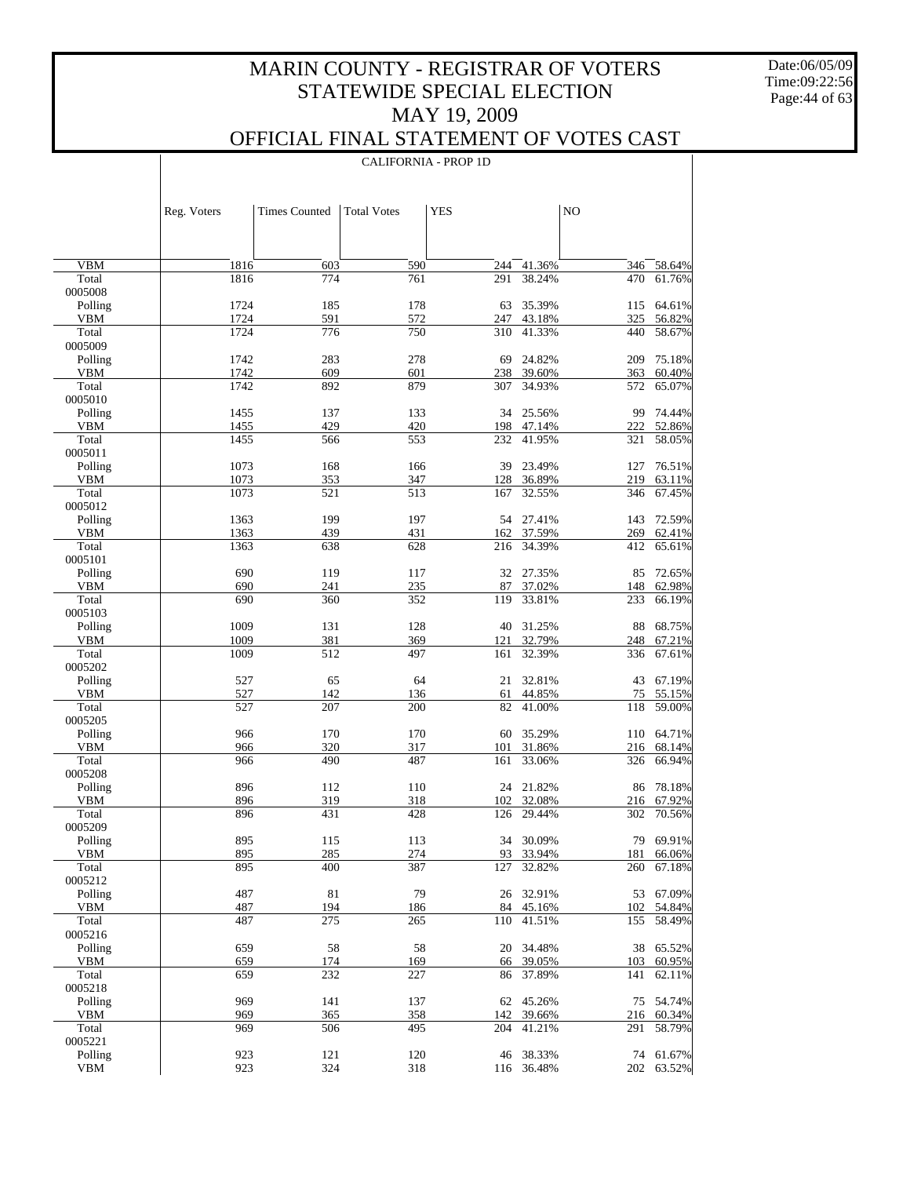Date:06/05/09 Time:09:22:56 Page:44 of 63

 $\overline{\phantom{a}}$ 

### OFFICIAL FINAL STATEMENT OF VOTES CAST

|                       | Reg. Voters  | <b>Times Counted</b> | <b>Total Votes</b> | <b>YES</b> |                        | NO         |                         |
|-----------------------|--------------|----------------------|--------------------|------------|------------------------|------------|-------------------------|
|                       |              |                      |                    |            |                        |            |                         |
| <b>VBM</b>            | 1816         | 603                  | 590                | 244        | 41.36%                 |            | 346 58.64%              |
| Total                 | 1816         | 774                  | 761                | 291        | 38.24%                 | 470        | 61.76%                  |
| 0005008               |              |                      |                    |            |                        |            |                         |
| Polling               | 1724         | 185                  | 178                | 63         | 35.39%                 |            | 115 64.61%              |
| <b>VBM</b>            | 1724         | 591<br>776           | 572                | 247        | 43.18%                 | 325        | 56.82%                  |
| Total<br>0005009      | 1724         |                      | 750                | 310        | 41.33%                 | 440        | 58.67%                  |
| Polling               | 1742         | 283                  | 278                | 69         | 24.82%                 | 209        | 75.18%                  |
| <b>VBM</b>            | 1742         | 609                  | 601                | 238        | 39.60%                 | 363        | 60.40%                  |
| Total                 | 1742         | 892                  | 879                | 307        | 34.93%                 | 572        | 65.07%                  |
| 0005010               |              |                      |                    |            |                        |            |                         |
| Polling<br><b>VBM</b> | 1455<br>1455 | 137<br>429           | 133<br>420         | 198        | 34 25.56%<br>47.14%    | 99<br>222  | 74.44%<br>52.86%        |
| Total                 | 1455         | 566                  | 553                | 232        | 41.95%                 | 321        | 58.05%                  |
| 0005011               |              |                      |                    |            |                        |            |                         |
| Polling               | 1073         | 168                  | 166                | 39         | 23.49%                 | 127        | 76.51%                  |
| <b>VBM</b>            | 1073         | 353                  | 347                | 128        | 36.89%                 | 219        | 63.11%                  |
| Total<br>0005012      | 1073         | 521                  | 513                | 167        | 32.55%                 | 346        | 67.45%                  |
| Polling               | 1363         | 199                  | 197                |            | 54 27.41%              | 143        | 72.59%                  |
| <b>VBM</b>            | 1363         | 439                  | 431                | 162        | 37.59%                 | 269        | 62.41%                  |
| Total                 | 1363         | 638                  | 628                | 216        | 34.39%                 | 412        | 65.61%                  |
| 0005101               |              |                      |                    |            |                        |            |                         |
| Polling               | 690          | 119                  | 117                |            | 32 27.35%              | 85         | 72.65%                  |
| <b>VBM</b><br>Total   | 690<br>690   | 241<br>360           | 235<br>352         | 87<br>119  | 37.02%<br>33.81%       | 148<br>233 | 62.98%<br>66.19%        |
| 0005103               |              |                      |                    |            |                        |            |                         |
| Polling               | 1009         | 131                  | 128                | 40         | 31.25%                 | 88         | 68.75%                  |
| <b>VBM</b>            | 1009         | 381                  | 369                | 121        | 32.79%                 | 248        | 67.21%                  |
| Total                 | 1009         | 512                  | 497                | 161        | 32.39%                 | 336        | 67.61%                  |
| 0005202               | 527          | 65                   | 64                 | 21         | 32.81%                 |            | 67.19%                  |
| Polling<br><b>VBM</b> | 527          | 142                  | 136                | 61         | 44.85%                 | 43<br>75   | 55.15%                  |
| Total                 | 527          | 207                  | 200                | 82         | 41.00%                 | 118        | 59.00%                  |
| 0005205               |              |                      |                    |            |                        |            |                         |
| Polling               | 966          | 170                  | 170                | 60         | 35.29%                 |            | 110 64.71%              |
| <b>VBM</b>            | 966          | 320                  | 317                | 101        | 31.86%                 |            | 216 68.14%              |
| Total<br>0005208      | 966          | 490                  | 487                | 161        | 33.06%                 | 326        | 66.94%                  |
| Polling               | 896          | 112                  | 110                |            | 24 21.82%              |            | 86 78.18%               |
| <b>VBM</b>            | 896          | 319                  | 318                | 102        | 32.08%                 |            | 216 67.92%              |
| Total                 | 896          | 431                  | 428                | 126        | 29.44%                 | 302        | 70.56%                  |
| 0005209               |              |                      |                    |            |                        |            |                         |
| Polling<br>VBM        | 895          | 115<br>285           | 113<br>274         |            | 34 30.09%<br>93 33.94% |            | 79 69.91%<br>181 66.06% |
| Total                 | 895<br>895   | 400                  | 387                | 127        | 32.82%                 | 260        | 67.18%                  |
| 0005212               |              |                      |                    |            |                        |            |                         |
| Polling               | 487          | 81                   | 79                 |            | 26 32.91%              |            | 53 67.09%               |
| VBM                   | 487          | 194                  | 186                | 84         | 45.16%                 | 102        | 54.84%                  |
| Total<br>0005216      | 487          | 275                  | 265                | 110        | 41.51%                 |            | 155 58.49%              |
| Polling               | 659          | 58                   | 58                 | 20         | 34.48%                 |            | 38 65.52%               |
| VBM                   | 659          | 174                  | 169                | 66         | 39.05%                 | 103        | 60.95%                  |
| Total                 | 659          | 232                  | 227                | 86         | 37.89%                 | 141        | 62.11%                  |
| 0005218               |              |                      |                    |            |                        |            |                         |
| Polling               | 969          | 141                  | 137                |            | 62 45.26%              |            | 75 54.74%               |
| <b>VBM</b><br>Total   | 969<br>969   | 365<br>506           | 358<br>495         | 142<br>204 | 39.66%<br>41.21%       | 291        | 216 60.34%<br>58.79%    |
| 0005221               |              |                      |                    |            |                        |            |                         |
| Polling               | 923          | 121                  | 120                |            | 46 38.33%              |            | 74 61.67%               |
| <b>VBM</b>            | 923          | 324                  | 318                |            | 116 36.48%             |            | 202 63.52%              |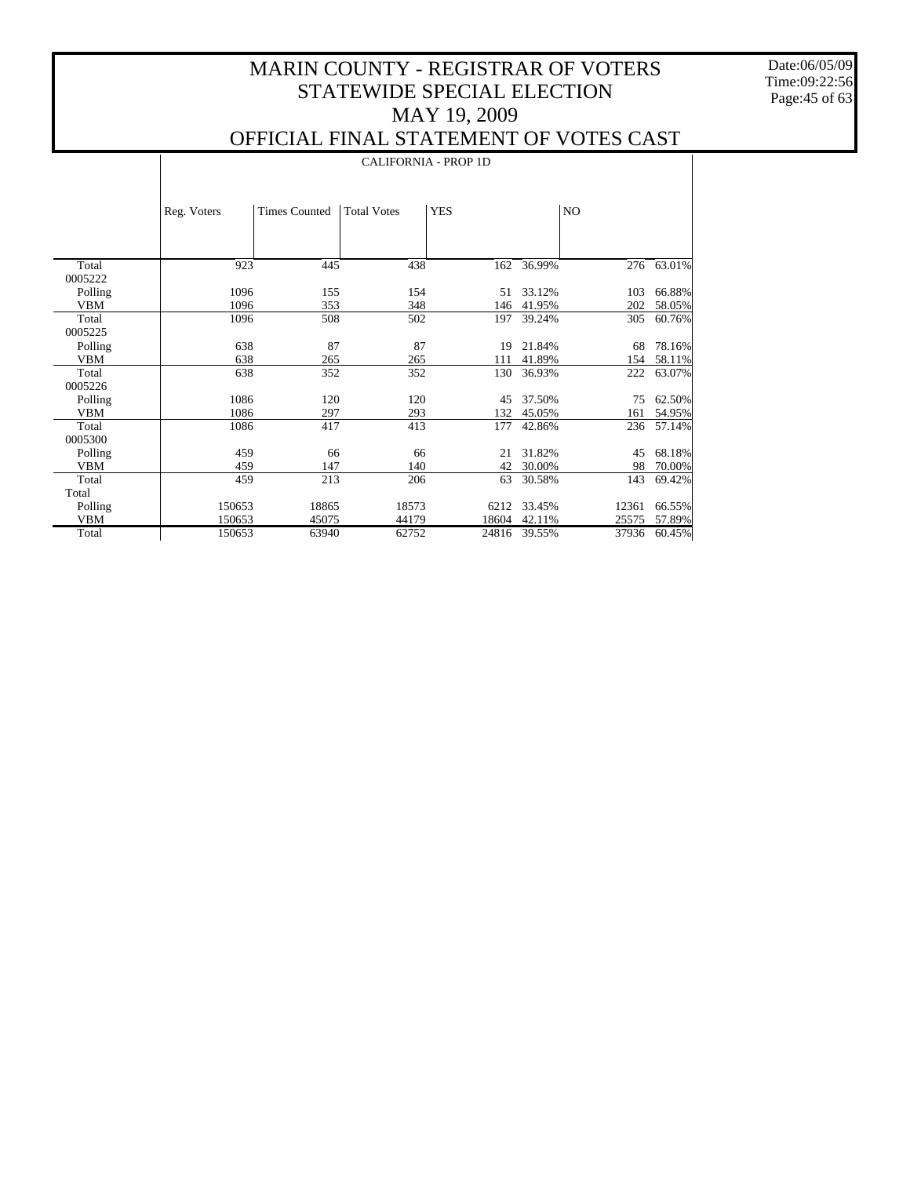Date:06/05/09 Time:09:22:56 Page:45 of 63

 $\perp$ 

### OFFICIAL FINAL STATEMENT OF VOTES CAST

|            |             | <b>CALIFORNIA - PROP 1D</b> |                    |            |        |       |        |  |  |
|------------|-------------|-----------------------------|--------------------|------------|--------|-------|--------|--|--|
|            | Reg. Voters | <b>Times Counted</b>        | <b>Total Votes</b> | <b>YES</b> |        | NO    |        |  |  |
|            |             |                             |                    |            |        |       |        |  |  |
| Total      | 923         | 445                         | 438                | 162        | 36.99% | 276   | 63.01% |  |  |
| 0005222    |             |                             |                    |            |        |       |        |  |  |
| Polling    | 1096        | 155                         | 154                | 51         | 33.12% | 103   | 66.88% |  |  |
| <b>VBM</b> | 1096        | 353                         | 348                | 146        | 41.95% | 202   | 58.05% |  |  |
| Total      | 1096        | 508                         | 502                | 197        | 39.24% | 305   | 60.76% |  |  |
| 0005225    |             |                             |                    |            |        |       |        |  |  |
| Polling    | 638         | 87                          | 87                 | 19         | 21.84% | 68    | 78.16% |  |  |
| <b>VBM</b> | 638         | 265                         | 265                | 111        | 41.89% | 154   | 58.11% |  |  |
| Total      | 638         | 352                         | 352                | 130        | 36.93% | 222   | 63.07% |  |  |
| 0005226    |             |                             |                    |            |        |       |        |  |  |
| Polling    | 1086        | 120                         | 120                | 45         | 37.50% | 75    | 62.50% |  |  |
| <b>VBM</b> | 1086        | 297                         | 293                | 132        | 45.05% | 161   | 54.95% |  |  |
| Total      | 1086        | 417                         | 413                | 177        | 42.86% | 236   | 57.14% |  |  |
| 0005300    |             |                             |                    |            |        |       |        |  |  |
| Polling    | 459         | 66                          | 66                 | 21         | 31.82% | 45    | 68.18% |  |  |
| <b>VBM</b> | 459         | 147                         | 140                | 42         | 30.00% | 98    | 70.00% |  |  |
| Total      | 459         | 213                         | 206                | 63         | 30.58% | 143   | 69.42% |  |  |
| Total      |             |                             |                    |            |        |       |        |  |  |
| Polling    | 150653      | 18865                       | 18573              | 6212       | 33.45% | 12361 | 66.55% |  |  |
| <b>VBM</b> | 150653      | 45075                       | 44179              | 18604      | 42.11% | 25575 | 57.89% |  |  |
| Total      | 150653      | 63940                       | 62752              | 24816      | 39.55% | 37936 | 60.45% |  |  |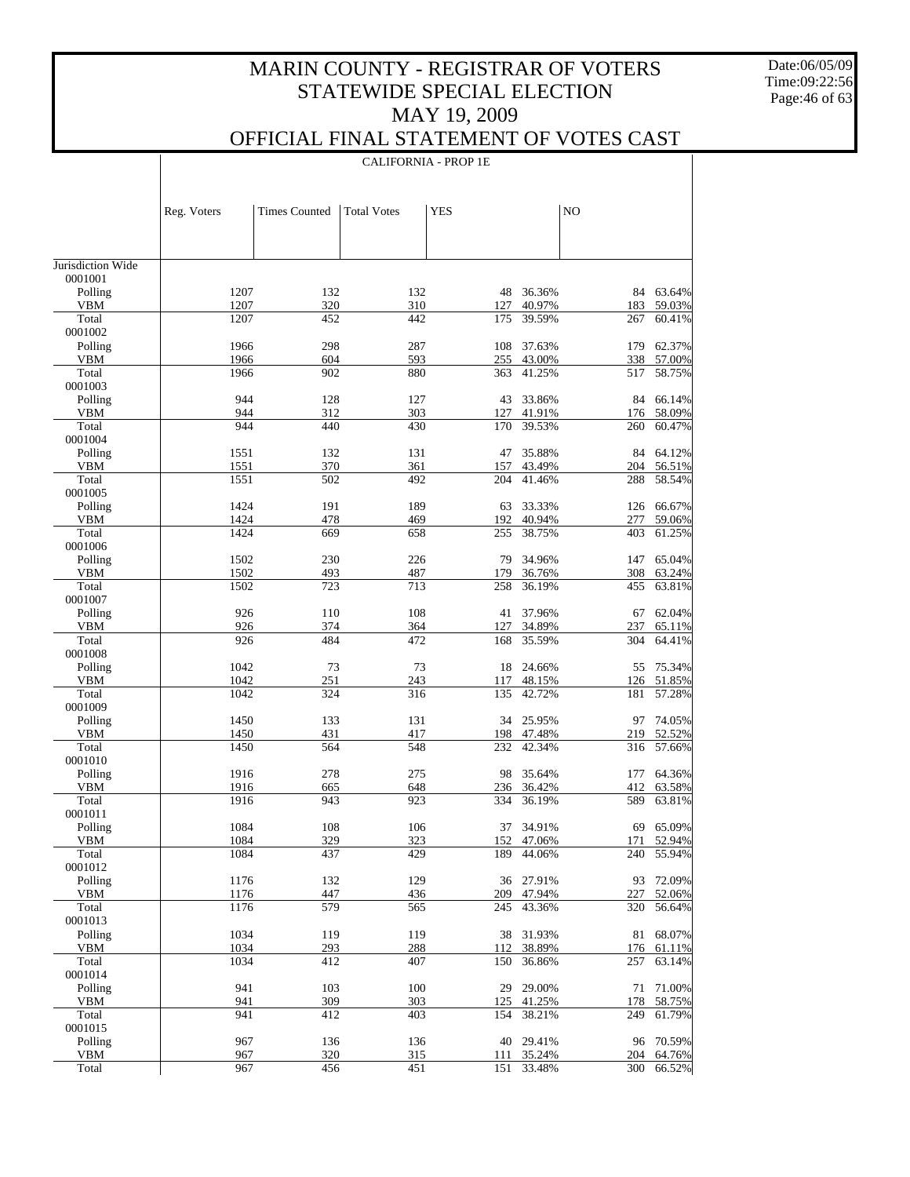Date:06/05/09 Time:09:22:56 Page:46 of 63

 $\top$ 

## OFFICIAL FINAL STATEMENT OF VOTES CAST

|                              |              |                      |                    | <b>CALIFORNIA - PROP 1E</b> |                  |            |                  |
|------------------------------|--------------|----------------------|--------------------|-----------------------------|------------------|------------|------------------|
|                              |              |                      |                    |                             |                  |            |                  |
|                              | Reg. Voters  | <b>Times Counted</b> | <b>Total Votes</b> | <b>YES</b>                  |                  | NO         |                  |
|                              |              |                      |                    |                             |                  |            |                  |
| Jurisdiction Wide<br>0001001 |              |                      |                    |                             |                  |            |                  |
| Polling                      | 1207         | 132                  | 132                | 48                          | 36.36%           | 84         | 63.64%           |
| <b>VBM</b>                   | 1207         | 320                  | 310                | 127                         | 40.97%           | 183        | 59.03%           |
| Total<br>0001002             | 1207         | 452                  | 442                | 175                         | 39.59%           | 267        | 60.41%           |
| Polling                      | 1966         | 298                  | 287                | 108                         | 37.63%           | 179        | 62.37%           |
| <b>VBM</b>                   | 1966         | 604                  | 593                | 255                         | 43.00%           | 338        | 57.00%           |
| Total<br>0001003             | 1966         | 902                  | 880                | 363                         | 41.25%           | 517        | 58.75%           |
| Polling                      | 944          | 128                  | 127                | 43                          | 33.86%           | 84         | 66.14%           |
| <b>VBM</b>                   | 944          | 312                  | 303                | 127                         | 41.91%           | 176        | 58.09%           |
| Total                        | 944          | 440                  | 430                | 170                         | 39.53%           | 260        | 60.47%           |
| 0001004<br>Polling           | 1551         | 132                  | 131                | 47                          | 35.88%           | 84         | 64.12%           |
| <b>VBM</b>                   | 1551         | 370                  | 361                | 157                         | 43.49%           | 204        | 56.51%           |
| Total                        | 1551         | 502                  | 492                | 204                         | 41.46%           | 288        | 58.54%           |
| 0001005                      |              |                      |                    |                             |                  |            |                  |
| Polling<br><b>VBM</b>        | 1424<br>1424 | 191<br>478           | 189<br>469         | 63<br>192                   | 33.33%<br>40.94% | 126<br>277 | 66.67%<br>59.06% |
| Total                        | 1424         | 669                  | 658                | 255                         | 38.75%           | 403        | 61.25%           |
| 0001006                      |              |                      |                    |                             |                  |            |                  |
| Polling                      | 1502         | 230                  | 226                | 79                          | 34.96%           | 147        | 65.04%           |
| <b>VBM</b>                   | 1502         | 493                  | 487                | 179                         | 36.76%           | 308        | 63.24%           |
| Total<br>0001007             | 1502         | 723                  | 713                | 258                         | 36.19%           | 455        | 63.81%           |
| Polling                      | 926          | 110                  | 108                | 41                          | 37.96%           | 67         | 62.04%           |
| <b>VBM</b>                   | 926          | 374                  | 364                | 127                         | 34.89%           | 237        | 65.11%           |
| Total                        | 926          | 484                  | 472                | 168                         | 35.59%           | 304        | 64.41%           |
| 0001008<br>Polling           | 1042         | 73                   | 73                 | 18                          | 24.66%           | 55         | 75.34%           |
| <b>VBM</b>                   | 1042         | 251                  | 243                | 117                         | 48.15%           | 126        | 51.85%           |
| Total                        | 1042         | 324                  | 316                | 135                         | 42.72%           | 181        | 57.28%           |
| 0001009                      |              |                      |                    |                             |                  |            |                  |
| Polling<br><b>VBM</b>        | 1450<br>1450 | 133                  | 131<br>417         | 34                          | 25.95%<br>47.48% | 97<br>219  | 74.05%<br>52.52% |
| Total                        | 1450         | 431<br>564           | 548                | 198<br>232                  | 42.34%           | 316        | 57.66%           |
| 0001010                      |              |                      |                    |                             |                  |            |                  |
| Polling                      | 1916         | 278                  | 275                | 98                          | 35.64%           | 177        | 64.36%           |
| <b>VBM</b>                   | 1916         | 665                  | 648                | 236                         | 36.42%           | 412        | 63.58%           |
| Total<br>0001011             | 1916         | 943                  | 923                | 334                         | 36.19%           | 589        | 63.81%           |
| Polling                      | 1084         | 108                  | 106                | 37                          | 34.91%           | 69         | 65.09%           |
| <b>VBM</b>                   | 1084         | 329                  | 323                | 152                         | 47.06%           | 171        | 52.94%           |
| Total                        | 1084         | 437                  | 429                | 189                         | 44.06%           | 240        | 55.94%           |
| 0001012                      | 1176         | 132                  | 129                |                             | 27.91%           |            | 72.09%           |
| Polling<br><b>VBM</b>        | 1176         | 447                  | 436                | 36<br>209                   | 47.94%           | 93<br>227  | 52.06%           |
| Total                        | 1176         | 579                  | 565                | 245                         | 43.36%           | 320        | 56.64%           |
| 0001013                      |              |                      |                    |                             |                  |            |                  |
| Polling                      | 1034         | 119                  | 119                | 38                          | 31.93%           | 81         | 68.07%           |
| <b>VBM</b><br>Total          | 1034<br>1034 | 293<br>412           | 288<br>407         | 112<br>150                  | 38.89%<br>36.86% | 176<br>257 | 61.11%<br>63.14% |
| 0001014                      |              |                      |                    |                             |                  |            |                  |
| Polling                      | 941          | 103                  | 100                | 29                          | 29.00%           | 71         | 71.00%           |
| <b>VBM</b>                   | 941          | 309                  | 303                | 125                         | 41.25%           | 178        | 58.75%           |
| Total                        | 941          | 412                  | 403                | 154                         | 38.21%           | 249        | 61.79%           |
| 0001015<br>Polling           | 967          | 136                  | 136                | 40                          | 29.41%           | 96         | 70.59%           |
| <b>VBM</b>                   | 967          | 320                  | 315                | 111                         | 35.24%           | 204        | 64.76%           |
| Total                        | 967          | 456                  | 451                | 151                         | 33.48%           | 300        | 66.52%           |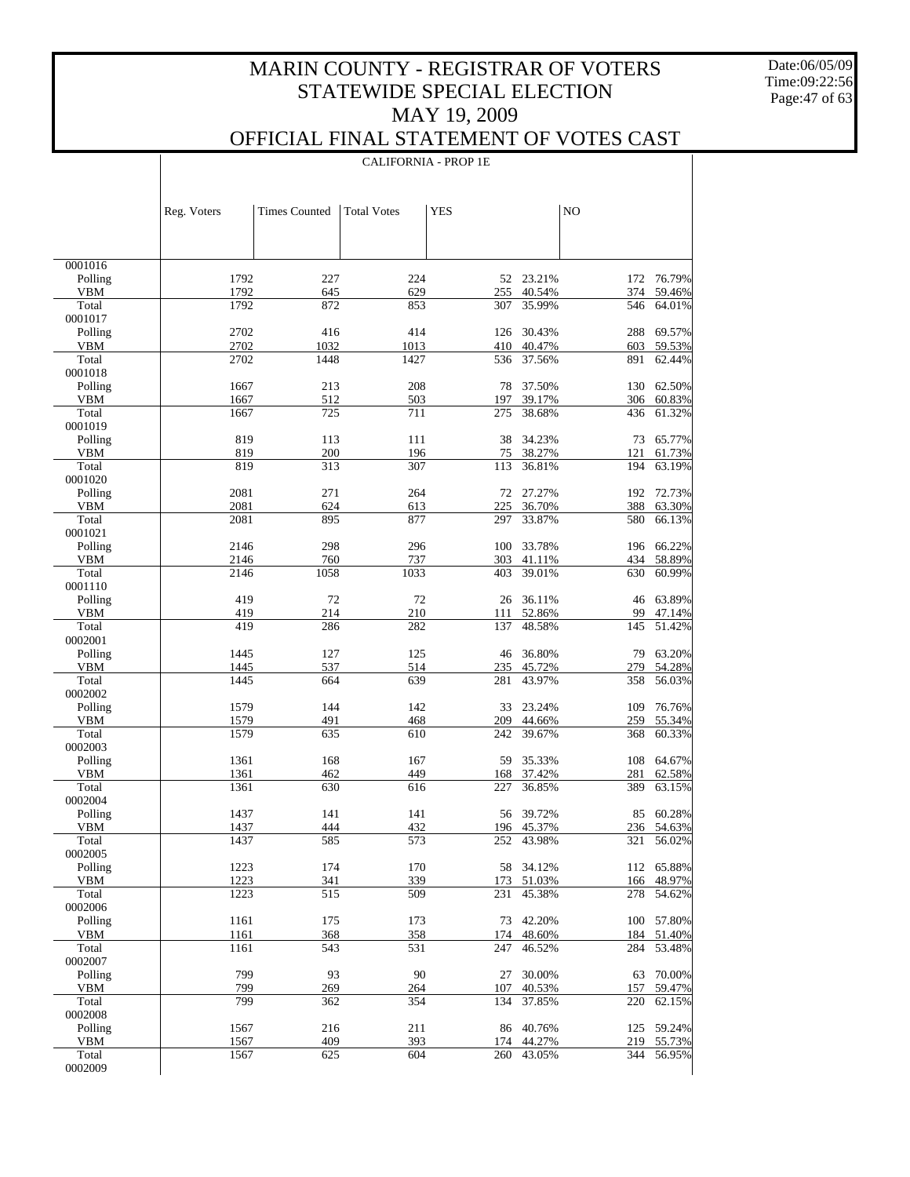Date:06/05/09 Time:09:22:56 Page:47 of 63

 $\mathbf{I}$ 

### OFFICIAL FINAL STATEMENT OF VOTES CAST

|                    |              |                      |                    | <b>CALIFORNIA - PROP 1E</b> |                         |            |                         |
|--------------------|--------------|----------------------|--------------------|-----------------------------|-------------------------|------------|-------------------------|
|                    |              |                      |                    |                             |                         |            |                         |
|                    |              |                      |                    |                             |                         |            |                         |
|                    | Reg. Voters  | <b>Times Counted</b> | <b>Total Votes</b> | <b>YES</b>                  |                         | NO         |                         |
|                    |              |                      |                    |                             |                         |            |                         |
|                    |              |                      |                    |                             |                         |            |                         |
| 0001016            |              |                      |                    |                             |                         |            |                         |
| Polling<br>VBM     | 1792<br>1792 | 227<br>645           | 224<br>629         |                             | 52 23.21%<br>40.54%     | 374        | 172 76.79%<br>59.46%    |
| Total              | 1792         | 872                  | 853                | 255<br>307                  | 35.99%                  | 546        | 64.01%                  |
| 0001017            |              |                      |                    |                             |                         |            |                         |
| Polling            | 2702         | 416                  | 414                | 126                         | 30.43%                  | 288        | 69.57%                  |
| VBM<br>Total       | 2702<br>2702 | 1032<br>1448         | 1013<br>1427       | 410<br>536                  | 40.47%<br>37.56%        | 603<br>891 | 59.53%<br>62.44%        |
| 0001018            |              |                      |                    |                             |                         |            |                         |
| Polling            | 1667         | 213                  | 208                | 78                          | 37.50%                  | 130        | 62.50%                  |
| VBM<br>Total       | 1667<br>1667 | 512<br>725           | 503<br>711         | 197<br>275                  | 39.17%<br>38.68%        | 306<br>436 | 60.83%<br>61.32%        |
| 0001019            |              |                      |                    |                             |                         |            |                         |
| Polling            | 819          | 113                  | 111                | 38                          | 34.23%                  | 73         | 65.77%                  |
| VBM                | 819          | 200                  | 196                | 75                          | 38.27%                  | 121        | 61.73%                  |
| Total<br>0001020   | 819          | 313                  | 307                | 113                         | 36.81%                  | 194        | 63.19%                  |
| Polling            | 2081         | 271                  | 264                |                             | 72 27.27%               | 192        | 72.73%                  |
| VBM                | 2081         | 624                  | 613                | 225                         | 36.70%                  | 388        | 63.30%                  |
| Total<br>0001021   | 2081         | 895                  | 877                | 297                         | 33.87%                  | 580        | 66.13%                  |
| Polling            | 2146         | 298                  | 296                | 100                         | 33.78%                  |            | 196 66.22%              |
| VBM                | 2146         | 760                  | 737                | 303                         | 41.11%                  | 434        | 58.89%                  |
| Total              | 2146         | 1058                 | 1033               | 403                         | 39.01%                  | 630        | 60.99%                  |
| 0001110<br>Polling | 419          | 72                   | 72                 | 26                          | 36.11%                  | 46         | 63.89%                  |
| VBM                | 419          | 214                  | 210                | 111                         | 52.86%                  | 99         | 47.14%                  |
| Total              | 419          | 286                  | 282                | 137                         | 48.58%                  | 145        | 51.42%                  |
| 0002001<br>Polling | 1445         | 127                  | 125                | 46                          | 36.80%                  | 79         | 63.20%                  |
| VBM                | 1445         | 537                  | 514                | 235                         | 45.72%                  | 279        | 54.28%                  |
| Total              | 1445         | 664                  | 639                | 281                         | 43.97%                  | 358        | 56.03%                  |
| 0002002<br>Polling | 1579         | 144                  | 142                | 33                          | 23.24%                  | 109        | 76.76%                  |
| VBM                | 1579         | 491                  | 468                | 209                         | 44.66%                  | 259        | 55.34%                  |
| Total              | 1579         | 635                  | 610                | 242                         | 39.67%                  | 368        | 60.33%                  |
| 0002003            |              |                      |                    |                             |                         |            |                         |
| Polling<br>VBM     | 1361<br>1361 | 168<br>462           | 167<br>449         | 59<br>168                   | 35.33%<br>37.42%        | 108<br>281 | 64.67%<br>62.58%        |
| Total              | 1361         | 630                  | 616                | 227                         | 36.85%                  | 389        | 63.15%                  |
| 0002004            |              |                      |                    |                             |                         |            |                         |
| Polling<br>VBM     | 1437<br>1437 | 141<br>444           | 141<br>432         |                             | 56 39.72%<br>196 45.37% |            | 85 60.28%<br>236 54.63% |
| Total              | 1437         | 585                  | 573                | 252                         | 43.98%                  | 321        | 56.02%                  |
| 0002005            |              |                      |                    |                             |                         |            |                         |
| Polling            | 1223         | 174                  | 170                | 58                          | 34.12%                  |            | 112 65.88%              |
| VBM<br>Total       | 1223<br>1223 | 341<br>515           | 339<br>509         | 173<br>231                  | 51.03%<br>45.38%        | 166<br>278 | 48.97%<br>54.62%        |
| 0002006            |              |                      |                    |                             |                         |            |                         |
| Polling            | 1161         | 175                  | 173                | 73                          | 42.20%                  |            | 100 57.80%              |
| VBM<br>Total       | 1161<br>1161 | 368<br>543           | 358<br>531         | 174<br>247                  | 48.60%<br>46.52%        | 184<br>284 | 51.40%<br>53.48%        |
| 0002007            |              |                      |                    |                             |                         |            |                         |
| Polling            | 799          | 93                   | 90                 | 27                          | 30.00%                  | 63         | 70.00%                  |
| <b>VBM</b>         | 799          | 269                  | 264                | 107                         | 40.53%                  | 157        | 59.47%                  |
| Total<br>0002008   | 799          | 362                  | 354                | 134                         | 37.85%                  | 220        | 62.15%                  |
| Polling            | 1567         | 216                  | 211                | 86                          | 40.76%                  |            | 125 59.24%              |
| VBM                | 1567         | 409                  | 393                | 174                         | 44.27%                  | 219        | 55.73%                  |
| Total<br>0002009   | 1567         | 625                  | 604                | 260                         | 43.05%                  | 344        | 56.95%                  |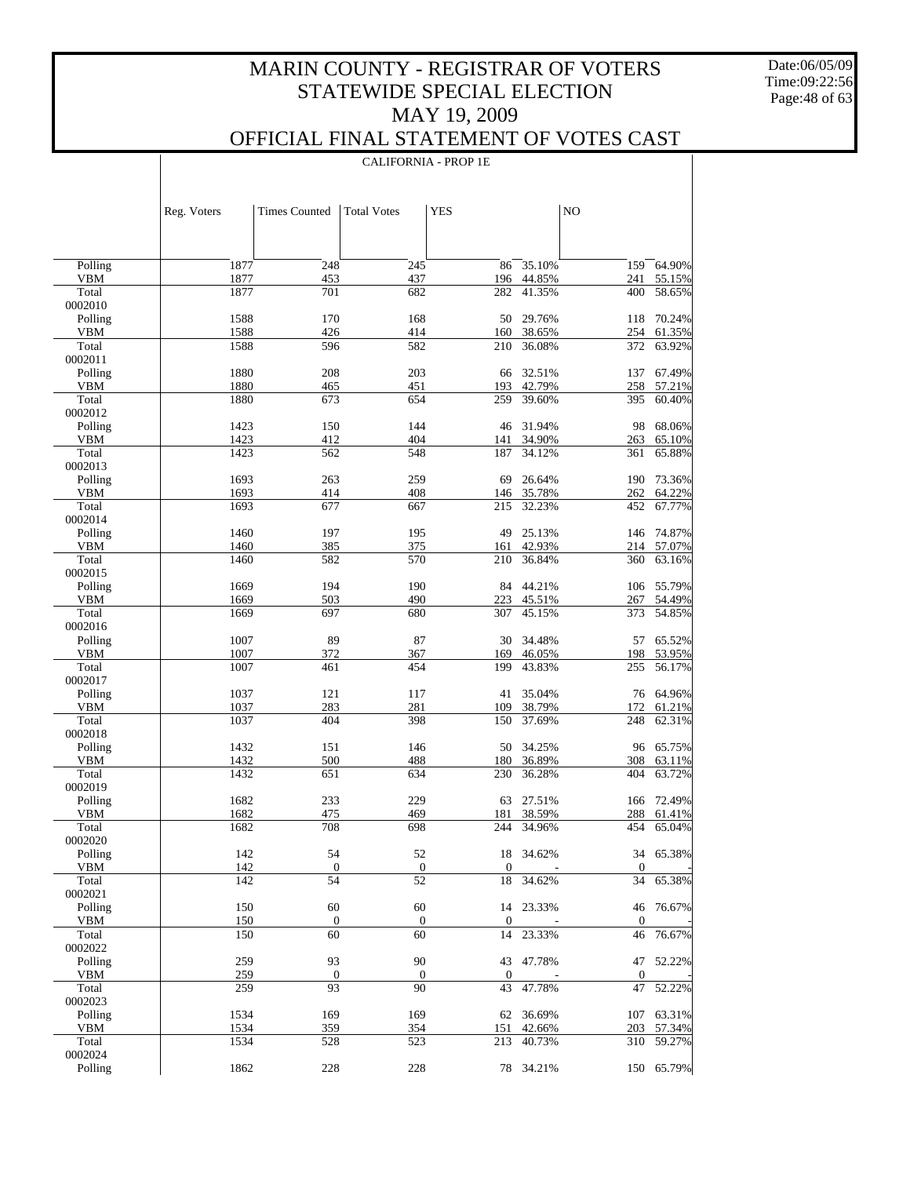CALIFORNIA - PROP 1E

Date:06/05/09 Time:09:22:56 Page:48 of 63

 $\overline{\phantom{a}}$ 

|                       | Reg. Voters  | <b>Times Counted</b> | <b>Total Votes</b> | <b>YES</b>       |                  | N <sub>O</sub>         |                  |
|-----------------------|--------------|----------------------|--------------------|------------------|------------------|------------------------|------------------|
|                       |              |                      |                    |                  |                  |                        |                  |
| Polling               | 1877         | 248                  | 245                | 86               | 35.10%           | 159                    | 64.90%           |
| <b>VBM</b>            | 1877         | 453                  | 437                | 196              | 44.85%           | 241                    | 55.15%           |
| Total                 | 1877         | 701                  | 682                | 282              | 41.35%           | 400                    | 58.65%           |
| 0002010<br>Polling    | 1588         | 170                  | 168                | 50               | 29.76%           |                        | 70.24%           |
| <b>VBM</b>            | 1588         | 426                  | 414                | 160              | 38.65%           | 118<br>254             | 61.35%           |
| Total                 | 1588         | 596                  | 582                | 210              | 36.08%           | 372                    | 63.92%           |
| 0002011               |              |                      |                    |                  |                  |                        |                  |
| Polling               | 1880         | 208                  | 203                | 66               | 32.51%           | 137                    | 67.49%           |
| <b>VBM</b>            | 1880         | 465                  | 451                | 193              | 42.79%           | 258                    | 57.21%           |
| Total                 | 1880         | 673                  | 654                | 259              | 39.60%           | 395                    | 60.40%           |
| 0002012               |              |                      |                    |                  |                  |                        |                  |
| Polling               | 1423         | 150                  | 144                | 46               | 31.94%           | 98                     | 68.06%           |
| <b>VBM</b><br>Total   | 1423<br>1423 | 412                  | 404                | 141              | 34.90%<br>34.12% | 263                    | 65.10%<br>65.88% |
| 0002013               |              | 562                  | 548                | 187              |                  | 361                    |                  |
| Polling               | 1693         | 263                  | 259                | 69               | 26.64%           | 190                    | 73.36%           |
| <b>VBM</b>            | 1693         | 414                  | 408                | 146              | 35.78%           | 262                    | 64.22%           |
| Total                 | 1693         | 677                  | 667                | 215              | 32.23%           | 452                    | 67.77%           |
| 0002014               |              |                      |                    |                  |                  |                        |                  |
| Polling               | 1460         | 197                  | 195                | 49               | 25.13%           | 146                    | 74.87%           |
| <b>VBM</b>            | 1460         | 385                  | 375                | 161              | 42.93%           | 214                    | 57.07%           |
| Total                 | 1460         | 582                  | 570                | 210              | 36.84%           | 360                    | 63.16%           |
| 0002015               |              |                      |                    |                  |                  |                        |                  |
| Polling               | 1669         | 194                  | 190                | 84               | 44.21%           | 106                    | 55.79%           |
| <b>VBM</b>            | 1669         | 503                  | 490                | 223              | 45.51%           | 267                    | 54.49%           |
| Total<br>0002016      | 1669         | 697                  | 680                | 307              | 45.15%           | 373                    | 54.85%           |
| Polling               | 1007         | 89                   | 87                 | 30               | 34.48%           | 57                     | 65.52%           |
| <b>VBM</b>            | 1007         | 372                  | 367                | 169              | 46.05%           | 198                    | 53.95%           |
| Total                 | 1007         | 461                  | 454                | 199              | 43.83%           | 255                    | 56.17%           |
| 0002017               |              |                      |                    |                  |                  |                        |                  |
| Polling               | 1037         | 121                  | 117                | 41               | 35.04%           | 76                     | 64.96%           |
| <b>VBM</b>            | 1037         | 283                  | 281                | 109              | 38.79%           | 172                    | 61.21%           |
| Total                 | 1037         | 404                  | 398                | 150              | 37.69%           | 248                    | 62.31%           |
| 0002018               |              |                      |                    |                  |                  |                        |                  |
| Polling<br><b>VBM</b> | 1432<br>1432 | 151<br>500           | 146<br>488         | 50<br>180        | 34.25%<br>36.89% | 96<br>308              | 65.75%<br>63.11% |
| Total                 | 1432         | 651                  | 634                | 230              | 36.28%           | 404                    | 63.72%           |
| 0002019               |              |                      |                    |                  |                  |                        |                  |
| Polling               | 1682         | 233                  | 229                | 63               | 27.51%           | 166                    | 72.49%           |
| VBM                   | 1682         | 475                  | 469                | 181              | 38.59%           | 288                    | 61.41%           |
| Total                 | 1682         | 708                  | 698                | 244              | 34.96%           | 454                    | 65.04%           |
| 0002020               |              |                      |                    |                  |                  |                        |                  |
| Polling               | 142          | 54                   | 52                 |                  | 18 34.62%        |                        | 34 65.38%        |
| <b>VBM</b>            | 142          | 0                    | $\boldsymbol{0}$   | $\mathbf{0}$     |                  | $\mathbf{0}$           |                  |
| Total                 | 142          | 54                   | $\overline{52}$    | 18               | 34.62%           | 34                     | 65.38%           |
| 0002021               | 150          | 60                   | 60                 |                  | 14 23.33%        |                        | 76.67%           |
| Polling<br><b>VBM</b> | 150          | $\boldsymbol{0}$     | $\boldsymbol{0}$   | $\boldsymbol{0}$ |                  | 46<br>$\boldsymbol{0}$ |                  |
| Total                 | 150          | 60                   | 60                 | 14               | 23.33%           | 46                     | 76.67%           |
| 0002022               |              |                      |                    |                  |                  |                        |                  |
| Polling               | 259          | 93                   | 90                 | 43               | 47.78%           | 47                     | 52.22%           |
| <b>VBM</b>            | 259          | $\boldsymbol{0}$     | $\boldsymbol{0}$   | $\mathbf{0}$     |                  | $\boldsymbol{0}$       |                  |
| Total                 | 259          | 93                   | 90                 | 43               | 47.78%           | 47                     | 52.22%           |
| 0002023               |              |                      |                    |                  |                  |                        |                  |
| Polling               | 1534         | 169                  | 169                | 62               | 36.69%           |                        | 107 63.31%       |
| <b>VBM</b>            | 1534         | 359                  | 354                | 151              | 42.66%           | 203                    | 57.34%           |
| Total<br>0002024      | 1534         | 528                  | 523                | 213              | 40.73%           |                        | 310 59.27%       |
| Polling               | 1862         | 228                  | 228                |                  | 78 34.21%        |                        | 150 65.79%       |
|                       |              |                      |                    |                  |                  |                        |                  |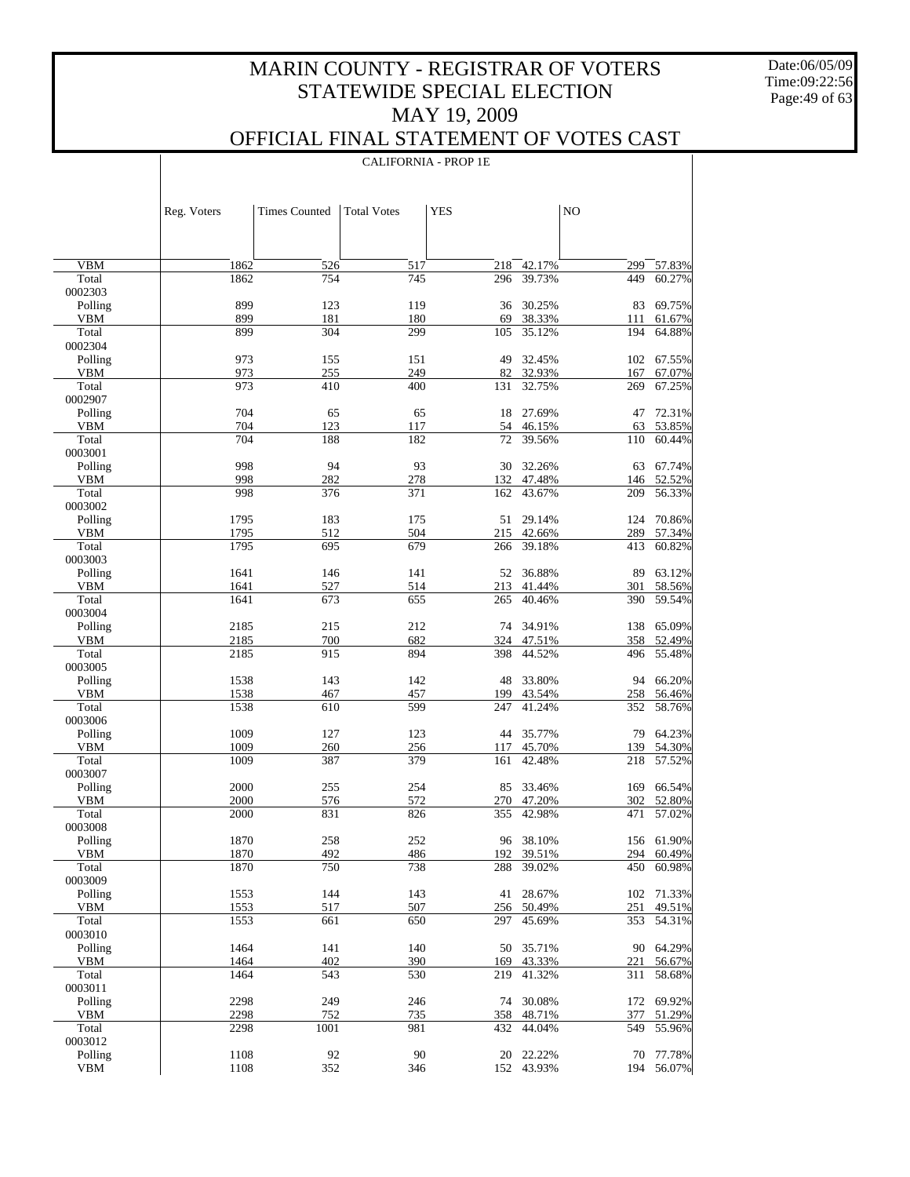Date:06/05/09 Time:09:22:56 Page:49 of 63

 $\overline{\phantom{a}}$ 

### OFFICIAL FINAL STATEMENT OF VOTES CAST

CALIFORNIA - PROP 1E

|                       | Reg. Voters  | <b>Times Counted</b> | <b>Total Votes</b> | <b>YES</b> |                     | NO         |                  |
|-----------------------|--------------|----------------------|--------------------|------------|---------------------|------------|------------------|
|                       |              |                      |                    |            |                     |            |                  |
| <b>VBM</b>            | 1862         | 526                  | 517                | 218        | $\frac{1}{42.17\%}$ | 299        | 57.83%           |
| Total                 | 1862         | 754                  | 745                | 296        | 39.73%              | 449        | 60.27%           |
| 0002303               |              |                      |                    |            |                     |            |                  |
| Polling<br><b>VBM</b> | 899<br>899   | 123<br>181           | 119<br>180         | 36<br>69   | 30.25%<br>38.33%    | 83<br>111  | 69.75%<br>61.67% |
| Total                 | 899          | 304                  | 299                | 105        | 35.12%              | 194        | 64.88%           |
| 0002304               |              |                      |                    |            |                     |            |                  |
| Polling               | 973          | 155                  | 151                | 49         | 32.45%              |            | 102 67.55%       |
| <b>VBM</b>            | 973          | 255                  | 249                | 82         | 32.93%              | 167        | 67.07%           |
| Total<br>0002907      | 973          | 410                  | 400                | 131        | 32.75%              | 269        | 67.25%           |
| Polling               | 704          | 65                   | 65                 | 18         | 27.69%              | 47         | 72.31%           |
| <b>VBM</b>            | 704          | 123                  | 117                | 54         | 46.15%              | 63         | 53.85%           |
| Total                 | 704          | 188                  | 182                | 72         | 39.56%              | 110        | 60.44%           |
| 0003001               |              |                      |                    |            |                     |            |                  |
| Polling<br><b>VBM</b> | 998<br>998   | 94                   | 93                 | 30         | 32.26%              | 63         | 67.74%           |
| Total                 | 998          | 282<br>376           | 278<br>371         | 132<br>162 | 47.48%<br>43.67%    | 146<br>209 | 52.52%<br>56.33% |
| 0003002               |              |                      |                    |            |                     |            |                  |
| Polling               | 1795         | 183                  | 175                | 51         | 29.14%              | 124        | 70.86%           |
| <b>VBM</b>            | 1795         | 512                  | 504                | 215        | 42.66%              | 289        | 57.34%           |
| Total                 | 1795         | 695                  | 679                | 266        | 39.18%              | 413        | 60.82%           |
| 0003003               | 1641         |                      |                    |            | 36.88%              |            |                  |
| Polling<br><b>VBM</b> | 1641         | 146<br>527           | 141<br>514         | 52<br>213  | 41.44%              | 89<br>301  | 63.12%<br>58.56% |
| Total                 | 1641         | 673                  | 655                | 265        | 40.46%              | 390        | 59.54%           |
| 0003004               |              |                      |                    |            |                     |            |                  |
| Polling               | 2185         | 215                  | 212                |            | 74 34.91%           | 138        | 65.09%           |
| <b>VBM</b>            | 2185         | 700                  | 682                | 324        | 47.51%              | 358        | 52.49%           |
| Total<br>0003005      | 2185         | 915                  | 894                | 398        | 44.52%              | 496        | 55.48%           |
| Polling               | 1538         | 143                  | 142                | 48         | 33.80%              | 94         | 66.20%           |
| <b>VBM</b>            | 1538         | 467                  | 457                | 199        | 43.54%              | 258        | 56.46%           |
| Total                 | 1538         | 610                  | 599                | 247        | 41.24%              | 352        | 58.76%           |
| 0003006               |              |                      |                    |            |                     |            |                  |
| Polling               | 1009         | 127                  | 123                | 44         | 35.77%              | 79         | 64.23%           |
| <b>VBM</b><br>Total   | 1009<br>1009 | 260<br>387           | 256<br>379         | 117<br>161 | 45.70%<br>42.48%    | 139<br>218 | 54.30%<br>57.52% |
| 0003007               |              |                      |                    |            |                     |            |                  |
| Polling               | 2000         | 255                  | 254                | 85         | 33.46%              | 169        | 66.54%           |
| <b>VBM</b>            | 2000         | 576                  | 572                | 270        | 47.20%              | 302        | 52.80%           |
| Total                 | 2000         | 831                  | 826                | 355        | 42.98%              | 471        | 57.02%           |
| 0003008               | 1870         | 258                  | 252                | 96         | 38.10%              | 156        |                  |
| Polling<br>VBM        | 1870         | 492                  | 486                | 192        | 39.51%              | 294        | 61.90%<br>60.49% |
| Total                 | 1870         | 750                  | 738                | 288        | 39.02%              | 450        | 60.98%           |
| 0003009               |              |                      |                    |            |                     |            |                  |
| Polling               | 1553         | 144                  | 143                | 41         | 28.67%              | 102        | 71.33%           |
| <b>VBM</b>            | 1553         | 517                  | 507                | 256        | 50.49%              | 251        | 49.51%           |
| Total<br>0003010      | 1553         | 661                  | 650                | 297        | 45.69%              | 353        | 54.31%           |
| Polling               | 1464         | 141                  | 140                | 50         | 35.71%              | 90         | 64.29%           |
| <b>VBM</b>            | 1464         | 402                  | 390                | 169        | 43.33%              | 221        | 56.67%           |
| Total                 | 1464         | 543                  | 530                | 219        | 41.32%              | 311        | 58.68%           |
| 0003011               |              |                      |                    |            |                     |            |                  |
| Polling               | 2298<br>2298 | 249<br>752           | 246                | 74         | 30.08%              | 172        | 69.92%           |
| <b>VBM</b><br>Total   | 2298         | 1001                 | 735<br>981         | 358<br>432 | 48.71%<br>44.04%    | 377<br>549 | 51.29%<br>55.96% |
| 0003012               |              |                      |                    |            |                     |            |                  |
| Polling               | 1108         | 92                   | 90                 | 20         | 22.22%              | 70         | 77.78%           |
| <b>VBM</b>            | 1108         | 352                  | 346                |            | 152 43.93%          | 194        | 56.07%           |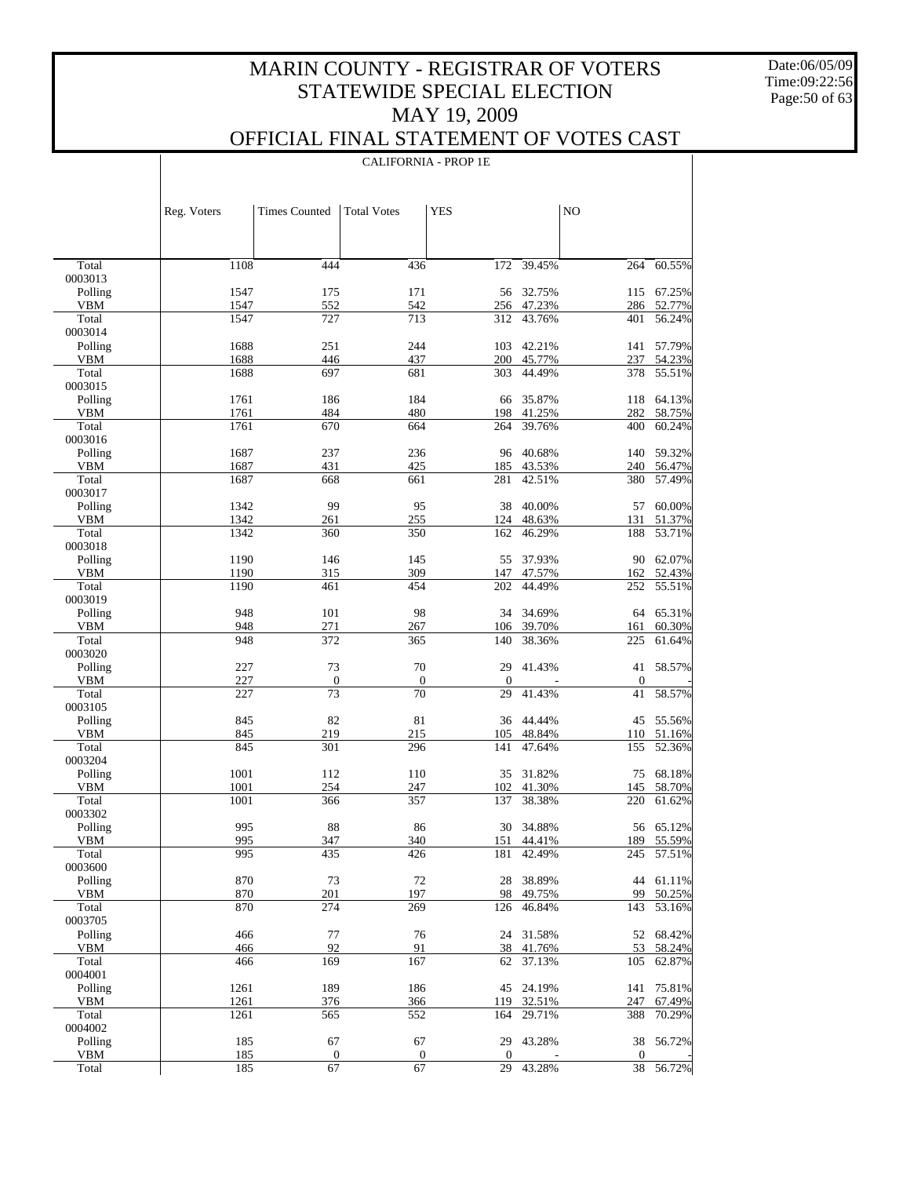Date:06/05/09 Time:09:22:56 Page:50 of 63

#### OFFICIAL FINAL STATEMENT OF VOTES CAST CALIFORNIA - PROP 1E

|                     | Reg. Voters  | <b>Times Counted</b> | <b>Total Votes</b> | <b>YES</b>       |                  | NO               |                  |
|---------------------|--------------|----------------------|--------------------|------------------|------------------|------------------|------------------|
|                     |              |                      |                    |                  |                  |                  |                  |
| Total               | 1108         | 444                  | 436                | 172              | 39.45%           | 264              | 60.55%           |
| 0003013             |              |                      |                    |                  |                  |                  |                  |
| Polling             | 1547         | 175                  | 171                | 56               | 32.75%           | 115              | 67.25%           |
| <b>VBM</b>          | 1547         | 552                  | 542                |                  | 256 47.23%       |                  | 286 52.77%       |
| Total<br>0003014    | 1547         | 727                  | 713                | 312              | 43.76%           | 401              | 56.24%           |
| Polling             | 1688         | 251                  | 244                | 103              | 42.21%           | 141              | 57.79%           |
| <b>VBM</b>          | 1688         | 446                  | 437                |                  | 200 45.77%       | 237              | 54.23%           |
| Total               | 1688         | 697                  | 681                | 303              | 44.49%           | 378              | 55.51%           |
| 0003015             |              |                      |                    |                  |                  |                  |                  |
| Polling             | 1761         | 186                  | 184                | 66               | 35.87%           |                  | 118 64.13%       |
| VBM                 | 1761         | 484                  | 480                | 198              | 41.25%           | 282              | 58.75%           |
| Total               | 1761         | 670                  | 664                | 264              | 39.76%           | 400              | 60.24%           |
| 0003016             |              |                      |                    |                  |                  |                  |                  |
| Polling             | 1687         | 237                  | 236                | 96               | 40.68%           | 140              | 59.32%           |
| VBM                 | 1687         | 431                  | 425                |                  | 185 43.53%       | 240              | 56.47%           |
| Total               | 1687         | 668                  | 661                | 281              | 42.51%           | 380              | 57.49%           |
| 0003017             |              |                      |                    |                  |                  |                  |                  |
| Polling             | 1342         | 99                   | 95                 | 38               | 40.00%           | 57               | 60.00%           |
| VBM<br>Total        | 1342<br>1342 | 261<br>360           | 255<br>350         | 124<br>162       | 48.63%<br>46.29% | 131<br>188       | 51.37%<br>53.71% |
| 0003018             |              |                      |                    |                  |                  |                  |                  |
| Polling             | 1190         | 146                  | 145                | 55               | 37.93%           | 90               | 62.07%           |
| VBM                 | 1190         | 315                  | 309                | 147              | 47.57%           |                  | 162 52.43%       |
| Total               | 1190         | 461                  | 454                | 202              | 44.49%           | 252              | 55.51%           |
| 0003019             |              |                      |                    |                  |                  |                  |                  |
| Polling             | 948          | 101                  | 98                 | 34               | 34.69%           |                  | 64 65.31%        |
| VBM                 | 948          | 271                  | 267                | 106              | 39.70%           | 161              | 60.30%           |
| Total               | 948          | 372                  | 365                | 140              | 38.36%           | 225              | 61.64%           |
| 0003020             |              |                      |                    |                  |                  |                  |                  |
| Polling             | 227          | 73                   | 70                 | 29               | 41.43%           | 41               | 58.57%           |
| VBM                 | 227          | $\boldsymbol{0}$     | $\boldsymbol{0}$   | $\boldsymbol{0}$ |                  | $\boldsymbol{0}$ |                  |
| Total               | 227          | 73                   | 70                 | 29               | 41.43%           | 41               | 58.57%           |
| 0003105             | 845          | 82                   | 81                 |                  | 44.44%           |                  | 55.56%           |
| Polling<br>VBM      | 845          | 219                  | 215                | 36<br>105        | 48.84%           | 45<br>110        | 51.16%           |
| Total               | 845          | 301                  | 296                | 141              | 47.64%           | 155              | 52.36%           |
| 0003204             |              |                      |                    |                  |                  |                  |                  |
| Polling             | 1001         | 112                  | 110                | 35               | 31.82%           | 75               | 68.18%           |
| <b>VBM</b>          | 1001         | 254                  | 247                | 102              | 41.30%           | 145              | 58.70%           |
| Total               | 1001         | 366                  | 357                | 137              | 38.38%           | 220              | 61.62%           |
| 0003302             |              |                      |                    |                  |                  |                  |                  |
| Polling             | 995          | 88                   | 86                 |                  | 30 34.88%        |                  | 56 65.12%        |
| VBM                 | 995          | 347                  | 340                |                  | 151 44.41%       |                  | 189 55.59%       |
| Total               | 995          | 435                  | 426                | 181              | 42.49%           | 245              | 57.51%           |
| 0003600             |              |                      |                    |                  |                  |                  |                  |
| Polling             | 870          | 73                   | 72                 | 28               | 38.89%           | 44               | 61.11%           |
| <b>VBM</b><br>Total | 870<br>870   | 201<br>274           | 197<br>269         | 98<br>126        | 49.75%<br>46.84% | 99<br>143        | 50.25%<br>53.16% |
| 0003705             |              |                      |                    |                  |                  |                  |                  |
| Polling             | 466          | 77                   | 76                 | 24               | 31.58%           | 52               | 68.42%           |
| <b>VBM</b>          | 466          | 92                   | 91                 | 38               | 41.76%           | 53               | 58.24%           |
| Total               | 466          | 169                  | 167                | 62               | 37.13%           | 105              | 62.87%           |
| 0004001             |              |                      |                    |                  |                  |                  |                  |
| Polling             | 1261         | 189                  | 186                | 45               | 24.19%           | 141              | 75.81%           |
| <b>VBM</b>          | 1261         | 376                  | 366                | 119              | 32.51%           | 247              | 67.49%           |
| Total               | 1261         | 565                  | 552                | 164              | 29.71%           | 388              | 70.29%           |
| 0004002             |              |                      |                    |                  |                  |                  |                  |
| Polling             | 185          | 67                   | 67                 | 29               | 43.28%           | 38               | 56.72%           |
| <b>VBM</b>          | 185          | $\boldsymbol{0}$     | $\boldsymbol{0}$   | $\mathbf{0}$     |                  | $\mathbf{0}$     |                  |
| Total               | 185          | 67                   | 67                 | 29               | 43.28%           | 38               | 56.72%           |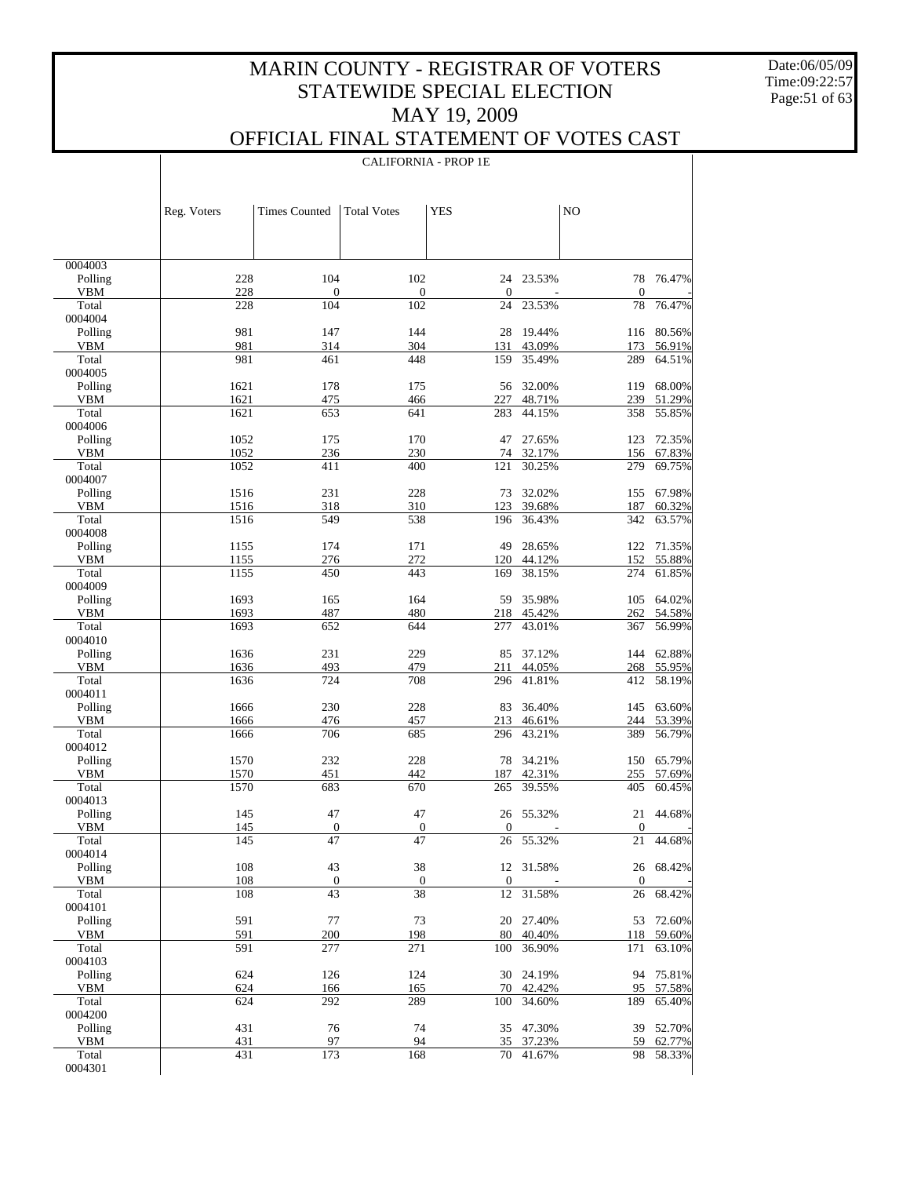Date:06/05/09 Time:09:22:57 Page:51 of 63

 $\perp$ 

### OFFICIAL FINAL STATEMENT OF VOTES CAST

|                    |              |                        |                        | <b>CALIFORNIA - PROP 1E</b> |                     |                        |                      |
|--------------------|--------------|------------------------|------------------------|-----------------------------|---------------------|------------------------|----------------------|
|                    |              |                        |                        |                             |                     |                        |                      |
|                    |              |                        |                        |                             |                     |                        |                      |
|                    | Reg. Voters  | <b>Times Counted</b>   | <b>Total Votes</b>     | <b>YES</b>                  |                     | N <sub>O</sub>         |                      |
|                    |              |                        |                        |                             |                     |                        |                      |
|                    |              |                        |                        |                             |                     |                        |                      |
| 0004003            |              |                        |                        |                             |                     |                        |                      |
| Polling            | 228          | 104                    | 102                    | 24                          | 23.53%              | 78                     | 76.47%               |
| VBM                | 228          | $\mathbf{0}$           | $\overline{0}$         | 0                           |                     | $\mathbf{0}$           |                      |
| Total<br>0004004   | 228          | 104                    | 102                    | 24                          | 23.53%              | 78                     | 76.47%               |
| Polling            | 981          | 147                    | 144                    | 28                          | 19.44%              |                        | 116 80.56%           |
| VBM                | 981          | 314                    | 304                    | 131                         | 43.09%              | 173                    | 56.91%               |
| Total              | 981          | 461                    | 448                    | 159                         | 35.49%              | 289                    | 64.51%               |
| 0004005<br>Polling | 1621         | 178                    | 175                    | 56                          | 32.00%              | 119                    | 68.00%               |
| VBM                | 1621         | 475                    | 466                    | 227                         | 48.71%              | 239                    | 51.29%               |
| Total              | 1621         | 653                    | 641                    | 283                         | 44.15%              | 358                    | 55.85%               |
| 0004006            |              |                        |                        |                             |                     |                        |                      |
| Polling            | 1052         | 175                    | 170                    | 47                          | 27.65%              | 123                    | 72.35%               |
| VBM<br>Total       | 1052<br>1052 | 236<br>411             | 230<br>400             | 74<br>121                   | 32.17%<br>30.25%    | 156<br>279             | 67.83%<br>69.75%     |
| 0004007            |              |                        |                        |                             |                     |                        |                      |
| Polling            | 1516         | 231                    | 228                    | 73                          | 32.02%              | 155                    | 67.98%               |
| VBM                | 1516         | 318                    | 310                    | 123                         | 39.68%              | 187                    | 60.32%               |
| Total<br>0004008   | 1516         | 549                    | 538                    | 196                         | 36.43%              | 342                    | 63.57%               |
| Polling            | 1155         | 174                    | 171                    | 49                          | 28.65%              |                        | 122 71.35%           |
| VBM                | 1155         | 276                    | 272                    | 120                         | 44.12%              | 152                    | 55.88%               |
| Total              | 1155         | 450                    | 443                    | 169                         | 38.15%              | 274                    | 61.85%               |
| 0004009            |              |                        |                        |                             |                     |                        |                      |
| Polling<br>VBM     | 1693<br>1693 | 165<br>487             | 164<br>480             | 59<br>218                   | 35.98%<br>45.42%    | 262                    | 105 64.02%<br>54.58% |
| Total              | 1693         | 652                    | 644                    | 277                         | 43.01%              | 367                    | 56.99%               |
| 0004010            |              |                        |                        |                             |                     |                        |                      |
| Polling            | 1636         | 231                    | 229                    | 85                          | 37.12%              |                        | 144 62.88%           |
| VBM<br>Total       | 1636<br>1636 | 493<br>724             | 479<br>708             | 211<br>296                  | 44.05%<br>41.81%    | 268<br>412             | 55.95%<br>58.19%     |
| 0004011            |              |                        |                        |                             |                     |                        |                      |
| Polling            | 1666         | 230                    | 228                    | 83                          | 36.40%              |                        | 145 63.60%           |
| VBM                | 1666         | 476                    | 457                    | 213                         | 46.61%              | 244                    | 53.39%               |
| Total<br>0004012   | 1666         | 706                    | 685                    | 296                         | 43.21%              | 389                    | 56.79%               |
| Polling            | 1570         | 232                    | 228                    | 78                          | 34.21%              | 150                    | 65.79%               |
| <b>VBM</b>         | 1570         | 451                    | 442                    | 187                         | 42.31%              | 255                    | 57.69%               |
| Total              | 1570         | 683                    | 670                    | 265                         | 39.55%              | 405                    | 60.45%               |
| 0004013            |              |                        |                        |                             |                     |                        |                      |
| Polling<br>VBM     | 145<br>145   | 47<br>$\boldsymbol{0}$ | 47<br>$\boldsymbol{0}$ | $\boldsymbol{0}$            | 26 55.32%           | 21<br>$\boldsymbol{0}$ | 44.68%               |
| Total              | 145          | $\overline{47}$        | $\overline{47}$        | 26                          | 55.32%              | 21                     | 44.68%               |
| 0004014            |              |                        |                        |                             |                     |                        |                      |
| Polling            | 108          | 43                     | 38                     |                             | 12 31.58%           |                        | 26 68.42%            |
| VBM                | 108          | $\boldsymbol{0}$       | $\boldsymbol{0}$       | $\boldsymbol{0}$            |                     | $\boldsymbol{0}$       |                      |
| Total<br>0004101   | 108          | 43                     | 38                     | $12\,$                      | 31.58%              | 26                     | 68.42%               |
| Polling            | 591          | 77                     | 73                     |                             | 20 27.40%           | 53                     | 72.60%               |
| VBM                | 591          | 200                    | 198                    | 80                          | 40.40%              | 118                    | 59.60%               |
| Total              | 591          | 277                    | 271                    | 100                         | 36.90%              | 171                    | 63.10%               |
| 0004103            | 624          |                        |                        |                             |                     |                        | 75.81%               |
| Polling<br>VBM     | 624          | 126<br>166             | 124<br>165             | 70                          | 30 24.19%<br>42.42% | 94<br>95               | 57.58%               |
| Total              | 624          | 292                    | 289                    | 100                         | 34.60%              | 189                    | 65.40%               |
| 0004200            |              |                        |                        |                             |                     |                        |                      |
| Polling            | 431          | 76                     | 74                     |                             | 35 47.30%           |                        | 39 52.70%            |
| VBM<br>Total       | 431<br>431   | 97<br>173              | 94<br>168              | 35<br>70                    | 37.23%<br>41.67%    | 59<br>98               | 62.77%<br>58.33%     |
| 0004301            |              |                        |                        |                             |                     |                        |                      |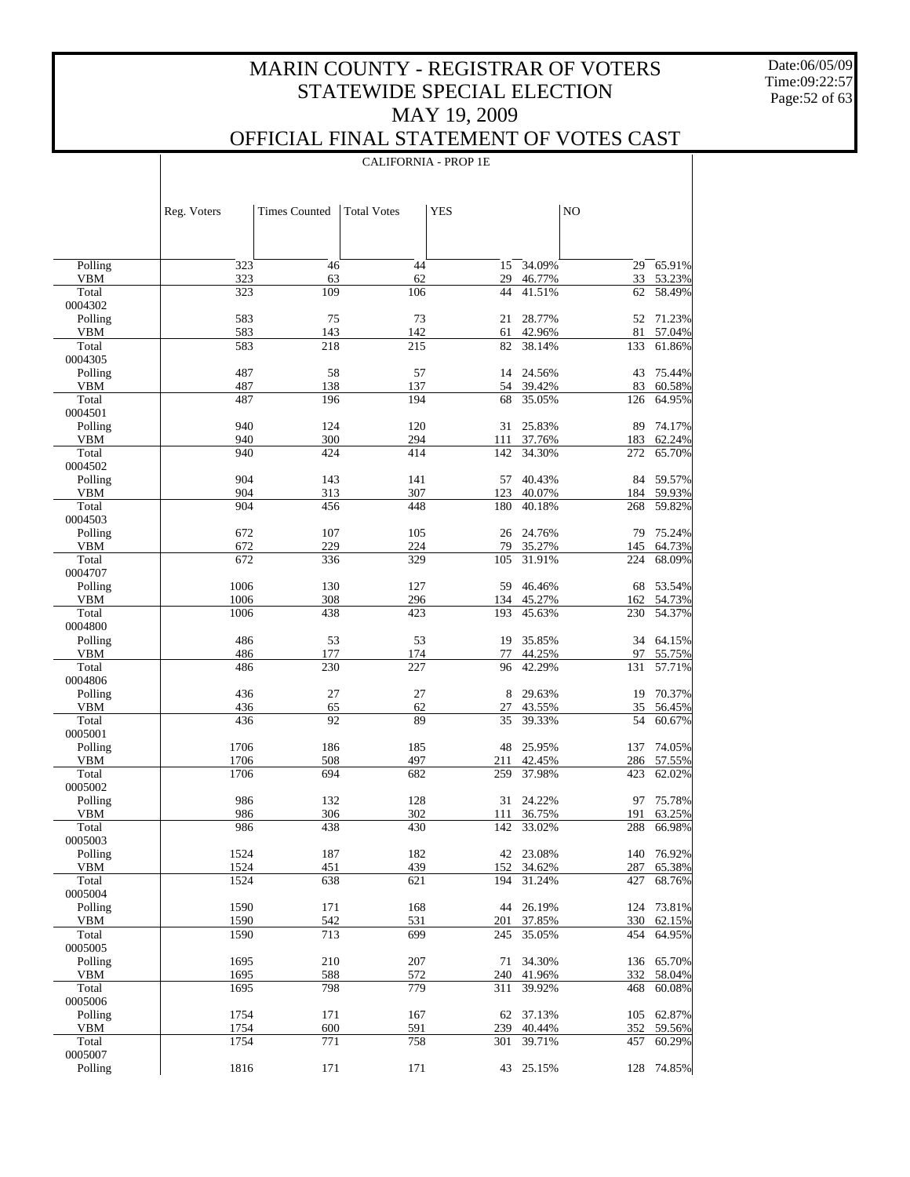Date:06/05/09 Time:09:22:57 Page:52 of 63

 $\mathbf{I}$ 

|                       | <b>CALIFORNIA - PROP 1E</b> |                      |                    |            |                  |            |                  |  |
|-----------------------|-----------------------------|----------------------|--------------------|------------|------------------|------------|------------------|--|
|                       |                             |                      |                    |            |                  |            |                  |  |
|                       | Reg. Voters                 | <b>Times Counted</b> | <b>Total Votes</b> | <b>YES</b> |                  | NO         |                  |  |
|                       |                             |                      |                    |            |                  |            |                  |  |
| Polling               | 323                         | 46                   | 44                 | 15         | 34.09%           | 29         | 65.91%           |  |
| <b>VBM</b>            | 323                         | 63                   | 62                 | 29         | 46.77%           | 33         | 53.23%           |  |
| Total<br>0004302      | 323                         | 109                  | 106                | 44         | 41.51%           | 62         | 58.49%           |  |
| Polling               | 583                         | 75                   | 73                 | 21         | 28.77%           | 52         | 71.23%           |  |
| <b>VBM</b>            | 583                         | 143                  | 142                | 61         | 42.96%           | 81         | 57.04%           |  |
| Total                 | 583                         | 218                  | 215                | 82         | 38.14%           | 133        | 61.86%           |  |
| 0004305<br>Polling    | 487                         | 58                   | 57                 | 14         | 24.56%           | 43         | 75.44%           |  |
| <b>VBM</b>            | 487                         | 138                  | 137                | 54         | 39.42%           | 83         | 60.58%           |  |
| Total                 | 487                         | 196                  | 194                | 68         | 35.05%           | 126        | 64.95%           |  |
| 0004501<br>Polling    | 940                         | 124                  | 120                | 31         | 25.83%           | 89         | 74.17%           |  |
| <b>VBM</b>            | 940                         | 300                  | 294                | 111        | 37.76%           | 183        | 62.24%           |  |
| Total                 | 940                         | 424                  | 414                | 142        | 34.30%           | 272        | 65.70%           |  |
| 0004502               | 904                         |                      |                    |            | 40.43%           |            |                  |  |
| Polling<br><b>VBM</b> | 904                         | 143<br>313           | 141<br>307         | 57<br>123  | 40.07%           | 84<br>184  | 59.57%<br>59.93% |  |
| Total                 | 904                         | 456                  | 448                | 180        | 40.18%           | 268        | 59.82%           |  |
| 0004503               |                             |                      |                    |            |                  |            |                  |  |
| Polling<br><b>VBM</b> | 672<br>672                  | 107<br>229           | 105<br>224         | 26<br>79   | 24.76%<br>35.27% | 79<br>145  | 75.24%<br>64.73% |  |
| Total                 | 672                         | 336                  | 329                | 105        | 31.91%           | 224        | 68.09%           |  |
| 0004707               |                             |                      |                    |            |                  |            |                  |  |
| Polling               | 1006                        | 130                  | 127                | 59         | 46.46%           | 68         | 53.54%           |  |
| <b>VBM</b><br>Total   | 1006<br>1006                | 308<br>438           | 296<br>423         | 134<br>193 | 45.27%<br>45.63% | 162<br>230 | 54.73%<br>54.37% |  |
| 0004800               |                             |                      |                    |            |                  |            |                  |  |
| Polling               | 486                         | 53                   | 53                 | 19         | 35.85%           | 34         | 64.15%           |  |
| <b>VBM</b><br>Total   | 486<br>486                  | 177<br>230           | 174<br>227         | 77<br>96   | 44.25%<br>42.29% | 97<br>131  | 55.75%<br>57.71% |  |
| 0004806               |                             |                      |                    |            |                  |            |                  |  |
| Polling               | 436                         | 27                   | 27                 | 8          | 29.63%           | 19         | 70.37%           |  |
| <b>VBM</b><br>Total   | 436<br>436                  | 65<br>92             | 62<br>89           | 27         | 43.55%<br>39.33% | 35         | 56.45%           |  |
| 0005001               |                             |                      |                    | 35         |                  | 54         | 60.67%           |  |
| Polling               | 1706                        | 186                  | 185                | 48         | 25.95%           | 137        | 74.05%           |  |
| <b>VBM</b>            | 1706                        | 508                  | 497                | 211        | 42.45%           | 286        | 57.55%           |  |
| Total<br>0005002      | 1706                        | 694                  | 682                | 259        | 37.98%           | 423        | 62.02%           |  |
| Polling               | 986                         | 132                  | 128                |            | 31 24.22%        | 97         | 75.78%           |  |
| VBM                   | 986                         | 306                  | 302                |            | 111 36.75%       |            | 191 63.25%       |  |
| Total<br>0005003      | 986                         | 438                  | 430                | 142        | 33.02%           | 288        | 66.98%           |  |
| Polling               | 1524                        | 187                  | 182                | 42         | 23.08%           | 140        | 76.92%           |  |
| VBM                   | 1524                        | 451                  | 439                | 152        | 34.62%           | 287        | 65.38%           |  |
| Total                 | 1524                        | 638                  | 621                | 194        | 31.24%           | 427        | 68.76%           |  |
| 0005004<br>Polling    | 1590                        | 171                  | 168                | 44         | 26.19%           | 124        | 73.81%           |  |
| VBM                   | 1590                        | 542                  | 531                | 201        | 37.85%           | 330        | 62.15%           |  |
| Total                 | 1590                        | 713                  | 699                | 245        | 35.05%           | 454        | 64.95%           |  |
| 0005005<br>Polling    | 1695                        | 210                  | 207                | 71         | 34.30%           | 136        | 65.70%           |  |
| VBM                   | 1695                        | 588                  | 572                | 240        | 41.96%           | 332        | 58.04%           |  |
| Total                 | 1695                        | 798                  | 779                | 311        | 39.92%           | 468        | 60.08%           |  |
| 0005006               |                             |                      |                    |            |                  |            |                  |  |
| Polling<br>VBM        | 1754<br>1754                | 171<br>600           | 167<br>591         | 62<br>239  | 37.13%<br>40.44% | 105<br>352 | 62.87%<br>59.56% |  |
| Total                 | 1754                        | 771                  | 758                | 301        | 39.71%           | 457        | 60.29%           |  |
| 0005007               |                             |                      |                    |            |                  |            |                  |  |
| Polling               | 1816                        | 171                  | 171                |            | 43 25.15%        | 128        | 74.85%           |  |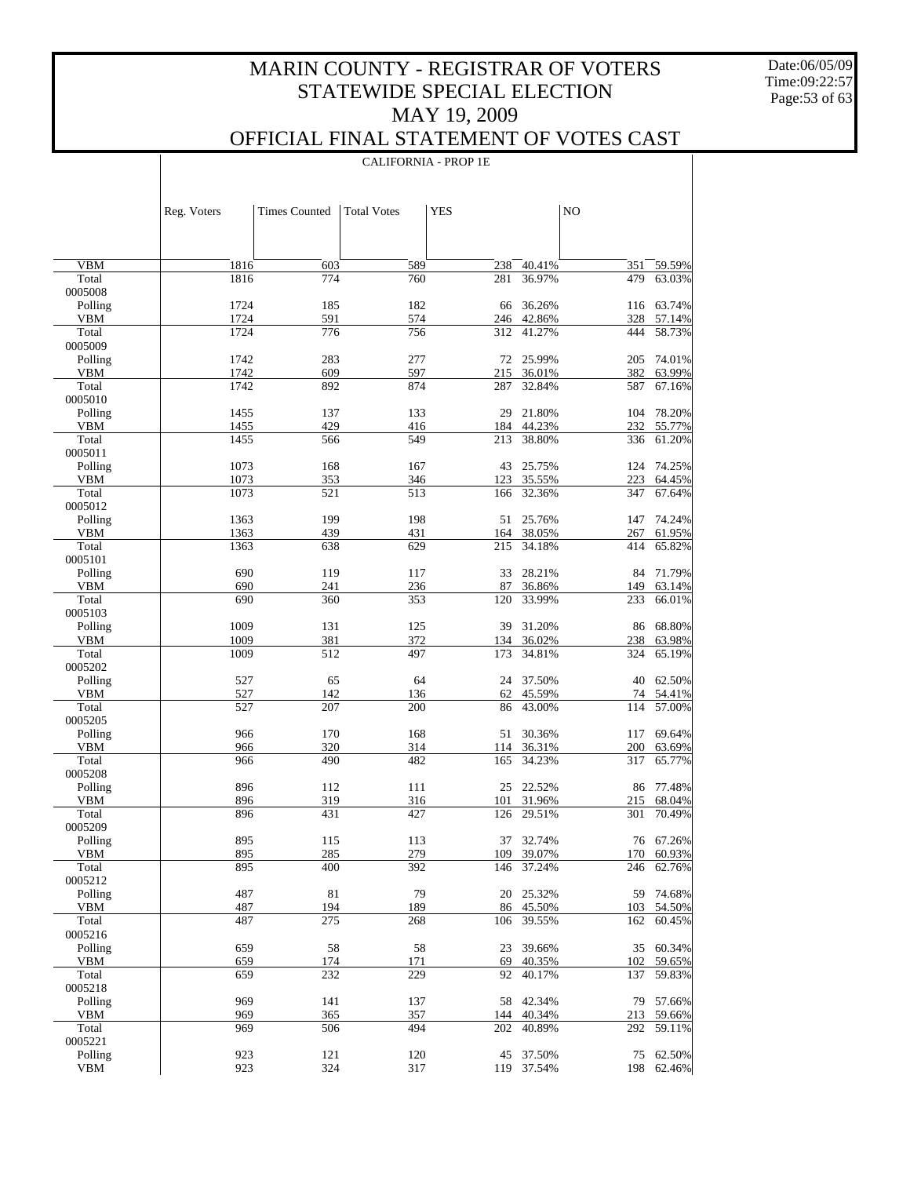Date:06/05/09 Time:09:22:57 Page:53 of 63

 $\overline{\phantom{a}}$ 

### OFFICIAL FINAL STATEMENT OF VOTES CAST

CALIFORNIA - PROP 1E

|                     | Reg. Voters  | <b>Times Counted</b> | <b>Total Votes</b> | <b>YES</b> |                  | NO         |                  |
|---------------------|--------------|----------------------|--------------------|------------|------------------|------------|------------------|
|                     |              |                      |                    |            |                  |            |                  |
| <b>VBM</b>          | 1816         | 603                  | 589                | 238        | 40.41%           | 351        | 59.59%           |
| Total               | 1816         | 774                  | 760                | 281        | 36.97%           | 479        | 63.03%           |
| 0005008             |              |                      |                    |            |                  |            |                  |
| Polling             | 1724         | 185                  | 182                | 66         | 36.26%           |            | 116 63.74%       |
| <b>VBM</b>          | 1724         | 591                  | 574                | 246        | 42.86%           | 328        | 57.14%           |
| Total<br>0005009    | 1724         | 776                  | 756                | 312        | 41.27%           | 444        | 58.73%           |
| Polling             | 1742         | 283                  | 277                | 72         | 25.99%           | 205        | 74.01%           |
| <b>VBM</b>          | 1742         | 609                  | 597                | 215        | 36.01%           | 382        | 63.99%           |
| Total               | 1742         | 892                  | 874                | 287        | 32.84%           | 587        | 67.16%           |
| 0005010             |              |                      |                    |            |                  |            |                  |
| Polling             | 1455         | 137                  | 133                | 29         | 21.80%           | 104        | 78.20%           |
| <b>VBM</b>          | 1455         | 429                  | 416                | 184        | 44.23%           | 232        | 55.77%           |
| Total               | 1455         | 566                  | 549                | 213        | 38.80%           | 336        | 61.20%           |
| 0005011             |              |                      |                    |            |                  |            |                  |
| Polling             | 1073         | 168                  | 167                | 43         | 25.75%           |            | 124 74.25%       |
| <b>VBM</b><br>Total | 1073<br>1073 | 353<br>521           | 346<br>513         | 123<br>166 | 35.55%<br>32.36% | 223<br>347 | 64.45%<br>67.64% |
| 0005012             |              |                      |                    |            |                  |            |                  |
| Polling             | 1363         | 199                  | 198                | 51         | 25.76%           | 147        | 74.24%           |
| <b>VBM</b>          | 1363         | 439                  | 431                | 164        | 38.05%           | 267        | 61.95%           |
| Total               | 1363         | 638                  | 629                | 215        | 34.18%           | 414        | 65.82%           |
| 0005101             |              |                      |                    |            |                  |            |                  |
| Polling             | 690          | 119                  | 117                | 33         | 28.21%           | 84         | 71.79%           |
| <b>VBM</b>          | 690          | 241                  | 236                | 87         | 36.86%           | 149        | 63.14%           |
| Total               | 690          | 360                  | 353                | 120        | 33.99%           | 233        | 66.01%           |
| 0005103<br>Polling  | 1009         | 131                  | 125                | 39         | 31.20%           |            | 68.80%           |
| <b>VBM</b>          | 1009         | 381                  | 372                | 134        | 36.02%           | 86<br>238  | 63.98%           |
| Total               | 1009         | 512                  | 497                | 173        | 34.81%           | 324        | 65.19%           |
| 0005202             |              |                      |                    |            |                  |            |                  |
| Polling             | 527          | 65                   | 64                 | 24         | 37.50%           | 40         | 62.50%           |
| <b>VBM</b>          | 527          | 142                  | 136                | 62         | 45.59%           | 74         | 54.41%           |
| Total               | 527          | 207                  | 200                | 86         | 43.00%           | 114        | 57.00%           |
| 0005205             |              |                      |                    |            |                  |            |                  |
| Polling             | 966          | 170                  | 168                | 51         | 30.36%           | 117        | 69.64%           |
| <b>VBM</b><br>Total | 966<br>966   | 320<br>490           | 314<br>482         | 114<br>165 | 36.31%<br>34.23% | 200<br>317 | 63.69%<br>65.77% |
| 0005208             |              |                      |                    |            |                  |            |                  |
| Polling             | 896          | 112                  | 111                | 25         | 22.52%           | 86         | 77.48%           |
| <b>VBM</b>          | 896          | 319                  | 316                | 101        | 31.96%           | 215        | 68.04%           |
| Total               | 896          | 431                  | 427                | 126        | 29.51%           | 301        | 70.49%           |
| 0005209             |              |                      |                    |            |                  |            |                  |
| Polling             | 895          | 115                  | 113                | 37         | 32.74%           | 76         | 67.26%           |
| VBM                 | 895          | 285                  | 279                | 109        | 39.07%           |            | 170 60.93%       |
| Total<br>0005212    | 895          | 400                  | 392                | 146        | 37.24%           | 246        | 62.76%           |
| Polling             | 487          | 81                   | 79                 | 20         | 25.32%           | 59         | 74.68%           |
| <b>VBM</b>          | 487          | 194                  | 189                | 86         | 45.50%           | 103        | 54.50%           |
| Total               | 487          | 275                  | 268                | 106        | 39.55%           | 162        | 60.45%           |
| 0005216             |              |                      |                    |            |                  |            |                  |
| Polling             | 659          | 58                   | 58                 | 23         | 39.66%           | 35         | 60.34%           |
| <b>VBM</b>          | 659          | 174                  | 171                | 69         | 40.35%           | 102        | 59.65%           |
| Total               | 659          | 232                  | 229                | 92         | 40.17%           | 137        | 59.83%           |
| 0005218             |              |                      |                    |            |                  |            |                  |
| Polling             | 969<br>969   | 141                  | 137                | 58<br>144  | 42.34%           | 79<br>213  | 57.66%           |
| <b>VBM</b><br>Total | 969          | 365<br>506           | 357<br>494         | 202        | 40.34%<br>40.89% | 292        | 59.66%<br>59.11% |
| 0005221             |              |                      |                    |            |                  |            |                  |
| Polling             | 923          | 121                  | 120                | 45         | 37.50%           | 75         | 62.50%           |
| <b>VBM</b>          | 923          | 324                  | 317                |            | 119 37.54%       |            | 198 62.46%       |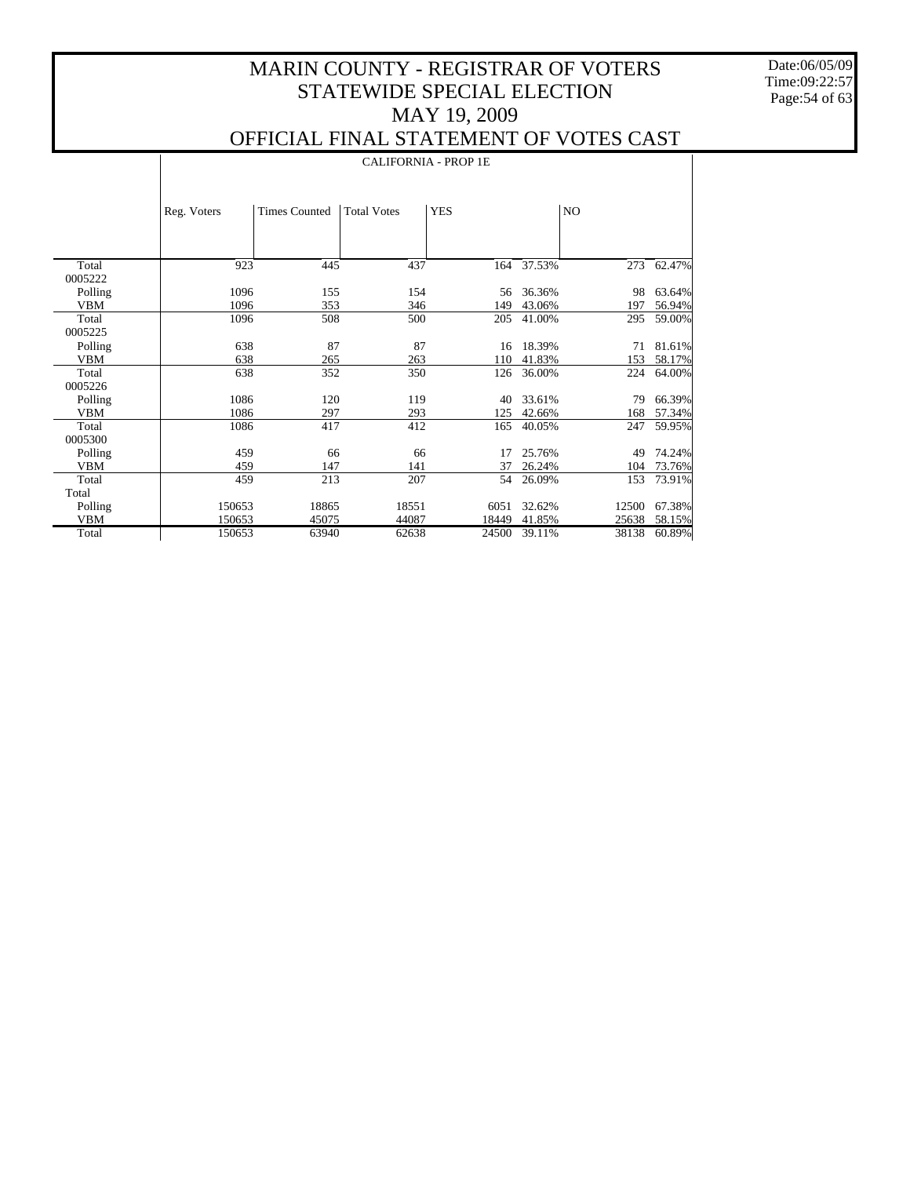Date:06/05/09 Time:09:22:57 Page:54 of 63

 $\mathbf{I}$ 

#### OFFICIAL FINAL STATEMENT OF VOTES CAST

|            |             | <b>CALIFORNIA - PROP 1E</b> |                    |            |        |       |        |  |  |  |  |
|------------|-------------|-----------------------------|--------------------|------------|--------|-------|--------|--|--|--|--|
|            | Reg. Voters | <b>Times Counted</b>        | <b>Total Votes</b> | <b>YES</b> |        | NO.   |        |  |  |  |  |
| Total      | 923         | 445                         | 437                | 164        | 37.53% | 273   | 62.47% |  |  |  |  |
| 0005222    |             |                             |                    |            |        |       |        |  |  |  |  |
| Polling    | 1096        | 155                         | 154                | 56         | 36.36% | 98    | 63.64% |  |  |  |  |
| <b>VBM</b> | 1096        | 353                         | 346                | 149        | 43.06% | 197   | 56.94% |  |  |  |  |
| Total      | 1096        | 508                         | 500                | 205        | 41.00% | 295   | 59.00% |  |  |  |  |
| 0005225    |             |                             |                    |            |        |       |        |  |  |  |  |
| Polling    | 638         | 87                          | 87                 | 16         | 18.39% | 71    | 81.61% |  |  |  |  |
| <b>VBM</b> | 638         | 265                         | 263                | 110        | 41.83% | 153   | 58.17% |  |  |  |  |
| Total      | 638         | 352                         | 350                | 126        | 36.00% | 224   | 64.00% |  |  |  |  |
| 0005226    |             |                             |                    |            |        |       |        |  |  |  |  |
| Polling    | 1086        | 120                         | 119                | 40         | 33.61% | 79    | 66.39% |  |  |  |  |
| <b>VBM</b> | 1086        | 297                         | 293                | 125        | 42.66% | 168   | 57.34% |  |  |  |  |
| Total      | 1086        | 417                         | 412                | 165        | 40.05% | 247   | 59.95% |  |  |  |  |
| 0005300    |             |                             |                    |            |        |       |        |  |  |  |  |
| Polling    | 459         | 66                          | 66                 | 17         | 25.76% | 49    | 74.24% |  |  |  |  |
| <b>VBM</b> | 459         | 147                         | 141                | 37         | 26.24% | 104   | 73.76% |  |  |  |  |
| Total      | 459         | 213                         | 207                | 54         | 26.09% | 153   | 73.91% |  |  |  |  |
| Total      |             |                             |                    |            |        |       |        |  |  |  |  |
| Polling    | 150653      | 18865                       | 18551              | 6051       | 32.62% | 12500 | 67.38% |  |  |  |  |
| VBM        | 150653      | 45075                       | 44087              | 18449      | 41.85% | 25638 | 58.15% |  |  |  |  |
| Total      | 150653      | 63940                       | 62638              | 24500      | 39.11% | 38138 | 60.89% |  |  |  |  |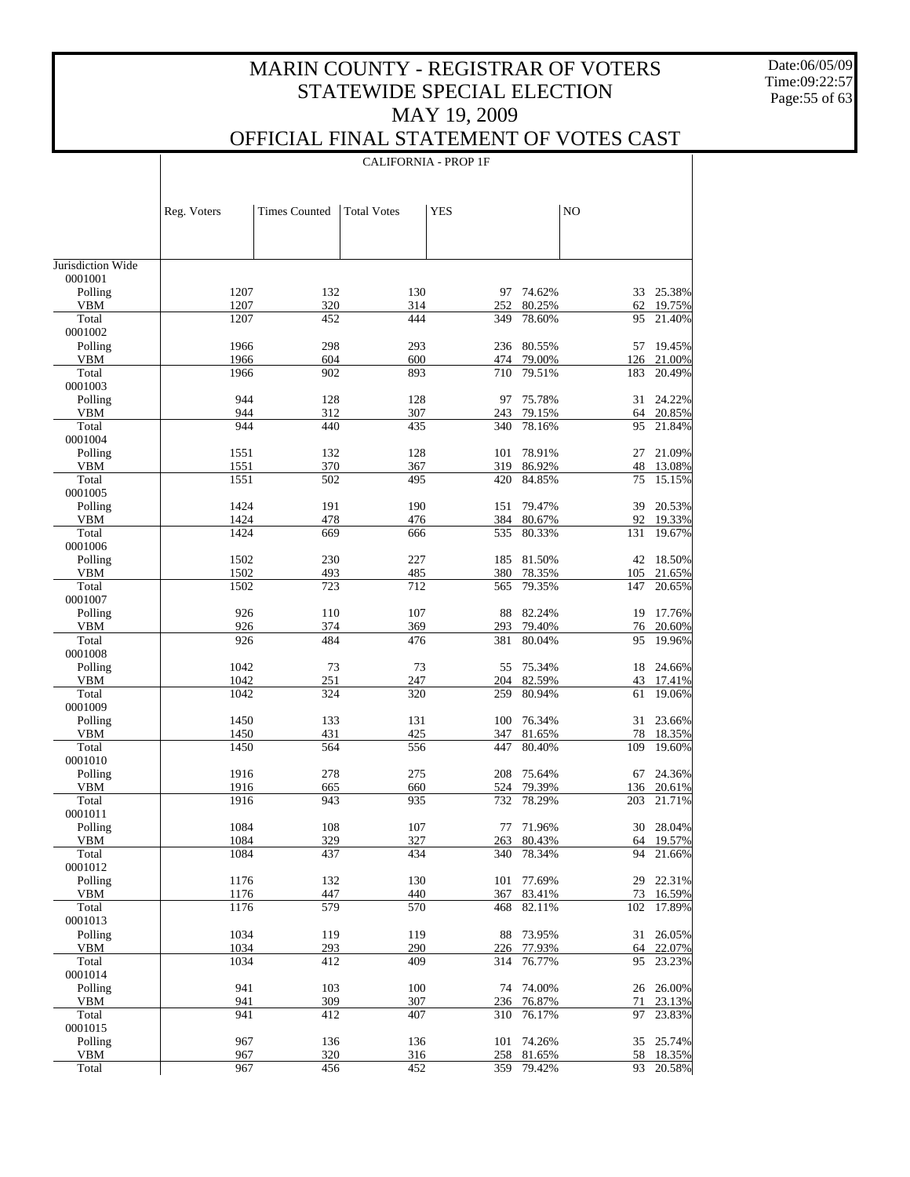Date:06/05/09 Time:09:22:57 Page:55 of 63

 $\top$ 

## OFFICIAL FINAL STATEMENT OF VOTES CAST

|                       |              |                      |                    | <b>CALIFORNIA - PROP 1F</b> |                  |            |                  |
|-----------------------|--------------|----------------------|--------------------|-----------------------------|------------------|------------|------------------|
|                       |              |                      |                    |                             |                  |            |                  |
|                       | Reg. Voters  | <b>Times Counted</b> | <b>Total Votes</b> | <b>YES</b>                  |                  | NO         |                  |
|                       |              |                      |                    |                             |                  |            |                  |
| Jurisdiction Wide     |              |                      |                    |                             |                  |            |                  |
| 0001001               |              |                      |                    |                             |                  |            |                  |
| Polling               | 1207         | 132                  | 130                | 97                          | 74.62%           | 33         | 25.38%           |
| <b>VBM</b><br>Total   | 1207<br>1207 | 320<br>452           | 314<br>444         | 252<br>349                  | 80.25%<br>78.60% | 62<br>95   | 19.75%<br>21.40% |
| 0001002               |              |                      |                    |                             |                  |            |                  |
| Polling               | 1966<br>1966 | 298<br>604           | 293                | 236                         | 80.55%           | 57         | 19.45%           |
| <b>VBM</b><br>Total   | 1966         | 902                  | 600<br>893         | 474<br>710                  | 79.00%<br>79.51% | 126<br>183 | 21.00%<br>20.49% |
| 0001003               |              |                      |                    |                             |                  |            |                  |
| Polling               | 944          | 128                  | 128                | 97                          | 75.78%           | 31         | 24.22%           |
| <b>VBM</b><br>Total   | 944<br>944   | 312<br>440           | 307<br>435         | 243<br>340                  | 79.15%<br>78.16% | 64<br>95   | 20.85%<br>21.84% |
| 0001004               |              |                      |                    |                             |                  |            |                  |
| Polling               | 1551         | 132                  | 128                | 101                         | 78.91%           | 27         | 21.09%           |
| <b>VBM</b><br>Total   | 1551<br>1551 | 370<br>502           | 367<br>495         | 319<br>420                  | 86.92%<br>84.85% | 48<br>75   | 13.08%<br>15.15% |
| 0001005               |              |                      |                    |                             |                  |            |                  |
| Polling               | 1424         | 191                  | 190                | 151                         | 79.47%           | 39         | 20.53%           |
| <b>VBM</b><br>Total   | 1424<br>1424 | 478<br>669           | 476<br>666         | 384<br>535                  | 80.67%<br>80.33% | 92<br>131  | 19.33%<br>19.67% |
| 0001006               |              |                      |                    |                             |                  |            |                  |
| Polling               | 1502         | 230                  | 227                | 185                         | 81.50%           | 42         | 18.50%           |
| <b>VBM</b>            | 1502         | 493                  | 485                | 380                         | 78.35%           | 105        | 21.65%           |
| Total<br>0001007      | 1502         | 723                  | 712                | 565                         | 79.35%           | 147        | 20.65%           |
| Polling               | 926          | 110                  | 107                | 88                          | 82.24%           | 19         | 17.76%           |
| <b>VBM</b>            | 926          | 374                  | 369                | 293                         | 79.40%           | 76         | 20.60%           |
| Total<br>0001008      | 926          | 484                  | 476                | 381                         | 80.04%           | 95         | 19.96%           |
| Polling               | 1042         | 73                   | 73                 | 55                          | 75.34%           | 18         | 24.66%           |
| <b>VBM</b>            | 1042         | 251                  | 247                | 204                         | 82.59%           | 43         | 17.41%           |
| Total<br>0001009      | 1042         | 324                  | 320                | 259                         | 80.94%           | 61         | 19.06%           |
| Polling               | 1450         | 133                  | 131                | 100                         | 76.34%           | 31         | 23.66%           |
| <b>VBM</b>            | 1450         | 431                  | 425                | 347                         | 81.65%           | 78         | 18.35%           |
| Total                 | 1450         | 564                  | 556                | 447                         | 80.40%           | 109        | 19.60%           |
| 0001010<br>Polling    | 1916         | 278                  | 275                | 208                         | 75.64%           | 67         | 24.36%           |
| <b>VBM</b>            | 1916         | 665                  | 660                | 524                         | 79.39%           | 136        | 20.61%           |
| Total                 | 1916         | 943                  | 935                | 732                         | 78.29%           | 203        | 21.71%           |
| 0001011<br>Polling    | 1084         | 108                  | 107                | 77                          | 71.96%           | 30         | 28.04%           |
| <b>VBM</b>            | 1084         | 329                  | 327                | 263                         | 80.43%           | 64         | 19.57%           |
| Total                 | 1084         | 437                  | 434                | 340                         | 78.34%           | 94         | 21.66%           |
| 0001012<br>Polling    | 1176         | 132                  | 130                | 101                         | 77.69%           | 29         | 22.31%           |
| <b>VBM</b>            | 1176         | 447                  | 440                | 367                         | 83.41%           | 73         | 16.59%           |
| Total                 | 1176         | 579                  | 570                | 468                         | 82.11%           | 102        | 17.89%           |
| 0001013               |              |                      |                    |                             |                  |            |                  |
| Polling<br><b>VBM</b> | 1034<br>1034 | 119<br>293           | 119<br>290         | 88<br>226                   | 73.95%<br>77.93% | 31<br>64   | 26.05%<br>22.07% |
| Total                 | 1034         | 412                  | 409                | 314                         | 76.77%           | 95         | 23.23%           |
| 0001014               |              |                      |                    |                             |                  |            |                  |
| Polling<br><b>VBM</b> | 941<br>941   | 103<br>309           | 100<br>307         | 74<br>236                   | 74.00%<br>76.87% | 26<br>71   | 26.00%<br>23.13% |
| Total                 | 941          | 412                  | 407                | 310                         | 76.17%           | 97         | 23.83%           |
| 0001015               |              |                      |                    |                             |                  |            |                  |
| Polling<br><b>VBM</b> | 967          | 136<br>320           | 136                | 101                         | 74.26%           | 35         | 25.74%           |
| Total                 | 967<br>967   | 456                  | 316<br>452         | 258<br>359                  | 81.65%<br>79.42% | 58<br>93   | 18.35%<br>20.58% |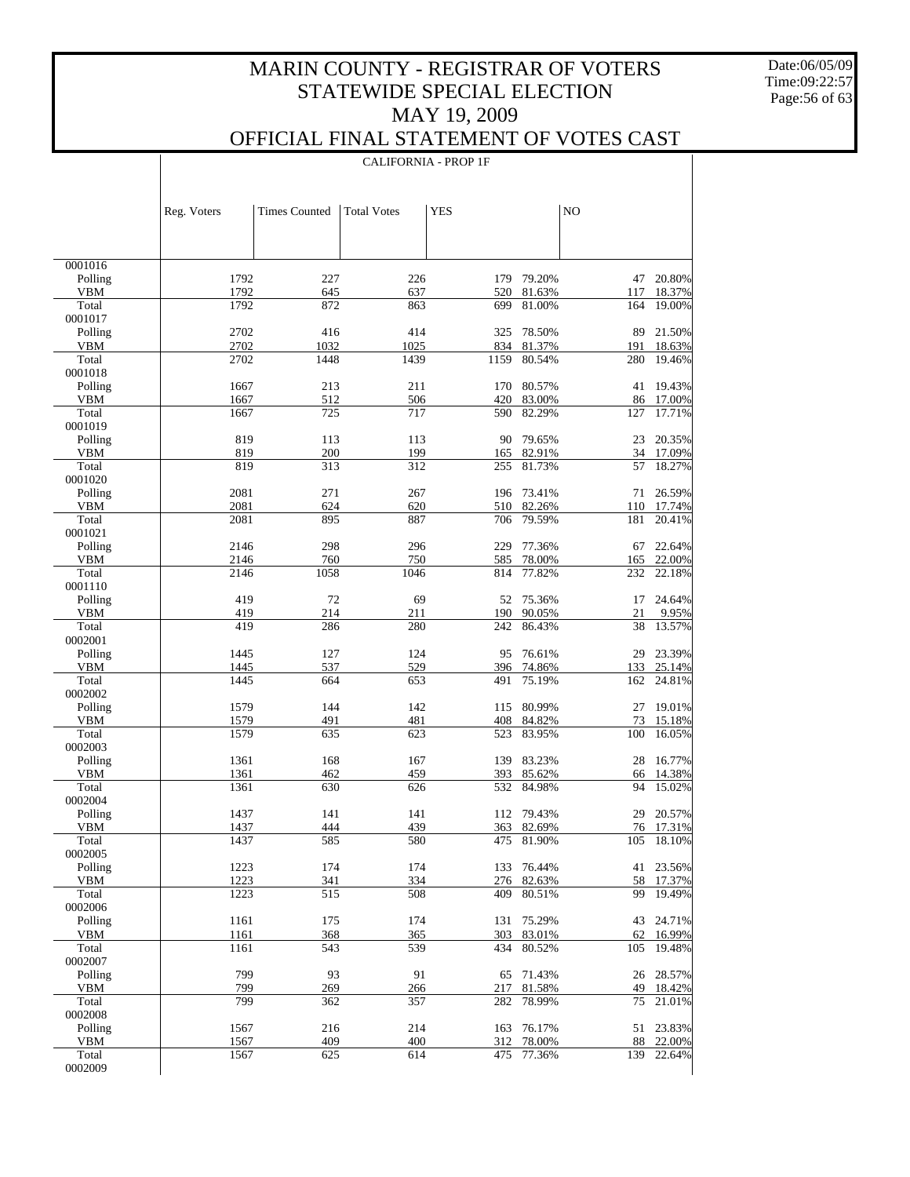Date:06/05/09 Time:09:22:57 Page:56 of 63

 $\top$ 

#### OFFICIAL FINAL STATEMENT OF VOTES CAST

|                    |              |                      | <b>CALIFORNIA - PROP 1F</b> |            |                      |                |                  |
|--------------------|--------------|----------------------|-----------------------------|------------|----------------------|----------------|------------------|
|                    | Reg. Voters  | <b>Times Counted</b> | <b>Total Votes</b>          | <b>YES</b> |                      | N <sub>O</sub> |                  |
|                    |              |                      |                             |            |                      |                |                  |
| 0001016<br>Polling | 1792         | 227                  | 226                         | 179        | 79.20%               | 47             | 20.80%           |
| VBM                | 1792         | 645                  | 637                         | 520        | 81.63%               | 117            | 18.37%           |
| Total              | 1792         | 872                  | 863                         | 699        | 81.00%               | 164            | 19.00%           |
| 0001017            |              |                      |                             |            |                      |                |                  |
| Polling            | 2702         | 416                  | 414                         | 325        | 78.50%               | 89             | 21.50%           |
| VBM                | 2702         | 1032                 | 1025                        | 834        | 81.37%               | 191            | 18.63%           |
| Total<br>0001018   | 2702         | 1448                 | 1439                        | 1159       | 80.54%               | 280            | 19.46%           |
| Polling            | 1667         | 213                  | 211                         | 170        | 80.57%               | 41             | 19.43%           |
| VBM                | 1667         | 512                  | 506                         | 420        | 83.00%               |                | 86 17.00%        |
| Total              | 1667         | 725                  | 717                         | 590        | 82.29%               | 127            | 17.71%           |
| 0001019            |              |                      |                             |            |                      |                |                  |
| Polling            | 819          | 113                  | 113                         | 90         | 79.65%               | 23             | 20.35%           |
| VBM                | 819          | 200                  | 199                         | 165        | 82.91%               | 34             | 17.09%           |
| Total              | 819          | 313                  | 312                         | 255        | 81.73%               | 57             | 18.27%           |
| 0001020            |              |                      |                             |            |                      |                |                  |
| Polling            | 2081         | 271                  | 267                         | 196        | 73.41%               | 71             | 26.59%           |
| VBM<br>Total       | 2081<br>2081 | 624<br>895           | 620<br>887                  | 510<br>706 | 82.26%<br>79.59%     | 110<br>181     | 17.74%<br>20.41% |
| 0001021            |              |                      |                             |            |                      |                |                  |
| Polling            | 2146         | 298                  | 296                         | 229        | 77.36%               | 67             | 22.64%           |
| VBM                | 2146         | 760                  | 750                         | 585        | 78.00%               | 165            | 22.00%           |
| Total              | 2146         | 1058                 | 1046                        | 814        | 77.82%               | 232            | 22.18%           |
| 0001110            |              |                      |                             |            |                      |                |                  |
| Polling            | 419          | 72                   | 69                          | 52         | 75.36%               | 17             | 24.64%           |
| VBM                | 419          | 214                  | 211                         | 190        | 90.05%               | 21             | 9.95%            |
| Total              | 419          | 286                  | 280                         | 242        | 86.43%               | 38             | 13.57%           |
| 0002001            |              |                      |                             |            |                      |                |                  |
| Polling            | 1445         | 127                  | 124                         | 95         | 76.61%               | 29             | 23.39%           |
| VBM<br>Total       | 1445<br>1445 | 537<br>664           | 529<br>653                  | 491        | 396 74.86%<br>75.19% | 133<br>162     | 25.14%<br>24.81% |
| 0002002            |              |                      |                             |            |                      |                |                  |
| Polling            | 1579         | 144                  | 142                         | 115        | 80.99%               | 27             | 19.01%           |
| VBM                | 1579         | 491                  | 481                         | 408        | 84.82%               | 73             | 15.18%           |
| Total              | 1579         | 635                  | 623                         | 523        | 83.95%               | 100            | 16.05%           |
| 0002003            |              |                      |                             |            |                      |                |                  |
| Polling            | 1361         | 168                  | 167                         | 139        | 83.23%               | 28             | 16.77%           |
| VBM                | 1361         | 462                  | 459                         | 393        | 85.62%               | 66             | 14.38%           |
| Total              | 1361         | 630                  | 626                         | 532        | 84.98%               | 94             | 15.02%           |
| 0002004            | 1437         |                      |                             |            | 112 79.43%           |                |                  |
| Polling<br>VBM     | 1437         | 141<br>444           | 141<br>439                  |            | 82.69%               | 29             | 20.57%           |
| Total              | 1437         | 585                  | 580                         | 363<br>475 | 81.90%               | 76<br>105      | 17.31%<br>18.10% |
| 0002005            |              |                      |                             |            |                      |                |                  |
| Polling            | 1223         | 174                  | 174                         | 133        | 76.44%               | 41             | 23.56%           |
| VBM                | 1223         | 341                  | 334                         | 276        | 82.63%               | 58             | 17.37%           |
| Total              | 1223         | 515                  | 508                         | 409        | 80.51%               | 99             | 19.49%           |
| 0002006            |              |                      |                             |            |                      |                |                  |
| Polling            | 1161         | 175                  | 174                         | 131        | 75.29%               | 43             | 24.71%           |
| VBM                | 1161         | 368                  | 365                         | 303        | 83.01%               | 62             | 16.99%           |
| Total<br>0002007   | 1161         | 543                  | 539                         | 434        | 80.52%               | 105            | 19.48%           |
| Polling            | 799          | 93                   | 91                          | 65         | 71.43%               | 26             | 28.57%           |
| VBM                | 799          | 269                  | 266                         | 217        | 81.58%               | 49             | 18.42%           |
| Total              | 799          | 362                  | 357                         | 282        | 78.99%               | 75             | 21.01%           |
| 0002008            |              |                      |                             |            |                      |                |                  |
| Polling            | 1567         | 216                  | 214                         | 163        | 76.17%               | 51             | 23.83%           |
| VBM                | 1567         | 409                  | 400                         | 312        | 78.00%               | 88             | 22.00%           |
| Total              | 1567         | 625                  | 614                         | 475        | 77.36%               | 139            | 22.64%           |
| 0002009            |              |                      |                             |            |                      |                |                  |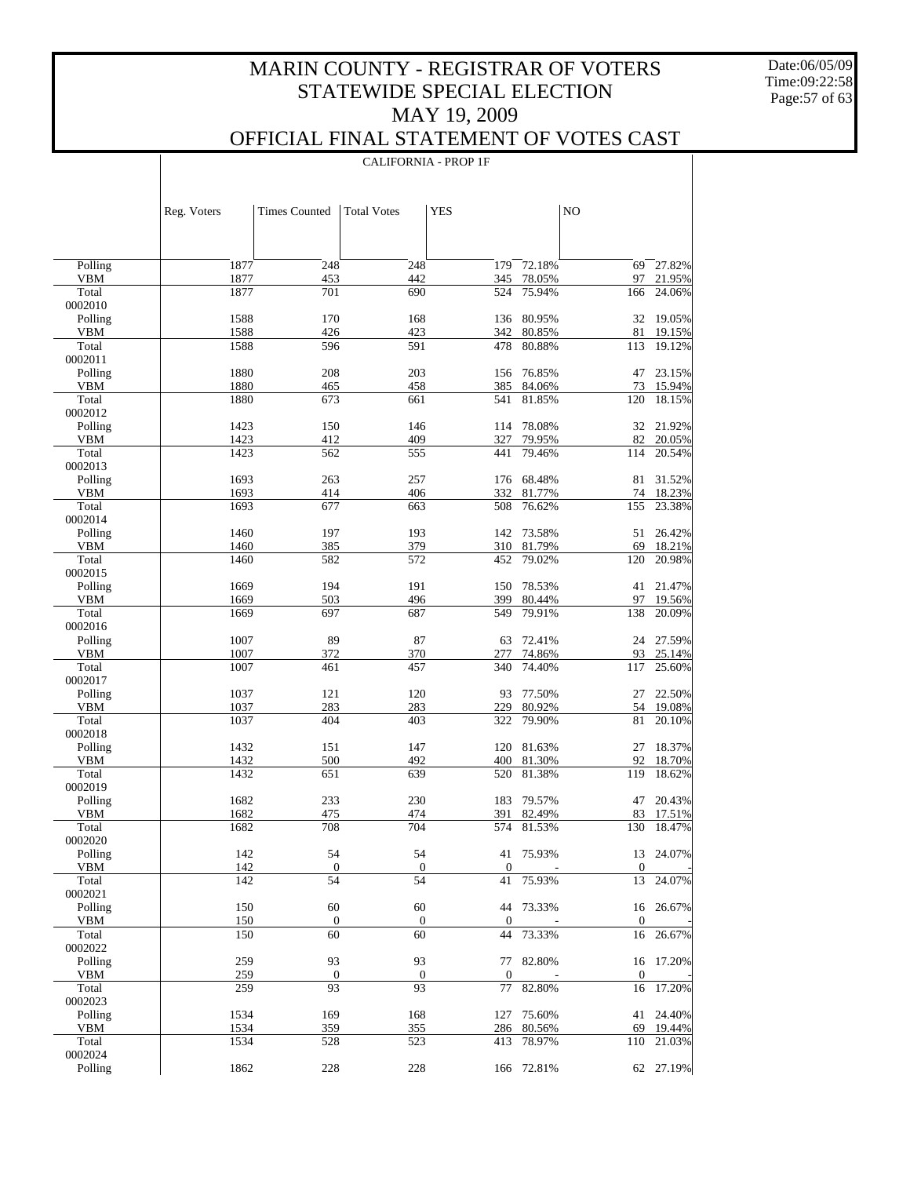Date:06/05/09 Time:09:22:58 Page:57 of 63

 $\overline{\phantom{a}}$ 

### OFFICIAL FINAL STATEMENT OF VOTES CAST

CALIFORNIA - PROP 1F

|                       | Reg. Voters  | <b>Times Counted</b> | <b>Total Votes</b> | <b>YES</b>       |                  | NO           |                  |
|-----------------------|--------------|----------------------|--------------------|------------------|------------------|--------------|------------------|
|                       |              |                      |                    |                  |                  |              |                  |
| Polling               | 1877         | 248                  | 248                | 179              | 72.18%           | 69           | 27.82%           |
| <b>VBM</b>            | 1877         | 453                  | 442                | 345              | 78.05%           | 97           | 21.95%           |
| Total                 | 1877         | 701                  | 690                | 524              | 75.94%           | 166          | 24.06%           |
| 0002010<br>Polling    | 1588         | 170                  | 168                | 136              | 80.95%           | 32           | 19.05%           |
| <b>VBM</b>            | 1588         | 426                  | 423                | 342              | 80.85%           | 81           | 19.15%           |
| Total                 | 1588         | 596                  | 591                | 478              | 80.88%           | 113          | 19.12%           |
| 0002011               |              |                      |                    |                  |                  |              |                  |
| Polling               | 1880         | 208                  | 203                | 156              | 76.85%           | 47           | 23.15%           |
| <b>VBM</b>            | 1880         | 465                  | 458                | 385              | 84.06%           | 73           | 15.94%           |
| Total                 | 1880         | 673                  | 661                | 541              | 81.85%           | 120          | 18.15%           |
| 0002012               |              |                      |                    |                  |                  |              |                  |
| Polling<br><b>VBM</b> | 1423<br>1423 | 150<br>412           | 146<br>409         | 114<br>327       | 78.08%<br>79.95% | 32<br>82     | 21.92%<br>20.05% |
| Total                 | 1423         | 562                  | 555                | 441              | 79.46%           | 114          | 20.54%           |
| 0002013               |              |                      |                    |                  |                  |              |                  |
| Polling               | 1693         | 263                  | 257                | 176              | 68.48%           | 81           | 31.52%           |
| <b>VBM</b>            | 1693         | 414                  | 406                | 332              | 81.77%           | 74           | 18.23%           |
| Total                 | 1693         | 677                  | 663                | 508              | 76.62%           | 155          | 23.38%           |
| 0002014               |              |                      |                    |                  |                  |              |                  |
| Polling               | 1460         | 197                  | 193                | 142              | 73.58%           | 51           | 26.42%           |
| <b>VBM</b>            | 1460         | 385                  | 379                | 310              | 81.79%           | 69           | 18.21%           |
| Total<br>0002015      | 1460         | 582                  | 572                | 452              | 79.02%           | 120          | 20.98%           |
| Polling               | 1669         | 194                  | 191                | 150              | 78.53%           | 41           | 21.47%           |
| <b>VBM</b>            | 1669         | 503                  | 496                | 399              | 80.44%           | 97           | 19.56%           |
| Total                 | 1669         | 697                  | 687                | 549              | 79.91%           | 138          | 20.09%           |
| 0002016               |              |                      |                    |                  |                  |              |                  |
| Polling               | 1007         | 89                   | 87                 | 63               | 72.41%           | 24           | 27.59%           |
| <b>VBM</b>            | 1007         | 372                  | 370                | 277              | 74.86%           | 93           | 25.14%           |
| Total                 | 1007         | 461                  | 457                | 340              | 74.40%           | 117          | 25.60%           |
| 0002017               |              |                      |                    |                  |                  |              |                  |
| Polling<br><b>VBM</b> | 1037<br>1037 | 121<br>283           | 120<br>283         | 93<br>229        | 77.50%<br>80.92% | 27<br>54     | 22.50%<br>19.08% |
| Total                 | 1037         | 404                  | 403                | 322              | 79.90%           | 81           | 20.10%           |
| 0002018               |              |                      |                    |                  |                  |              |                  |
| Polling               | 1432         | 151                  | 147                | 120              | 81.63%           | 27           | 18.37%           |
| <b>VBM</b>            | 1432         | 500                  | 492                | 400              | 81.30%           | 92           | 18.70%           |
| Total                 | 1432         | 651                  | 639                | 520              | 81.38%           | 119          | 18.62%           |
| 0002019               |              |                      |                    |                  |                  |              |                  |
| Polling               | 1682         | 233                  | 230                | 183              | 79.57%           | 47           | 20.43%           |
| VBM<br>Total          | 1682<br>1682 | 475<br>708           | 474<br>704         | 391<br>574       | 82.49%<br>81.53% | 83<br>130    | 17.51%<br>18.47% |
| 0002020               |              |                      |                    |                  |                  |              |                  |
| Polling               | 142          | 54                   | 54                 |                  | 41 75.93%        |              | 13 24.07%        |
| <b>VBM</b>            | 142          | $\boldsymbol{0}$     | $\mathbf{0}$       | $\mathbf{0}$     |                  | $\mathbf{0}$ |                  |
| Total                 | 142          | 54                   | 54                 | 41               | 75.93%           | 13           | 24.07%           |
| 0002021               |              |                      |                    |                  |                  |              |                  |
| Polling               | 150          | 60                   | 60                 |                  | 44 73.33%        | 16           | 26.67%           |
| <b>VBM</b>            | 150          | $\mathbf{0}$         | $\mathbf{0}$       | $\mathbf{0}$     |                  | $\mathbf{0}$ |                  |
| Total<br>0002022      | 150          | 60                   | 60                 | 44               | 73.33%           | 16           | 26.67%           |
| Polling               | 259          | 93                   | 93                 | 77               | 82.80%           | 16           | 17.20%           |
| <b>VBM</b>            | 259          | $\boldsymbol{0}$     | $\boldsymbol{0}$   | $\boldsymbol{0}$ |                  | $\mathbf{0}$ |                  |
| Total                 | 259          | 93                   | 93                 | 77               | 82.80%           | 16           | 17.20%           |
| 0002023               |              |                      |                    |                  |                  |              |                  |
| Polling               | 1534         | 169                  | 168                | 127              | 75.60%           |              | 41 24.40%        |
| <b>VBM</b>            | 1534         | 359                  | 355                | 286              | 80.56%           | 69           | 19.44%           |
| Total                 | 1534         | 528                  | 523                | 413              | 78.97%           | 110          | 21.03%           |
| 0002024               |              |                      |                    |                  |                  |              |                  |
| Polling               | 1862         | 228                  | 228                |                  | 166 72.81%       |              | 62 27.19%        |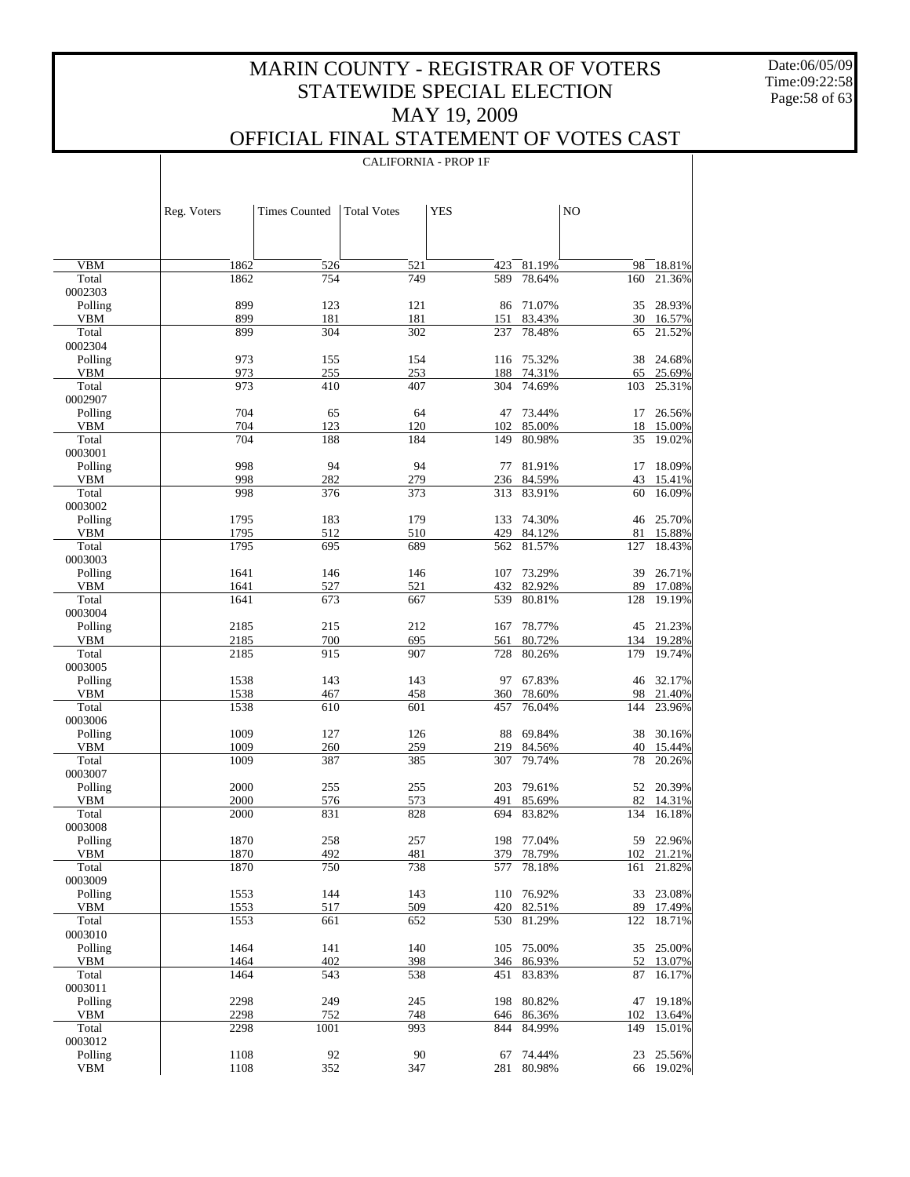Date:06/05/09 Time:09:22:58 Page:58 of 63

 $\overline{\phantom{a}}$ 

### OFFICIAL FINAL STATEMENT OF VOTES CAST

CALIFORNIA - PROP 1F

|                       | Reg. Voters  | <b>Times Counted</b> | <b>Total Votes</b> | <b>YES</b> |                      | NO        |                  |
|-----------------------|--------------|----------------------|--------------------|------------|----------------------|-----------|------------------|
|                       |              |                      |                    |            |                      |           |                  |
| <b>VBM</b>            | 1862         | 526                  | 521                | 423        | 81.19%               | 98        | 18.81%           |
| Total                 | 1862         | 754                  | 749                | 589        | 78.64%               | 160       | 21.36%           |
| 0002303               |              |                      |                    |            |                      |           |                  |
| Polling               | 899          | 123                  | 121                |            | 86 71.07%            | 35        | 28.93%           |
| <b>VBM</b>            | 899          | 181                  | 181                | 151        | 83.43%               |           | 30 16.57%        |
| Total                 | 899          | 304                  | 302                | 237        | 78.48%               | 65        | 21.52%           |
| 0002304<br>Polling    | 973          | 155                  | 154                |            | 116 75.32%           | 38        | 24.68%           |
| <b>VBM</b>            | 973          | 255                  | 253                |            | 188 74.31%           | 65        | 25.69%           |
| Total                 | 973          | 410                  | 407                | 304        | 74.69%               | 103       | 25.31%           |
| 0002907               |              |                      |                    |            |                      |           |                  |
| Polling               | 704          | 65                   | 64                 | 47         | 73.44%               | 17        | 26.56%           |
| <b>VBM</b>            | 704          | 123                  | 120                | 102        | 85.00%               | 18        | 15.00%           |
| Total                 | 704          | 188                  | 184                | 149        | 80.98%               | 35        | 19.02%           |
| 0003001               | 998          | 94                   | 94                 |            |                      |           |                  |
| Polling<br><b>VBM</b> | 998          | 282                  | 279                | 77         | 81.91%<br>236 84.59% | 17<br>43  | 18.09%<br>15.41% |
| Total                 | 998          | 376                  | 373                | 313        | 83.91%               | 60        | 16.09%           |
| 0003002               |              |                      |                    |            |                      |           |                  |
| Polling               | 1795         | 183                  | 179                | 133        | 74.30%               | 46        | 25.70%           |
| <b>VBM</b>            | 1795         | 512                  | 510                |            | 429 84.12%           | 81        | 15.88%           |
| Total                 | 1795         | 695                  | 689                | 562        | 81.57%               | 127       | 18.43%           |
| 0003003               |              |                      |                    |            |                      |           |                  |
| Polling               | 1641         | 146                  | 146                | 107        | 73.29%               | 39        | 26.71%           |
| <b>VBM</b><br>Total   | 1641<br>1641 | 527<br>673           | 521<br>667         | 432<br>539 | 82.92%<br>80.81%     | 89<br>128 | 17.08%<br>19.19% |
| 0003004               |              |                      |                    |            |                      |           |                  |
| Polling               | 2185         | 215                  | 212                | 167        | 78.77%               |           | 45 21.23%        |
| <b>VBM</b>            | 2185         | 700                  | 695                | 561        | 80.72%               |           | 134 19.28%       |
| Total                 | 2185         | 915                  | 907                | 728        | 80.26%               | 179       | 19.74%           |
| 0003005               |              |                      |                    |            |                      |           |                  |
| Polling               | 1538         | 143                  | 143                | 97         | 67.83%               | 46        | 32.17%           |
| <b>VBM</b><br>Total   | 1538<br>1538 | 467<br>610           | 458<br>601         | 360<br>457 | 78.60%<br>76.04%     | 98<br>144 | 21.40%<br>23.96% |
| 0003006               |              |                      |                    |            |                      |           |                  |
| Polling               | 1009         | 127                  | 126                | 88         | 69.84%               | 38        | 30.16%           |
| <b>VBM</b>            | 1009         | 260                  | 259                | 219        | 84.56%               | 40        | 15.44%           |
| Total                 | 1009         | 387                  | 385                | 307        | 79.74%               | 78        | 20.26%           |
| 0003007               |              |                      |                    |            |                      |           |                  |
| Polling               | 2000         | 255                  | 255                | 203        | 79.61%               |           | 52 20.39%        |
| <b>VBM</b>            | 2000         | 576                  | 573                | 491        | 85.69%               | 82        | 14.31%           |
| Total<br>0003008      | 2000         | 831                  | 828                | 694        | 83.82%               | 134       | 16.18%           |
| Polling               | 1870         | 258                  | 257                |            | 198 77.04%           |           | 59 22.96%        |
| VBM                   | 1870         | 492                  | 481                | 379        | 78.79%               |           | 102 21.21%       |
| Total                 | 1870         | 750                  | 738                | 577        | 78.18%               | 161       | 21.82%           |
| 0003009               |              |                      |                    |            |                      |           |                  |
| Polling               | 1553         | 144                  | 143                | 110        | 76.92%               | 33        | 23.08%           |
| VBM                   | 1553         | 517                  | 509                |            | 420 82.51%           | 89        | 17.49%           |
| Total                 | 1553         | 661                  | 652                | 530        | 81.29%               | 122       | 18.71%           |
| 0003010<br>Polling    | 1464         | 141                  | 140                | 105        | 75.00%               | 35        | 25.00%           |
| VBM                   | 1464         | 402                  | 398                |            | 346 86.93%           | 52        | 13.07%           |
| Total                 | 1464         | 543                  | 538                | 451        | 83.83%               | 87        | 16.17%           |
| 0003011               |              |                      |                    |            |                      |           |                  |
| Polling               | 2298         | 249                  | 245                | 198        | 80.82%               | 47        | 19.18%           |
| VBM                   | 2298         | 752                  | 748                |            | 646 86.36%           | 102       | 13.64%           |
| Total                 | 2298         | 1001                 | 993                | 844        | 84.99%               | 149       | 15.01%           |
| 0003012<br>Polling    | 1108         | 92                   |                    |            |                      |           | 25.56%           |
| <b>VBM</b>            | 1108         | 352                  | 90<br>347          | 67         | 74.44%<br>281 80.98% | 23        | 66 19.02%        |
|                       |              |                      |                    |            |                      |           |                  |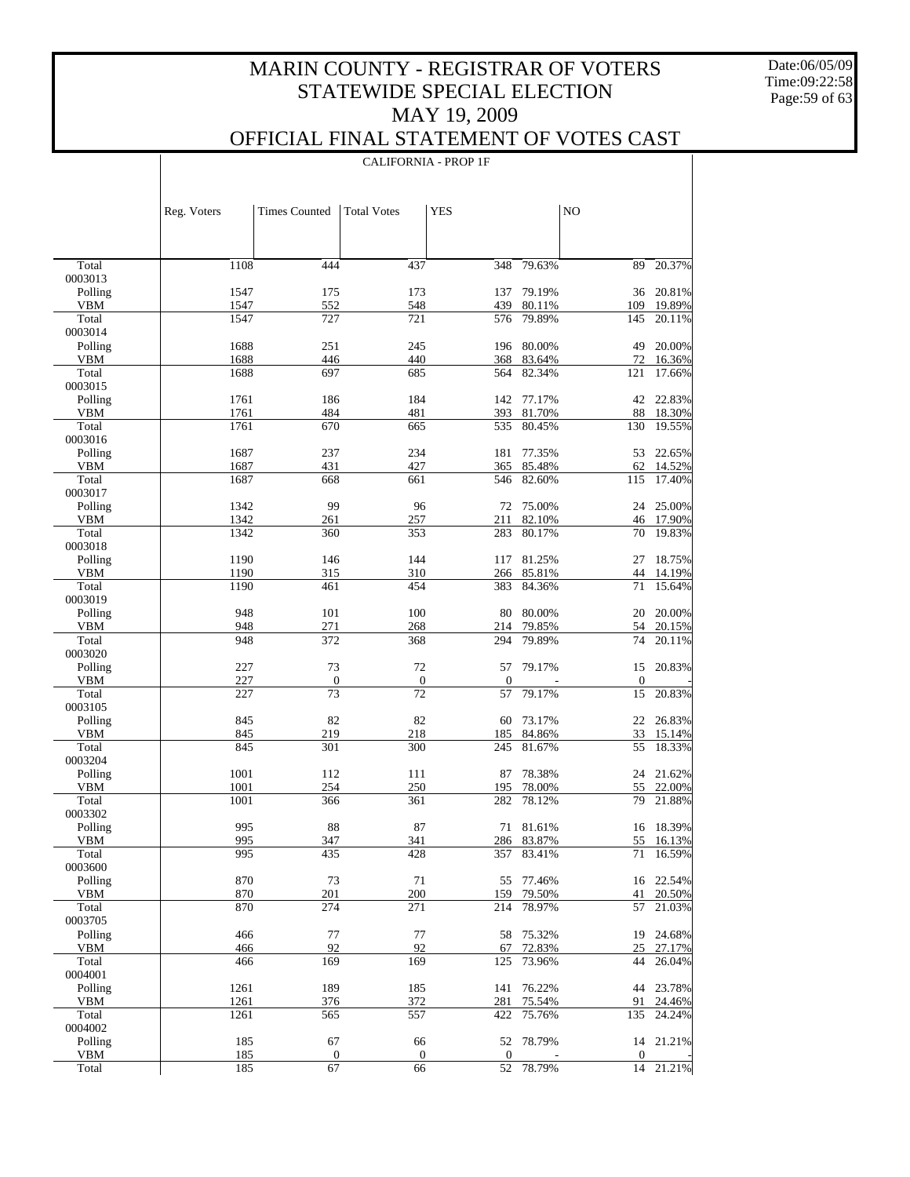Date:06/05/09 Time:09:22:58 Page:59 of 63

### OFFICIAL FINAL STATEMENT OF VOTES CAST

|                | Reg. Voters  | <b>Times Counted</b> | <b>Total Votes</b> | <b>YES</b>       |                  |                  | NO           |                     |
|----------------|--------------|----------------------|--------------------|------------------|------------------|------------------|--------------|---------------------|
|                |              |                      |                    |                  |                  |                  |              |                     |
| Total          | 1108         | 444                  |                    | 437              | 348              | 79.63%           | 89           | 20.37%              |
| 0003013        |              |                      |                    |                  |                  |                  |              |                     |
| Polling        | 1547         | 175                  |                    | 173              | 137              | 79.19%           | 36           | 20.81%              |
| VBM            | 1547         | 552                  |                    | 548              | 439              | 80.11%           | 109          | 19.89%              |
| Total          | 1547         | 727                  |                    | 721              | 576              | 79.89%           | 145          | 20.11%              |
| 0003014        |              |                      |                    |                  |                  |                  |              |                     |
| Polling        | 1688         | 251                  |                    | 245              | 196              | 80.00%           | 49           | 20.00%              |
| VBM            | 1688         | 446                  |                    | 440              | 368              | 83.64%           | 72           | 16.36%              |
| Total          | 1688         | 697                  |                    | 685              | 564              | 82.34%           | 121          | 17.66%              |
| 0003015        |              |                      |                    |                  |                  |                  |              |                     |
| Polling        | 1761         | 186                  |                    | 184              | 142              | 77.17%           | 42           | 22.83%              |
| VBM            | 1761         | 484                  |                    | 481              | 393              | 81.70%           | 88           | 18.30%              |
| Total          | 1761         | 670                  |                    | 665              | 535              | 80.45%           | 130          | 19.55%              |
| 0003016        |              |                      |                    |                  |                  |                  |              |                     |
| Polling        | 1687         | 237                  |                    | 234              | 181              | 77.35%           | 53           | 22.65%              |
| VBM            | 1687         | 431                  |                    | 427              | 365              | 85.48%           | 62           | 14.52%              |
| Total          | 1687         | 668                  |                    | 661              | 546              | 82.60%           | 115          | 17.40%              |
| 0003017        |              |                      |                    |                  |                  |                  |              |                     |
| Polling        | 1342         | 99                   |                    | 96               | 72               | 75.00%           | 24           | 25.00%              |
| VBM<br>Total   | 1342<br>1342 | 261                  |                    | 257              | 211              | 82.10%<br>80.17% |              | 46 17.90%<br>19.83% |
| 0003018        |              | 360                  |                    | 353              | 283              |                  | 70           |                     |
| Polling        | 1190         | 146                  |                    | 144              | 117              | 81.25%           | 27           | 18.75%              |
| VBM            | 1190         | 315                  |                    | 310              |                  | 266 85.81%       | 44           | 14.19%              |
| Total          | 1190         | 461                  |                    | 454              | 383              | 84.36%           | 71           | 15.64%              |
| 0003019        |              |                      |                    |                  |                  |                  |              |                     |
| Polling        | 948          | 101                  |                    | 100              | 80               | 80.00%           | 20           | 20.00%              |
| VBM            | 948          | 271                  |                    | 268              | 214              | 79.85%           | 54           | 20.15%              |
| Total          | 948          | 372                  |                    | 368              | 294              | 79.89%           | 74           | 20.11%              |
| 0003020        |              |                      |                    |                  |                  |                  |              |                     |
| Polling        | 227          | 73                   |                    | 72               | 57               | 79.17%           | 15           | 20.83%              |
| VBM            | 227          | $\boldsymbol{0}$     |                    | $\boldsymbol{0}$ | $\boldsymbol{0}$ |                  | $\mathbf{0}$ |                     |
| Total          | 227          | 73                   |                    | 72               | 57               | 79.17%           | 15           | 20.83%              |
| 0003105        |              |                      |                    |                  |                  |                  |              |                     |
| Polling        | 845          | 82                   |                    | 82               | 60               | 73.17%           | 22           | 26.83%              |
| VBM            | 845          | 219                  |                    | 218              | 185              | 84.86%           | 33           | 15.14%              |
| Total          | 845          | 301                  |                    | 300              | 245              | 81.67%           | 55           | 18.33%              |
| 0003204        |              |                      |                    |                  |                  |                  |              |                     |
| Polling        | 1001         | 112                  |                    | 111              | 87               | 78.38%           | 24           | 21.62%              |
| <b>VBM</b>     | 1001         | 254                  |                    | 250              | 195              | 78.00%           | 55           | 22.00%              |
| Total          | 1001         | 366                  |                    | 361              | 282              | 78.12%           | 79           | 21.88%              |
| 0003302        |              |                      |                    |                  |                  |                  |              |                     |
| Polling        | 995          | 88                   |                    | 87               |                  | 71 81.61%        | 16           | 18.39%              |
| <b>VBM</b>     | 995          | 347                  |                    | 341              |                  | 286 83.87%       |              | 55 16.13%           |
| Total          | 995          | 435                  |                    | 428              | 357              | 83.41%           | 71           | 16.59%              |
| 0003600        |              |                      |                    |                  |                  |                  |              |                     |
| Polling        | 870          | 73                   |                    | 71               | 55               | 77.46%           | 16           | 22.54%              |
| VBM            | 870          | 201                  |                    | 200              | 159              | 79.50%           | 41           | 20.50%              |
| Total          | 870          | 274                  |                    | 271              | 214              | 78.97%           | 57           | 21.03%              |
| 0003705        |              |                      |                    |                  |                  |                  |              |                     |
| Polling        | 466          | 77                   |                    | 77               | 58               | 75.32%           | 19           | 24.68%              |
| VBM            | 466          | 92                   |                    | 92               | 67               | 72.83%           | 25           | 27.17%              |
| Total          | 466          | 169                  |                    | 169              | 125              | 73.96%           | 44           | 26.04%              |
| 0004001        | 1261         | 189                  |                    |                  |                  | 76.22%           |              | 23.78%              |
| Polling<br>VBM | 1261         | 376                  |                    | 185<br>372       | 141<br>281       | 75.54%           | 44<br>91     | 24.46%              |
| Total          | 1261         | 565                  |                    | 557              | 422              | 75.76%           | 135          | 24.24%              |
| 0004002        |              |                      |                    |                  |                  |                  |              |                     |
| Polling        | 185          | 67                   |                    | 66               | 52               | 78.79%           | 14           | 21.21%              |
| VBM            | 185          | $\boldsymbol{0}$     |                    | 0                | $\boldsymbol{0}$ |                  | $\mathbf{0}$ |                     |
| Total          | 185          | 67                   |                    | 66               | 52               | 78.79%           | 14           | 21.21%              |
|                |              |                      |                    |                  |                  |                  |              |                     |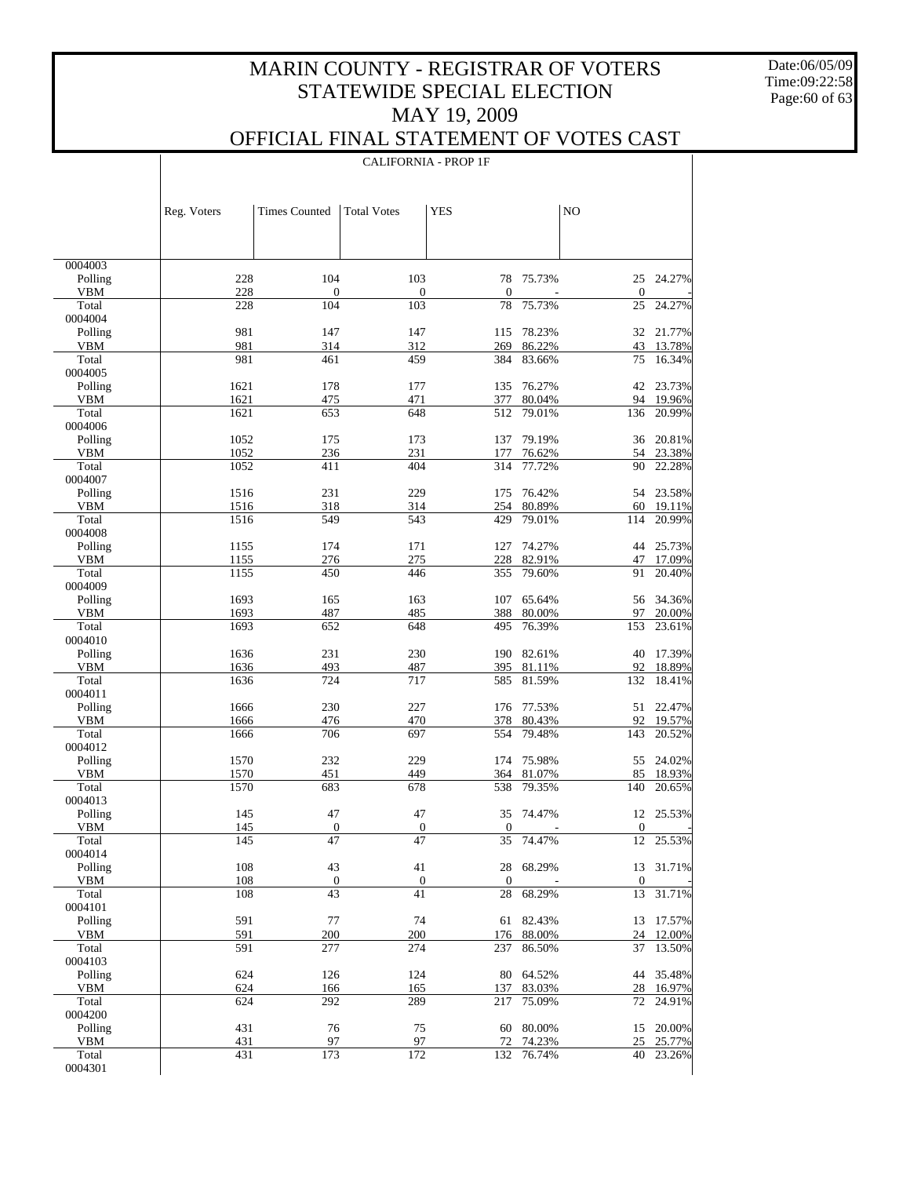Date:06/05/09 Time:09:22:58 Page:60 of 63

 $\perp$ 

## OFFICIAL FINAL STATEMENT OF VOTES CAST

|                       |              |                         |                         | <b>CALIFORNIA - PROP 1F</b> |                  |                  |                     |
|-----------------------|--------------|-------------------------|-------------------------|-----------------------------|------------------|------------------|---------------------|
|                       |              |                         |                         |                             |                  |                  |                     |
|                       |              |                         |                         |                             |                  |                  |                     |
|                       | Reg. Voters  | <b>Times Counted</b>    | <b>Total Votes</b>      | <b>YES</b>                  |                  | NO               |                     |
|                       |              |                         |                         |                             |                  |                  |                     |
|                       |              |                         |                         |                             |                  |                  |                     |
| 0004003               |              |                         |                         |                             |                  |                  |                     |
| Polling               | 228          | 104                     | 103                     | 78                          | 75.73%           | 25               | 24.27%              |
| VBM<br>Total          | 228          | $\boldsymbol{0}$<br>104 | $\boldsymbol{0}$<br>103 | 0                           |                  | $\mathbf{0}$     |                     |
| 0004004               | 228          |                         |                         | 78                          | 75.73%           | 25               | 24.27%              |
| Polling               | 981          | 147                     | 147                     | 115                         | 78.23%           |                  | 32 21.77%           |
| <b>VBM</b>            | 981          | 314                     | 312                     | 269                         | 86.22%           | 43               | 13.78%              |
| Total<br>0004005      | 981          | 461                     | 459                     | 384                         | 83.66%           | 75               | 16.34%              |
| Polling               | 1621         | 178                     | 177                     | 135                         | 76.27%           |                  | 42 23.73%           |
| <b>VBM</b>            | 1621         | 475                     | 471                     | 377                         | 80.04%           |                  | 94 19.96%           |
| Total                 | 1621         | 653                     | 648                     | 512                         | 79.01%           | 136              | 20.99%              |
| 0004006               |              |                         |                         |                             |                  |                  |                     |
| Polling<br>VBM        | 1052<br>1052 | 175<br>236              | 173<br>231              | 137<br>177                  | 79.19%<br>76.62% | 36<br>54         | 20.81%<br>23.38%    |
| Total                 | 1052         | 411                     | $40\overline{4}$        | 314                         | 77.72%           | 90               | 22.28%              |
| 0004007               |              |                         |                         |                             |                  |                  |                     |
| Polling               | 1516         | 231                     | 229                     | 175                         | 76.42%           |                  | 54 23.58%           |
| <b>VBM</b><br>Total   | 1516<br>1516 | 318<br>549              | 314<br>543              | 254<br>429                  | 80.89%<br>79.01% | 60<br>114        | 19.11%<br>20.99%    |
| 0004008               |              |                         |                         |                             |                  |                  |                     |
| Polling               | 1155         | 174                     | 171                     | 127                         | 74.27%           | 44               | 25.73%              |
| <b>VBM</b>            | 1155         | 276                     | 275                     | 228                         | 82.91%           | 47               | 17.09%              |
| Total<br>0004009      | 1155         | 450                     | 446                     | 355                         | 79.60%           | 91               | 20.40%              |
| Polling               | 1693         | 165                     | 163                     | 107                         | 65.64%           | 56               | 34.36%              |
| <b>VBM</b>            | 1693         | 487                     | 485                     | 388                         | 80.00%           | 97               | 20.00%              |
| Total                 | 1693         | 652                     | 648                     | 495                         | 76.39%           | 153              | 23.61%              |
| 0004010<br>Polling    | 1636         | 231                     | 230                     | 190                         | 82.61%           | 40               | 17.39%              |
| <b>VBM</b>            | 1636         | 493                     | 487                     | 395                         | 81.11%           | 92               | 18.89%              |
| Total                 | 1636         | 724                     | 717                     | 585                         | 81.59%           | 132              | 18.41%              |
| 0004011               |              |                         |                         |                             |                  |                  |                     |
| Polling<br><b>VBM</b> | 1666<br>1666 | 230<br>476              | 227<br>470              | 176<br>378                  | 77.53%<br>80.43% | 92               | 51 22.47%           |
| Total                 | 1666         | 706                     | 697                     | 554                         | 79.48%           | 143              | 19.57%<br>20.52%    |
| 0004012               |              |                         |                         |                             |                  |                  |                     |
| Polling               | 1570         | 232                     | 229                     | 174                         | 75.98%           | 55               | 24.02%              |
| <b>VBM</b><br>Total   | 1570<br>1570 | 451<br>683              | 449<br>678              | 364<br>538                  | 81.07%<br>79.35% | 85<br>140        | 18.93%<br>20.65%    |
| 0004013               |              |                         |                         |                             |                  |                  |                     |
| Polling               | 145          | 47                      | 47                      |                             | 35 74.47%        |                  | 12 25.53%           |
| VBM                   | 145          | $\boldsymbol{0}$        | $\boldsymbol{0}$        | $\boldsymbol{0}$            |                  | $\boldsymbol{0}$ |                     |
| Total                 | 145          | 47                      | 47                      | 35                          | 74.47%           | 12               | 25.53%              |
| 0004014<br>Polling    | 108          | 43                      | 41                      | 28                          | 68.29%           |                  | 13 31.71%           |
| VBM                   | 108          | $\boldsymbol{0}$        | $\boldsymbol{0}$        | $\boldsymbol{0}$            |                  | $\boldsymbol{0}$ |                     |
| Total                 | 108          | 43                      | 41                      | 28                          | 68.29%           | 13               | 31.71%              |
| 0004101               |              |                         |                         |                             |                  |                  |                     |
| Polling<br>VBM        | 591<br>591   | 77<br>200               | 74<br>200               | 61<br>176                   | 82.43%<br>88.00% | 24               | 13 17.57%<br>12.00% |
| Total                 | 591          | 277                     | 274                     | 237                         | 86.50%           | 37               | 13.50%              |
| 0004103               |              |                         |                         |                             |                  |                  |                     |
| Polling               | 624          | 126                     | 124                     | 80                          | 64.52%           |                  | 44 35.48%           |
| VBM<br>Total          | 624<br>624   | 166<br>292              | 165<br>289              | 137<br>217                  | 83.03%<br>75.09% | 28<br>72         | 16.97%<br>24.91%    |
| 0004200               |              |                         |                         |                             |                  |                  |                     |
| Polling               | 431          | 76                      | 75                      | 60                          | 80.00%           |                  | 15 20.00%           |
| VBM                   | 431          | 97                      | 97                      | 72                          | 74.23%           | 25               | 25.77%              |
| Total<br>0004301      | 431          | 173                     | 172                     | 132                         | 76.74%           | 40               | 23.26%              |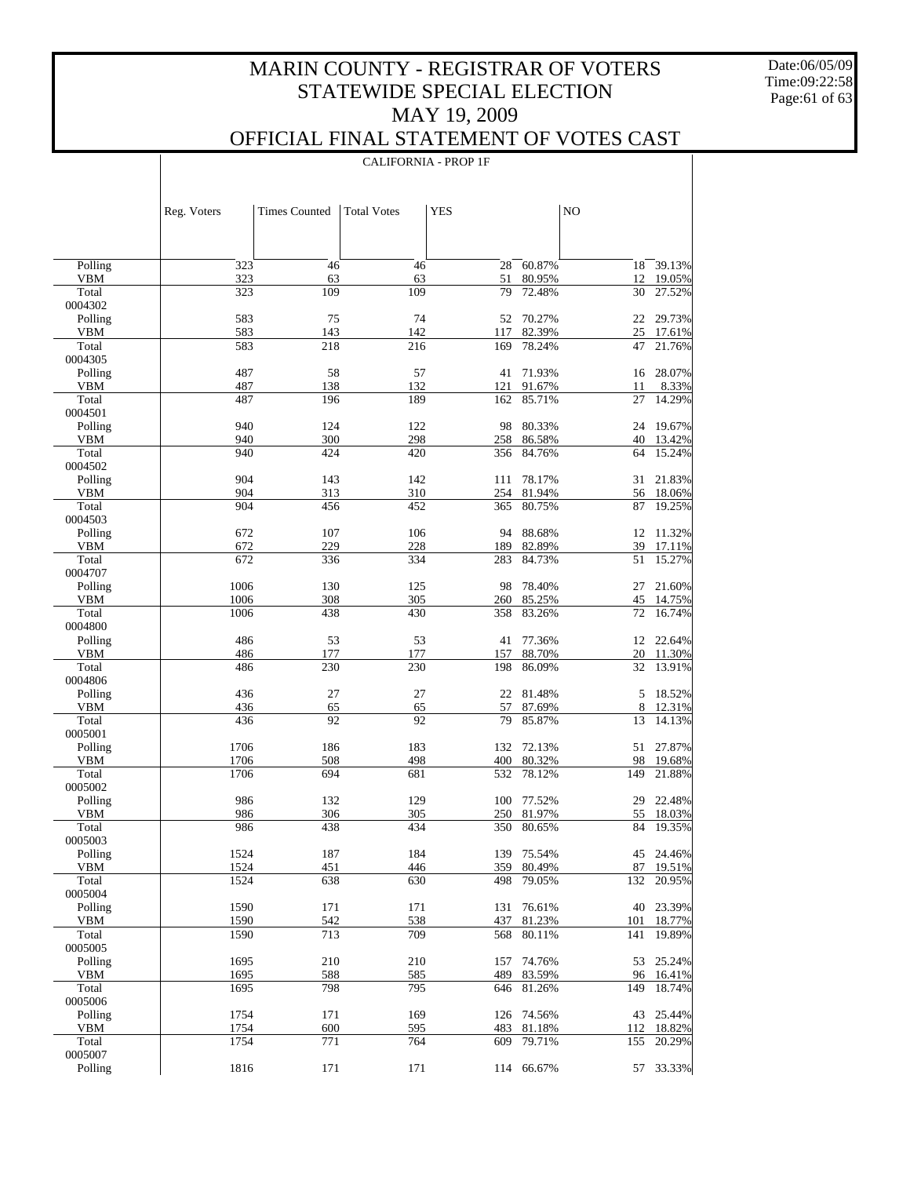Date:06/05/09 Time:09:22:58 Page:61 of 63

 $\mathbf{I}$ 

|                       | <b>CALIFORNIA - PROP 1F</b> |                      |                    |            |                          |            |                     |  |
|-----------------------|-----------------------------|----------------------|--------------------|------------|--------------------------|------------|---------------------|--|
|                       |                             |                      |                    |            |                          |            |                     |  |
|                       |                             |                      |                    |            |                          |            |                     |  |
|                       | Reg. Voters                 | <b>Times Counted</b> | <b>Total Votes</b> | <b>YES</b> |                          | NO         |                     |  |
|                       |                             |                      |                    |            |                          |            |                     |  |
| Polling               | 323                         | 46                   | 46                 | 28         | 60.87%                   | 18         | $\frac{1}{39.13\%}$ |  |
| <b>VBM</b>            | 323                         | 63                   | 63                 | 51         | 80.95%                   | 12         | 19.05%              |  |
| Total                 | 323                         | 109                  | 109                | 79         | 72.48%                   | $30\,$     | 27.52%              |  |
| 0004302               | 583                         | 75                   | 74                 |            | 52 70.27%                | 22         | 29.73%              |  |
| Polling<br><b>VBM</b> | 583                         | 143                  | 142                | 117        | 82.39%                   |            | 25 17.61%           |  |
| Total                 | 583                         | 218                  | 216                | 169        | 78.24%                   | 47         | 21.76%              |  |
| 0004305               |                             |                      |                    |            |                          |            |                     |  |
| Polling               | 487<br>487                  | 58<br>138            | 57<br>132          | 41<br>121  | 71.93%<br>91.67%         | 16         | 28.07%              |  |
| VBM<br>Total          | 487                         | 196                  | 189                | 162        | 85.71%                   | 11<br>27   | 8.33%<br>14.29%     |  |
| 0004501               |                             |                      |                    |            |                          |            |                     |  |
| Polling               | 940                         | 124                  | 122                | 98         | 80.33%                   | 24         | 19.67%              |  |
| <b>VBM</b>            | 940                         | 300                  | 298                |            | 258 86.58%               | 40         | 13.42%              |  |
| Total<br>0004502      | 940                         | 424                  | 420                | 356        | 84.76%                   | 64         | 15.24%              |  |
| Polling               | 904                         | 143                  | 142                | 111        | 78.17%                   | 31         | 21.83%              |  |
| <b>VBM</b>            | 904                         | 313                  | 310                | 254        | 81.94%                   |            | 56 18.06%           |  |
| Total                 | 904                         | 456                  | 452                | 365        | 80.75%                   | 87         | 19.25%              |  |
| 0004503<br>Polling    | 672                         | 107                  | 106                | 94         | 88.68%                   |            | 12 11.32%           |  |
| <b>VBM</b>            | 672                         | 229                  | 228                | 189        | 82.89%                   | 39         | 17.11%              |  |
| Total                 | 672                         | 336                  | 334                | 283        | 84.73%                   | 51         | 15.27%              |  |
| 0004707               |                             |                      |                    |            |                          |            |                     |  |
| Polling               | 1006                        | 130                  | 125                | 98         | 78.40%                   | 27         | 21.60%              |  |
| <b>VBM</b><br>Total   | 1006<br>1006                | 308<br>438           | 305<br>430         | 260<br>358 | 85.25%<br>83.26%         | 72         | 45 14.75%<br>16.74% |  |
| 0004800               |                             |                      |                    |            |                          |            |                     |  |
| Polling               | 486                         | 53                   | 53                 | 41         | 77.36%                   |            | 12 22.64%           |  |
| <b>VBM</b>            | 486                         | 177                  | 177                | 157        | 88.70%                   | 20         | 11.30%              |  |
| Total<br>0004806      | 486                         | 230                  | 230                | 198        | 86.09%                   | 32         | 13.91%              |  |
| Polling               | 436                         | 27                   | 27                 | 22         | 81.48%                   | 5          | 18.52%              |  |
| VBM                   | 436                         | 65                   | 65                 | 57         | 87.69%                   | 8          | 12.31%              |  |
| Total                 | 436                         | 92                   | 92                 | 79         | 85.87%                   | 13         | 14.13%              |  |
| 0005001<br>Polling    | 1706                        | 186                  | 183                |            | 132 72.13%               | 51         | 27.87%              |  |
| <b>VBM</b>            | 1706                        | 508                  | 498                |            | 400 80.32%               | 98         | 19.68%              |  |
| Total                 | 1706                        | 694                  | 681                | 532        | 78.12%                   | 149        | 21.88%              |  |
| 0005002               |                             |                      |                    |            |                          |            |                     |  |
| Polling<br>VBM        | 986<br>986                  | 132<br>306           | 129<br>305         |            | 100 77.52%<br>250 81.97% | 29         | 22.48%<br>55 18.03% |  |
| Total                 | 986                         | 438                  | 434                | 350        | 80.65%                   | 84         | 19.35%              |  |
| 0005003               |                             |                      |                    |            |                          |            |                     |  |
| Polling               | 1524                        | 187                  | 184                | 139        | 75.54%                   | 45         | 24.46%              |  |
| VBM                   | 1524                        | 451                  | 446                | 359        | 80.49%                   | 87         | 19.51%              |  |
| Total<br>0005004      | 1524                        | 638                  | 630                | 498        | 79.05%                   | 132        | 20.95%              |  |
| Polling               | 1590                        | 171                  | 171                | 131        | 76.61%                   | 40         | 23.39%              |  |
| VBM                   | 1590                        | 542                  | 538                | 437        | 81.23%                   | 101        | 18.77%              |  |
| Total                 | 1590                        | 713                  | 709                | 568        | 80.11%                   | 141        | 19.89%              |  |
| 0005005<br>Polling    | 1695                        | 210                  | 210                | 157        | 74.76%                   | 53         | 25.24%              |  |
| VBM                   | 1695                        | 588                  | 585                | 489        | 83.59%                   | 96         | 16.41%              |  |
| Total                 | 1695                        | 798                  | 795                | 646        | 81.26%                   | 149        | 18.74%              |  |
| 0005006               |                             |                      |                    |            |                          |            |                     |  |
| Polling               | 1754<br>1754                | 171<br>600           | 169<br>595         | 126        | 74.56%<br>81.18%         | 43         | 25.44%              |  |
| VBM<br>Total          | 1754                        | 771                  | 764                | 483<br>609 | 79.71%                   | 112<br>155 | 18.82%<br>20.29%    |  |
| 0005007               |                             |                      |                    |            |                          |            |                     |  |
| Polling               | 1816                        | 171                  | 171                |            | 114 66.67%               | 57         | 33.33%              |  |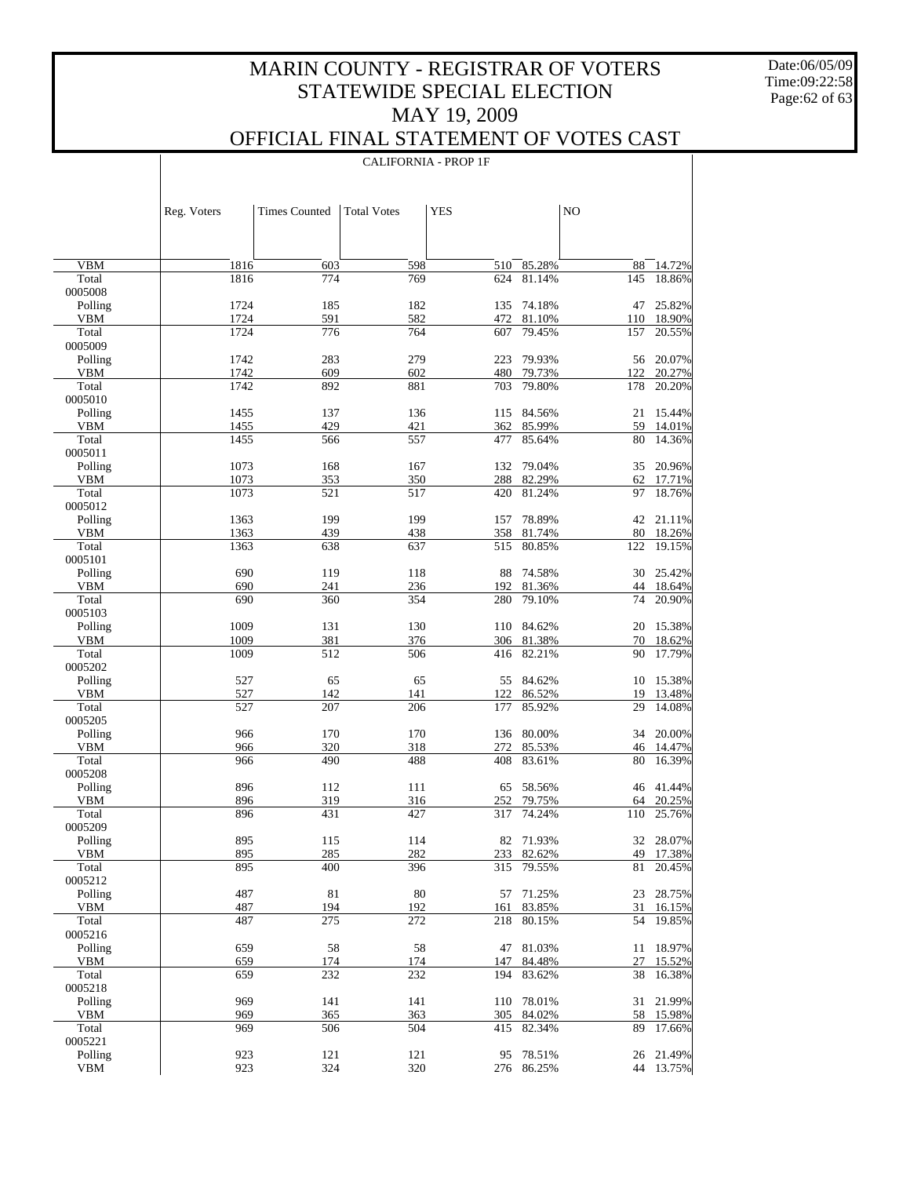Date:06/05/09 Time:09:22:58 Page:62 of 63

 $\overline{\phantom{a}}$ 

### OFFICIAL FINAL STATEMENT OF VOTES CAST

|                     | Reg. Voters  | <b>Times Counted</b> | <b>Total Votes</b> | <b>YES</b> |                      | NO         |                  |
|---------------------|--------------|----------------------|--------------------|------------|----------------------|------------|------------------|
|                     |              |                      |                    |            |                      |            |                  |
|                     |              |                      |                    |            |                      |            |                  |
| <b>VBM</b>          | 1816         | 603                  | 598                | 510        | 85.28%<br>81.14%     | 88         | 14.72%           |
| Total<br>0005008    | 1816         | 774                  | 769                | 624        |                      | 145        | 18.86%           |
| Polling             | 1724         | 185                  | 182                | 135        | 74.18%               | 47         | 25.82%           |
| <b>VBM</b>          | 1724         | 591                  | 582                |            | 472 81.10%           |            | 110 18.90%       |
| Total               | 1724         | 776                  | 764                | 607        | 79.45%               | 157        | 20.55%           |
| 0005009             |              |                      |                    |            |                      |            |                  |
| Polling             | 1742         | 283                  | 279                | 223        | 79.93%               | 56         | 20.07%           |
| <b>VBM</b><br>Total | 1742<br>1742 | 609<br>892           | 602<br>881         | 703        | 480 79.73%<br>79.80% | 122<br>178 | 20.27%<br>20.20% |
| 0005010             |              |                      |                    |            |                      |            |                  |
| Polling             | 1455         | 137                  | 136                | 115        | 84.56%               | 21         | 15.44%           |
| <b>VBM</b>          | 1455         | 429                  | 421                |            | 362 85.99%           | 59         | 14.01%           |
| Total               | 1455         | 566                  | 557                | 477        | 85.64%               | 80         | 14.36%           |
| 0005011             |              |                      |                    |            |                      |            |                  |
| Polling             | 1073         | 168                  | 167                | 132        | 79.04%               | 35         | 20.96%           |
| <b>VBM</b><br>Total | 1073<br>1073 | 353<br>521           | 350<br>517         | 420        | 288 82.29%<br>81.24% | 62<br>97   | 17.71%<br>18.76% |
| 0005012             |              |                      |                    |            |                      |            |                  |
| Polling             | 1363         | 199                  | 199                | 157        | 78.89%               |            | 42 21.11%        |
| <b>VBM</b>          | 1363         | 439                  | 438                |            | 358 81.74%           | 80         | 18.26%           |
| Total               | 1363         | 638                  | 637                | 515        | 80.85%               | 122        | 19.15%           |
| 0005101             |              |                      |                    |            |                      |            |                  |
| Polling             | 690          | 119                  | 118                | 88         | 74.58%               | 30         | 25.42%           |
| <b>VBM</b>          | 690          | 241                  | 236                | 192        | 81.36%               |            | 44 18.64%        |
| Total<br>0005103    | 690          | 360                  | 354                | 280        | 79.10%               | 74         | 20.90%           |
| Polling             | 1009         | 131                  | 130                |            | 110 84.62%           | 20         | 15.38%           |
| <b>VBM</b>          | 1009         | 381                  | 376                |            | 306 81.38%           | 70         | 18.62%           |
| Total               | 1009         | 512                  | 506                | 416        | 82.21%               | 90         | 17.79%           |
| 0005202             |              |                      |                    |            |                      |            |                  |
| Polling             | 527          | 65                   | 65                 | 55         | 84.62%               | 10         | 15.38%           |
| <b>VBM</b><br>Total | 527<br>527   | 142                  | 141                | 122        | 86.52%<br>85.92%     | 19         | 13.48%<br>14.08% |
| 0005205             |              | 207                  | 206                | 177        |                      | 29         |                  |
| Polling             | 966          | 170                  | 170                |            | 136 80.00%           | 34         | 20.00%           |
| <b>VBM</b>          | 966          | 320                  | 318                | 272        | 85.53%               | 46         | 14.47%           |
| Total               | 966          | 490                  | 488                | 408        | 83.61%               | 80         | 16.39%           |
| 0005208             |              |                      |                    |            |                      |            |                  |
| Polling             | 896          | 112                  | 111                | 65         | 58.56%               | 46         | 41.44%           |
| <b>VBM</b><br>Total | 896          | 319<br>431           | 316                | 252        | 79.75%<br>74.24%     | 64         | 20.25%<br>25.76% |
| 0005209             | 896          |                      | 427                | 317        |                      | 110        |                  |
| Polling             | 895          | 115                  | 114                |            | 82 71.93%            |            | 32 28.07%        |
| VBM                 | 895          | 285                  | 282                |            | 233 82.62%           |            | 49 17.38%        |
| Total               | 895          | 400                  | 396                | 315        | 79.55%               | 81         | 20.45%           |
| 0005212             |              |                      |                    |            |                      |            |                  |
| Polling             | 487          | 81                   | 80                 | 57         | 71.25%               | 23         | 28.75%           |
| VBM<br>Total        | 487<br>487   | 194                  | 192                | 161        | 83.85%               | 31<br>54   | 16.15%           |
| 0005216             |              | 275                  | 272                | 218        | 80.15%               |            | 19.85%           |
| Polling             | 659          | 58                   | 58                 | 47         | 81.03%               | 11         | 18.97%           |
| VBM                 | 659          | 174                  | 174                | 147        | 84.48%               | 27         | 15.52%           |
| Total               | 659          | 232                  | 232                | 194        | 83.62%               | 38         | 16.38%           |
| 0005218             |              |                      |                    |            |                      |            |                  |
| Polling             | 969          | 141                  | 141                | 110        | 78.01%               | 31         | 21.99%           |
| VBM<br>Total        | 969<br>969   | 365<br>506           | 363<br>504         | 305<br>415 | 84.02%<br>82.34%     | 58<br>89   | 15.98%<br>17.66% |
| 0005221             |              |                      |                    |            |                      |            |                  |
| Polling             | 923          | 121                  | 121                | 95         | 78.51%               | 26         | 21.49%           |
| <b>VBM</b>          | 923          | 324                  | 320                |            | 276 86.25%           |            | 44 13.75%        |